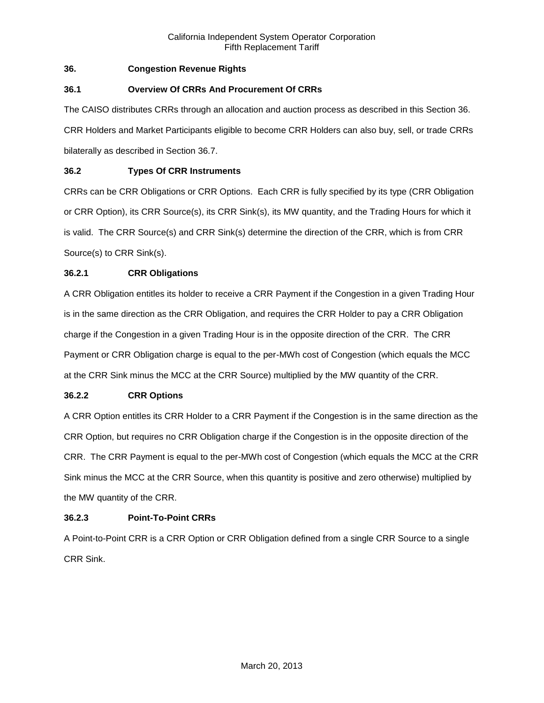# **36. Congestion Revenue Rights**

# **36.1 Overview Of CRRs And Procurement Of CRRs**

The CAISO distributes CRRs through an allocation and auction process as described in this Section 36. CRR Holders and Market Participants eligible to become CRR Holders can also buy, sell, or trade CRRs bilaterally as described in Section 36.7.

# **36.2 Types Of CRR Instruments**

CRRs can be CRR Obligations or CRR Options. Each CRR is fully specified by its type (CRR Obligation or CRR Option), its CRR Source(s), its CRR Sink(s), its MW quantity, and the Trading Hours for which it is valid. The CRR Source(s) and CRR Sink(s) determine the direction of the CRR, which is from CRR Source(s) to CRR Sink(s).

# **36.2.1 CRR Obligations**

A CRR Obligation entitles its holder to receive a CRR Payment if the Congestion in a given Trading Hour is in the same direction as the CRR Obligation, and requires the CRR Holder to pay a CRR Obligation charge if the Congestion in a given Trading Hour is in the opposite direction of the CRR. The CRR Payment or CRR Obligation charge is equal to the per-MWh cost of Congestion (which equals the MCC at the CRR Sink minus the MCC at the CRR Source) multiplied by the MW quantity of the CRR.

## **36.2.2 CRR Options**

A CRR Option entitles its CRR Holder to a CRR Payment if the Congestion is in the same direction as the CRR Option, but requires no CRR Obligation charge if the Congestion is in the opposite direction of the CRR. The CRR Payment is equal to the per-MWh cost of Congestion (which equals the MCC at the CRR Sink minus the MCC at the CRR Source, when this quantity is positive and zero otherwise) multiplied by the MW quantity of the CRR.

## **36.2.3 Point-To-Point CRRs**

A Point-to-Point CRR is a CRR Option or CRR Obligation defined from a single CRR Source to a single CRR Sink.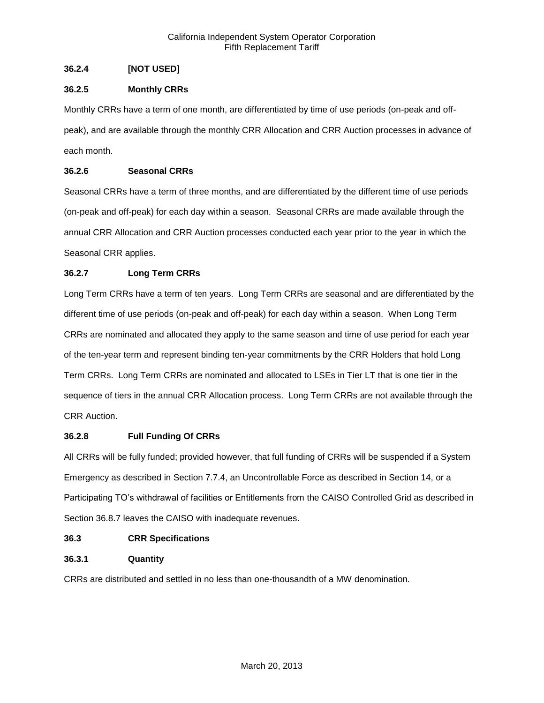# **36.2.4 [NOT USED]**

# **36.2.5 Monthly CRRs**

Monthly CRRs have a term of one month, are differentiated by time of use periods (on-peak and offpeak), and are available through the monthly CRR Allocation and CRR Auction processes in advance of each month.

# **36.2.6 Seasonal CRRs**

Seasonal CRRs have a term of three months, and are differentiated by the different time of use periods (on-peak and off-peak) for each day within a season. Seasonal CRRs are made available through the annual CRR Allocation and CRR Auction processes conducted each year prior to the year in which the Seasonal CRR applies.

# **36.2.7 Long Term CRRs**

Long Term CRRs have a term of ten years. Long Term CRRs are seasonal and are differentiated by the different time of use periods (on-peak and off-peak) for each day within a season. When Long Term CRRs are nominated and allocated they apply to the same season and time of use period for each year of the ten-year term and represent binding ten-year commitments by the CRR Holders that hold Long Term CRRs. Long Term CRRs are nominated and allocated to LSEs in Tier LT that is one tier in the sequence of tiers in the annual CRR Allocation process. Long Term CRRs are not available through the CRR Auction.

## **36.2.8 Full Funding Of CRRs**

All CRRs will be fully funded; provided however, that full funding of CRRs will be suspended if a System Emergency as described in Section 7.7.4, an Uncontrollable Force as described in Section 14, or a Participating TO's withdrawal of facilities or Entitlements from the CAISO Controlled Grid as described in Section 36.8.7 leaves the CAISO with inadequate revenues.

## **36.3 CRR Specifications**

# **36.3.1 Quantity**

CRRs are distributed and settled in no less than one-thousandth of a MW denomination.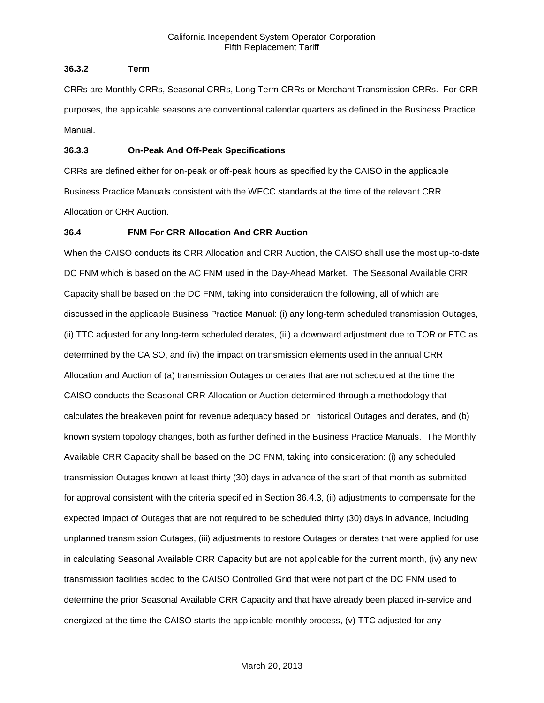# **36.3.2 Term**

CRRs are Monthly CRRs, Seasonal CRRs, Long Term CRRs or Merchant Transmission CRRs. For CRR purposes, the applicable seasons are conventional calendar quarters as defined in the Business Practice Manual.

# **36.3.3 On-Peak And Off-Peak Specifications**

CRRs are defined either for on-peak or off-peak hours as specified by the CAISO in the applicable Business Practice Manuals consistent with the WECC standards at the time of the relevant CRR Allocation or CRR Auction.

# **36.4 FNM For CRR Allocation And CRR Auction**

When the CAISO conducts its CRR Allocation and CRR Auction, the CAISO shall use the most up-to-date DC FNM which is based on the AC FNM used in the Day-Ahead Market. The Seasonal Available CRR Capacity shall be based on the DC FNM, taking into consideration the following, all of which are discussed in the applicable Business Practice Manual: (i) any long-term scheduled transmission Outages, (ii) TTC adjusted for any long-term scheduled derates, (iii) a downward adjustment due to TOR or ETC as determined by the CAISO, and (iv) the impact on transmission elements used in the annual CRR Allocation and Auction of (a) transmission Outages or derates that are not scheduled at the time the CAISO conducts the Seasonal CRR Allocation or Auction determined through a methodology that calculates the breakeven point for revenue adequacy based on historical Outages and derates, and (b) known system topology changes, both as further defined in the Business Practice Manuals. The Monthly Available CRR Capacity shall be based on the DC FNM, taking into consideration: (i) any scheduled transmission Outages known at least thirty (30) days in advance of the start of that month as submitted for approval consistent with the criteria specified in Section 36.4.3, (ii) adjustments to compensate for the expected impact of Outages that are not required to be scheduled thirty (30) days in advance, including unplanned transmission Outages, (iii) adjustments to restore Outages or derates that were applied for use in calculating Seasonal Available CRR Capacity but are not applicable for the current month, (iv) any new transmission facilities added to the CAISO Controlled Grid that were not part of the DC FNM used to determine the prior Seasonal Available CRR Capacity and that have already been placed in-service and energized at the time the CAISO starts the applicable monthly process, (v) TTC adjusted for any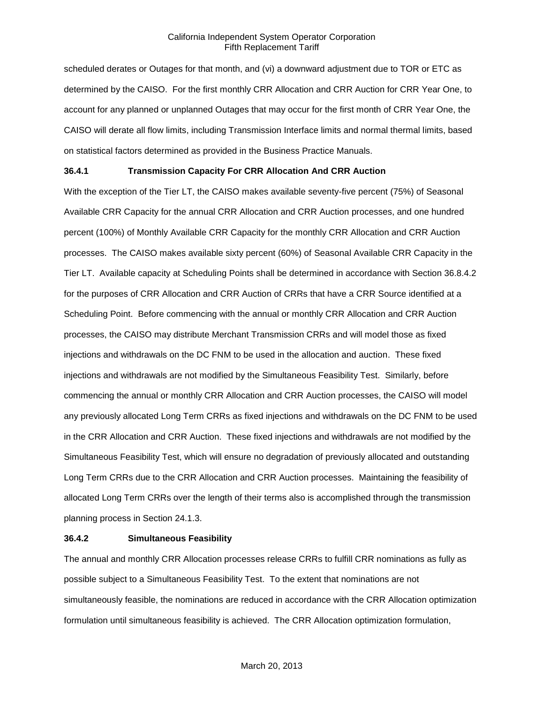scheduled derates or Outages for that month, and (vi) a downward adjustment due to TOR or ETC as determined by the CAISO. For the first monthly CRR Allocation and CRR Auction for CRR Year One, to account for any planned or unplanned Outages that may occur for the first month of CRR Year One, the CAISO will derate all flow limits, including Transmission Interface limits and normal thermal limits, based on statistical factors determined as provided in the Business Practice Manuals.

## **36.4.1 Transmission Capacity For CRR Allocation And CRR Auction**

With the exception of the Tier LT, the CAISO makes available seventy-five percent (75%) of Seasonal Available CRR Capacity for the annual CRR Allocation and CRR Auction processes, and one hundred percent (100%) of Monthly Available CRR Capacity for the monthly CRR Allocation and CRR Auction processes. The CAISO makes available sixty percent (60%) of Seasonal Available CRR Capacity in the Tier LT. Available capacity at Scheduling Points shall be determined in accordance with Section 36.8.4.2 for the purposes of CRR Allocation and CRR Auction of CRRs that have a CRR Source identified at a Scheduling Point. Before commencing with the annual or monthly CRR Allocation and CRR Auction processes, the CAISO may distribute Merchant Transmission CRRs and will model those as fixed injections and withdrawals on the DC FNM to be used in the allocation and auction. These fixed injections and withdrawals are not modified by the Simultaneous Feasibility Test. Similarly, before commencing the annual or monthly CRR Allocation and CRR Auction processes, the CAISO will model any previously allocated Long Term CRRs as fixed injections and withdrawals on the DC FNM to be used in the CRR Allocation and CRR Auction. These fixed injections and withdrawals are not modified by the Simultaneous Feasibility Test, which will ensure no degradation of previously allocated and outstanding Long Term CRRs due to the CRR Allocation and CRR Auction processes. Maintaining the feasibility of allocated Long Term CRRs over the length of their terms also is accomplished through the transmission planning process in Section 24.1.3.

#### **36.4.2 Simultaneous Feasibility**

The annual and monthly CRR Allocation processes release CRRs to fulfill CRR nominations as fully as possible subject to a Simultaneous Feasibility Test. To the extent that nominations are not simultaneously feasible, the nominations are reduced in accordance with the CRR Allocation optimization formulation until simultaneous feasibility is achieved. The CRR Allocation optimization formulation,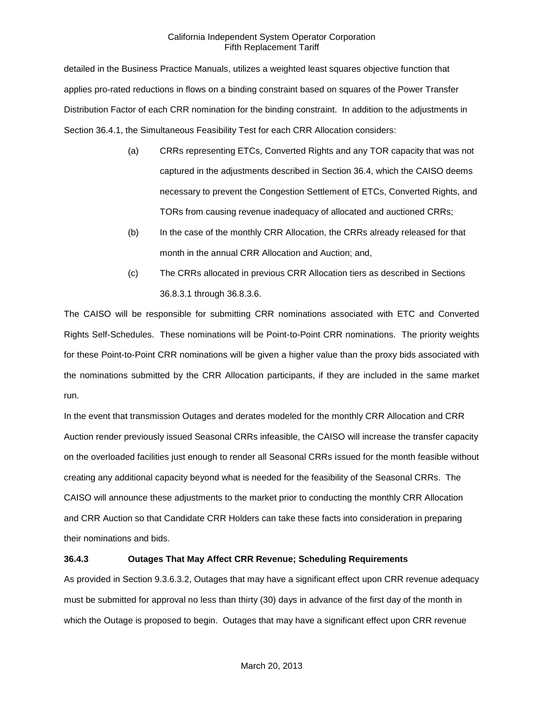detailed in the Business Practice Manuals, utilizes a weighted least squares objective function that applies pro-rated reductions in flows on a binding constraint based on squares of the Power Transfer Distribution Factor of each CRR nomination for the binding constraint. In addition to the adjustments in Section 36.4.1, the Simultaneous Feasibility Test for each CRR Allocation considers:

- (a) CRRs representing ETCs, Converted Rights and any TOR capacity that was not captured in the adjustments described in Section 36.4, which the CAISO deems necessary to prevent the Congestion Settlement of ETCs, Converted Rights, and TORs from causing revenue inadequacy of allocated and auctioned CRRs;
- (b) In the case of the monthly CRR Allocation, the CRRs already released for that month in the annual CRR Allocation and Auction; and,
- (c) The CRRs allocated in previous CRR Allocation tiers as described in Sections 36.8.3.1 through 36.8.3.6.

The CAISO will be responsible for submitting CRR nominations associated with ETC and Converted Rights Self-Schedules. These nominations will be Point-to-Point CRR nominations. The priority weights for these Point-to-Point CRR nominations will be given a higher value than the proxy bids associated with the nominations submitted by the CRR Allocation participants, if they are included in the same market run.

In the event that transmission Outages and derates modeled for the monthly CRR Allocation and CRR Auction render previously issued Seasonal CRRs infeasible, the CAISO will increase the transfer capacity on the overloaded facilities just enough to render all Seasonal CRRs issued for the month feasible without creating any additional capacity beyond what is needed for the feasibility of the Seasonal CRRs. The CAISO will announce these adjustments to the market prior to conducting the monthly CRR Allocation and CRR Auction so that Candidate CRR Holders can take these facts into consideration in preparing their nominations and bids.

## **36.4.3 Outages That May Affect CRR Revenue; Scheduling Requirements**

As provided in Section 9.3.6.3.2, Outages that may have a significant effect upon CRR revenue adequacy must be submitted for approval no less than thirty (30) days in advance of the first day of the month in which the Outage is proposed to begin. Outages that may have a significant effect upon CRR revenue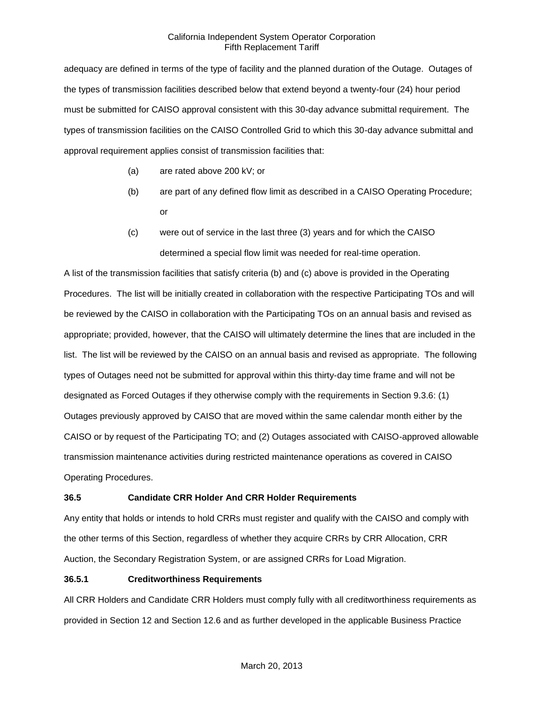adequacy are defined in terms of the type of facility and the planned duration of the Outage. Outages of the types of transmission facilities described below that extend beyond a twenty-four (24) hour period must be submitted for CAISO approval consistent with this 30-day advance submittal requirement. The types of transmission facilities on the CAISO Controlled Grid to which this 30-day advance submittal and approval requirement applies consist of transmission facilities that:

- (a) are rated above 200 kV; or
- (b) are part of any defined flow limit as described in a CAISO Operating Procedure; or
- (c) were out of service in the last three (3) years and for which the CAISO determined a special flow limit was needed for real-time operation.

A list of the transmission facilities that satisfy criteria (b) and (c) above is provided in the Operating Procedures. The list will be initially created in collaboration with the respective Participating TOs and will be reviewed by the CAISO in collaboration with the Participating TOs on an annual basis and revised as appropriate; provided, however, that the CAISO will ultimately determine the lines that are included in the list. The list will be reviewed by the CAISO on an annual basis and revised as appropriate. The following types of Outages need not be submitted for approval within this thirty-day time frame and will not be designated as Forced Outages if they otherwise comply with the requirements in Section 9.3.6: (1) Outages previously approved by CAISO that are moved within the same calendar month either by the CAISO or by request of the Participating TO; and (2) Outages associated with CAISO-approved allowable transmission maintenance activities during restricted maintenance operations as covered in CAISO Operating Procedures.

# **36.5 Candidate CRR Holder And CRR Holder Requirements**

Any entity that holds or intends to hold CRRs must register and qualify with the CAISO and comply with the other terms of this Section, regardless of whether they acquire CRRs by CRR Allocation, CRR Auction, the Secondary Registration System, or are assigned CRRs for Load Migration.

## **36.5.1 Creditworthiness Requirements**

All CRR Holders and Candidate CRR Holders must comply fully with all creditworthiness requirements as provided in Section 12 and Section 12.6 and as further developed in the applicable Business Practice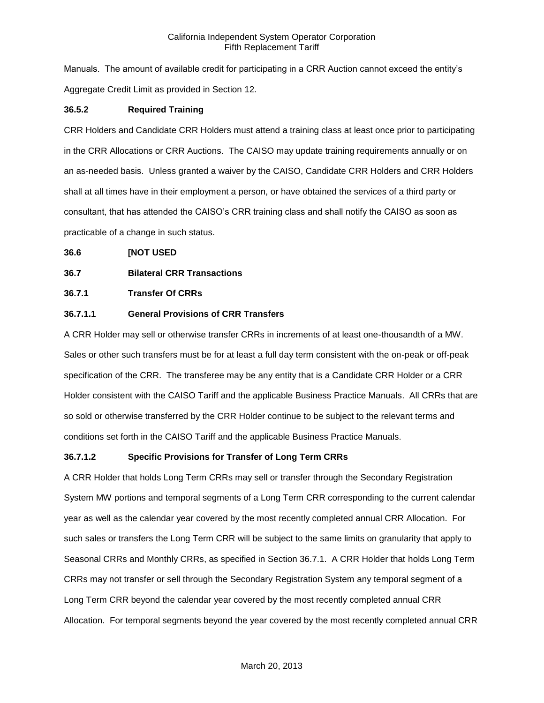Manuals. The amount of available credit for participating in a CRR Auction cannot exceed the entity's Aggregate Credit Limit as provided in Section 12.

# **36.5.2 Required Training**

CRR Holders and Candidate CRR Holders must attend a training class at least once prior to participating in the CRR Allocations or CRR Auctions. The CAISO may update training requirements annually or on an as-needed basis. Unless granted a waiver by the CAISO, Candidate CRR Holders and CRR Holders shall at all times have in their employment a person, or have obtained the services of a third party or consultant, that has attended the CAISO's CRR training class and shall notify the CAISO as soon as practicable of a change in such status.

## **36.6 [NOT USED**

# **36.7 Bilateral CRR Transactions**

# **36.7.1 Transfer Of CRRs**

# **36.7.1.1 General Provisions of CRR Transfers**

A CRR Holder may sell or otherwise transfer CRRs in increments of at least one-thousandth of a MW. Sales or other such transfers must be for at least a full day term consistent with the on-peak or off-peak specification of the CRR. The transferee may be any entity that is a Candidate CRR Holder or a CRR Holder consistent with the CAISO Tariff and the applicable Business Practice Manuals. All CRRs that are so sold or otherwise transferred by the CRR Holder continue to be subject to the relevant terms and conditions set forth in the CAISO Tariff and the applicable Business Practice Manuals.

## **36.7.1.2 Specific Provisions for Transfer of Long Term CRRs**

A CRR Holder that holds Long Term CRRs may sell or transfer through the Secondary Registration System MW portions and temporal segments of a Long Term CRR corresponding to the current calendar year as well as the calendar year covered by the most recently completed annual CRR Allocation. For such sales or transfers the Long Term CRR will be subject to the same limits on granularity that apply to Seasonal CRRs and Monthly CRRs, as specified in Section 36.7.1. A CRR Holder that holds Long Term CRRs may not transfer or sell through the Secondary Registration System any temporal segment of a Long Term CRR beyond the calendar year covered by the most recently completed annual CRR Allocation. For temporal segments beyond the year covered by the most recently completed annual CRR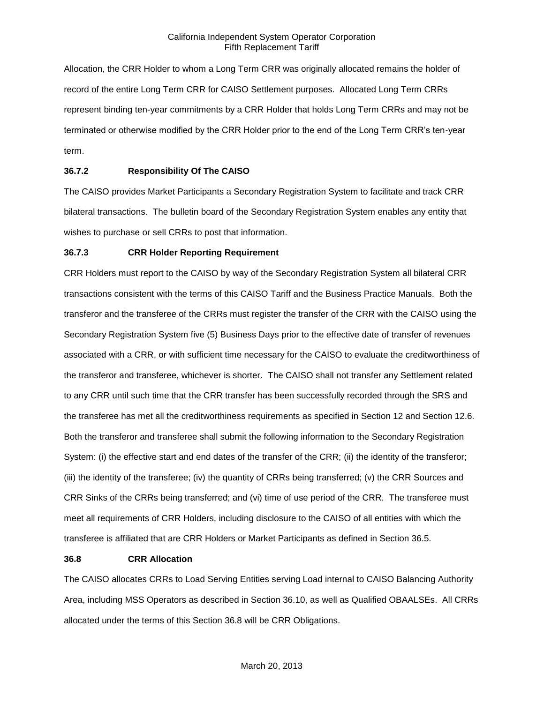Allocation, the CRR Holder to whom a Long Term CRR was originally allocated remains the holder of record of the entire Long Term CRR for CAISO Settlement purposes. Allocated Long Term CRRs represent binding ten-year commitments by a CRR Holder that holds Long Term CRRs and may not be terminated or otherwise modified by the CRR Holder prior to the end of the Long Term CRR's ten-year term.

# **36.7.2 Responsibility Of The CAISO**

The CAISO provides Market Participants a Secondary Registration System to facilitate and track CRR bilateral transactions. The bulletin board of the Secondary Registration System enables any entity that wishes to purchase or sell CRRs to post that information.

#### **36.7.3 CRR Holder Reporting Requirement**

CRR Holders must report to the CAISO by way of the Secondary Registration System all bilateral CRR transactions consistent with the terms of this CAISO Tariff and the Business Practice Manuals. Both the transferor and the transferee of the CRRs must register the transfer of the CRR with the CAISO using the Secondary Registration System five (5) Business Days prior to the effective date of transfer of revenues associated with a CRR, or with sufficient time necessary for the CAISO to evaluate the creditworthiness of the transferor and transferee, whichever is shorter. The CAISO shall not transfer any Settlement related to any CRR until such time that the CRR transfer has been successfully recorded through the SRS and the transferee has met all the creditworthiness requirements as specified in Section 12 and Section 12.6. Both the transferor and transferee shall submit the following information to the Secondary Registration System: (i) the effective start and end dates of the transfer of the CRR; (ii) the identity of the transferor; (iii) the identity of the transferee; (iv) the quantity of CRRs being transferred; (v) the CRR Sources and CRR Sinks of the CRRs being transferred; and (vi) time of use period of the CRR. The transferee must meet all requirements of CRR Holders, including disclosure to the CAISO of all entities with which the transferee is affiliated that are CRR Holders or Market Participants as defined in Section 36.5.

## **36.8 CRR Allocation**

The CAISO allocates CRRs to Load Serving Entities serving Load internal to CAISO Balancing Authority Area, including MSS Operators as described in Section 36.10, as well as Qualified OBAALSEs. All CRRs allocated under the terms of this Section 36.8 will be CRR Obligations.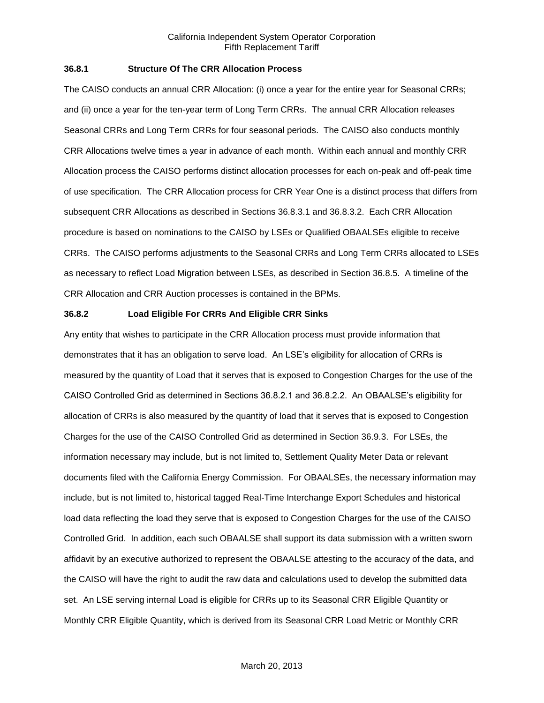# **36.8.1 Structure Of The CRR Allocation Process**

The CAISO conducts an annual CRR Allocation: (i) once a year for the entire year for Seasonal CRRs; and (ii) once a year for the ten-year term of Long Term CRRs. The annual CRR Allocation releases Seasonal CRRs and Long Term CRRs for four seasonal periods. The CAISO also conducts monthly CRR Allocations twelve times a year in advance of each month. Within each annual and monthly CRR Allocation process the CAISO performs distinct allocation processes for each on-peak and off-peak time of use specification. The CRR Allocation process for CRR Year One is a distinct process that differs from subsequent CRR Allocations as described in Sections 36.8.3.1 and 36.8.3.2. Each CRR Allocation procedure is based on nominations to the CAISO by LSEs or Qualified OBAALSEs eligible to receive CRRs. The CAISO performs adjustments to the Seasonal CRRs and Long Term CRRs allocated to LSEs as necessary to reflect Load Migration between LSEs, as described in Section 36.8.5. A timeline of the CRR Allocation and CRR Auction processes is contained in the BPMs.

## **36.8.2 Load Eligible For CRRs And Eligible CRR Sinks**

Any entity that wishes to participate in the CRR Allocation process must provide information that demonstrates that it has an obligation to serve load. An LSE's eligibility for allocation of CRRs is measured by the quantity of Load that it serves that is exposed to Congestion Charges for the use of the CAISO Controlled Grid as determined in Sections 36.8.2.1 and 36.8.2.2. An OBAALSE's eligibility for allocation of CRRs is also measured by the quantity of load that it serves that is exposed to Congestion Charges for the use of the CAISO Controlled Grid as determined in Section 36.9.3. For LSEs, the information necessary may include, but is not limited to, Settlement Quality Meter Data or relevant documents filed with the California Energy Commission. For OBAALSEs, the necessary information may include, but is not limited to, historical tagged Real-Time Interchange Export Schedules and historical load data reflecting the load they serve that is exposed to Congestion Charges for the use of the CAISO Controlled Grid. In addition, each such OBAALSE shall support its data submission with a written sworn affidavit by an executive authorized to represent the OBAALSE attesting to the accuracy of the data, and the CAISO will have the right to audit the raw data and calculations used to develop the submitted data set. An LSE serving internal Load is eligible for CRRs up to its Seasonal CRR Eligible Quantity or Monthly CRR Eligible Quantity, which is derived from its Seasonal CRR Load Metric or Monthly CRR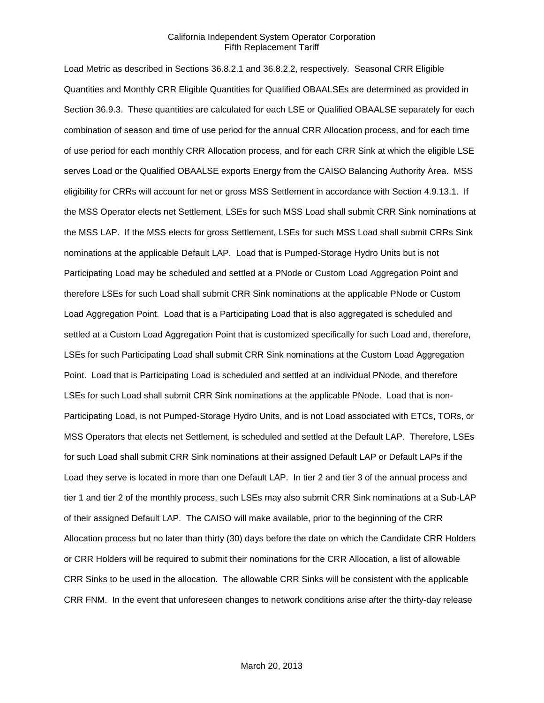Load Metric as described in Sections 36.8.2.1 and 36.8.2.2, respectively. Seasonal CRR Eligible Quantities and Monthly CRR Eligible Quantities for Qualified OBAALSEs are determined as provided in Section 36.9.3. These quantities are calculated for each LSE or Qualified OBAALSE separately for each combination of season and time of use period for the annual CRR Allocation process, and for each time of use period for each monthly CRR Allocation process, and for each CRR Sink at which the eligible LSE serves Load or the Qualified OBAALSE exports Energy from the CAISO Balancing Authority Area. MSS eligibility for CRRs will account for net or gross MSS Settlement in accordance with Section 4.9.13.1. If the MSS Operator elects net Settlement, LSEs for such MSS Load shall submit CRR Sink nominations at the MSS LAP. If the MSS elects for gross Settlement, LSEs for such MSS Load shall submit CRRs Sink nominations at the applicable Default LAP. Load that is Pumped-Storage Hydro Units but is not Participating Load may be scheduled and settled at a PNode or Custom Load Aggregation Point and therefore LSEs for such Load shall submit CRR Sink nominations at the applicable PNode or Custom Load Aggregation Point. Load that is a Participating Load that is also aggregated is scheduled and settled at a Custom Load Aggregation Point that is customized specifically for such Load and, therefore, LSEs for such Participating Load shall submit CRR Sink nominations at the Custom Load Aggregation Point. Load that is Participating Load is scheduled and settled at an individual PNode, and therefore LSEs for such Load shall submit CRR Sink nominations at the applicable PNode. Load that is non-Participating Load, is not Pumped-Storage Hydro Units, and is not Load associated with ETCs, TORs, or MSS Operators that elects net Settlement, is scheduled and settled at the Default LAP. Therefore, LSEs for such Load shall submit CRR Sink nominations at their assigned Default LAP or Default LAPs if the Load they serve is located in more than one Default LAP. In tier 2 and tier 3 of the annual process and tier 1 and tier 2 of the monthly process, such LSEs may also submit CRR Sink nominations at a Sub-LAP of their assigned Default LAP. The CAISO will make available, prior to the beginning of the CRR Allocation process but no later than thirty (30) days before the date on which the Candidate CRR Holders or CRR Holders will be required to submit their nominations for the CRR Allocation, a list of allowable CRR Sinks to be used in the allocation. The allowable CRR Sinks will be consistent with the applicable CRR FNM. In the event that unforeseen changes to network conditions arise after the thirty-day release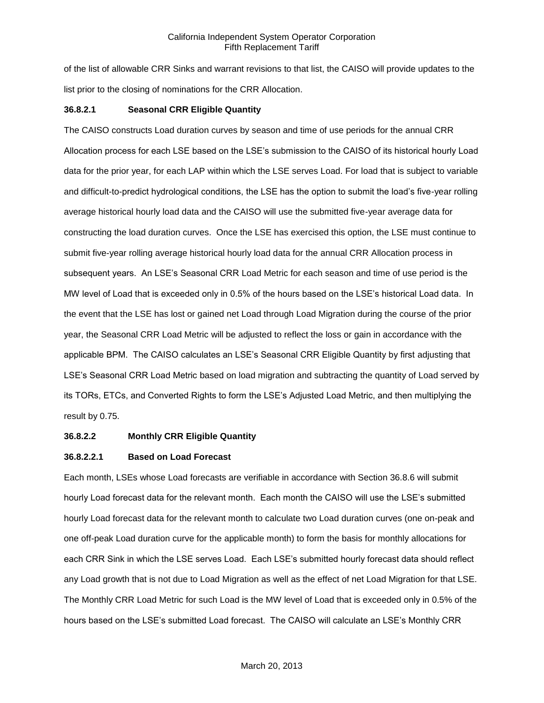of the list of allowable CRR Sinks and warrant revisions to that list, the CAISO will provide updates to the list prior to the closing of nominations for the CRR Allocation.

## **36.8.2.1 Seasonal CRR Eligible Quantity**

The CAISO constructs Load duration curves by season and time of use periods for the annual CRR Allocation process for each LSE based on the LSE's submission to the CAISO of its historical hourly Load data for the prior year, for each LAP within which the LSE serves Load. For load that is subject to variable and difficult-to-predict hydrological conditions, the LSE has the option to submit the load's five-year rolling average historical hourly load data and the CAISO will use the submitted five-year average data for constructing the load duration curves. Once the LSE has exercised this option, the LSE must continue to submit five-year rolling average historical hourly load data for the annual CRR Allocation process in subsequent years. An LSE's Seasonal CRR Load Metric for each season and time of use period is the MW level of Load that is exceeded only in 0.5% of the hours based on the LSE's historical Load data. In the event that the LSE has lost or gained net Load through Load Migration during the course of the prior year, the Seasonal CRR Load Metric will be adjusted to reflect the loss or gain in accordance with the applicable BPM. The CAISO calculates an LSE's Seasonal CRR Eligible Quantity by first adjusting that LSE's Seasonal CRR Load Metric based on load migration and subtracting the quantity of Load served by its TORs, ETCs, and Converted Rights to form the LSE's Adjusted Load Metric, and then multiplying the result by 0.75.

## **36.8.2.2 Monthly CRR Eligible Quantity**

## **36.8.2.2.1 Based on Load Forecast**

Each month, LSEs whose Load forecasts are verifiable in accordance with Section 36.8.6 will submit hourly Load forecast data for the relevant month. Each month the CAISO will use the LSE's submitted hourly Load forecast data for the relevant month to calculate two Load duration curves (one on-peak and one off-peak Load duration curve for the applicable month) to form the basis for monthly allocations for each CRR Sink in which the LSE serves Load. Each LSE's submitted hourly forecast data should reflect any Load growth that is not due to Load Migration as well as the effect of net Load Migration for that LSE. The Monthly CRR Load Metric for such Load is the MW level of Load that is exceeded only in 0.5% of the hours based on the LSE's submitted Load forecast. The CAISO will calculate an LSE's Monthly CRR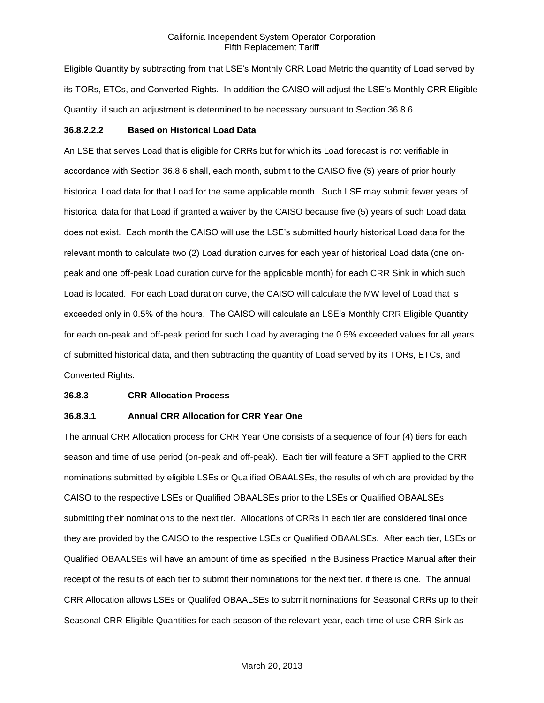Eligible Quantity by subtracting from that LSE's Monthly CRR Load Metric the quantity of Load served by its TORs, ETCs, and Converted Rights. In addition the CAISO will adjust the LSE's Monthly CRR Eligible Quantity, if such an adjustment is determined to be necessary pursuant to Section 36.8.6.

#### **36.8.2.2.2 Based on Historical Load Data**

An LSE that serves Load that is eligible for CRRs but for which its Load forecast is not verifiable in accordance with Section 36.8.6 shall, each month, submit to the CAISO five (5) years of prior hourly historical Load data for that Load for the same applicable month. Such LSE may submit fewer years of historical data for that Load if granted a waiver by the CAISO because five (5) years of such Load data does not exist. Each month the CAISO will use the LSE's submitted hourly historical Load data for the relevant month to calculate two (2) Load duration curves for each year of historical Load data (one onpeak and one off-peak Load duration curve for the applicable month) for each CRR Sink in which such Load is located. For each Load duration curve, the CAISO will calculate the MW level of Load that is exceeded only in 0.5% of the hours. The CAISO will calculate an LSE's Monthly CRR Eligible Quantity for each on-peak and off-peak period for such Load by averaging the 0.5% exceeded values for all years of submitted historical data, and then subtracting the quantity of Load served by its TORs, ETCs, and Converted Rights.

#### **36.8.3 CRR Allocation Process**

# **36.8.3.1 Annual CRR Allocation for CRR Year One**

The annual CRR Allocation process for CRR Year One consists of a sequence of four (4) tiers for each season and time of use period (on-peak and off-peak). Each tier will feature a SFT applied to the CRR nominations submitted by eligible LSEs or Qualified OBAALSEs, the results of which are provided by the CAISO to the respective LSEs or Qualified OBAALSEs prior to the LSEs or Qualified OBAALSEs submitting their nominations to the next tier. Allocations of CRRs in each tier are considered final once they are provided by the CAISO to the respective LSEs or Qualified OBAALSEs. After each tier, LSEs or Qualified OBAALSEs will have an amount of time as specified in the Business Practice Manual after their receipt of the results of each tier to submit their nominations for the next tier, if there is one. The annual CRR Allocation allows LSEs or Qualifed OBAALSEs to submit nominations for Seasonal CRRs up to their Seasonal CRR Eligible Quantities for each season of the relevant year, each time of use CRR Sink as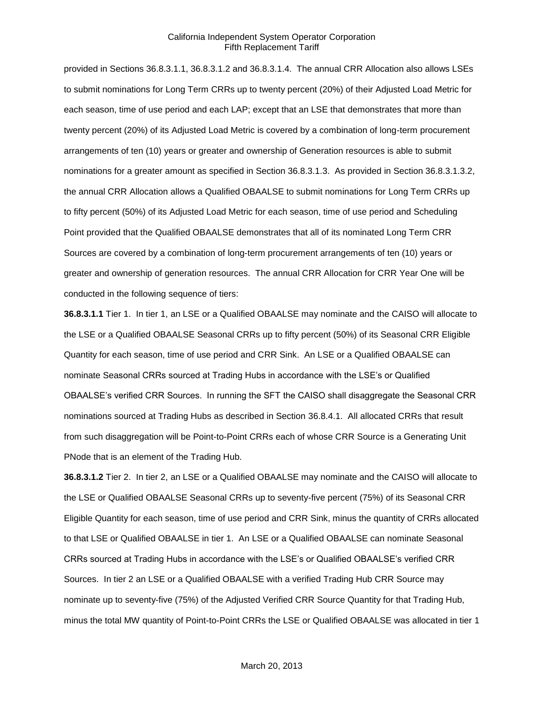provided in Sections 36.8.3.1.1, 36.8.3.1.2 and 36.8.3.1.4. The annual CRR Allocation also allows LSEs to submit nominations for Long Term CRRs up to twenty percent (20%) of their Adjusted Load Metric for each season, time of use period and each LAP; except that an LSE that demonstrates that more than twenty percent (20%) of its Adjusted Load Metric is covered by a combination of long-term procurement arrangements of ten (10) years or greater and ownership of Generation resources is able to submit nominations for a greater amount as specified in Section 36.8.3.1.3. As provided in Section 36.8.3.1.3.2, the annual CRR Allocation allows a Qualified OBAALSE to submit nominations for Long Term CRRs up to fifty percent (50%) of its Adjusted Load Metric for each season, time of use period and Scheduling Point provided that the Qualified OBAALSE demonstrates that all of its nominated Long Term CRR Sources are covered by a combination of long-term procurement arrangements of ten (10) years or greater and ownership of generation resources. The annual CRR Allocation for CRR Year One will be conducted in the following sequence of tiers:

**36.8.3.1.1** Tier 1. In tier 1, an LSE or a Qualified OBAALSE may nominate and the CAISO will allocate to the LSE or a Qualified OBAALSE Seasonal CRRs up to fifty percent (50%) of its Seasonal CRR Eligible Quantity for each season, time of use period and CRR Sink. An LSE or a Qualified OBAALSE can nominate Seasonal CRRs sourced at Trading Hubs in accordance with the LSE's or Qualified OBAALSE's verified CRR Sources. In running the SFT the CAISO shall disaggregate the Seasonal CRR nominations sourced at Trading Hubs as described in Section 36.8.4.1. All allocated CRRs that result from such disaggregation will be Point-to-Point CRRs each of whose CRR Source is a Generating Unit PNode that is an element of the Trading Hub.

**36.8.3.1.2** Tier 2. In tier 2, an LSE or a Qualified OBAALSE may nominate and the CAISO will allocate to the LSE or Qualified OBAALSE Seasonal CRRs up to seventy-five percent (75%) of its Seasonal CRR Eligible Quantity for each season, time of use period and CRR Sink, minus the quantity of CRRs allocated to that LSE or Qualified OBAALSE in tier 1. An LSE or a Qualified OBAALSE can nominate Seasonal CRRs sourced at Trading Hubs in accordance with the LSE's or Qualified OBAALSE's verified CRR Sources. In tier 2 an LSE or a Qualified OBAALSE with a verified Trading Hub CRR Source may nominate up to seventy-five (75%) of the Adjusted Verified CRR Source Quantity for that Trading Hub, minus the total MW quantity of Point-to-Point CRRs the LSE or Qualified OBAALSE was allocated in tier 1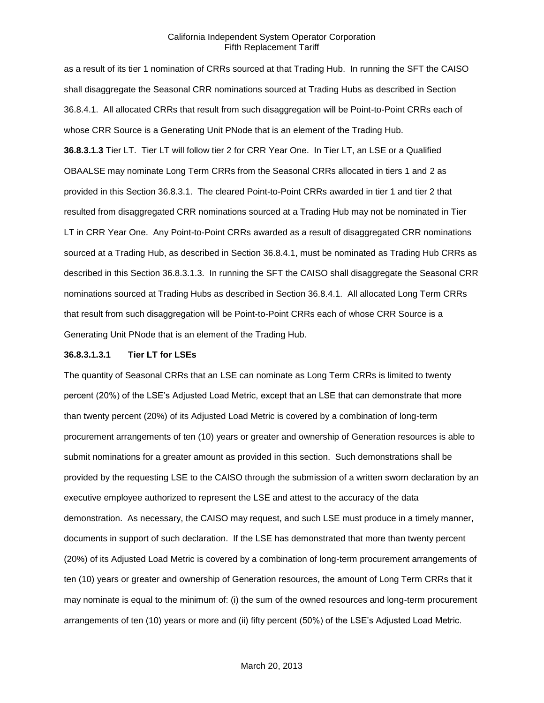as a result of its tier 1 nomination of CRRs sourced at that Trading Hub. In running the SFT the CAISO shall disaggregate the Seasonal CRR nominations sourced at Trading Hubs as described in Section 36.8.4.1. All allocated CRRs that result from such disaggregation will be Point-to-Point CRRs each of whose CRR Source is a Generating Unit PNode that is an element of the Trading Hub.

**36.8.3.1.3** Tier LT. Tier LT will follow tier 2 for CRR Year One. In Tier LT, an LSE or a Qualified OBAALSE may nominate Long Term CRRs from the Seasonal CRRs allocated in tiers 1 and 2 as provided in this Section 36.8.3.1. The cleared Point-to-Point CRRs awarded in tier 1 and tier 2 that resulted from disaggregated CRR nominations sourced at a Trading Hub may not be nominated in Tier LT in CRR Year One. Any Point-to-Point CRRs awarded as a result of disaggregated CRR nominations sourced at a Trading Hub, as described in Section 36.8.4.1, must be nominated as Trading Hub CRRs as described in this Section 36.8.3.1.3. In running the SFT the CAISO shall disaggregate the Seasonal CRR nominations sourced at Trading Hubs as described in Section 36.8.4.1. All allocated Long Term CRRs that result from such disaggregation will be Point-to-Point CRRs each of whose CRR Source is a Generating Unit PNode that is an element of the Trading Hub.

#### **36.8.3.1.3.1 Tier LT for LSEs**

The quantity of Seasonal CRRs that an LSE can nominate as Long Term CRRs is limited to twenty percent (20%) of the LSE's Adjusted Load Metric, except that an LSE that can demonstrate that more than twenty percent (20%) of its Adjusted Load Metric is covered by a combination of long-term procurement arrangements of ten (10) years or greater and ownership of Generation resources is able to submit nominations for a greater amount as provided in this section. Such demonstrations shall be provided by the requesting LSE to the CAISO through the submission of a written sworn declaration by an executive employee authorized to represent the LSE and attest to the accuracy of the data demonstration. As necessary, the CAISO may request, and such LSE must produce in a timely manner, documents in support of such declaration. If the LSE has demonstrated that more than twenty percent (20%) of its Adjusted Load Metric is covered by a combination of long-term procurement arrangements of ten (10) years or greater and ownership of Generation resources, the amount of Long Term CRRs that it may nominate is equal to the minimum of: (i) the sum of the owned resources and long-term procurement arrangements of ten (10) years or more and (ii) fifty percent (50%) of the LSE's Adjusted Load Metric.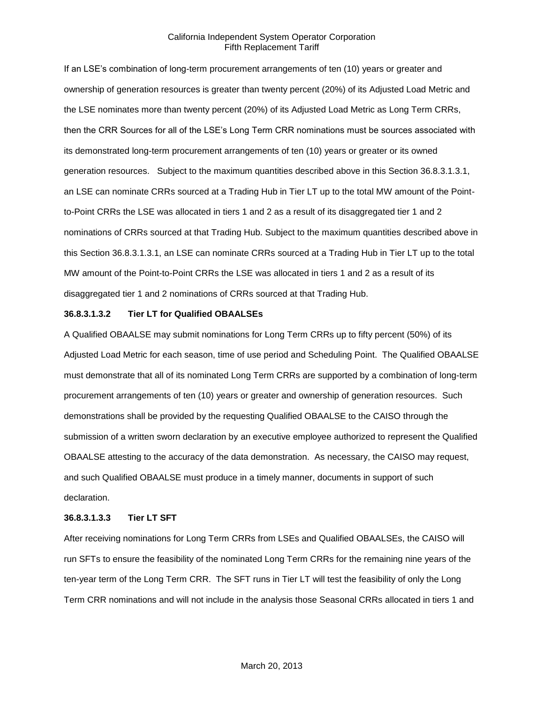If an LSE's combination of long-term procurement arrangements of ten (10) years or greater and ownership of generation resources is greater than twenty percent (20%) of its Adjusted Load Metric and the LSE nominates more than twenty percent (20%) of its Adjusted Load Metric as Long Term CRRs, then the CRR Sources for all of the LSE's Long Term CRR nominations must be sources associated with its demonstrated long-term procurement arrangements of ten (10) years or greater or its owned generation resources. Subject to the maximum quantities described above in this Section 36.8.3.1.3.1, an LSE can nominate CRRs sourced at a Trading Hub in Tier LT up to the total MW amount of the Pointto-Point CRRs the LSE was allocated in tiers 1 and 2 as a result of its disaggregated tier 1 and 2 nominations of CRRs sourced at that Trading Hub. Subject to the maximum quantities described above in this Section 36.8.3.1.3.1, an LSE can nominate CRRs sourced at a Trading Hub in Tier LT up to the total MW amount of the Point-to-Point CRRs the LSE was allocated in tiers 1 and 2 as a result of its disaggregated tier 1 and 2 nominations of CRRs sourced at that Trading Hub.

## **36.8.3.1.3.2 Tier LT for Qualified OBAALSEs**

A Qualified OBAALSE may submit nominations for Long Term CRRs up to fifty percent (50%) of its Adjusted Load Metric for each season, time of use period and Scheduling Point. The Qualified OBAALSE must demonstrate that all of its nominated Long Term CRRs are supported by a combination of long-term procurement arrangements of ten (10) years or greater and ownership of generation resources. Such demonstrations shall be provided by the requesting Qualified OBAALSE to the CAISO through the submission of a written sworn declaration by an executive employee authorized to represent the Qualified OBAALSE attesting to the accuracy of the data demonstration. As necessary, the CAISO may request, and such Qualified OBAALSE must produce in a timely manner, documents in support of such declaration.

#### **36.8.3.1.3.3 Tier LT SFT**

After receiving nominations for Long Term CRRs from LSEs and Qualified OBAALSEs, the CAISO will run SFTs to ensure the feasibility of the nominated Long Term CRRs for the remaining nine years of the ten-year term of the Long Term CRR. The SFT runs in Tier LT will test the feasibility of only the Long Term CRR nominations and will not include in the analysis those Seasonal CRRs allocated in tiers 1 and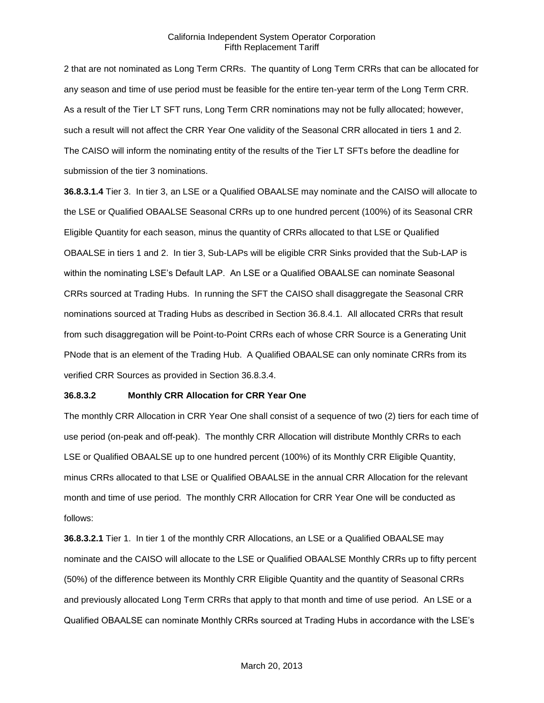2 that are not nominated as Long Term CRRs. The quantity of Long Term CRRs that can be allocated for any season and time of use period must be feasible for the entire ten-year term of the Long Term CRR. As a result of the Tier LT SFT runs, Long Term CRR nominations may not be fully allocated; however, such a result will not affect the CRR Year One validity of the Seasonal CRR allocated in tiers 1 and 2. The CAISO will inform the nominating entity of the results of the Tier LT SFTs before the deadline for submission of the tier 3 nominations.

**36.8.3.1.4** Tier 3. In tier 3, an LSE or a Qualified OBAALSE may nominate and the CAISO will allocate to the LSE or Qualified OBAALSE Seasonal CRRs up to one hundred percent (100%) of its Seasonal CRR Eligible Quantity for each season, minus the quantity of CRRs allocated to that LSE or Qualified OBAALSE in tiers 1 and 2. In tier 3, Sub-LAPs will be eligible CRR Sinks provided that the Sub-LAP is within the nominating LSE's Default LAP. An LSE or a Qualified OBAALSE can nominate Seasonal CRRs sourced at Trading Hubs. In running the SFT the CAISO shall disaggregate the Seasonal CRR nominations sourced at Trading Hubs as described in Section 36.8.4.1. All allocated CRRs that result from such disaggregation will be Point-to-Point CRRs each of whose CRR Source is a Generating Unit PNode that is an element of the Trading Hub. A Qualified OBAALSE can only nominate CRRs from its verified CRR Sources as provided in Section 36.8.3.4.

## **36.8.3.2 Monthly CRR Allocation for CRR Year One**

The monthly CRR Allocation in CRR Year One shall consist of a sequence of two (2) tiers for each time of use period (on-peak and off-peak). The monthly CRR Allocation will distribute Monthly CRRs to each LSE or Qualified OBAALSE up to one hundred percent (100%) of its Monthly CRR Eligible Quantity, minus CRRs allocated to that LSE or Qualified OBAALSE in the annual CRR Allocation for the relevant month and time of use period. The monthly CRR Allocation for CRR Year One will be conducted as follows:

**36.8.3.2.1** Tier 1. In tier 1 of the monthly CRR Allocations, an LSE or a Qualified OBAALSE may nominate and the CAISO will allocate to the LSE or Qualified OBAALSE Monthly CRRs up to fifty percent (50%) of the difference between its Monthly CRR Eligible Quantity and the quantity of Seasonal CRRs and previously allocated Long Term CRRs that apply to that month and time of use period. An LSE or a Qualified OBAALSE can nominate Monthly CRRs sourced at Trading Hubs in accordance with the LSE's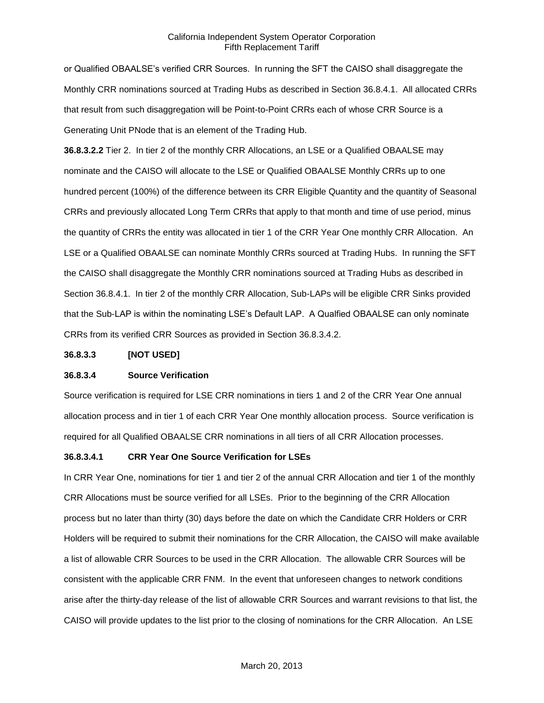or Qualified OBAALSE's verified CRR Sources. In running the SFT the CAISO shall disaggregate the Monthly CRR nominations sourced at Trading Hubs as described in Section 36.8.4.1. All allocated CRRs that result from such disaggregation will be Point-to-Point CRRs each of whose CRR Source is a Generating Unit PNode that is an element of the Trading Hub.

**36.8.3.2.2** Tier 2. In tier 2 of the monthly CRR Allocations, an LSE or a Qualified OBAALSE may nominate and the CAISO will allocate to the LSE or Qualified OBAALSE Monthly CRRs up to one hundred percent (100%) of the difference between its CRR Eligible Quantity and the quantity of Seasonal CRRs and previously allocated Long Term CRRs that apply to that month and time of use period, minus the quantity of CRRs the entity was allocated in tier 1 of the CRR Year One monthly CRR Allocation. An LSE or a Qualified OBAALSE can nominate Monthly CRRs sourced at Trading Hubs. In running the SFT the CAISO shall disaggregate the Monthly CRR nominations sourced at Trading Hubs as described in Section 36.8.4.1. In tier 2 of the monthly CRR Allocation, Sub-LAPs will be eligible CRR Sinks provided that the Sub-LAP is within the nominating LSE's Default LAP. A Qualfied OBAALSE can only nominate CRRs from its verified CRR Sources as provided in Section 36.8.3.4.2.

#### **36.8.3.3 [NOT USED]**

#### **36.8.3.4 Source Verification**

Source verification is required for LSE CRR nominations in tiers 1 and 2 of the CRR Year One annual allocation process and in tier 1 of each CRR Year One monthly allocation process. Source verification is required for all Qualified OBAALSE CRR nominations in all tiers of all CRR Allocation processes.

## **36.8.3.4.1 CRR Year One Source Verification for LSEs**

In CRR Year One, nominations for tier 1 and tier 2 of the annual CRR Allocation and tier 1 of the monthly CRR Allocations must be source verified for all LSEs. Prior to the beginning of the CRR Allocation process but no later than thirty (30) days before the date on which the Candidate CRR Holders or CRR Holders will be required to submit their nominations for the CRR Allocation, the CAISO will make available a list of allowable CRR Sources to be used in the CRR Allocation. The allowable CRR Sources will be consistent with the applicable CRR FNM. In the event that unforeseen changes to network conditions arise after the thirty-day release of the list of allowable CRR Sources and warrant revisions to that list, the CAISO will provide updates to the list prior to the closing of nominations for the CRR Allocation. An LSE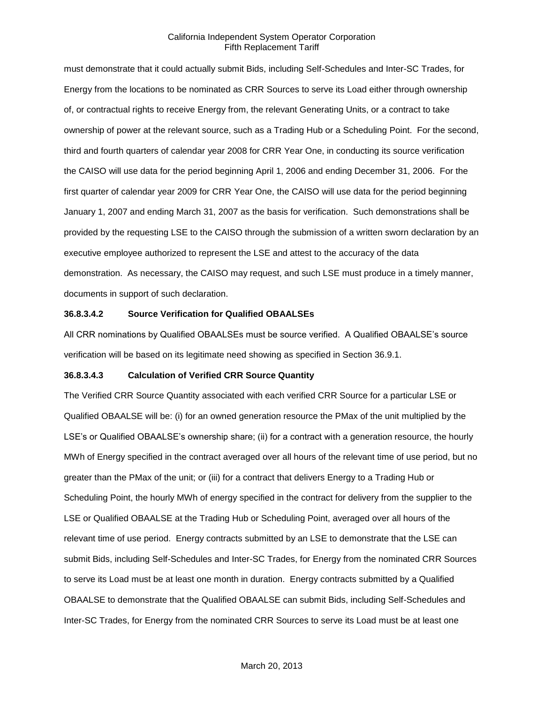must demonstrate that it could actually submit Bids, including Self-Schedules and Inter-SC Trades, for Energy from the locations to be nominated as CRR Sources to serve its Load either through ownership of, or contractual rights to receive Energy from, the relevant Generating Units, or a contract to take ownership of power at the relevant source, such as a Trading Hub or a Scheduling Point. For the second, third and fourth quarters of calendar year 2008 for CRR Year One, in conducting its source verification the CAISO will use data for the period beginning April 1, 2006 and ending December 31, 2006. For the first quarter of calendar year 2009 for CRR Year One, the CAISO will use data for the period beginning January 1, 2007 and ending March 31, 2007 as the basis for verification. Such demonstrations shall be provided by the requesting LSE to the CAISO through the submission of a written sworn declaration by an executive employee authorized to represent the LSE and attest to the accuracy of the data demonstration. As necessary, the CAISO may request, and such LSE must produce in a timely manner, documents in support of such declaration.

## **36.8.3.4.2 Source Verification for Qualified OBAALSEs**

All CRR nominations by Qualified OBAALSEs must be source verified. A Qualified OBAALSE's source verification will be based on its legitimate need showing as specified in Section 36.9.1.

#### **36.8.3.4.3 Calculation of Verified CRR Source Quantity**

The Verified CRR Source Quantity associated with each verified CRR Source for a particular LSE or Qualified OBAALSE will be: (i) for an owned generation resource the PMax of the unit multiplied by the LSE's or Qualified OBAALSE's ownership share; (ii) for a contract with a generation resource, the hourly MWh of Energy specified in the contract averaged over all hours of the relevant time of use period, but no greater than the PMax of the unit; or (iii) for a contract that delivers Energy to a Trading Hub or Scheduling Point, the hourly MWh of energy specified in the contract for delivery from the supplier to the LSE or Qualified OBAALSE at the Trading Hub or Scheduling Point, averaged over all hours of the relevant time of use period. Energy contracts submitted by an LSE to demonstrate that the LSE can submit Bids, including Self-Schedules and Inter-SC Trades, for Energy from the nominated CRR Sources to serve its Load must be at least one month in duration. Energy contracts submitted by a Qualified OBAALSE to demonstrate that the Qualified OBAALSE can submit Bids, including Self-Schedules and Inter-SC Trades, for Energy from the nominated CRR Sources to serve its Load must be at least one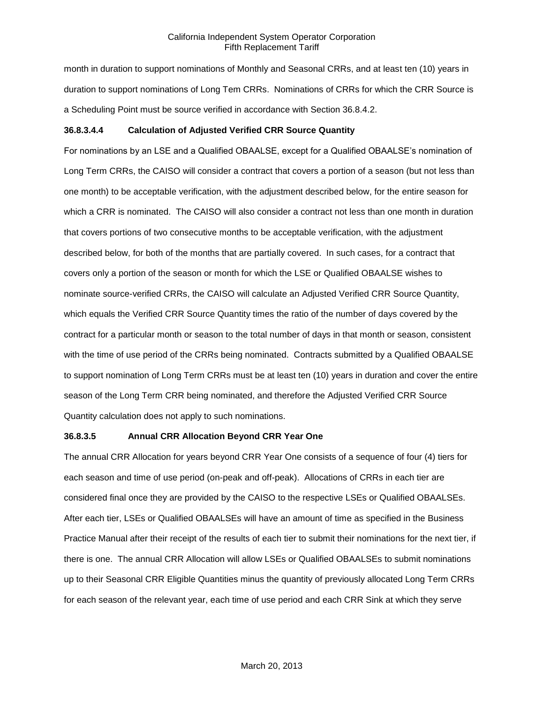month in duration to support nominations of Monthly and Seasonal CRRs, and at least ten (10) years in duration to support nominations of Long Tem CRRs. Nominations of CRRs for which the CRR Source is a Scheduling Point must be source verified in accordance with Section 36.8.4.2.

## **36.8.3.4.4 Calculation of Adjusted Verified CRR Source Quantity**

For nominations by an LSE and a Qualified OBAALSE, except for a Qualified OBAALSE's nomination of Long Term CRRs, the CAISO will consider a contract that covers a portion of a season (but not less than one month) to be acceptable verification, with the adjustment described below, for the entire season for which a CRR is nominated. The CAISO will also consider a contract not less than one month in duration that covers portions of two consecutive months to be acceptable verification, with the adjustment described below, for both of the months that are partially covered. In such cases, for a contract that covers only a portion of the season or month for which the LSE or Qualified OBAALSE wishes to nominate source-verified CRRs, the CAISO will calculate an Adjusted Verified CRR Source Quantity, which equals the Verified CRR Source Quantity times the ratio of the number of days covered by the contract for a particular month or season to the total number of days in that month or season, consistent with the time of use period of the CRRs being nominated. Contracts submitted by a Qualified OBAALSE to support nomination of Long Term CRRs must be at least ten (10) years in duration and cover the entire season of the Long Term CRR being nominated, and therefore the Adjusted Verified CRR Source Quantity calculation does not apply to such nominations.

## **36.8.3.5 Annual CRR Allocation Beyond CRR Year One**

The annual CRR Allocation for years beyond CRR Year One consists of a sequence of four (4) tiers for each season and time of use period (on-peak and off-peak). Allocations of CRRs in each tier are considered final once they are provided by the CAISO to the respective LSEs or Qualified OBAALSEs. After each tier, LSEs or Qualified OBAALSEs will have an amount of time as specified in the Business Practice Manual after their receipt of the results of each tier to submit their nominations for the next tier, if there is one. The annual CRR Allocation will allow LSEs or Qualified OBAALSEs to submit nominations up to their Seasonal CRR Eligible Quantities minus the quantity of previously allocated Long Term CRRs for each season of the relevant year, each time of use period and each CRR Sink at which they serve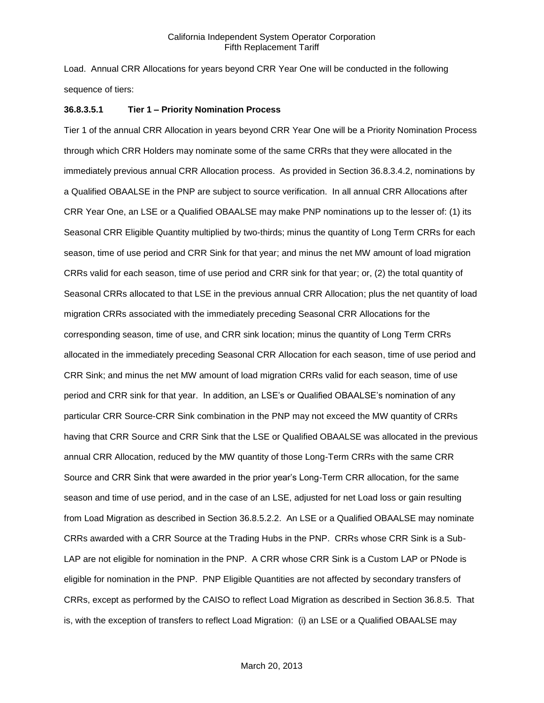Load. Annual CRR Allocations for years beyond CRR Year One will be conducted in the following sequence of tiers:

## **36.8.3.5.1 Tier 1 – Priority Nomination Process**

Tier 1 of the annual CRR Allocation in years beyond CRR Year One will be a Priority Nomination Process through which CRR Holders may nominate some of the same CRRs that they were allocated in the immediately previous annual CRR Allocation process. As provided in Section 36.8.3.4.2, nominations by a Qualified OBAALSE in the PNP are subject to source verification. In all annual CRR Allocations after CRR Year One, an LSE or a Qualified OBAALSE may make PNP nominations up to the lesser of: (1) its Seasonal CRR Eligible Quantity multiplied by two-thirds; minus the quantity of Long Term CRRs for each season, time of use period and CRR Sink for that year; and minus the net MW amount of load migration CRRs valid for each season, time of use period and CRR sink for that year; or, (2) the total quantity of Seasonal CRRs allocated to that LSE in the previous annual CRR Allocation; plus the net quantity of load migration CRRs associated with the immediately preceding Seasonal CRR Allocations for the corresponding season, time of use, and CRR sink location; minus the quantity of Long Term CRRs allocated in the immediately preceding Seasonal CRR Allocation for each season, time of use period and CRR Sink; and minus the net MW amount of load migration CRRs valid for each season, time of use period and CRR sink for that year. In addition, an LSE's or Qualified OBAALSE's nomination of any particular CRR Source-CRR Sink combination in the PNP may not exceed the MW quantity of CRRs having that CRR Source and CRR Sink that the LSE or Qualified OBAALSE was allocated in the previous annual CRR Allocation, reduced by the MW quantity of those Long-Term CRRs with the same CRR Source and CRR Sink that were awarded in the prior year's Long-Term CRR allocation, for the same season and time of use period, and in the case of an LSE, adjusted for net Load loss or gain resulting from Load Migration as described in Section 36.8.5.2.2. An LSE or a Qualified OBAALSE may nominate CRRs awarded with a CRR Source at the Trading Hubs in the PNP. CRRs whose CRR Sink is a Sub-LAP are not eligible for nomination in the PNP. A CRR whose CRR Sink is a Custom LAP or PNode is eligible for nomination in the PNP. PNP Eligible Quantities are not affected by secondary transfers of CRRs, except as performed by the CAISO to reflect Load Migration as described in Section 36.8.5. That is, with the exception of transfers to reflect Load Migration: (i) an LSE or a Qualified OBAALSE may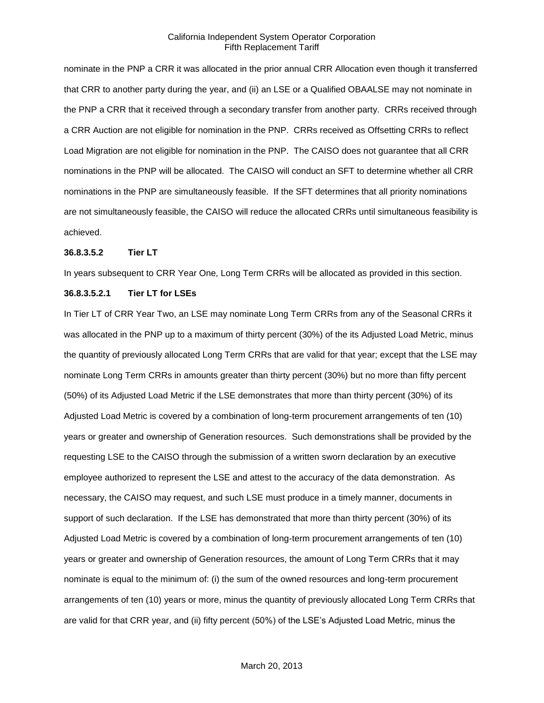nominate in the PNP a CRR it was allocated in the prior annual CRR Allocation even though it transferred that CRR to another party during the year, and (ii) an LSE or a Qualified OBAALSE may not nominate in the PNP a CRR that it received through a secondary transfer from another party. CRRs received through a CRR Auction are not eligible for nomination in the PNP. CRRs received as Offsetting CRRs to reflect Load Migration are not eligible for nomination in the PNP. The CAISO does not guarantee that all CRR nominations in the PNP will be allocated. The CAISO will conduct an SFT to determine whether all CRR nominations in the PNP are simultaneously feasible. If the SFT determines that all priority nominations are not simultaneously feasible, the CAISO will reduce the allocated CRRs until simultaneous feasibility is achieved.

#### **36.8.3.5.2 Tier LT**

In years subsequent to CRR Year One, Long Term CRRs will be allocated as provided in this section.

#### **36.8.3.5.2.1 Tier LT for LSEs**

In Tier LT of CRR Year Two, an LSE may nominate Long Term CRRs from any of the Seasonal CRRs it was allocated in the PNP up to a maximum of thirty percent (30%) of the its Adjusted Load Metric, minus the quantity of previously allocated Long Term CRRs that are valid for that year; except that the LSE may nominate Long Term CRRs in amounts greater than thirty percent (30%) but no more than fifty percent (50%) of its Adjusted Load Metric if the LSE demonstrates that more than thirty percent (30%) of its Adjusted Load Metric is covered by a combination of long-term procurement arrangements of ten (10) years or greater and ownership of Generation resources. Such demonstrations shall be provided by the requesting LSE to the CAISO through the submission of a written sworn declaration by an executive employee authorized to represent the LSE and attest to the accuracy of the data demonstration. As necessary, the CAISO may request, and such LSE must produce in a timely manner, documents in support of such declaration. If the LSE has demonstrated that more than thirty percent (30%) of its Adjusted Load Metric is covered by a combination of long-term procurement arrangements of ten (10) years or greater and ownership of Generation resources, the amount of Long Term CRRs that it may nominate is equal to the minimum of: (i) the sum of the owned resources and long-term procurement arrangements of ten (10) years or more, minus the quantity of previously allocated Long Term CRRs that are valid for that CRR year, and (ii) fifty percent (50%) of the LSE's Adjusted Load Metric, minus the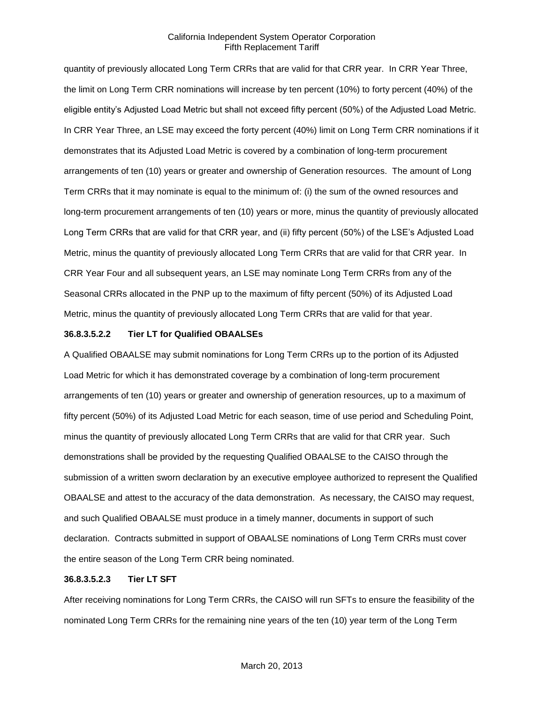quantity of previously allocated Long Term CRRs that are valid for that CRR year. In CRR Year Three, the limit on Long Term CRR nominations will increase by ten percent (10%) to forty percent (40%) of the eligible entity's Adjusted Load Metric but shall not exceed fifty percent (50%) of the Adjusted Load Metric. In CRR Year Three, an LSE may exceed the forty percent (40%) limit on Long Term CRR nominations if it demonstrates that its Adjusted Load Metric is covered by a combination of long-term procurement arrangements of ten (10) years or greater and ownership of Generation resources. The amount of Long Term CRRs that it may nominate is equal to the minimum of: (i) the sum of the owned resources and long-term procurement arrangements of ten (10) years or more, minus the quantity of previously allocated Long Term CRRs that are valid for that CRR year, and (ii) fifty percent (50%) of the LSE's Adjusted Load Metric, minus the quantity of previously allocated Long Term CRRs that are valid for that CRR year. In CRR Year Four and all subsequent years, an LSE may nominate Long Term CRRs from any of the Seasonal CRRs allocated in the PNP up to the maximum of fifty percent (50%) of its Adjusted Load Metric, minus the quantity of previously allocated Long Term CRRs that are valid for that year.

#### **36.8.3.5.2.2 Tier LT for Qualified OBAALSEs**

A Qualified OBAALSE may submit nominations for Long Term CRRs up to the portion of its Adjusted Load Metric for which it has demonstrated coverage by a combination of long-term procurement arrangements of ten (10) years or greater and ownership of generation resources, up to a maximum of fifty percent (50%) of its Adjusted Load Metric for each season, time of use period and Scheduling Point, minus the quantity of previously allocated Long Term CRRs that are valid for that CRR year. Such demonstrations shall be provided by the requesting Qualified OBAALSE to the CAISO through the submission of a written sworn declaration by an executive employee authorized to represent the Qualified OBAALSE and attest to the accuracy of the data demonstration. As necessary, the CAISO may request, and such Qualified OBAALSE must produce in a timely manner, documents in support of such declaration. Contracts submitted in support of OBAALSE nominations of Long Term CRRs must cover the entire season of the Long Term CRR being nominated.

#### **36.8.3.5.2.3 Tier LT SFT**

After receiving nominations for Long Term CRRs, the CAISO will run SFTs to ensure the feasibility of the nominated Long Term CRRs for the remaining nine years of the ten (10) year term of the Long Term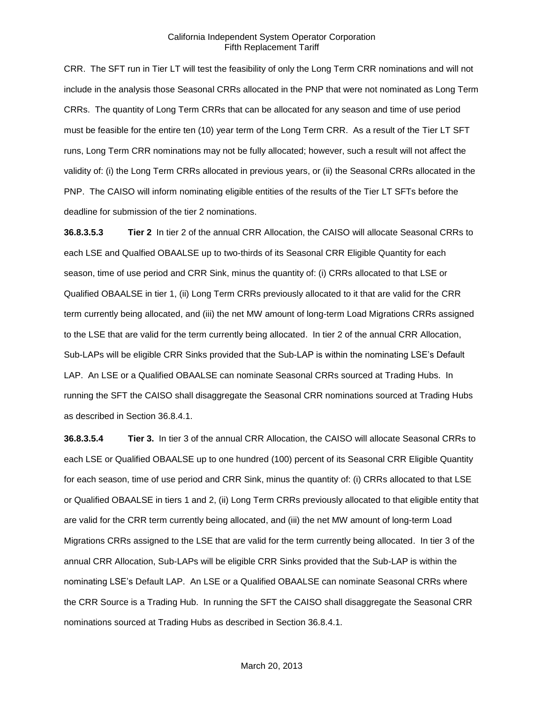CRR. The SFT run in Tier LT will test the feasibility of only the Long Term CRR nominations and will not include in the analysis those Seasonal CRRs allocated in the PNP that were not nominated as Long Term CRRs. The quantity of Long Term CRRs that can be allocated for any season and time of use period must be feasible for the entire ten (10) year term of the Long Term CRR. As a result of the Tier LT SFT runs, Long Term CRR nominations may not be fully allocated; however, such a result will not affect the validity of: (i) the Long Term CRRs allocated in previous years, or (ii) the Seasonal CRRs allocated in the PNP. The CAISO will inform nominating eligible entities of the results of the Tier LT SFTs before the deadline for submission of the tier 2 nominations.

**36.8.3.5.3 Tier 2** In tier 2 of the annual CRR Allocation, the CAISO will allocate Seasonal CRRs to each LSE and Qualfied OBAALSE up to two-thirds of its Seasonal CRR Eligible Quantity for each season, time of use period and CRR Sink, minus the quantity of: (i) CRRs allocated to that LSE or Qualified OBAALSE in tier 1, (ii) Long Term CRRs previously allocated to it that are valid for the CRR term currently being allocated, and (iii) the net MW amount of long-term Load Migrations CRRs assigned to the LSE that are valid for the term currently being allocated. In tier 2 of the annual CRR Allocation, Sub-LAPs will be eligible CRR Sinks provided that the Sub-LAP is within the nominating LSE's Default LAP. An LSE or a Qualified OBAALSE can nominate Seasonal CRRs sourced at Trading Hubs. In running the SFT the CAISO shall disaggregate the Seasonal CRR nominations sourced at Trading Hubs as described in Section 36.8.4.1.

**36.8.3.5.4 Tier 3.** In tier 3 of the annual CRR Allocation, the CAISO will allocate Seasonal CRRs to each LSE or Qualified OBAALSE up to one hundred (100) percent of its Seasonal CRR Eligible Quantity for each season, time of use period and CRR Sink, minus the quantity of: (i) CRRs allocated to that LSE or Qualified OBAALSE in tiers 1 and 2, (ii) Long Term CRRs previously allocated to that eligible entity that are valid for the CRR term currently being allocated, and (iii) the net MW amount of long-term Load Migrations CRRs assigned to the LSE that are valid for the term currently being allocated. In tier 3 of the annual CRR Allocation, Sub-LAPs will be eligible CRR Sinks provided that the Sub-LAP is within the nominating LSE's Default LAP. An LSE or a Qualified OBAALSE can nominate Seasonal CRRs where the CRR Source is a Trading Hub. In running the SFT the CAISO shall disaggregate the Seasonal CRR nominations sourced at Trading Hubs as described in Section 36.8.4.1.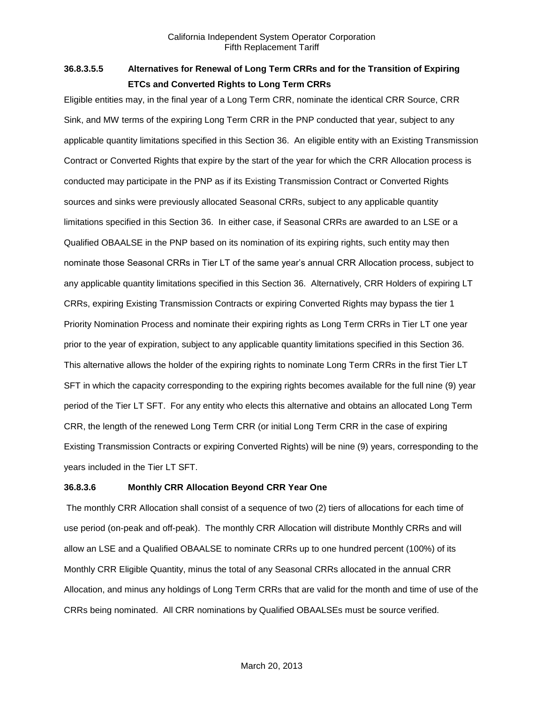# **36.8.3.5.5 Alternatives for Renewal of Long Term CRRs and for the Transition of Expiring ETCs and Converted Rights to Long Term CRRs**

Eligible entities may, in the final year of a Long Term CRR, nominate the identical CRR Source, CRR Sink, and MW terms of the expiring Long Term CRR in the PNP conducted that year, subject to any applicable quantity limitations specified in this Section 36. An eligible entity with an Existing Transmission Contract or Converted Rights that expire by the start of the year for which the CRR Allocation process is conducted may participate in the PNP as if its Existing Transmission Contract or Converted Rights sources and sinks were previously allocated Seasonal CRRs, subject to any applicable quantity limitations specified in this Section 36. In either case, if Seasonal CRRs are awarded to an LSE or a Qualified OBAALSE in the PNP based on its nomination of its expiring rights, such entity may then nominate those Seasonal CRRs in Tier LT of the same year's annual CRR Allocation process, subject to any applicable quantity limitations specified in this Section 36. Alternatively, CRR Holders of expiring LT CRRs, expiring Existing Transmission Contracts or expiring Converted Rights may bypass the tier 1 Priority Nomination Process and nominate their expiring rights as Long Term CRRs in Tier LT one year prior to the year of expiration, subject to any applicable quantity limitations specified in this Section 36. This alternative allows the holder of the expiring rights to nominate Long Term CRRs in the first Tier LT SFT in which the capacity corresponding to the expiring rights becomes available for the full nine (9) year period of the Tier LT SFT. For any entity who elects this alternative and obtains an allocated Long Term CRR, the length of the renewed Long Term CRR (or initial Long Term CRR in the case of expiring Existing Transmission Contracts or expiring Converted Rights) will be nine (9) years, corresponding to the years included in the Tier LT SFT.

## **36.8.3.6 Monthly CRR Allocation Beyond CRR Year One**

The monthly CRR Allocation shall consist of a sequence of two (2) tiers of allocations for each time of use period (on-peak and off-peak). The monthly CRR Allocation will distribute Monthly CRRs and will allow an LSE and a Qualified OBAALSE to nominate CRRs up to one hundred percent (100%) of its Monthly CRR Eligible Quantity, minus the total of any Seasonal CRRs allocated in the annual CRR Allocation, and minus any holdings of Long Term CRRs that are valid for the month and time of use of the CRRs being nominated. All CRR nominations by Qualified OBAALSEs must be source verified.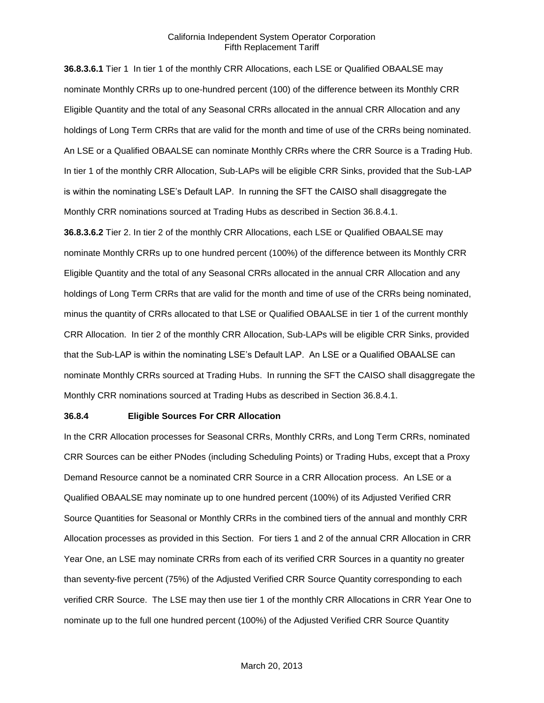**36.8.3.6.1** Tier 1 In tier 1 of the monthly CRR Allocations, each LSE or Qualified OBAALSE may nominate Monthly CRRs up to one-hundred percent (100) of the difference between its Monthly CRR Eligible Quantity and the total of any Seasonal CRRs allocated in the annual CRR Allocation and any holdings of Long Term CRRs that are valid for the month and time of use of the CRRs being nominated. An LSE or a Qualified OBAALSE can nominate Monthly CRRs where the CRR Source is a Trading Hub. In tier 1 of the monthly CRR Allocation, Sub-LAPs will be eligible CRR Sinks, provided that the Sub-LAP is within the nominating LSE's Default LAP. In running the SFT the CAISO shall disaggregate the Monthly CRR nominations sourced at Trading Hubs as described in Section 36.8.4.1.

**36.8.3.6.2** Tier 2. In tier 2 of the monthly CRR Allocations, each LSE or Qualified OBAALSE may nominate Monthly CRRs up to one hundred percent (100%) of the difference between its Monthly CRR Eligible Quantity and the total of any Seasonal CRRs allocated in the annual CRR Allocation and any holdings of Long Term CRRs that are valid for the month and time of use of the CRRs being nominated, minus the quantity of CRRs allocated to that LSE or Qualified OBAALSE in tier 1 of the current monthly CRR Allocation. In tier 2 of the monthly CRR Allocation, Sub-LAPs will be eligible CRR Sinks, provided that the Sub-LAP is within the nominating LSE's Default LAP. An LSE or a Qualified OBAALSE can nominate Monthly CRRs sourced at Trading Hubs. In running the SFT the CAISO shall disaggregate the Monthly CRR nominations sourced at Trading Hubs as described in Section 36.8.4.1.

#### **36.8.4 Eligible Sources For CRR Allocation**

In the CRR Allocation processes for Seasonal CRRs, Monthly CRRs, and Long Term CRRs, nominated CRR Sources can be either PNodes (including Scheduling Points) or Trading Hubs, except that a Proxy Demand Resource cannot be a nominated CRR Source in a CRR Allocation process. An LSE or a Qualified OBAALSE may nominate up to one hundred percent (100%) of its Adjusted Verified CRR Source Quantities for Seasonal or Monthly CRRs in the combined tiers of the annual and monthly CRR Allocation processes as provided in this Section. For tiers 1 and 2 of the annual CRR Allocation in CRR Year One, an LSE may nominate CRRs from each of its verified CRR Sources in a quantity no greater than seventy-five percent (75%) of the Adjusted Verified CRR Source Quantity corresponding to each verified CRR Source. The LSE may then use tier 1 of the monthly CRR Allocations in CRR Year One to nominate up to the full one hundred percent (100%) of the Adjusted Verified CRR Source Quantity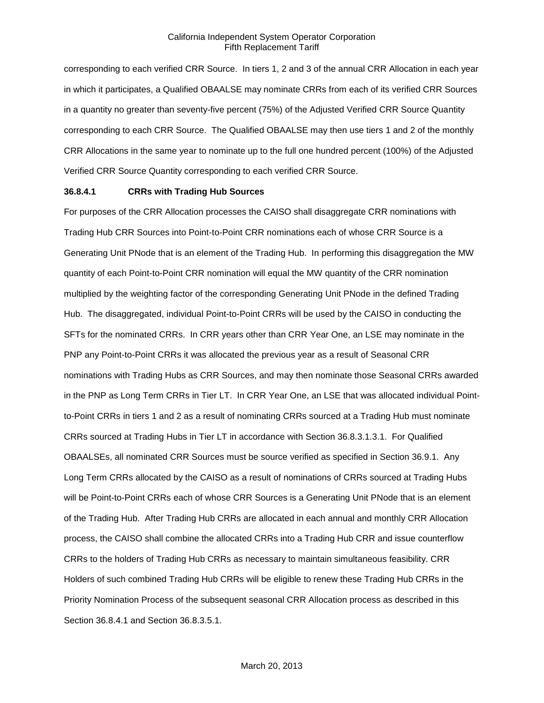corresponding to each verified CRR Source. In tiers 1, 2 and 3 of the annual CRR Allocation in each year in which it participates, a Qualified OBAALSE may nominate CRRs from each of its verified CRR Sources in a quantity no greater than seventy-five percent (75%) of the Adjusted Verified CRR Source Quantity corresponding to each CRR Source. The Qualified OBAALSE may then use tiers 1 and 2 of the monthly CRR Allocations in the same year to nominate up to the full one hundred percent (100%) of the Adjusted Verified CRR Source Quantity corresponding to each verified CRR Source.

#### **36.8.4.1 CRRs with Trading Hub Sources**

For purposes of the CRR Allocation processes the CAISO shall disaggregate CRR nominations with Trading Hub CRR Sources into Point-to-Point CRR nominations each of whose CRR Source is a Generating Unit PNode that is an element of the Trading Hub. In performing this disaggregation the MW quantity of each Point-to-Point CRR nomination will equal the MW quantity of the CRR nomination multiplied by the weighting factor of the corresponding Generating Unit PNode in the defined Trading Hub. The disaggregated, individual Point-to-Point CRRs will be used by the CAISO in conducting the SFTs for the nominated CRRs. In CRR years other than CRR Year One, an LSE may nominate in the PNP any Point-to-Point CRRs it was allocated the previous year as a result of Seasonal CRR nominations with Trading Hubs as CRR Sources, and may then nominate those Seasonal CRRs awarded in the PNP as Long Term CRRs in Tier LT. In CRR Year One, an LSE that was allocated individual Pointto-Point CRRs in tiers 1 and 2 as a result of nominating CRRs sourced at a Trading Hub must nominate CRRs sourced at Trading Hubs in Tier LT in accordance with Section 36.8.3.1.3.1. For Qualified OBAALSEs, all nominated CRR Sources must be source verified as specified in Section 36.9.1. Any Long Term CRRs allocated by the CAISO as a result of nominations of CRRs sourced at Trading Hubs will be Point-to-Point CRRs each of whose CRR Sources is a Generating Unit PNode that is an element of the Trading Hub. After Trading Hub CRRs are allocated in each annual and monthly CRR Allocation process, the CAISO shall combine the allocated CRRs into a Trading Hub CRR and issue counterflow CRRs to the holders of Trading Hub CRRs as necessary to maintain simultaneous feasibility. CRR Holders of such combined Trading Hub CRRs will be eligible to renew these Trading Hub CRRs in the Priority Nomination Process of the subsequent seasonal CRR Allocation process as described in this Section 36.8.4.1 and Section 36.8.3.5.1.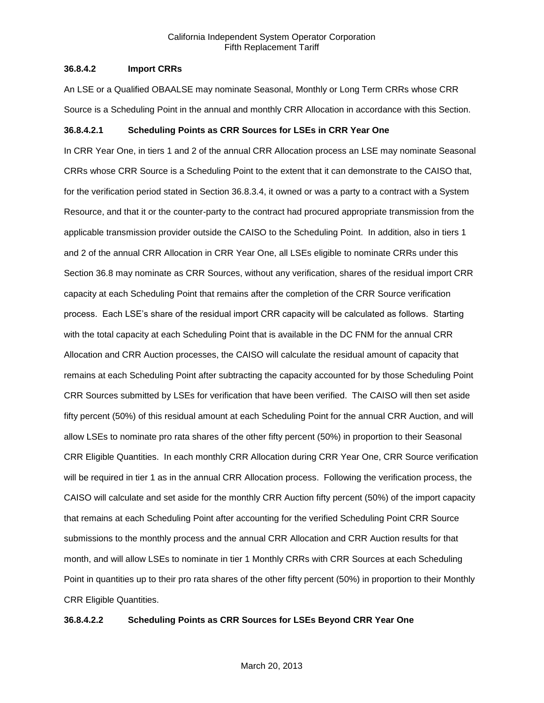#### **36.8.4.2 Import CRRs**

An LSE or a Qualified OBAALSE may nominate Seasonal, Monthly or Long Term CRRs whose CRR Source is a Scheduling Point in the annual and monthly CRR Allocation in accordance with this Section.

## **36.8.4.2.1 Scheduling Points as CRR Sources for LSEs in CRR Year One**

In CRR Year One, in tiers 1 and 2 of the annual CRR Allocation process an LSE may nominate Seasonal CRRs whose CRR Source is a Scheduling Point to the extent that it can demonstrate to the CAISO that, for the verification period stated in Section 36.8.3.4, it owned or was a party to a contract with a System Resource, and that it or the counter-party to the contract had procured appropriate transmission from the applicable transmission provider outside the CAISO to the Scheduling Point. In addition, also in tiers 1 and 2 of the annual CRR Allocation in CRR Year One, all LSEs eligible to nominate CRRs under this Section 36.8 may nominate as CRR Sources, without any verification, shares of the residual import CRR capacity at each Scheduling Point that remains after the completion of the CRR Source verification process. Each LSE's share of the residual import CRR capacity will be calculated as follows. Starting with the total capacity at each Scheduling Point that is available in the DC FNM for the annual CRR Allocation and CRR Auction processes, the CAISO will calculate the residual amount of capacity that remains at each Scheduling Point after subtracting the capacity accounted for by those Scheduling Point CRR Sources submitted by LSEs for verification that have been verified. The CAISO will then set aside fifty percent (50%) of this residual amount at each Scheduling Point for the annual CRR Auction, and will allow LSEs to nominate pro rata shares of the other fifty percent (50%) in proportion to their Seasonal CRR Eligible Quantities. In each monthly CRR Allocation during CRR Year One, CRR Source verification will be required in tier 1 as in the annual CRR Allocation process. Following the verification process, the CAISO will calculate and set aside for the monthly CRR Auction fifty percent (50%) of the import capacity that remains at each Scheduling Point after accounting for the verified Scheduling Point CRR Source submissions to the monthly process and the annual CRR Allocation and CRR Auction results for that month, and will allow LSEs to nominate in tier 1 Monthly CRRs with CRR Sources at each Scheduling Point in quantities up to their pro rata shares of the other fifty percent (50%) in proportion to their Monthly CRR Eligible Quantities.

#### **36.8.4.2.2 Scheduling Points as CRR Sources for LSEs Beyond CRR Year One**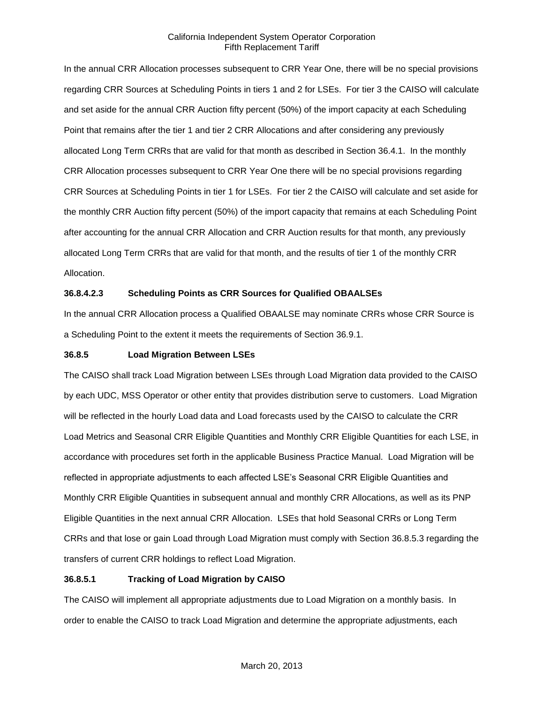In the annual CRR Allocation processes subsequent to CRR Year One, there will be no special provisions regarding CRR Sources at Scheduling Points in tiers 1 and 2 for LSEs. For tier 3 the CAISO will calculate and set aside for the annual CRR Auction fifty percent (50%) of the import capacity at each Scheduling Point that remains after the tier 1 and tier 2 CRR Allocations and after considering any previously allocated Long Term CRRs that are valid for that month as described in Section 36.4.1. In the monthly CRR Allocation processes subsequent to CRR Year One there will be no special provisions regarding CRR Sources at Scheduling Points in tier 1 for LSEs. For tier 2 the CAISO will calculate and set aside for the monthly CRR Auction fifty percent (50%) of the import capacity that remains at each Scheduling Point after accounting for the annual CRR Allocation and CRR Auction results for that month, any previously allocated Long Term CRRs that are valid for that month, and the results of tier 1 of the monthly CRR Allocation.

# **36.8.4.2.3 Scheduling Points as CRR Sources for Qualified OBAALSEs**

In the annual CRR Allocation process a Qualified OBAALSE may nominate CRRs whose CRR Source is a Scheduling Point to the extent it meets the requirements of Section 36.9.1.

## **36.8.5 Load Migration Between LSEs**

The CAISO shall track Load Migration between LSEs through Load Migration data provided to the CAISO by each UDC, MSS Operator or other entity that provides distribution serve to customers. Load Migration will be reflected in the hourly Load data and Load forecasts used by the CAISO to calculate the CRR Load Metrics and Seasonal CRR Eligible Quantities and Monthly CRR Eligible Quantities for each LSE, in accordance with procedures set forth in the applicable Business Practice Manual. Load Migration will be reflected in appropriate adjustments to each affected LSE's Seasonal CRR Eligible Quantities and Monthly CRR Eligible Quantities in subsequent annual and monthly CRR Allocations, as well as its PNP Eligible Quantities in the next annual CRR Allocation. LSEs that hold Seasonal CRRs or Long Term CRRs and that lose or gain Load through Load Migration must comply with Section 36.8.5.3 regarding the transfers of current CRR holdings to reflect Load Migration.

# **36.8.5.1 Tracking of Load Migration by CAISO**

The CAISO will implement all appropriate adjustments due to Load Migration on a monthly basis. In order to enable the CAISO to track Load Migration and determine the appropriate adjustments, each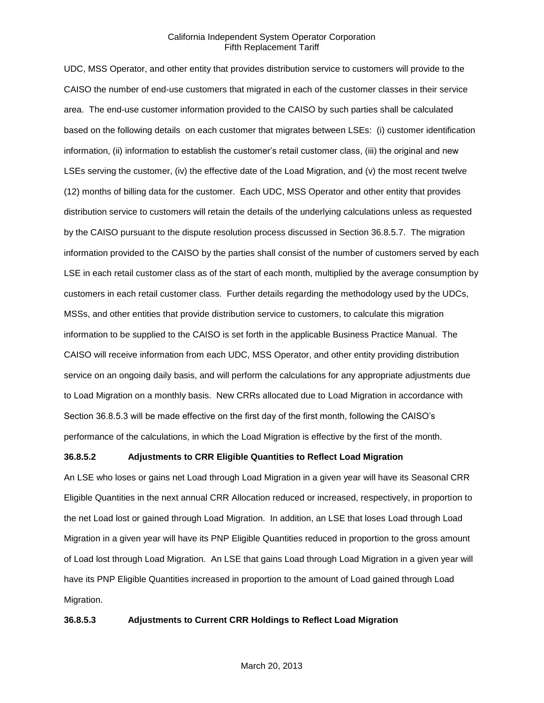UDC, MSS Operator, and other entity that provides distribution service to customers will provide to the CAISO the number of end-use customers that migrated in each of the customer classes in their service area. The end-use customer information provided to the CAISO by such parties shall be calculated based on the following details on each customer that migrates between LSEs: (i) customer identification information, (ii) information to establish the customer's retail customer class, (iii) the original and new LSEs serving the customer, (iv) the effective date of the Load Migration, and (v) the most recent twelve (12) months of billing data for the customer. Each UDC, MSS Operator and other entity that provides distribution service to customers will retain the details of the underlying calculations unless as requested by the CAISO pursuant to the dispute resolution process discussed in Section 36.8.5.7. The migration information provided to the CAISO by the parties shall consist of the number of customers served by each LSE in each retail customer class as of the start of each month, multiplied by the average consumption by customers in each retail customer class. Further details regarding the methodology used by the UDCs, MSSs, and other entities that provide distribution service to customers, to calculate this migration information to be supplied to the CAISO is set forth in the applicable Business Practice Manual. The CAISO will receive information from each UDC, MSS Operator, and other entity providing distribution service on an ongoing daily basis, and will perform the calculations for any appropriate adjustments due to Load Migration on a monthly basis. New CRRs allocated due to Load Migration in accordance with Section 36.8.5.3 will be made effective on the first day of the first month, following the CAISO's performance of the calculations, in which the Load Migration is effective by the first of the month.

## **36.8.5.2 Adjustments to CRR Eligible Quantities to Reflect Load Migration**

An LSE who loses or gains net Load through Load Migration in a given year will have its Seasonal CRR Eligible Quantities in the next annual CRR Allocation reduced or increased, respectively, in proportion to the net Load lost or gained through Load Migration. In addition, an LSE that loses Load through Load Migration in a given year will have its PNP Eligible Quantities reduced in proportion to the gross amount of Load lost through Load Migration. An LSE that gains Load through Load Migration in a given year will have its PNP Eligible Quantities increased in proportion to the amount of Load gained through Load Migration.

#### **36.8.5.3 Adjustments to Current CRR Holdings to Reflect Load Migration**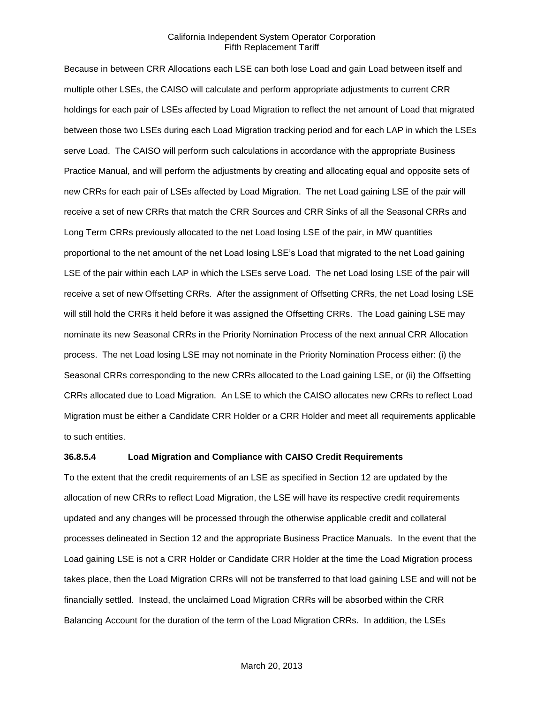Because in between CRR Allocations each LSE can both lose Load and gain Load between itself and multiple other LSEs, the CAISO will calculate and perform appropriate adjustments to current CRR holdings for each pair of LSEs affected by Load Migration to reflect the net amount of Load that migrated between those two LSEs during each Load Migration tracking period and for each LAP in which the LSEs serve Load. The CAISO will perform such calculations in accordance with the appropriate Business Practice Manual, and will perform the adjustments by creating and allocating equal and opposite sets of new CRRs for each pair of LSEs affected by Load Migration. The net Load gaining LSE of the pair will receive a set of new CRRs that match the CRR Sources and CRR Sinks of all the Seasonal CRRs and Long Term CRRs previously allocated to the net Load losing LSE of the pair, in MW quantities proportional to the net amount of the net Load losing LSE's Load that migrated to the net Load gaining LSE of the pair within each LAP in which the LSEs serve Load. The net Load losing LSE of the pair will receive a set of new Offsetting CRRs. After the assignment of Offsetting CRRs, the net Load losing LSE will still hold the CRRs it held before it was assigned the Offsetting CRRs. The Load gaining LSE may nominate its new Seasonal CRRs in the Priority Nomination Process of the next annual CRR Allocation process. The net Load losing LSE may not nominate in the Priority Nomination Process either: (i) the Seasonal CRRs corresponding to the new CRRs allocated to the Load gaining LSE, or (ii) the Offsetting CRRs allocated due to Load Migration. An LSE to which the CAISO allocates new CRRs to reflect Load Migration must be either a Candidate CRR Holder or a CRR Holder and meet all requirements applicable to such entities.

## **36.8.5.4 Load Migration and Compliance with CAISO Credit Requirements**

To the extent that the credit requirements of an LSE as specified in Section 12 are updated by the allocation of new CRRs to reflect Load Migration, the LSE will have its respective credit requirements updated and any changes will be processed through the otherwise applicable credit and collateral processes delineated in Section 12 and the appropriate Business Practice Manuals. In the event that the Load gaining LSE is not a CRR Holder or Candidate CRR Holder at the time the Load Migration process takes place, then the Load Migration CRRs will not be transferred to that load gaining LSE and will not be financially settled. Instead, the unclaimed Load Migration CRRs will be absorbed within the CRR Balancing Account for the duration of the term of the Load Migration CRRs. In addition, the LSEs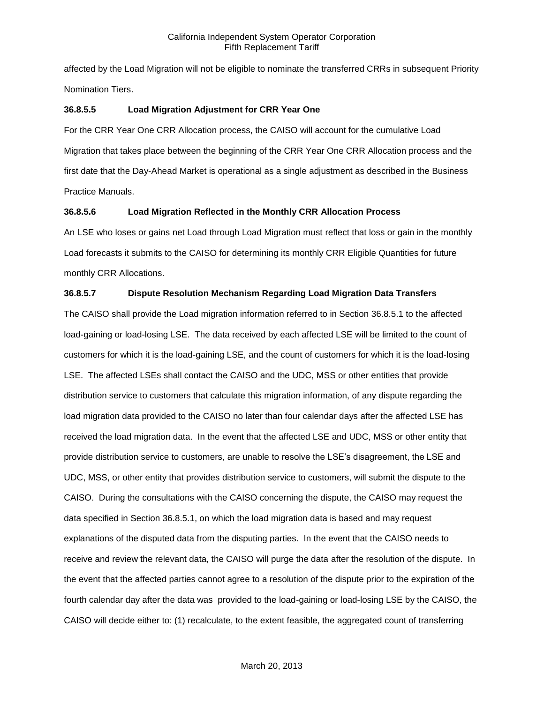affected by the Load Migration will not be eligible to nominate the transferred CRRs in subsequent Priority Nomination Tiers.

## **36.8.5.5 Load Migration Adjustment for CRR Year One**

For the CRR Year One CRR Allocation process, the CAISO will account for the cumulative Load Migration that takes place between the beginning of the CRR Year One CRR Allocation process and the first date that the Day-Ahead Market is operational as a single adjustment as described in the Business Practice Manuals.

## **36.8.5.6 Load Migration Reflected in the Monthly CRR Allocation Process**

An LSE who loses or gains net Load through Load Migration must reflect that loss or gain in the monthly Load forecasts it submits to the CAISO for determining its monthly CRR Eligible Quantities for future monthly CRR Allocations.

# **36.8.5.7 Dispute Resolution Mechanism Regarding Load Migration Data Transfers**

The CAISO shall provide the Load migration information referred to in Section 36.8.5.1 to the affected load-gaining or load-losing LSE. The data received by each affected LSE will be limited to the count of customers for which it is the load-gaining LSE, and the count of customers for which it is the load-losing LSE. The affected LSEs shall contact the CAISO and the UDC, MSS or other entities that provide distribution service to customers that calculate this migration information, of any dispute regarding the load migration data provided to the CAISO no later than four calendar days after the affected LSE has received the load migration data. In the event that the affected LSE and UDC, MSS or other entity that provide distribution service to customers, are unable to resolve the LSE's disagreement, the LSE and UDC, MSS, or other entity that provides distribution service to customers, will submit the dispute to the CAISO. During the consultations with the CAISO concerning the dispute, the CAISO may request the data specified in Section 36.8.5.1, on which the load migration data is based and may request explanations of the disputed data from the disputing parties. In the event that the CAISO needs to receive and review the relevant data, the CAISO will purge the data after the resolution of the dispute. In the event that the affected parties cannot agree to a resolution of the dispute prior to the expiration of the fourth calendar day after the data was provided to the load-gaining or load-losing LSE by the CAISO, the CAISO will decide either to: (1) recalculate, to the extent feasible, the aggregated count of transferring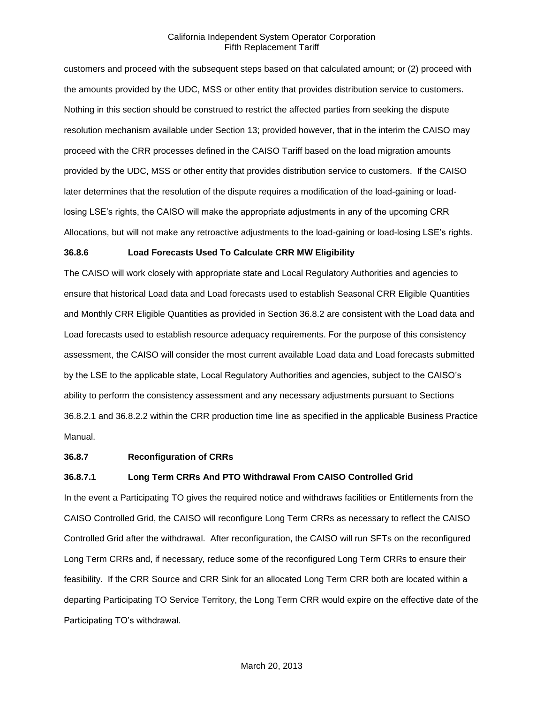customers and proceed with the subsequent steps based on that calculated amount; or (2) proceed with the amounts provided by the UDC, MSS or other entity that provides distribution service to customers. Nothing in this section should be construed to restrict the affected parties from seeking the dispute resolution mechanism available under Section 13; provided however, that in the interim the CAISO may proceed with the CRR processes defined in the CAISO Tariff based on the load migration amounts provided by the UDC, MSS or other entity that provides distribution service to customers. If the CAISO later determines that the resolution of the dispute requires a modification of the load-gaining or loadlosing LSE's rights, the CAISO will make the appropriate adjustments in any of the upcoming CRR Allocations, but will not make any retroactive adjustments to the load-gaining or load-losing LSE's rights.

#### **36.8.6 Load Forecasts Used To Calculate CRR MW Eligibility**

The CAISO will work closely with appropriate state and Local Regulatory Authorities and agencies to ensure that historical Load data and Load forecasts used to establish Seasonal CRR Eligible Quantities and Monthly CRR Eligible Quantities as provided in Section 36.8.2 are consistent with the Load data and Load forecasts used to establish resource adequacy requirements. For the purpose of this consistency assessment, the CAISO will consider the most current available Load data and Load forecasts submitted by the LSE to the applicable state, Local Regulatory Authorities and agencies, subject to the CAISO's ability to perform the consistency assessment and any necessary adjustments pursuant to Sections 36.8.2.1 and 36.8.2.2 within the CRR production time line as specified in the applicable Business Practice Manual.

## **36.8.7 Reconfiguration of CRRs**

#### **36.8.7.1 Long Term CRRs And PTO Withdrawal From CAISO Controlled Grid**

In the event a Participating TO gives the required notice and withdraws facilities or Entitlements from the CAISO Controlled Grid, the CAISO will reconfigure Long Term CRRs as necessary to reflect the CAISO Controlled Grid after the withdrawal. After reconfiguration, the CAISO will run SFTs on the reconfigured Long Term CRRs and, if necessary, reduce some of the reconfigured Long Term CRRs to ensure their feasibility. If the CRR Source and CRR Sink for an allocated Long Term CRR both are located within a departing Participating TO Service Territory, the Long Term CRR would expire on the effective date of the Participating TO's withdrawal.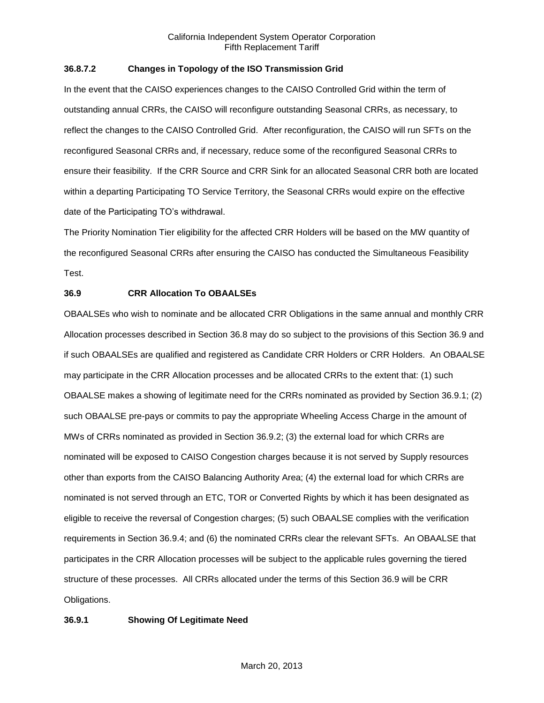## **36.8.7.2 Changes in Topology of the ISO Transmission Grid**

In the event that the CAISO experiences changes to the CAISO Controlled Grid within the term of outstanding annual CRRs, the CAISO will reconfigure outstanding Seasonal CRRs, as necessary, to reflect the changes to the CAISO Controlled Grid. After reconfiguration, the CAISO will run SFTs on the reconfigured Seasonal CRRs and, if necessary, reduce some of the reconfigured Seasonal CRRs to ensure their feasibility. If the CRR Source and CRR Sink for an allocated Seasonal CRR both are located within a departing Participating TO Service Territory, the Seasonal CRRs would expire on the effective date of the Participating TO's withdrawal.

The Priority Nomination Tier eligibility for the affected CRR Holders will be based on the MW quantity of the reconfigured Seasonal CRRs after ensuring the CAISO has conducted the Simultaneous Feasibility Test.

# **36.9 CRR Allocation To OBAALSEs**

OBAALSEs who wish to nominate and be allocated CRR Obligations in the same annual and monthly CRR Allocation processes described in Section 36.8 may do so subject to the provisions of this Section 36.9 and if such OBAALSEs are qualified and registered as Candidate CRR Holders or CRR Holders. An OBAALSE may participate in the CRR Allocation processes and be allocated CRRs to the extent that: (1) such OBAALSE makes a showing of legitimate need for the CRRs nominated as provided by Section 36.9.1; (2) such OBAALSE pre-pays or commits to pay the appropriate Wheeling Access Charge in the amount of MWs of CRRs nominated as provided in Section 36.9.2; (3) the external load for which CRRs are nominated will be exposed to CAISO Congestion charges because it is not served by Supply resources other than exports from the CAISO Balancing Authority Area; (4) the external load for which CRRs are nominated is not served through an ETC, TOR or Converted Rights by which it has been designated as eligible to receive the reversal of Congestion charges; (5) such OBAALSE complies with the verification requirements in Section 36.9.4; and (6) the nominated CRRs clear the relevant SFTs. An OBAALSE that participates in the CRR Allocation processes will be subject to the applicable rules governing the tiered structure of these processes. All CRRs allocated under the terms of this Section 36.9 will be CRR Obligations.

# **36.9.1 Showing Of Legitimate Need**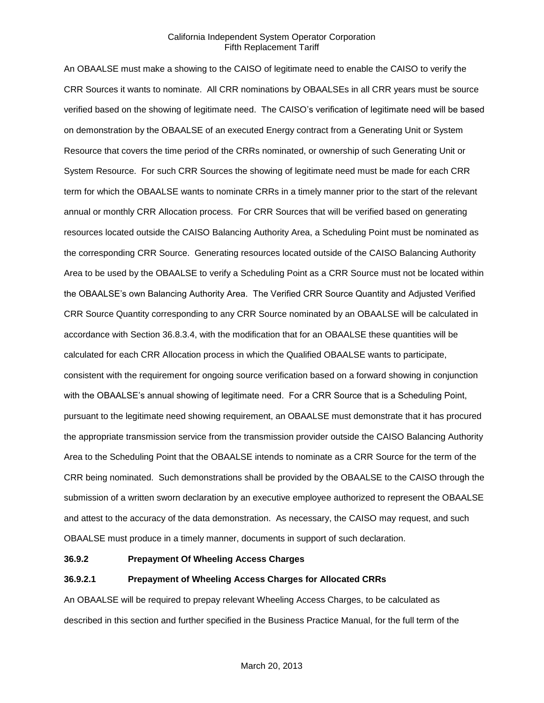An OBAALSE must make a showing to the CAISO of legitimate need to enable the CAISO to verify the CRR Sources it wants to nominate. All CRR nominations by OBAALSEs in all CRR years must be source verified based on the showing of legitimate need. The CAISO's verification of legitimate need will be based on demonstration by the OBAALSE of an executed Energy contract from a Generating Unit or System Resource that covers the time period of the CRRs nominated, or ownership of such Generating Unit or System Resource. For such CRR Sources the showing of legitimate need must be made for each CRR term for which the OBAALSE wants to nominate CRRs in a timely manner prior to the start of the relevant annual or monthly CRR Allocation process. For CRR Sources that will be verified based on generating resources located outside the CAISO Balancing Authority Area, a Scheduling Point must be nominated as the corresponding CRR Source. Generating resources located outside of the CAISO Balancing Authority Area to be used by the OBAALSE to verify a Scheduling Point as a CRR Source must not be located within the OBAALSE's own Balancing Authority Area. The Verified CRR Source Quantity and Adjusted Verified CRR Source Quantity corresponding to any CRR Source nominated by an OBAALSE will be calculated in accordance with Section 36.8.3.4, with the modification that for an OBAALSE these quantities will be calculated for each CRR Allocation process in which the Qualified OBAALSE wants to participate, consistent with the requirement for ongoing source verification based on a forward showing in conjunction with the OBAALSE's annual showing of legitimate need. For a CRR Source that is a Scheduling Point, pursuant to the legitimate need showing requirement, an OBAALSE must demonstrate that it has procured the appropriate transmission service from the transmission provider outside the CAISO Balancing Authority Area to the Scheduling Point that the OBAALSE intends to nominate as a CRR Source for the term of the CRR being nominated. Such demonstrations shall be provided by the OBAALSE to the CAISO through the submission of a written sworn declaration by an executive employee authorized to represent the OBAALSE and attest to the accuracy of the data demonstration. As necessary, the CAISO may request, and such OBAALSE must produce in a timely manner, documents in support of such declaration.

## **36.9.2 Prepayment Of Wheeling Access Charges**

## **36.9.2.1 Prepayment of Wheeling Access Charges for Allocated CRRs**

An OBAALSE will be required to prepay relevant Wheeling Access Charges, to be calculated as described in this section and further specified in the Business Practice Manual, for the full term of the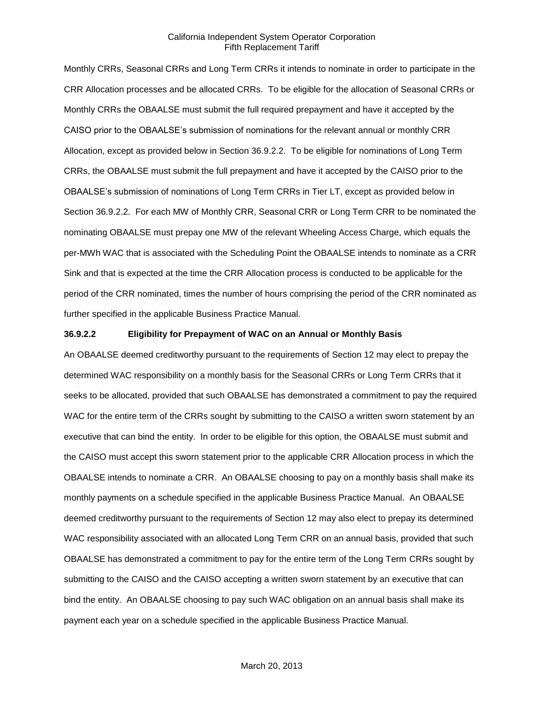Monthly CRRs, Seasonal CRRs and Long Term CRRs it intends to nominate in order to participate in the CRR Allocation processes and be allocated CRRs. To be eligible for the allocation of Seasonal CRRs or Monthly CRRs the OBAALSE must submit the full required prepayment and have it accepted by the CAISO prior to the OBAALSE's submission of nominations for the relevant annual or monthly CRR Allocation, except as provided below in Section 36.9.2.2. To be eligible for nominations of Long Term CRRs, the OBAALSE must submit the full prepayment and have it accepted by the CAISO prior to the OBAALSE's submission of nominations of Long Term CRRs in Tier LT, except as provided below in Section 36.9.2.2. For each MW of Monthly CRR, Seasonal CRR or Long Term CRR to be nominated the nominating OBAALSE must prepay one MW of the relevant Wheeling Access Charge, which equals the per-MWh WAC that is associated with the Scheduling Point the OBAALSE intends to nominate as a CRR Sink and that is expected at the time the CRR Allocation process is conducted to be applicable for the period of the CRR nominated, times the number of hours comprising the period of the CRR nominated as further specified in the applicable Business Practice Manual.

## **36.9.2.2 Eligibility for Prepayment of WAC on an Annual or Monthly Basis**

An OBAALSE deemed creditworthy pursuant to the requirements of Section 12 may elect to prepay the determined WAC responsibility on a monthly basis for the Seasonal CRRs or Long Term CRRs that it seeks to be allocated, provided that such OBAALSE has demonstrated a commitment to pay the required WAC for the entire term of the CRRs sought by submitting to the CAISO a written sworn statement by an executive that can bind the entity. In order to be eligible for this option, the OBAALSE must submit and the CAISO must accept this sworn statement prior to the applicable CRR Allocation process in which the OBAALSE intends to nominate a CRR. An OBAALSE choosing to pay on a monthly basis shall make its monthly payments on a schedule specified in the applicable Business Practice Manual. An OBAALSE deemed creditworthy pursuant to the requirements of Section 12 may also elect to prepay its determined WAC responsibility associated with an allocated Long Term CRR on an annual basis, provided that such OBAALSE has demonstrated a commitment to pay for the entire term of the Long Term CRRs sought by submitting to the CAISO and the CAISO accepting a written sworn statement by an executive that can bind the entity. An OBAALSE choosing to pay such WAC obligation on an annual basis shall make its payment each year on a schedule specified in the applicable Business Practice Manual.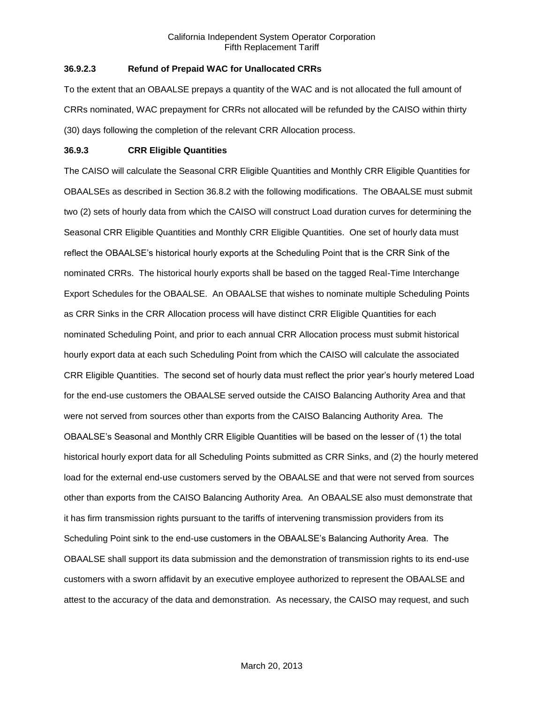# **36.9.2.3 Refund of Prepaid WAC for Unallocated CRRs**

To the extent that an OBAALSE prepays a quantity of the WAC and is not allocated the full amount of CRRs nominated, WAC prepayment for CRRs not allocated will be refunded by the CAISO within thirty (30) days following the completion of the relevant CRR Allocation process.

## **36.9.3 CRR Eligible Quantities**

The CAISO will calculate the Seasonal CRR Eligible Quantities and Monthly CRR Eligible Quantities for OBAALSEs as described in Section 36.8.2 with the following modifications. The OBAALSE must submit two (2) sets of hourly data from which the CAISO will construct Load duration curves for determining the Seasonal CRR Eligible Quantities and Monthly CRR Eligible Quantities. One set of hourly data must reflect the OBAALSE's historical hourly exports at the Scheduling Point that is the CRR Sink of the nominated CRRs. The historical hourly exports shall be based on the tagged Real-Time Interchange Export Schedules for the OBAALSE. An OBAALSE that wishes to nominate multiple Scheduling Points as CRR Sinks in the CRR Allocation process will have distinct CRR Eligible Quantities for each nominated Scheduling Point, and prior to each annual CRR Allocation process must submit historical hourly export data at each such Scheduling Point from which the CAISO will calculate the associated CRR Eligible Quantities. The second set of hourly data must reflect the prior year's hourly metered Load for the end-use customers the OBAALSE served outside the CAISO Balancing Authority Area and that were not served from sources other than exports from the CAISO Balancing Authority Area. The OBAALSE's Seasonal and Monthly CRR Eligible Quantities will be based on the lesser of (1) the total historical hourly export data for all Scheduling Points submitted as CRR Sinks, and (2) the hourly metered load for the external end-use customers served by the OBAALSE and that were not served from sources other than exports from the CAISO Balancing Authority Area. An OBAALSE also must demonstrate that it has firm transmission rights pursuant to the tariffs of intervening transmission providers from its Scheduling Point sink to the end-use customers in the OBAALSE's Balancing Authority Area. The OBAALSE shall support its data submission and the demonstration of transmission rights to its end-use customers with a sworn affidavit by an executive employee authorized to represent the OBAALSE and attest to the accuracy of the data and demonstration. As necessary, the CAISO may request, and such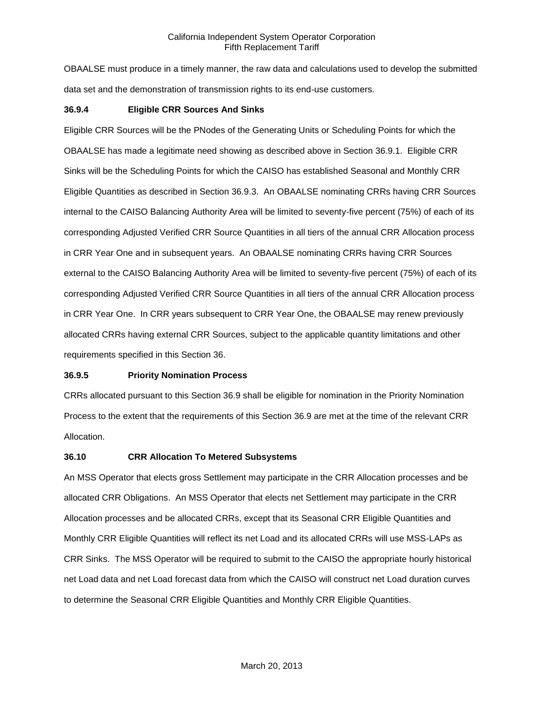OBAALSE must produce in a timely manner, the raw data and calculations used to develop the submitted data set and the demonstration of transmission rights to its end-use customers.

#### **36.9.4 Eligible CRR Sources And Sinks**

Eligible CRR Sources will be the PNodes of the Generating Units or Scheduling Points for which the OBAALSE has made a legitimate need showing as described above in Section 36.9.1. Eligible CRR Sinks will be the Scheduling Points for which the CAISO has established Seasonal and Monthly CRR Eligible Quantities as described in Section 36.9.3. An OBAALSE nominating CRRs having CRR Sources internal to the CAISO Balancing Authority Area will be limited to seventy-five percent (75%) of each of its corresponding Adjusted Verified CRR Source Quantities in all tiers of the annual CRR Allocation process in CRR Year One and in subsequent years. An OBAALSE nominating CRRs having CRR Sources external to the CAISO Balancing Authority Area will be limited to seventy-five percent (75%) of each of its corresponding Adjusted Verified CRR Source Quantities in all tiers of the annual CRR Allocation process in CRR Year One. In CRR years subsequent to CRR Year One, the OBAALSE may renew previously allocated CRRs having external CRR Sources, subject to the applicable quantity limitations and other requirements specified in this Section 36.

#### **36.9.5 Priority Nomination Process**

CRRs allocated pursuant to this Section 36.9 shall be eligible for nomination in the Priority Nomination Process to the extent that the requirements of this Section 36.9 are met at the time of the relevant CRR Allocation.

#### **36.10 CRR Allocation To Metered Subsystems**

An MSS Operator that elects gross Settlement may participate in the CRR Allocation processes and be allocated CRR Obligations. An MSS Operator that elects net Settlement may participate in the CRR Allocation processes and be allocated CRRs, except that its Seasonal CRR Eligible Quantities and Monthly CRR Eligible Quantities will reflect its net Load and its allocated CRRs will use MSS-LAPs as CRR Sinks. The MSS Operator will be required to submit to the CAISO the appropriate hourly historical net Load data and net Load forecast data from which the CAISO will construct net Load duration curves to determine the Seasonal CRR Eligible Quantities and Monthly CRR Eligible Quantities.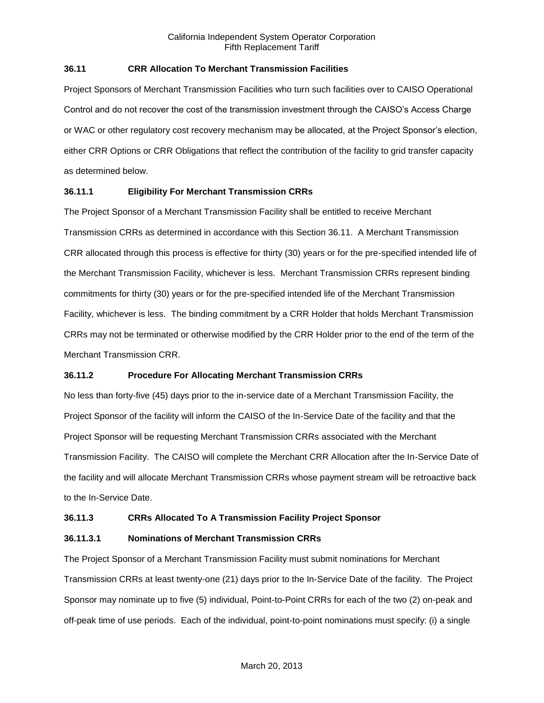## **36.11 CRR Allocation To Merchant Transmission Facilities**

Project Sponsors of Merchant Transmission Facilities who turn such facilities over to CAISO Operational Control and do not recover the cost of the transmission investment through the CAISO's Access Charge or WAC or other regulatory cost recovery mechanism may be allocated, at the Project Sponsor's election, either CRR Options or CRR Obligations that reflect the contribution of the facility to grid transfer capacity as determined below.

## **36.11.1 Eligibility For Merchant Transmission CRRs**

The Project Sponsor of a Merchant Transmission Facility shall be entitled to receive Merchant Transmission CRRs as determined in accordance with this Section 36.11. A Merchant Transmission CRR allocated through this process is effective for thirty (30) years or for the pre-specified intended life of the Merchant Transmission Facility, whichever is less. Merchant Transmission CRRs represent binding commitments for thirty (30) years or for the pre-specified intended life of the Merchant Transmission Facility, whichever is less. The binding commitment by a CRR Holder that holds Merchant Transmission CRRs may not be terminated or otherwise modified by the CRR Holder prior to the end of the term of the Merchant Transmission CRR.

### **36.11.2 Procedure For Allocating Merchant Transmission CRRs**

No less than forty-five (45) days prior to the in-service date of a Merchant Transmission Facility, the Project Sponsor of the facility will inform the CAISO of the In-Service Date of the facility and that the Project Sponsor will be requesting Merchant Transmission CRRs associated with the Merchant Transmission Facility. The CAISO will complete the Merchant CRR Allocation after the In-Service Date of the facility and will allocate Merchant Transmission CRRs whose payment stream will be retroactive back to the In-Service Date.

### **36.11.3 CRRs Allocated To A Transmission Facility Project Sponsor**

### **36.11.3.1 Nominations of Merchant Transmission CRRs**

The Project Sponsor of a Merchant Transmission Facility must submit nominations for Merchant Transmission CRRs at least twenty-one (21) days prior to the In-Service Date of the facility. The Project Sponsor may nominate up to five (5) individual, Point-to-Point CRRs for each of the two (2) on-peak and off-peak time of use periods. Each of the individual, point-to-point nominations must specify: (i) a single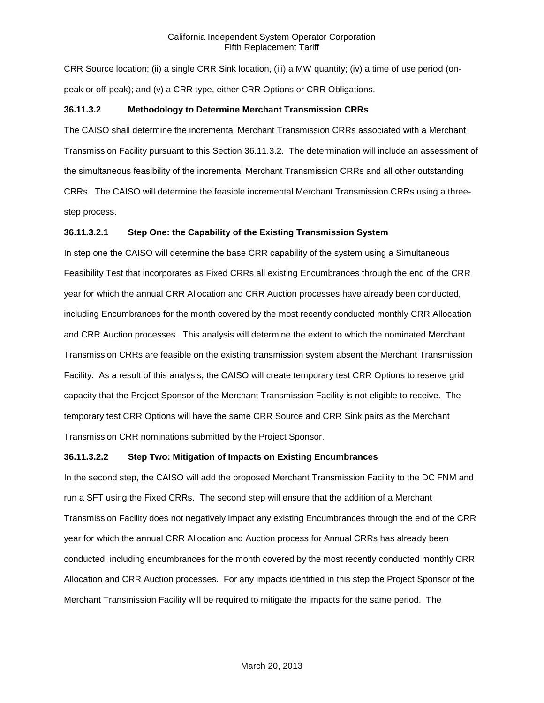CRR Source location; (ii) a single CRR Sink location, (iii) a MW quantity; (iv) a time of use period (onpeak or off-peak); and (v) a CRR type, either CRR Options or CRR Obligations.

#### **36.11.3.2 Methodology to Determine Merchant Transmission CRRs**

The CAISO shall determine the incremental Merchant Transmission CRRs associated with a Merchant Transmission Facility pursuant to this Section 36.11.3.2. The determination will include an assessment of the simultaneous feasibility of the incremental Merchant Transmission CRRs and all other outstanding CRRs. The CAISO will determine the feasible incremental Merchant Transmission CRRs using a threestep process.

### **36.11.3.2.1 Step One: the Capability of the Existing Transmission System**

In step one the CAISO will determine the base CRR capability of the system using a Simultaneous Feasibility Test that incorporates as Fixed CRRs all existing Encumbrances through the end of the CRR year for which the annual CRR Allocation and CRR Auction processes have already been conducted, including Encumbrances for the month covered by the most recently conducted monthly CRR Allocation and CRR Auction processes. This analysis will determine the extent to which the nominated Merchant Transmission CRRs are feasible on the existing transmission system absent the Merchant Transmission Facility. As a result of this analysis, the CAISO will create temporary test CRR Options to reserve grid capacity that the Project Sponsor of the Merchant Transmission Facility is not eligible to receive. The temporary test CRR Options will have the same CRR Source and CRR Sink pairs as the Merchant Transmission CRR nominations submitted by the Project Sponsor.

### **36.11.3.2.2 Step Two: Mitigation of Impacts on Existing Encumbrances**

In the second step, the CAISO will add the proposed Merchant Transmission Facility to the DC FNM and run a SFT using the Fixed CRRs. The second step will ensure that the addition of a Merchant Transmission Facility does not negatively impact any existing Encumbrances through the end of the CRR year for which the annual CRR Allocation and Auction process for Annual CRRs has already been conducted, including encumbrances for the month covered by the most recently conducted monthly CRR Allocation and CRR Auction processes. For any impacts identified in this step the Project Sponsor of the Merchant Transmission Facility will be required to mitigate the impacts for the same period. The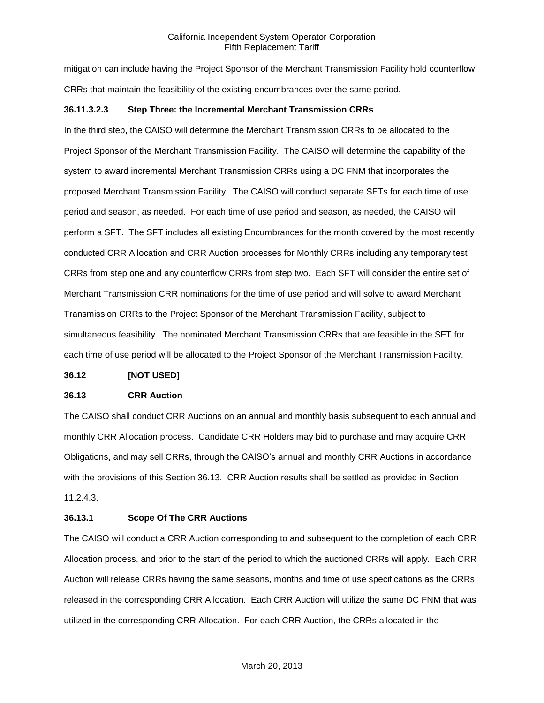mitigation can include having the Project Sponsor of the Merchant Transmission Facility hold counterflow CRRs that maintain the feasibility of the existing encumbrances over the same period.

#### **36.11.3.2.3 Step Three: the Incremental Merchant Transmission CRRs**

In the third step, the CAISO will determine the Merchant Transmission CRRs to be allocated to the Project Sponsor of the Merchant Transmission Facility. The CAISO will determine the capability of the system to award incremental Merchant Transmission CRRs using a DC FNM that incorporates the proposed Merchant Transmission Facility. The CAISO will conduct separate SFTs for each time of use period and season, as needed. For each time of use period and season, as needed, the CAISO will perform a SFT. The SFT includes all existing Encumbrances for the month covered by the most recently conducted CRR Allocation and CRR Auction processes for Monthly CRRs including any temporary test CRRs from step one and any counterflow CRRs from step two. Each SFT will consider the entire set of Merchant Transmission CRR nominations for the time of use period and will solve to award Merchant Transmission CRRs to the Project Sponsor of the Merchant Transmission Facility, subject to simultaneous feasibility. The nominated Merchant Transmission CRRs that are feasible in the SFT for each time of use period will be allocated to the Project Sponsor of the Merchant Transmission Facility.

#### **36.12 [NOT USED]**

#### **36.13 CRR Auction**

The CAISO shall conduct CRR Auctions on an annual and monthly basis subsequent to each annual and monthly CRR Allocation process. Candidate CRR Holders may bid to purchase and may acquire CRR Obligations, and may sell CRRs, through the CAISO's annual and monthly CRR Auctions in accordance with the provisions of this Section 36.13. CRR Auction results shall be settled as provided in Section 11.2.4.3.

### **36.13.1 Scope Of The CRR Auctions**

The CAISO will conduct a CRR Auction corresponding to and subsequent to the completion of each CRR Allocation process, and prior to the start of the period to which the auctioned CRRs will apply. Each CRR Auction will release CRRs having the same seasons, months and time of use specifications as the CRRs released in the corresponding CRR Allocation. Each CRR Auction will utilize the same DC FNM that was utilized in the corresponding CRR Allocation. For each CRR Auction, the CRRs allocated in the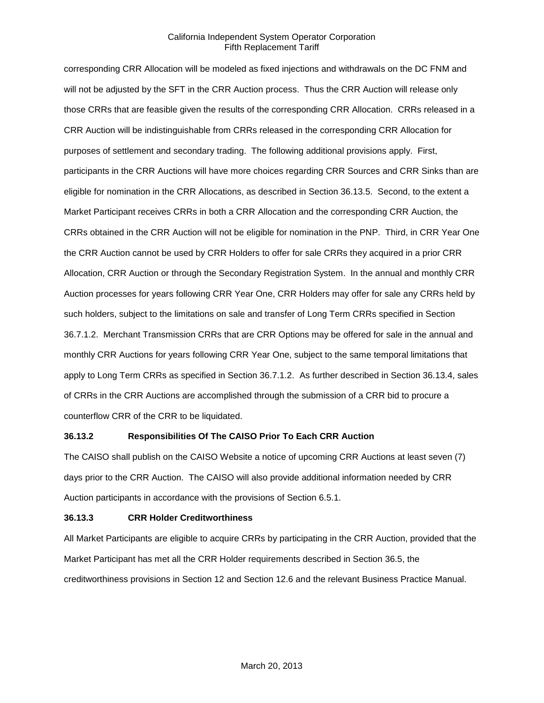corresponding CRR Allocation will be modeled as fixed injections and withdrawals on the DC FNM and will not be adjusted by the SFT in the CRR Auction process. Thus the CRR Auction will release only those CRRs that are feasible given the results of the corresponding CRR Allocation. CRRs released in a CRR Auction will be indistinguishable from CRRs released in the corresponding CRR Allocation for purposes of settlement and secondary trading. The following additional provisions apply. First, participants in the CRR Auctions will have more choices regarding CRR Sources and CRR Sinks than are eligible for nomination in the CRR Allocations, as described in Section 36.13.5. Second, to the extent a Market Participant receives CRRs in both a CRR Allocation and the corresponding CRR Auction, the CRRs obtained in the CRR Auction will not be eligible for nomination in the PNP. Third, in CRR Year One the CRR Auction cannot be used by CRR Holders to offer for sale CRRs they acquired in a prior CRR Allocation, CRR Auction or through the Secondary Registration System. In the annual and monthly CRR Auction processes for years following CRR Year One, CRR Holders may offer for sale any CRRs held by such holders, subject to the limitations on sale and transfer of Long Term CRRs specified in Section 36.7.1.2. Merchant Transmission CRRs that are CRR Options may be offered for sale in the annual and monthly CRR Auctions for years following CRR Year One, subject to the same temporal limitations that apply to Long Term CRRs as specified in Section 36.7.1.2. As further described in Section 36.13.4, sales of CRRs in the CRR Auctions are accomplished through the submission of a CRR bid to procure a counterflow CRR of the CRR to be liquidated.

### **36.13.2 Responsibilities Of The CAISO Prior To Each CRR Auction**

The CAISO shall publish on the CAISO Website a notice of upcoming CRR Auctions at least seven (7) days prior to the CRR Auction. The CAISO will also provide additional information needed by CRR Auction participants in accordance with the provisions of Section 6.5.1.

### **36.13.3 CRR Holder Creditworthiness**

All Market Participants are eligible to acquire CRRs by participating in the CRR Auction, provided that the Market Participant has met all the CRR Holder requirements described in Section 36.5, the creditworthiness provisions in Section 12 and Section 12.6 and the relevant Business Practice Manual.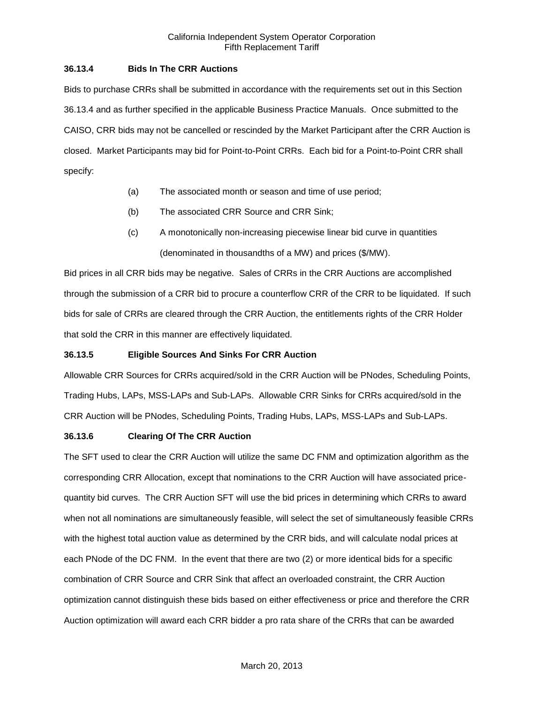## **36.13.4 Bids In The CRR Auctions**

Bids to purchase CRRs shall be submitted in accordance with the requirements set out in this Section 36.13.4 and as further specified in the applicable Business Practice Manuals. Once submitted to the CAISO, CRR bids may not be cancelled or rescinded by the Market Participant after the CRR Auction is closed. Market Participants may bid for Point-to-Point CRRs. Each bid for a Point-to-Point CRR shall specify:

- (a) The associated month or season and time of use period;
- (b) The associated CRR Source and CRR Sink;
- (c) A monotonically non-increasing piecewise linear bid curve in quantities (denominated in thousandths of a MW) and prices (\$/MW).

Bid prices in all CRR bids may be negative. Sales of CRRs in the CRR Auctions are accomplished through the submission of a CRR bid to procure a counterflow CRR of the CRR to be liquidated. If such bids for sale of CRRs are cleared through the CRR Auction, the entitlements rights of the CRR Holder that sold the CRR in this manner are effectively liquidated.

### **36.13.5 Eligible Sources And Sinks For CRR Auction**

Allowable CRR Sources for CRRs acquired/sold in the CRR Auction will be PNodes, Scheduling Points, Trading Hubs, LAPs, MSS-LAPs and Sub-LAPs. Allowable CRR Sinks for CRRs acquired/sold in the CRR Auction will be PNodes, Scheduling Points, Trading Hubs, LAPs, MSS-LAPs and Sub-LAPs.

### **36.13.6 Clearing Of The CRR Auction**

The SFT used to clear the CRR Auction will utilize the same DC FNM and optimization algorithm as the corresponding CRR Allocation, except that nominations to the CRR Auction will have associated pricequantity bid curves. The CRR Auction SFT will use the bid prices in determining which CRRs to award when not all nominations are simultaneously feasible, will select the set of simultaneously feasible CRRs with the highest total auction value as determined by the CRR bids, and will calculate nodal prices at each PNode of the DC FNM. In the event that there are two (2) or more identical bids for a specific combination of CRR Source and CRR Sink that affect an overloaded constraint, the CRR Auction optimization cannot distinguish these bids based on either effectiveness or price and therefore the CRR Auction optimization will award each CRR bidder a pro rata share of the CRRs that can be awarded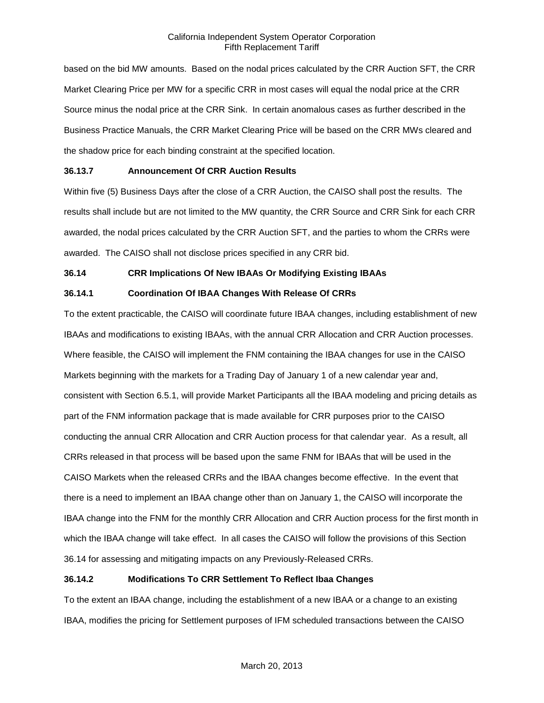based on the bid MW amounts. Based on the nodal prices calculated by the CRR Auction SFT, the CRR Market Clearing Price per MW for a specific CRR in most cases will equal the nodal price at the CRR Source minus the nodal price at the CRR Sink. In certain anomalous cases as further described in the Business Practice Manuals, the CRR Market Clearing Price will be based on the CRR MWs cleared and the shadow price for each binding constraint at the specified location.

### **36.13.7 Announcement Of CRR Auction Results**

Within five (5) Business Days after the close of a CRR Auction, the CAISO shall post the results. The results shall include but are not limited to the MW quantity, the CRR Source and CRR Sink for each CRR awarded, the nodal prices calculated by the CRR Auction SFT, and the parties to whom the CRRs were awarded. The CAISO shall not disclose prices specified in any CRR bid.

## **36.14 CRR Implications Of New IBAAs Or Modifying Existing IBAAs**

## **36.14.1 Coordination Of IBAA Changes With Release Of CRRs**

To the extent practicable, the CAISO will coordinate future IBAA changes, including establishment of new IBAAs and modifications to existing IBAAs, with the annual CRR Allocation and CRR Auction processes. Where feasible, the CAISO will implement the FNM containing the IBAA changes for use in the CAISO Markets beginning with the markets for a Trading Day of January 1 of a new calendar year and, consistent with Section 6.5.1, will provide Market Participants all the IBAA modeling and pricing details as part of the FNM information package that is made available for CRR purposes prior to the CAISO conducting the annual CRR Allocation and CRR Auction process for that calendar year. As a result, all CRRs released in that process will be based upon the same FNM for IBAAs that will be used in the CAISO Markets when the released CRRs and the IBAA changes become effective. In the event that there is a need to implement an IBAA change other than on January 1, the CAISO will incorporate the IBAA change into the FNM for the monthly CRR Allocation and CRR Auction process for the first month in which the IBAA change will take effect. In all cases the CAISO will follow the provisions of this Section 36.14 for assessing and mitigating impacts on any Previously-Released CRRs.

# **36.14.2 Modifications To CRR Settlement To Reflect Ibaa Changes**

To the extent an IBAA change, including the establishment of a new IBAA or a change to an existing IBAA, modifies the pricing for Settlement purposes of IFM scheduled transactions between the CAISO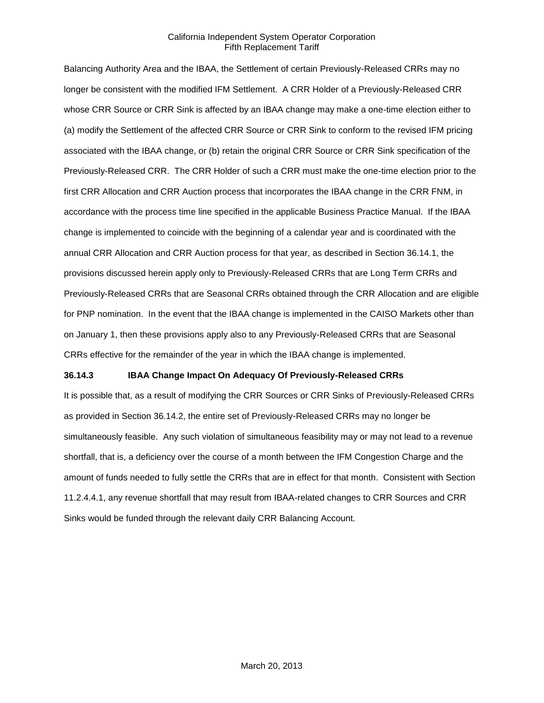Balancing Authority Area and the IBAA, the Settlement of certain Previously-Released CRRs may no longer be consistent with the modified IFM Settlement. A CRR Holder of a Previously-Released CRR whose CRR Source or CRR Sink is affected by an IBAA change may make a one-time election either to (a) modify the Settlement of the affected CRR Source or CRR Sink to conform to the revised IFM pricing associated with the IBAA change, or (b) retain the original CRR Source or CRR Sink specification of the Previously-Released CRR. The CRR Holder of such a CRR must make the one-time election prior to the first CRR Allocation and CRR Auction process that incorporates the IBAA change in the CRR FNM, in accordance with the process time line specified in the applicable Business Practice Manual. If the IBAA change is implemented to coincide with the beginning of a calendar year and is coordinated with the annual CRR Allocation and CRR Auction process for that year, as described in Section 36.14.1, the provisions discussed herein apply only to Previously-Released CRRs that are Long Term CRRs and Previously-Released CRRs that are Seasonal CRRs obtained through the CRR Allocation and are eligible for PNP nomination. In the event that the IBAA change is implemented in the CAISO Markets other than on January 1, then these provisions apply also to any Previously-Released CRRs that are Seasonal CRRs effective for the remainder of the year in which the IBAA change is implemented.

### **36.14.3 IBAA Change Impact On Adequacy Of Previously-Released CRRs**

It is possible that, as a result of modifying the CRR Sources or CRR Sinks of Previously-Released CRRs as provided in Section 36.14.2, the entire set of Previously-Released CRRs may no longer be simultaneously feasible. Any such violation of simultaneous feasibility may or may not lead to a revenue shortfall, that is, a deficiency over the course of a month between the IFM Congestion Charge and the amount of funds needed to fully settle the CRRs that are in effect for that month. Consistent with Section 11.2.4.4.1, any revenue shortfall that may result from IBAA-related changes to CRR Sources and CRR Sinks would be funded through the relevant daily CRR Balancing Account.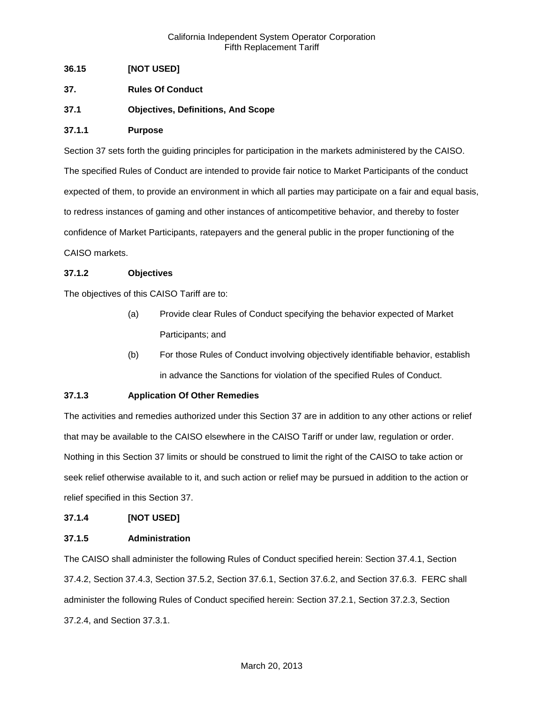## **36.15 [NOT USED]**

- **37. Rules Of Conduct**
- **37.1 Objectives, Definitions, And Scope**

## **37.1.1 Purpose**

Section 37 sets forth the guiding principles for participation in the markets administered by the CAISO. The specified Rules of Conduct are intended to provide fair notice to Market Participants of the conduct expected of them, to provide an environment in which all parties may participate on a fair and equal basis, to redress instances of gaming and other instances of anticompetitive behavior, and thereby to foster confidence of Market Participants, ratepayers and the general public in the proper functioning of the CAISO markets.

## **37.1.2 Objectives**

The objectives of this CAISO Tariff are to:

- (a) Provide clear Rules of Conduct specifying the behavior expected of Market Participants; and
- (b) For those Rules of Conduct involving objectively identifiable behavior, establish in advance the Sanctions for violation of the specified Rules of Conduct.

# **37.1.3 Application Of Other Remedies**

The activities and remedies authorized under this Section 37 are in addition to any other actions or relief that may be available to the CAISO elsewhere in the CAISO Tariff or under law, regulation or order. Nothing in this Section 37 limits or should be construed to limit the right of the CAISO to take action or seek relief otherwise available to it, and such action or relief may be pursued in addition to the action or relief specified in this Section 37.

### **37.1.4 [NOT USED]**

### **37.1.5 Administration**

The CAISO shall administer the following Rules of Conduct specified herein: Section 37.4.1, Section 37.4.2, Section 37.4.3, Section 37.5.2, Section 37.6.1, Section 37.6.2, and Section 37.6.3. FERC shall administer the following Rules of Conduct specified herein: Section 37.2.1, Section 37.2.3, Section 37.2.4, and Section 37.3.1.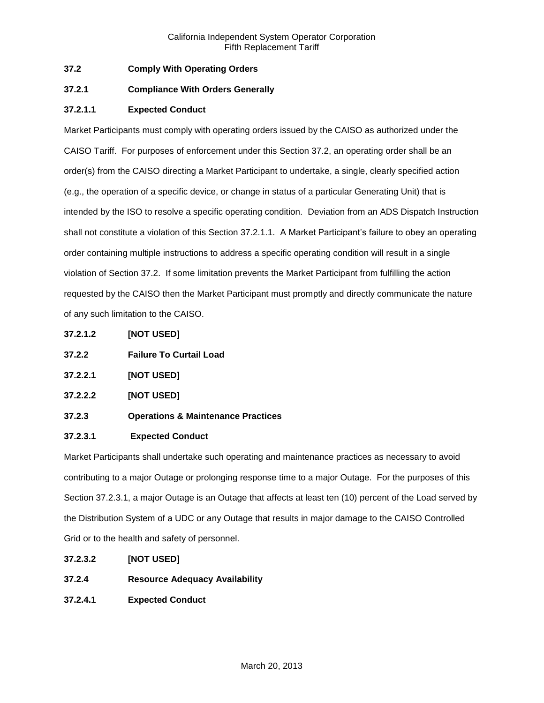# **37.2 Comply With Operating Orders**

## **37.2.1 Compliance With Orders Generally**

## **37.2.1.1 Expected Conduct**

Market Participants must comply with operating orders issued by the CAISO as authorized under the CAISO Tariff. For purposes of enforcement under this Section 37.2, an operating order shall be an order(s) from the CAISO directing a Market Participant to undertake, a single, clearly specified action (e.g., the operation of a specific device, or change in status of a particular Generating Unit) that is intended by the ISO to resolve a specific operating condition. Deviation from an ADS Dispatch Instruction shall not constitute a violation of this Section 37.2.1.1. A Market Participant's failure to obey an operating order containing multiple instructions to address a specific operating condition will result in a single violation of Section 37.2. If some limitation prevents the Market Participant from fulfilling the action requested by the CAISO then the Market Participant must promptly and directly communicate the nature of any such limitation to the CAISO.

- **37.2.1.2 [NOT USED]**
- **37.2.2 Failure To Curtail Load**
- **37.2.2.1 [NOT USED]**
- **37.2.2.2 [NOT USED]**
- **37.2.3 Operations & Maintenance Practices**

### **37.2.3.1 Expected Conduct**

Market Participants shall undertake such operating and maintenance practices as necessary to avoid contributing to a major Outage or prolonging response time to a major Outage. For the purposes of this Section 37.2.3.1, a major Outage is an Outage that affects at least ten (10) percent of the Load served by the Distribution System of a UDC or any Outage that results in major damage to the CAISO Controlled Grid or to the health and safety of personnel.

- **37.2.3.2 [NOT USED]**
- **37.2.4 Resource Adequacy Availability**
- **37.2.4.1 Expected Conduct**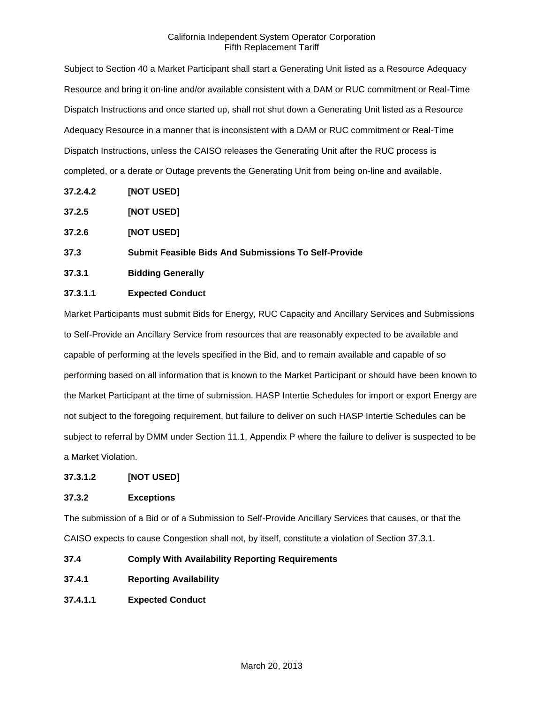Subject to Section 40 a Market Participant shall start a Generating Unit listed as a Resource Adequacy Resource and bring it on-line and/or available consistent with a DAM or RUC commitment or Real-Time Dispatch Instructions and once started up, shall not shut down a Generating Unit listed as a Resource Adequacy Resource in a manner that is inconsistent with a DAM or RUC commitment or Real-Time Dispatch Instructions, unless the CAISO releases the Generating Unit after the RUC process is completed, or a derate or Outage prevents the Generating Unit from being on-line and available.

- **37.2.4.2 [NOT USED]**
- **37.2.5 [NOT USED]**
- **37.2.6 [NOT USED]**

### **37.3 Submit Feasible Bids And Submissions To Self-Provide**

**37.3.1 Bidding Generally**

### **37.3.1.1 Expected Conduct**

Market Participants must submit Bids for Energy, RUC Capacity and Ancillary Services and Submissions to Self-Provide an Ancillary Service from resources that are reasonably expected to be available and capable of performing at the levels specified in the Bid, and to remain available and capable of so performing based on all information that is known to the Market Participant or should have been known to the Market Participant at the time of submission. HASP Intertie Schedules for import or export Energy are not subject to the foregoing requirement, but failure to deliver on such HASP Intertie Schedules can be subject to referral by DMM under Section 11.1, Appendix P where the failure to deliver is suspected to be a Market Violation.

### **37.3.1.2 [NOT USED]**

### **37.3.2 Exceptions**

The submission of a Bid or of a Submission to Self-Provide Ancillary Services that causes, or that the CAISO expects to cause Congestion shall not, by itself, constitute a violation of Section 37.3.1.

**37.4 Comply With Availability Reporting Requirements**

- **37.4.1 Reporting Availability**
- **37.4.1.1 Expected Conduct**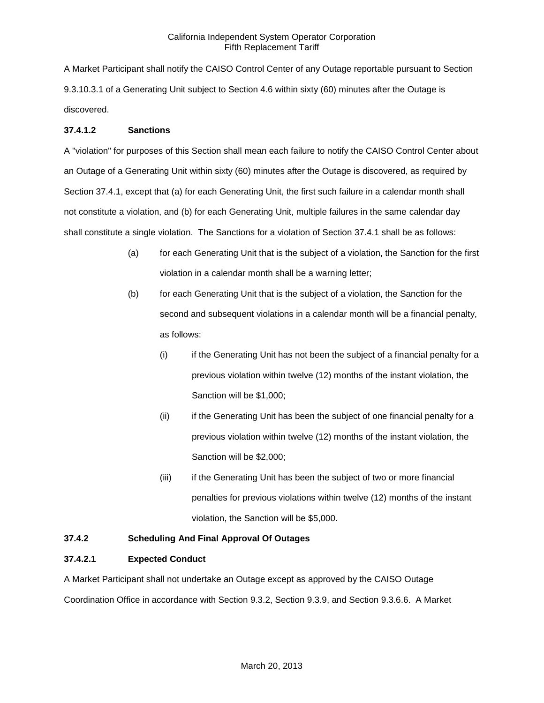A Market Participant shall notify the CAISO Control Center of any Outage reportable pursuant to Section 9.3.10.3.1 of a Generating Unit subject to Section 4.6 within sixty (60) minutes after the Outage is discovered.

### **37.4.1.2 Sanctions**

A "violation" for purposes of this Section shall mean each failure to notify the CAISO Control Center about an Outage of a Generating Unit within sixty (60) minutes after the Outage is discovered, as required by Section 37.4.1, except that (a) for each Generating Unit, the first such failure in a calendar month shall not constitute a violation, and (b) for each Generating Unit, multiple failures in the same calendar day shall constitute a single violation. The Sanctions for a violation of Section 37.4.1 shall be as follows:

- (a) for each Generating Unit that is the subject of a violation, the Sanction for the first violation in a calendar month shall be a warning letter;
- (b) for each Generating Unit that is the subject of a violation, the Sanction for the second and subsequent violations in a calendar month will be a financial penalty, as follows:
	- (i) if the Generating Unit has not been the subject of a financial penalty for a previous violation within twelve (12) months of the instant violation, the Sanction will be \$1,000;
	- (ii) if the Generating Unit has been the subject of one financial penalty for a previous violation within twelve (12) months of the instant violation, the Sanction will be \$2,000;
	- (iii) if the Generating Unit has been the subject of two or more financial penalties for previous violations within twelve (12) months of the instant violation, the Sanction will be \$5,000.

# **37.4.2 Scheduling And Final Approval Of Outages**

### **37.4.2.1 Expected Conduct**

A Market Participant shall not undertake an Outage except as approved by the CAISO Outage Coordination Office in accordance with Section 9.3.2, Section 9.3.9, and Section 9.3.6.6. A Market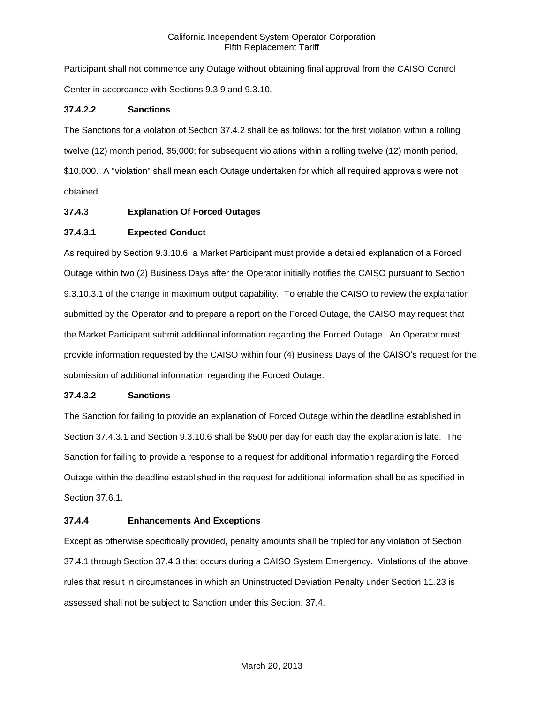Participant shall not commence any Outage without obtaining final approval from the CAISO Control Center in accordance with Sections 9.3.9 and 9.3.10.

## **37.4.2.2 Sanctions**

The Sanctions for a violation of Section 37.4.2 shall be as follows: for the first violation within a rolling twelve (12) month period, \$5,000; for subsequent violations within a rolling twelve (12) month period, \$10,000. A "violation" shall mean each Outage undertaken for which all required approvals were not obtained.

## **37.4.3 Explanation Of Forced Outages**

## **37.4.3.1 Expected Conduct**

As required by Section 9.3.10.6, a Market Participant must provide a detailed explanation of a Forced Outage within two (2) Business Days after the Operator initially notifies the CAISO pursuant to Section 9.3.10.3.1 of the change in maximum output capability. To enable the CAISO to review the explanation submitted by the Operator and to prepare a report on the Forced Outage, the CAISO may request that the Market Participant submit additional information regarding the Forced Outage. An Operator must provide information requested by the CAISO within four (4) Business Days of the CAISO's request for the submission of additional information regarding the Forced Outage.

### **37.4.3.2 Sanctions**

The Sanction for failing to provide an explanation of Forced Outage within the deadline established in Section 37.4.3.1 and Section 9.3.10.6 shall be \$500 per day for each day the explanation is late. The Sanction for failing to provide a response to a request for additional information regarding the Forced Outage within the deadline established in the request for additional information shall be as specified in Section 37.6.1.

### **37.4.4 Enhancements And Exceptions**

Except as otherwise specifically provided, penalty amounts shall be tripled for any violation of Section 37.4.1 through Section 37.4.3 that occurs during a CAISO System Emergency. Violations of the above rules that result in circumstances in which an Uninstructed Deviation Penalty under Section 11.23 is assessed shall not be subject to Sanction under this Section. 37.4.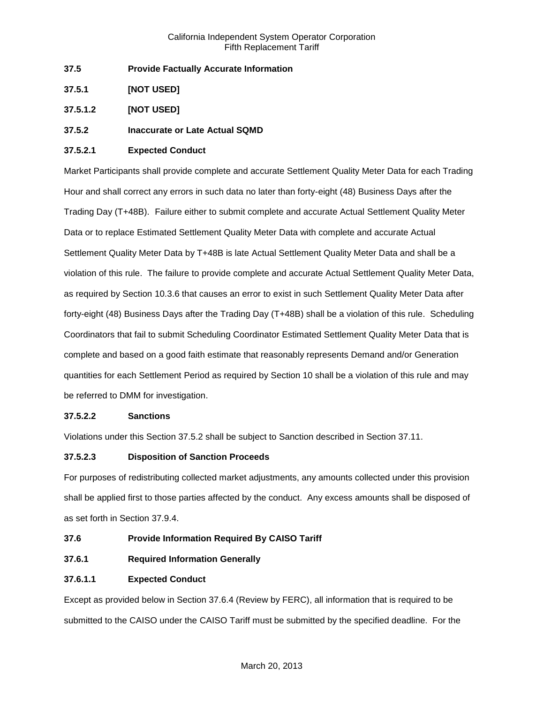- **37.5 Provide Factually Accurate Information**
- **37.5.1 [NOT USED]**
- **37.5.1.2 [NOT USED]**

# **37.5.2 Inaccurate or Late Actual SQMD**

## **37.5.2.1 Expected Conduct**

Market Participants shall provide complete and accurate Settlement Quality Meter Data for each Trading Hour and shall correct any errors in such data no later than forty-eight (48) Business Days after the Trading Day (T+48B). Failure either to submit complete and accurate Actual Settlement Quality Meter Data or to replace Estimated Settlement Quality Meter Data with complete and accurate Actual Settlement Quality Meter Data by T+48B is late Actual Settlement Quality Meter Data and shall be a violation of this rule. The failure to provide complete and accurate Actual Settlement Quality Meter Data, as required by Section 10.3.6 that causes an error to exist in such Settlement Quality Meter Data after forty-eight (48) Business Days after the Trading Day (T+48B) shall be a violation of this rule. Scheduling Coordinators that fail to submit Scheduling Coordinator Estimated Settlement Quality Meter Data that is complete and based on a good faith estimate that reasonably represents Demand and/or Generation quantities for each Settlement Period as required by Section 10 shall be a violation of this rule and may be referred to DMM for investigation.

# **37.5.2.2 Sanctions**

Violations under this Section 37.5.2 shall be subject to Sanction described in Section 37.11.

# **37.5.2.3 Disposition of Sanction Proceeds**

For purposes of redistributing collected market adjustments, any amounts collected under this provision shall be applied first to those parties affected by the conduct. Any excess amounts shall be disposed of as set forth in Section 37.9.4.

- **37.6 Provide Information Required By CAISO Tariff**
- **37.6.1 Required Information Generally**

# **37.6.1.1 Expected Conduct**

Except as provided below in Section 37.6.4 (Review by FERC), all information that is required to be submitted to the CAISO under the CAISO Tariff must be submitted by the specified deadline. For the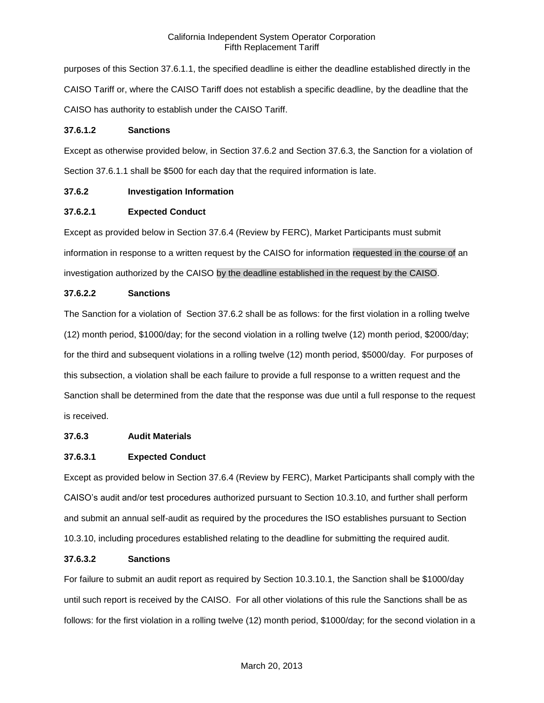purposes of this Section 37.6.1.1, the specified deadline is either the deadline established directly in the CAISO Tariff or, where the CAISO Tariff does not establish a specific deadline, by the deadline that the CAISO has authority to establish under the CAISO Tariff.

### **37.6.1.2 Sanctions**

Except as otherwise provided below, in Section 37.6.2 and Section 37.6.3, the Sanction for a violation of Section 37.6.1.1 shall be \$500 for each day that the required information is late.

# **37.6.2 Investigation Information**

# **37.6.2.1 Expected Conduct**

Except as provided below in Section 37.6.4 (Review by FERC), Market Participants must submit information in response to a written request by the CAISO for information requested in the course of an investigation authorized by the CAISO by the deadline established in the request by the CAISO.

# **37.6.2.2 Sanctions**

The Sanction for a violation of Section 37.6.2 shall be as follows: for the first violation in a rolling twelve (12) month period, \$1000/day; for the second violation in a rolling twelve (12) month period, \$2000/day; for the third and subsequent violations in a rolling twelve (12) month period, \$5000/day. For purposes of this subsection, a violation shall be each failure to provide a full response to a written request and the Sanction shall be determined from the date that the response was due until a full response to the request is received.

# **37.6.3 Audit Materials**

# **37.6.3.1 Expected Conduct**

Except as provided below in Section 37.6.4 (Review by FERC), Market Participants shall comply with the CAISO's audit and/or test procedures authorized pursuant to Section 10.3.10, and further shall perform and submit an annual self-audit as required by the procedures the ISO establishes pursuant to Section 10.3.10, including procedures established relating to the deadline for submitting the required audit.

# **37.6.3.2 Sanctions**

For failure to submit an audit report as required by Section 10.3.10.1, the Sanction shall be \$1000/day until such report is received by the CAISO. For all other violations of this rule the Sanctions shall be as follows: for the first violation in a rolling twelve (12) month period, \$1000/day; for the second violation in a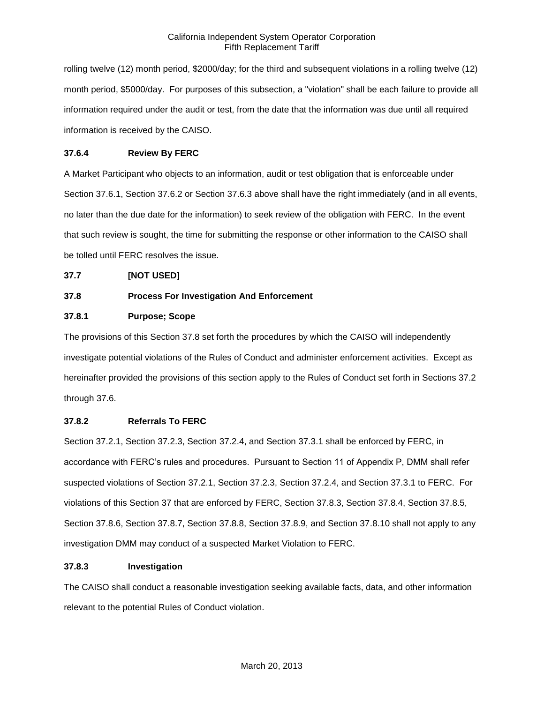rolling twelve (12) month period, \$2000/day; for the third and subsequent violations in a rolling twelve (12) month period, \$5000/day. For purposes of this subsection, a "violation" shall be each failure to provide all information required under the audit or test, from the date that the information was due until all required information is received by the CAISO.

# **37.6.4 Review By FERC**

A Market Participant who objects to an information, audit or test obligation that is enforceable under Section 37.6.1, Section 37.6.2 or Section 37.6.3 above shall have the right immediately (and in all events, no later than the due date for the information) to seek review of the obligation with FERC. In the event that such review is sought, the time for submitting the response or other information to the CAISO shall be tolled until FERC resolves the issue.

### **37.7 [NOT USED]**

# **37.8 Process For Investigation And Enforcement**

## **37.8.1 Purpose; Scope**

The provisions of this Section 37.8 set forth the procedures by which the CAISO will independently investigate potential violations of the Rules of Conduct and administer enforcement activities. Except as hereinafter provided the provisions of this section apply to the Rules of Conduct set forth in Sections 37.2 through 37.6.

## **37.8.2 Referrals To FERC**

Section 37.2.1, Section 37.2.3, Section 37.2.4, and Section 37.3.1 shall be enforced by FERC, in accordance with FERC's rules and procedures. Pursuant to Section 11 of Appendix P, DMM shall refer suspected violations of Section 37.2.1, Section 37.2.3, Section 37.2.4, and Section 37.3.1 to FERC. For violations of this Section 37 that are enforced by FERC, Section 37.8.3, Section 37.8.4, Section 37.8.5, Section 37.8.6, Section 37.8.7, Section 37.8.8, Section 37.8.9, and Section 37.8.10 shall not apply to any investigation DMM may conduct of a suspected Market Violation to FERC.

### **37.8.3 Investigation**

The CAISO shall conduct a reasonable investigation seeking available facts, data, and other information relevant to the potential Rules of Conduct violation.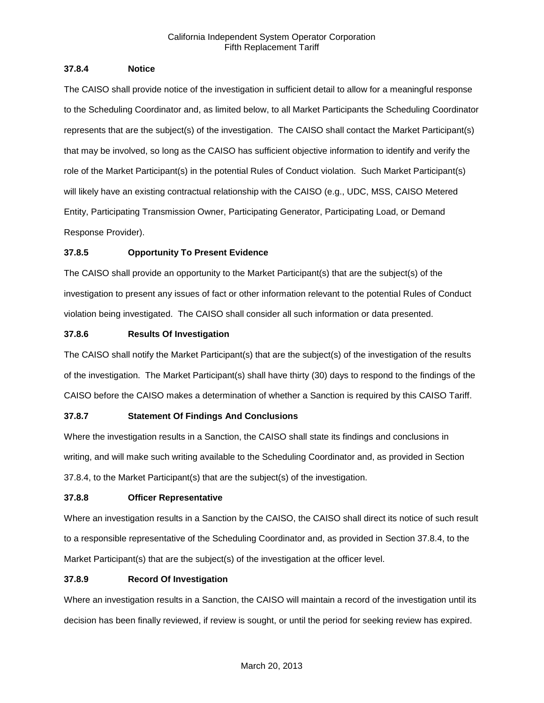## **37.8.4 Notice**

The CAISO shall provide notice of the investigation in sufficient detail to allow for a meaningful response to the Scheduling Coordinator and, as limited below, to all Market Participants the Scheduling Coordinator represents that are the subject(s) of the investigation. The CAISO shall contact the Market Participant(s) that may be involved, so long as the CAISO has sufficient objective information to identify and verify the role of the Market Participant(s) in the potential Rules of Conduct violation. Such Market Participant(s) will likely have an existing contractual relationship with the CAISO (e.g., UDC, MSS, CAISO Metered Entity, Participating Transmission Owner, Participating Generator, Participating Load, or Demand Response Provider).

# **37.8.5 Opportunity To Present Evidence**

The CAISO shall provide an opportunity to the Market Participant(s) that are the subject(s) of the investigation to present any issues of fact or other information relevant to the potential Rules of Conduct violation being investigated. The CAISO shall consider all such information or data presented.

# **37.8.6 Results Of Investigation**

The CAISO shall notify the Market Participant(s) that are the subject(s) of the investigation of the results of the investigation. The Market Participant(s) shall have thirty (30) days to respond to the findings of the CAISO before the CAISO makes a determination of whether a Sanction is required by this CAISO Tariff.

# **37.8.7 Statement Of Findings And Conclusions**

Where the investigation results in a Sanction, the CAISO shall state its findings and conclusions in writing, and will make such writing available to the Scheduling Coordinator and, as provided in Section 37.8.4, to the Market Participant(s) that are the subject(s) of the investigation.

# **37.8.8 Officer Representative**

Where an investigation results in a Sanction by the CAISO, the CAISO shall direct its notice of such result to a responsible representative of the Scheduling Coordinator and, as provided in Section 37.8.4, to the Market Participant(s) that are the subject(s) of the investigation at the officer level.

# **37.8.9 Record Of Investigation**

Where an investigation results in a Sanction, the CAISO will maintain a record of the investigation until its decision has been finally reviewed, if review is sought, or until the period for seeking review has expired.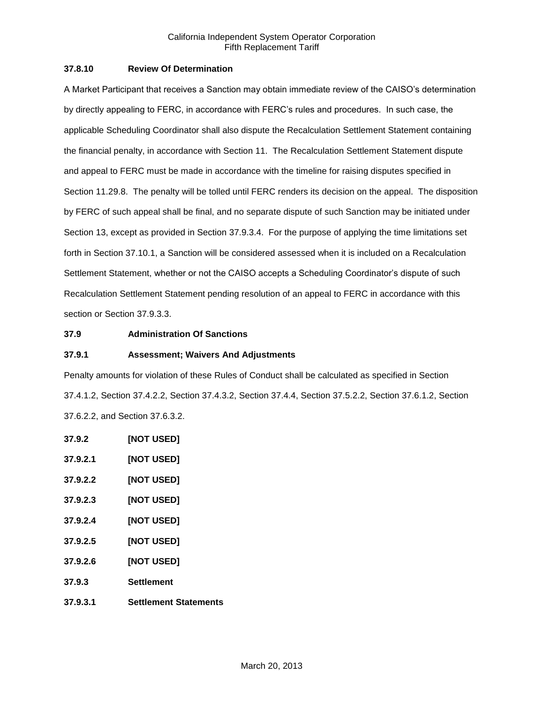## **37.8.10 Review Of Determination**

A Market Participant that receives a Sanction may obtain immediate review of the CAISO's determination by directly appealing to FERC, in accordance with FERC's rules and procedures. In such case, the applicable Scheduling Coordinator shall also dispute the Recalculation Settlement Statement containing the financial penalty, in accordance with Section 11. The Recalculation Settlement Statement dispute and appeal to FERC must be made in accordance with the timeline for raising disputes specified in Section 11.29.8. The penalty will be tolled until FERC renders its decision on the appeal. The disposition by FERC of such appeal shall be final, and no separate dispute of such Sanction may be initiated under Section 13, except as provided in Section 37.9.3.4. For the purpose of applying the time limitations set forth in Section 37.10.1, a Sanction will be considered assessed when it is included on a Recalculation Settlement Statement, whether or not the CAISO accepts a Scheduling Coordinator's dispute of such Recalculation Settlement Statement pending resolution of an appeal to FERC in accordance with this section or Section 37.9.3.3.

## **37.9 Administration Of Sanctions**

### **37.9.1 Assessment; Waivers And Adjustments**

Penalty amounts for violation of these Rules of Conduct shall be calculated as specified in Section 37.4.1.2, Section 37.4.2.2, Section 37.4.3.2, Section 37.4.4, Section 37.5.2.2, Section 37.6.1.2, Section 37.6.2.2, and Section 37.6.3.2.

**37.9.2 [NOT USED] 37.9.2.1 [NOT USED] 37.9.2.2 [NOT USED] 37.9.2.3 [NOT USED] 37.9.2.4 [NOT USED] 37.9.2.5 [NOT USED] 37.9.2.6 [NOT USED] 37.9.3 Settlement 37.9.3.1 Settlement Statements**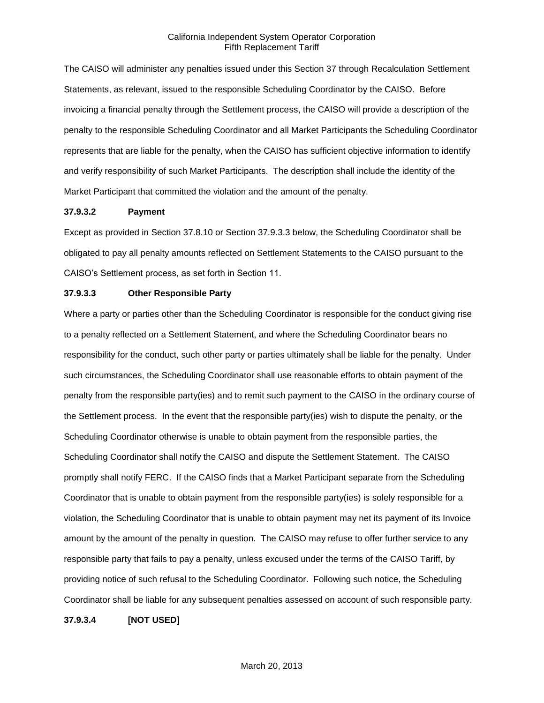The CAISO will administer any penalties issued under this Section 37 through Recalculation Settlement Statements, as relevant, issued to the responsible Scheduling Coordinator by the CAISO. Before invoicing a financial penalty through the Settlement process, the CAISO will provide a description of the penalty to the responsible Scheduling Coordinator and all Market Participants the Scheduling Coordinator represents that are liable for the penalty, when the CAISO has sufficient objective information to identify and verify responsibility of such Market Participants. The description shall include the identity of the Market Participant that committed the violation and the amount of the penalty.

#### **37.9.3.2 Payment**

Except as provided in Section 37.8.10 or Section 37.9.3.3 below, the Scheduling Coordinator shall be obligated to pay all penalty amounts reflected on Settlement Statements to the CAISO pursuant to the CAISO's Settlement process, as set forth in Section 11.

#### **37.9.3.3 Other Responsible Party**

Where a party or parties other than the Scheduling Coordinator is responsible for the conduct giving rise to a penalty reflected on a Settlement Statement, and where the Scheduling Coordinator bears no responsibility for the conduct, such other party or parties ultimately shall be liable for the penalty. Under such circumstances, the Scheduling Coordinator shall use reasonable efforts to obtain payment of the penalty from the responsible party(ies) and to remit such payment to the CAISO in the ordinary course of the Settlement process. In the event that the responsible party(ies) wish to dispute the penalty, or the Scheduling Coordinator otherwise is unable to obtain payment from the responsible parties, the Scheduling Coordinator shall notify the CAISO and dispute the Settlement Statement. The CAISO promptly shall notify FERC. If the CAISO finds that a Market Participant separate from the Scheduling Coordinator that is unable to obtain payment from the responsible party(ies) is solely responsible for a violation, the Scheduling Coordinator that is unable to obtain payment may net its payment of its Invoice amount by the amount of the penalty in question. The CAISO may refuse to offer further service to any responsible party that fails to pay a penalty, unless excused under the terms of the CAISO Tariff, by providing notice of such refusal to the Scheduling Coordinator. Following such notice, the Scheduling Coordinator shall be liable for any subsequent penalties assessed on account of such responsible party.

**37.9.3.4 [NOT USED]**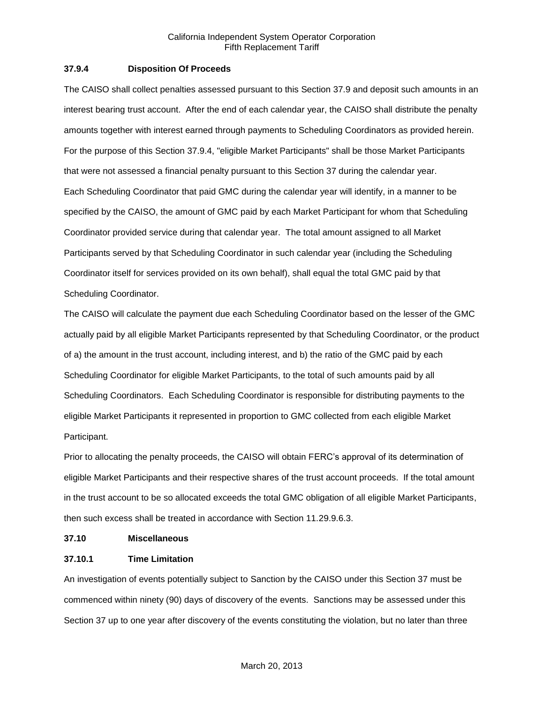## **37.9.4 Disposition Of Proceeds**

The CAISO shall collect penalties assessed pursuant to this Section 37.9 and deposit such amounts in an interest bearing trust account. After the end of each calendar year, the CAISO shall distribute the penalty amounts together with interest earned through payments to Scheduling Coordinators as provided herein. For the purpose of this Section 37.9.4, "eligible Market Participants" shall be those Market Participants that were not assessed a financial penalty pursuant to this Section 37 during the calendar year. Each Scheduling Coordinator that paid GMC during the calendar year will identify, in a manner to be specified by the CAISO, the amount of GMC paid by each Market Participant for whom that Scheduling Coordinator provided service during that calendar year. The total amount assigned to all Market Participants served by that Scheduling Coordinator in such calendar year (including the Scheduling Coordinator itself for services provided on its own behalf), shall equal the total GMC paid by that Scheduling Coordinator.

The CAISO will calculate the payment due each Scheduling Coordinator based on the lesser of the GMC actually paid by all eligible Market Participants represented by that Scheduling Coordinator, or the product of a) the amount in the trust account, including interest, and b) the ratio of the GMC paid by each Scheduling Coordinator for eligible Market Participants, to the total of such amounts paid by all Scheduling Coordinators. Each Scheduling Coordinator is responsible for distributing payments to the eligible Market Participants it represented in proportion to GMC collected from each eligible Market Participant.

Prior to allocating the penalty proceeds, the CAISO will obtain FERC's approval of its determination of eligible Market Participants and their respective shares of the trust account proceeds. If the total amount in the trust account to be so allocated exceeds the total GMC obligation of all eligible Market Participants, then such excess shall be treated in accordance with Section 11.29.9.6.3.

### **37.10 Miscellaneous**

### **37.10.1 Time Limitation**

An investigation of events potentially subject to Sanction by the CAISO under this Section 37 must be commenced within ninety (90) days of discovery of the events. Sanctions may be assessed under this Section 37 up to one year after discovery of the events constituting the violation, but no later than three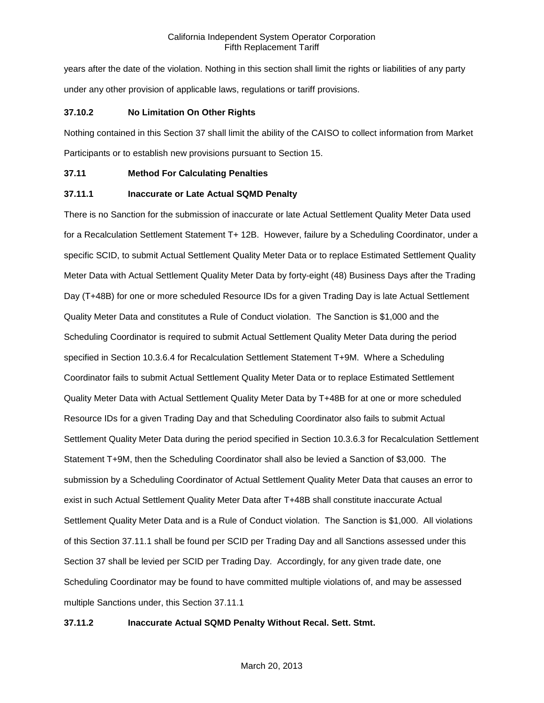years after the date of the violation. Nothing in this section shall limit the rights or liabilities of any party under any other provision of applicable laws, regulations or tariff provisions.

## **37.10.2 No Limitation On Other Rights**

Nothing contained in this Section 37 shall limit the ability of the CAISO to collect information from Market Participants or to establish new provisions pursuant to Section 15.

## **37.11 Method For Calculating Penalties**

## **37.11.1 Inaccurate or Late Actual SQMD Penalty**

There is no Sanction for the submission of inaccurate or late Actual Settlement Quality Meter Data used for a Recalculation Settlement Statement T+ 12B. However, failure by a Scheduling Coordinator, under a specific SCID, to submit Actual Settlement Quality Meter Data or to replace Estimated Settlement Quality Meter Data with Actual Settlement Quality Meter Data by forty-eight (48) Business Days after the Trading Day (T+48B) for one or more scheduled Resource IDs for a given Trading Day is late Actual Settlement Quality Meter Data and constitutes a Rule of Conduct violation. The Sanction is \$1,000 and the Scheduling Coordinator is required to submit Actual Settlement Quality Meter Data during the period specified in Section 10.3.6.4 for Recalculation Settlement Statement T+9M. Where a Scheduling Coordinator fails to submit Actual Settlement Quality Meter Data or to replace Estimated Settlement Quality Meter Data with Actual Settlement Quality Meter Data by T+48B for at one or more scheduled Resource IDs for a given Trading Day and that Scheduling Coordinator also fails to submit Actual Settlement Quality Meter Data during the period specified in Section 10.3.6.3 for Recalculation Settlement Statement T+9M, then the Scheduling Coordinator shall also be levied a Sanction of \$3,000. The submission by a Scheduling Coordinator of Actual Settlement Quality Meter Data that causes an error to exist in such Actual Settlement Quality Meter Data after T+48B shall constitute inaccurate Actual Settlement Quality Meter Data and is a Rule of Conduct violation. The Sanction is \$1,000. All violations of this Section 37.11.1 shall be found per SCID per Trading Day and all Sanctions assessed under this Section 37 shall be levied per SCID per Trading Day. Accordingly, for any given trade date, one Scheduling Coordinator may be found to have committed multiple violations of, and may be assessed multiple Sanctions under, this Section 37.11.1

# **37.11.2 Inaccurate Actual SQMD Penalty Without Recal. Sett. Stmt.**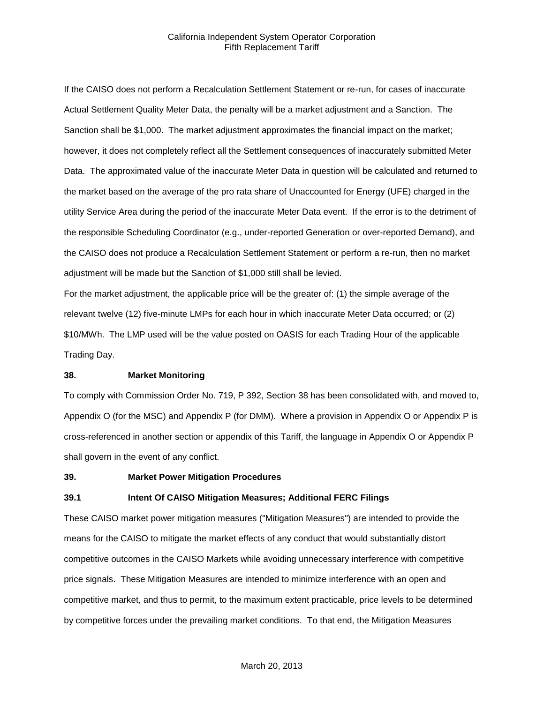If the CAISO does not perform a Recalculation Settlement Statement or re-run, for cases of inaccurate Actual Settlement Quality Meter Data, the penalty will be a market adjustment and a Sanction. The Sanction shall be \$1,000. The market adjustment approximates the financial impact on the market; however, it does not completely reflect all the Settlement consequences of inaccurately submitted Meter Data. The approximated value of the inaccurate Meter Data in question will be calculated and returned to the market based on the average of the pro rata share of Unaccounted for Energy (UFE) charged in the utility Service Area during the period of the inaccurate Meter Data event. If the error is to the detriment of the responsible Scheduling Coordinator (e.g., under-reported Generation or over-reported Demand), and the CAISO does not produce a Recalculation Settlement Statement or perform a re-run, then no market adjustment will be made but the Sanction of \$1,000 still shall be levied.

For the market adjustment, the applicable price will be the greater of: (1) the simple average of the relevant twelve (12) five-minute LMPs for each hour in which inaccurate Meter Data occurred; or (2) \$10/MWh. The LMP used will be the value posted on OASIS for each Trading Hour of the applicable Trading Day.

#### **38. Market Monitoring**

To comply with Commission Order No. 719, P 392, Section 38 has been consolidated with, and moved to, Appendix O (for the MSC) and Appendix P (for DMM). Where a provision in Appendix O or Appendix P is cross-referenced in another section or appendix of this Tariff, the language in Appendix O or Appendix P shall govern in the event of any conflict.

#### **39. Market Power Mitigation Procedures**

#### **39.1 Intent Of CAISO Mitigation Measures; Additional FERC Filings**

These CAISO market power mitigation measures ("Mitigation Measures") are intended to provide the means for the CAISO to mitigate the market effects of any conduct that would substantially distort competitive outcomes in the CAISO Markets while avoiding unnecessary interference with competitive price signals. These Mitigation Measures are intended to minimize interference with an open and competitive market, and thus to permit, to the maximum extent practicable, price levels to be determined by competitive forces under the prevailing market conditions. To that end, the Mitigation Measures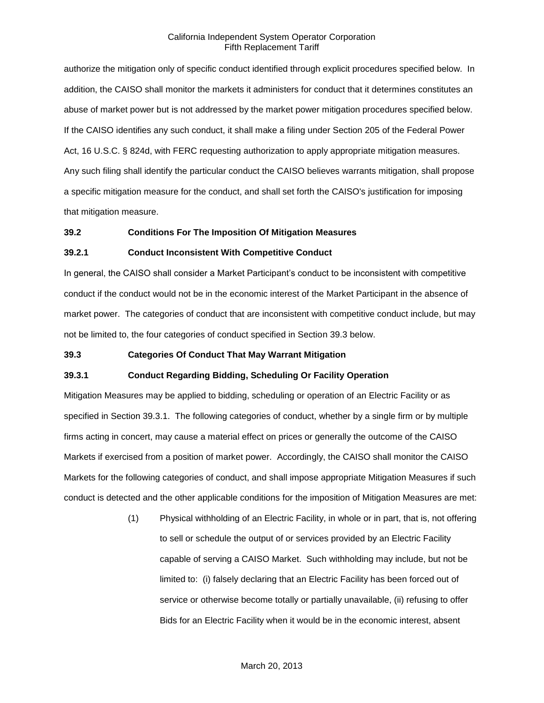authorize the mitigation only of specific conduct identified through explicit procedures specified below. In addition, the CAISO shall monitor the markets it administers for conduct that it determines constitutes an abuse of market power but is not addressed by the market power mitigation procedures specified below. If the CAISO identifies any such conduct, it shall make a filing under Section 205 of the Federal Power Act, 16 U.S.C. § 824d, with FERC requesting authorization to apply appropriate mitigation measures. Any such filing shall identify the particular conduct the CAISO believes warrants mitigation, shall propose a specific mitigation measure for the conduct, and shall set forth the CAISO's justification for imposing that mitigation measure.

#### **39.2 Conditions For The Imposition Of Mitigation Measures**

#### **39.2.1 Conduct Inconsistent With Competitive Conduct**

In general, the CAISO shall consider a Market Participant's conduct to be inconsistent with competitive conduct if the conduct would not be in the economic interest of the Market Participant in the absence of market power. The categories of conduct that are inconsistent with competitive conduct include, but may not be limited to, the four categories of conduct specified in Section 39.3 below.

### **39.3 Categories Of Conduct That May Warrant Mitigation**

### **39.3.1 Conduct Regarding Bidding, Scheduling Or Facility Operation**

Mitigation Measures may be applied to bidding, scheduling or operation of an Electric Facility or as specified in Section 39.3.1. The following categories of conduct, whether by a single firm or by multiple firms acting in concert, may cause a material effect on prices or generally the outcome of the CAISO Markets if exercised from a position of market power. Accordingly, the CAISO shall monitor the CAISO Markets for the following categories of conduct, and shall impose appropriate Mitigation Measures if such conduct is detected and the other applicable conditions for the imposition of Mitigation Measures are met:

> (1) Physical withholding of an Electric Facility, in whole or in part, that is, not offering to sell or schedule the output of or services provided by an Electric Facility capable of serving a CAISO Market. Such withholding may include, but not be limited to: (i) falsely declaring that an Electric Facility has been forced out of service or otherwise become totally or partially unavailable, (ii) refusing to offer Bids for an Electric Facility when it would be in the economic interest, absent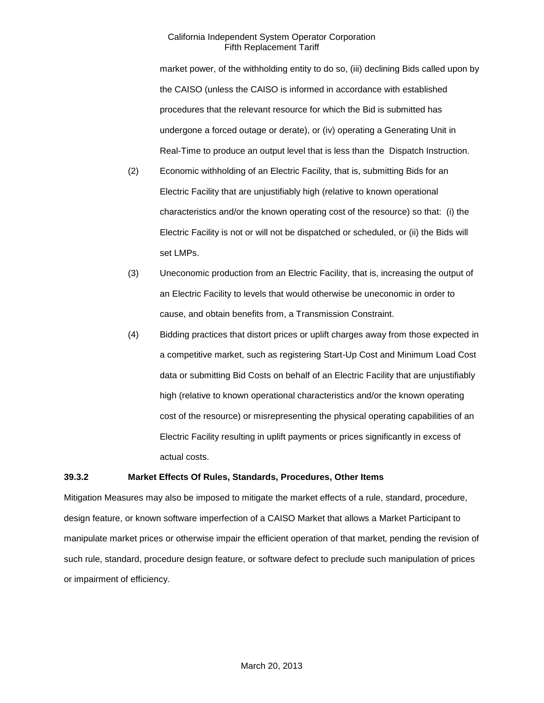market power, of the withholding entity to do so, (iii) declining Bids called upon by the CAISO (unless the CAISO is informed in accordance with established procedures that the relevant resource for which the Bid is submitted has undergone a forced outage or derate), or (iv) operating a Generating Unit in Real-Time to produce an output level that is less than the Dispatch Instruction.

- (2) Economic withholding of an Electric Facility, that is, submitting Bids for an Electric Facility that are unjustifiably high (relative to known operational characteristics and/or the known operating cost of the resource) so that: (i) the Electric Facility is not or will not be dispatched or scheduled, or (ii) the Bids will set LMPs.
- (3) Uneconomic production from an Electric Facility, that is, increasing the output of an Electric Facility to levels that would otherwise be uneconomic in order to cause, and obtain benefits from, a Transmission Constraint.
- (4) Bidding practices that distort prices or uplift charges away from those expected in a competitive market, such as registering Start-Up Cost and Minimum Load Cost data or submitting Bid Costs on behalf of an Electric Facility that are unjustifiably high (relative to known operational characteristics and/or the known operating cost of the resource) or misrepresenting the physical operating capabilities of an Electric Facility resulting in uplift payments or prices significantly in excess of actual costs.

### **39.3.2 Market Effects Of Rules, Standards, Procedures, Other Items**

Mitigation Measures may also be imposed to mitigate the market effects of a rule, standard, procedure, design feature, or known software imperfection of a CAISO Market that allows a Market Participant to manipulate market prices or otherwise impair the efficient operation of that market, pending the revision of such rule, standard, procedure design feature, or software defect to preclude such manipulation of prices or impairment of efficiency.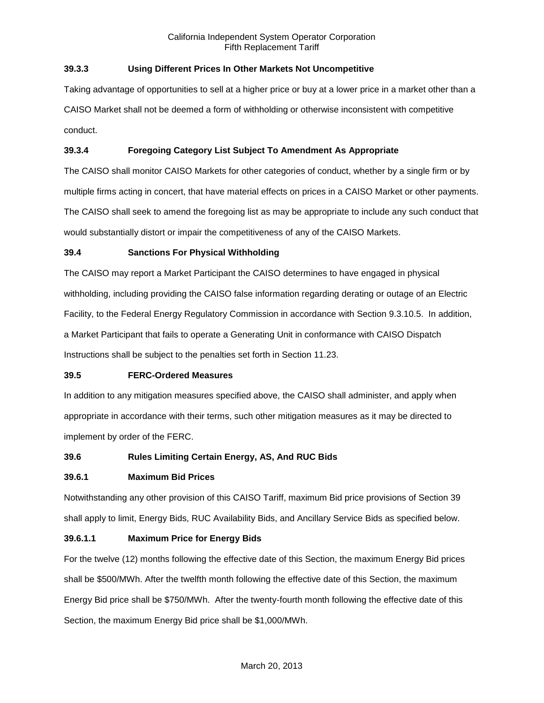# **39.3.3 Using Different Prices In Other Markets Not Uncompetitive**

Taking advantage of opportunities to sell at a higher price or buy at a lower price in a market other than a CAISO Market shall not be deemed a form of withholding or otherwise inconsistent with competitive conduct.

# **39.3.4 Foregoing Category List Subject To Amendment As Appropriate**

The CAISO shall monitor CAISO Markets for other categories of conduct, whether by a single firm or by multiple firms acting in concert, that have material effects on prices in a CAISO Market or other payments. The CAISO shall seek to amend the foregoing list as may be appropriate to include any such conduct that would substantially distort or impair the competitiveness of any of the CAISO Markets.

## **39.4 Sanctions For Physical Withholding**

The CAISO may report a Market Participant the CAISO determines to have engaged in physical withholding, including providing the CAISO false information regarding derating or outage of an Electric Facility, to the Federal Energy Regulatory Commission in accordance with Section 9.3.10.5. In addition, a Market Participant that fails to operate a Generating Unit in conformance with CAISO Dispatch Instructions shall be subject to the penalties set forth in Section 11.23.

### **39.5 FERC-Ordered Measures**

In addition to any mitigation measures specified above, the CAISO shall administer, and apply when appropriate in accordance with their terms, such other mitigation measures as it may be directed to implement by order of the FERC.

# **39.6 Rules Limiting Certain Energy, AS, And RUC Bids**

### **39.6.1 Maximum Bid Prices**

Notwithstanding any other provision of this CAISO Tariff, maximum Bid price provisions of Section 39 shall apply to limit, Energy Bids, RUC Availability Bids, and Ancillary Service Bids as specified below.

### **39.6.1.1 Maximum Price for Energy Bids**

For the twelve (12) months following the effective date of this Section, the maximum Energy Bid prices shall be \$500/MWh. After the twelfth month following the effective date of this Section, the maximum Energy Bid price shall be \$750/MWh. After the twenty-fourth month following the effective date of this Section, the maximum Energy Bid price shall be \$1,000/MWh.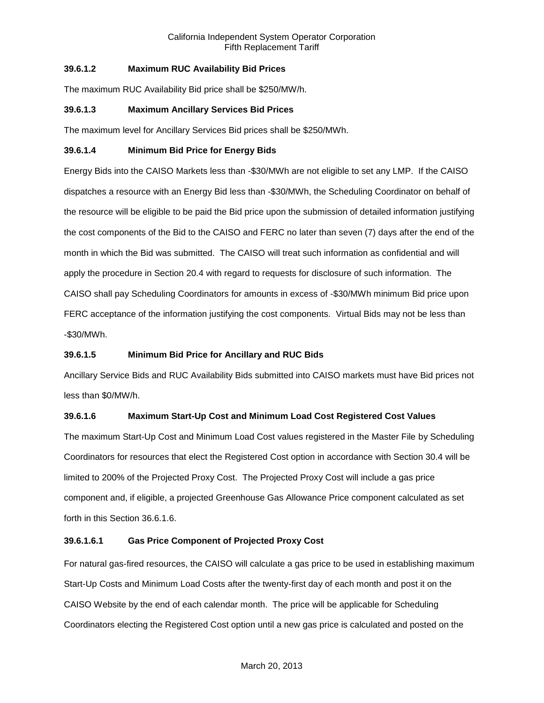# **39.6.1.2 Maximum RUC Availability Bid Prices**

The maximum RUC Availability Bid price shall be \$250/MW/h.

## **39.6.1.3 Maximum Ancillary Services Bid Prices**

The maximum level for Ancillary Services Bid prices shall be \$250/MWh.

### **39.6.1.4 Minimum Bid Price for Energy Bids**

Energy Bids into the CAISO Markets less than -\$30/MWh are not eligible to set any LMP. If the CAISO dispatches a resource with an Energy Bid less than -\$30/MWh, the Scheduling Coordinator on behalf of the resource will be eligible to be paid the Bid price upon the submission of detailed information justifying the cost components of the Bid to the CAISO and FERC no later than seven (7) days after the end of the month in which the Bid was submitted. The CAISO will treat such information as confidential and will apply the procedure in Section 20.4 with regard to requests for disclosure of such information. The CAISO shall pay Scheduling Coordinators for amounts in excess of -\$30/MWh minimum Bid price upon FERC acceptance of the information justifying the cost components. Virtual Bids may not be less than -\$30/MWh.

## **39.6.1.5 Minimum Bid Price for Ancillary and RUC Bids**

Ancillary Service Bids and RUC Availability Bids submitted into CAISO markets must have Bid prices not less than \$0/MW/h.

# **39.6.1.6 Maximum Start-Up Cost and Minimum Load Cost Registered Cost Values**

The maximum Start-Up Cost and Minimum Load Cost values registered in the Master File by Scheduling Coordinators for resources that elect the Registered Cost option in accordance with Section 30.4 will be limited to 200% of the Projected Proxy Cost. The Projected Proxy Cost will include a gas price component and, if eligible, a projected Greenhouse Gas Allowance Price component calculated as set forth in this Section 36.6.1.6.

### **39.6.1.6.1 Gas Price Component of Projected Proxy Cost**

For natural gas-fired resources, the CAISO will calculate a gas price to be used in establishing maximum Start-Up Costs and Minimum Load Costs after the twenty-first day of each month and post it on the CAISO Website by the end of each calendar month. The price will be applicable for Scheduling Coordinators electing the Registered Cost option until a new gas price is calculated and posted on the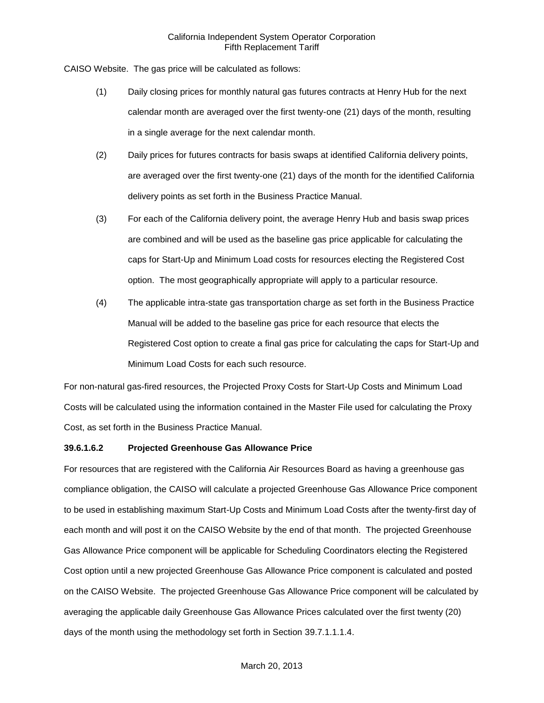CAISO Website. The gas price will be calculated as follows:

- (1) Daily closing prices for monthly natural gas futures contracts at Henry Hub for the next calendar month are averaged over the first twenty-one (21) days of the month, resulting in a single average for the next calendar month.
- (2) Daily prices for futures contracts for basis swaps at identified California delivery points, are averaged over the first twenty-one (21) days of the month for the identified California delivery points as set forth in the Business Practice Manual.
- (3) For each of the California delivery point, the average Henry Hub and basis swap prices are combined and will be used as the baseline gas price applicable for calculating the caps for Start-Up and Minimum Load costs for resources electing the Registered Cost option. The most geographically appropriate will apply to a particular resource.
- (4) The applicable intra-state gas transportation charge as set forth in the Business Practice Manual will be added to the baseline gas price for each resource that elects the Registered Cost option to create a final gas price for calculating the caps for Start-Up and Minimum Load Costs for each such resource.

For non-natural gas-fired resources, the Projected Proxy Costs for Start-Up Costs and Minimum Load Costs will be calculated using the information contained in the Master File used for calculating the Proxy Cost, as set forth in the Business Practice Manual.

# **39.6.1.6.2 Projected Greenhouse Gas Allowance Price**

For resources that are registered with the California Air Resources Board as having a greenhouse gas compliance obligation, the CAISO will calculate a projected Greenhouse Gas Allowance Price component to be used in establishing maximum Start-Up Costs and Minimum Load Costs after the twenty-first day of each month and will post it on the CAISO Website by the end of that month. The projected Greenhouse Gas Allowance Price component will be applicable for Scheduling Coordinators electing the Registered Cost option until a new projected Greenhouse Gas Allowance Price component is calculated and posted on the CAISO Website. The projected Greenhouse Gas Allowance Price component will be calculated by averaging the applicable daily Greenhouse Gas Allowance Prices calculated over the first twenty (20) days of the month using the methodology set forth in Section 39.7.1.1.1.4.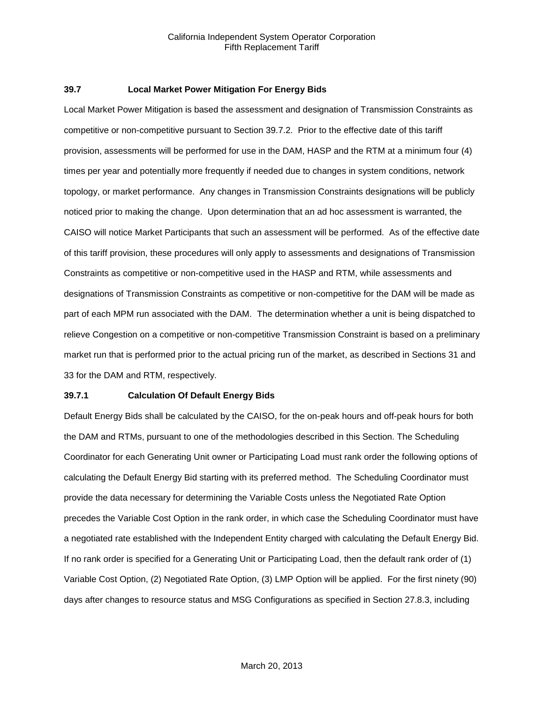#### **39.7 Local Market Power Mitigation For Energy Bids**

Local Market Power Mitigation is based the assessment and designation of Transmission Constraints as competitive or non-competitive pursuant to Section 39.7.2. Prior to the effective date of this tariff provision, assessments will be performed for use in the DAM, HASP and the RTM at a minimum four (4) times per year and potentially more frequently if needed due to changes in system conditions, network topology, or market performance. Any changes in Transmission Constraints designations will be publicly noticed prior to making the change. Upon determination that an ad hoc assessment is warranted, the CAISO will notice Market Participants that such an assessment will be performed. As of the effective date of this tariff provision, these procedures will only apply to assessments and designations of Transmission Constraints as competitive or non-competitive used in the HASP and RTM, while assessments and designations of Transmission Constraints as competitive or non-competitive for the DAM will be made as part of each MPM run associated with the DAM. The determination whether a unit is being dispatched to relieve Congestion on a competitive or non-competitive Transmission Constraint is based on a preliminary market run that is performed prior to the actual pricing run of the market, as described in Sections 31 and 33 for the DAM and RTM, respectively.

#### **39.7.1 Calculation Of Default Energy Bids**

Default Energy Bids shall be calculated by the CAISO, for the on-peak hours and off-peak hours for both the DAM and RTMs, pursuant to one of the methodologies described in this Section. The Scheduling Coordinator for each Generating Unit owner or Participating Load must rank order the following options of calculating the Default Energy Bid starting with its preferred method. The Scheduling Coordinator must provide the data necessary for determining the Variable Costs unless the Negotiated Rate Option precedes the Variable Cost Option in the rank order, in which case the Scheduling Coordinator must have a negotiated rate established with the Independent Entity charged with calculating the Default Energy Bid. If no rank order is specified for a Generating Unit or Participating Load, then the default rank order of (1) Variable Cost Option, (2) Negotiated Rate Option, (3) LMP Option will be applied. For the first ninety (90) days after changes to resource status and MSG Configurations as specified in Section 27.8.3, including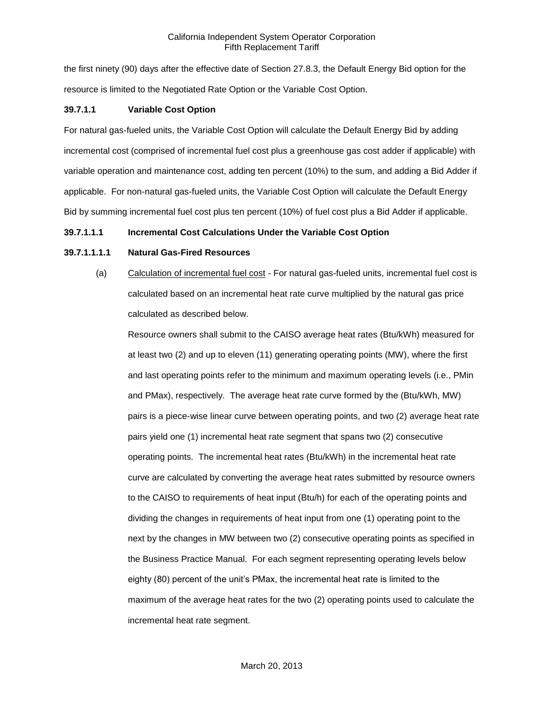the first ninety (90) days after the effective date of Section 27.8.3, the Default Energy Bid option for the resource is limited to the Negotiated Rate Option or the Variable Cost Option.

## **39.7.1.1 Variable Cost Option**

For natural gas-fueled units, the Variable Cost Option will calculate the Default Energy Bid by adding incremental cost (comprised of incremental fuel cost plus a greenhouse gas cost adder if applicable) with variable operation and maintenance cost, adding ten percent (10%) to the sum, and adding a Bid Adder if applicable. For non-natural gas-fueled units, the Variable Cost Option will calculate the Default Energy Bid by summing incremental fuel cost plus ten percent (10%) of fuel cost plus a Bid Adder if applicable.

### **39.7.1.1.1 Incremental Cost Calculations Under the Variable Cost Option**

### **39.7.1.1.1.1 Natural Gas-Fired Resources**

(a) Calculation of incremental fuel cost - For natural gas-fueled units, incremental fuel cost is calculated based on an incremental heat rate curve multiplied by the natural gas price calculated as described below.

Resource owners shall submit to the CAISO average heat rates (Btu/kWh) measured for at least two (2) and up to eleven (11) generating operating points (MW), where the first and last operating points refer to the minimum and maximum operating levels (i.e., PMin and PMax), respectively. The average heat rate curve formed by the (Btu/kWh, MW) pairs is a piece-wise linear curve between operating points, and two (2) average heat rate pairs yield one (1) incremental heat rate segment that spans two (2) consecutive operating points. The incremental heat rates (Btu/kWh) in the incremental heat rate curve are calculated by converting the average heat rates submitted by resource owners to the CAISO to requirements of heat input (Btu/h) for each of the operating points and dividing the changes in requirements of heat input from one (1) operating point to the next by the changes in MW between two (2) consecutive operating points as specified in the Business Practice Manual. For each segment representing operating levels below eighty (80) percent of the unit's PMax, the incremental heat rate is limited to the maximum of the average heat rates for the two (2) operating points used to calculate the incremental heat rate segment.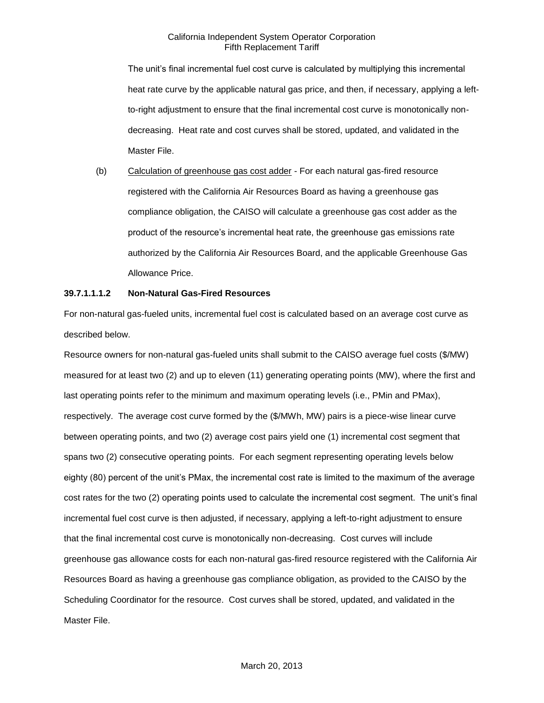The unit's final incremental fuel cost curve is calculated by multiplying this incremental heat rate curve by the applicable natural gas price, and then, if necessary, applying a leftto-right adjustment to ensure that the final incremental cost curve is monotonically nondecreasing. Heat rate and cost curves shall be stored, updated, and validated in the Master File.

(b) Calculation of greenhouse gas cost adder - For each natural gas-fired resource registered with the California Air Resources Board as having a greenhouse gas compliance obligation, the CAISO will calculate a greenhouse gas cost adder as the product of the resource's incremental heat rate, the greenhouse gas emissions rate authorized by the California Air Resources Board, and the applicable Greenhouse Gas Allowance Price.

### **39.7.1.1.1.2 Non-Natural Gas-Fired Resources**

For non-natural gas-fueled units, incremental fuel cost is calculated based on an average cost curve as described below.

Resource owners for non-natural gas-fueled units shall submit to the CAISO average fuel costs (\$/MW) measured for at least two (2) and up to eleven (11) generating operating points (MW), where the first and last operating points refer to the minimum and maximum operating levels (i.e., PMin and PMax), respectively. The average cost curve formed by the (\$/MWh, MW) pairs is a piece-wise linear curve between operating points, and two (2) average cost pairs yield one (1) incremental cost segment that spans two (2) consecutive operating points. For each segment representing operating levels below eighty (80) percent of the unit's PMax, the incremental cost rate is limited to the maximum of the average cost rates for the two (2) operating points used to calculate the incremental cost segment. The unit's final incremental fuel cost curve is then adjusted, if necessary, applying a left-to-right adjustment to ensure that the final incremental cost curve is monotonically non-decreasing. Cost curves will include greenhouse gas allowance costs for each non-natural gas-fired resource registered with the California Air Resources Board as having a greenhouse gas compliance obligation, as provided to the CAISO by the Scheduling Coordinator for the resource. Cost curves shall be stored, updated, and validated in the Master File.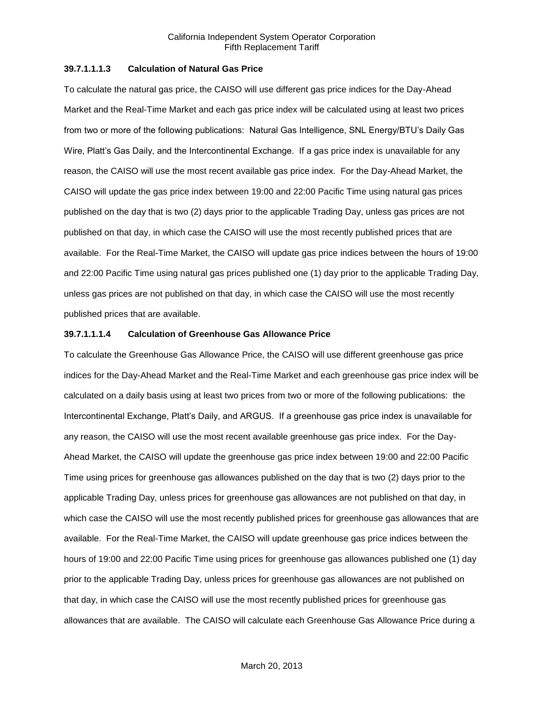#### **39.7.1.1.1.3 Calculation of Natural Gas Price**

To calculate the natural gas price, the CAISO will use different gas price indices for the Day-Ahead Market and the Real-Time Market and each gas price index will be calculated using at least two prices from two or more of the following publications: Natural Gas Intelligence, SNL Energy/BTU's Daily Gas Wire, Platt's Gas Daily, and the Intercontinental Exchange. If a gas price index is unavailable for any reason, the CAISO will use the most recent available gas price index. For the Day-Ahead Market, the CAISO will update the gas price index between 19:00 and 22:00 Pacific Time using natural gas prices published on the day that is two (2) days prior to the applicable Trading Day, unless gas prices are not published on that day, in which case the CAISO will use the most recently published prices that are available. For the Real-Time Market, the CAISO will update gas price indices between the hours of 19:00 and 22:00 Pacific Time using natural gas prices published one (1) day prior to the applicable Trading Day, unless gas prices are not published on that day, in which case the CAISO will use the most recently published prices that are available.

### **39.7.1.1.1.4 Calculation of Greenhouse Gas Allowance Price**

To calculate the Greenhouse Gas Allowance Price, the CAISO will use different greenhouse gas price indices for the Day-Ahead Market and the Real-Time Market and each greenhouse gas price index will be calculated on a daily basis using at least two prices from two or more of the following publications: the Intercontinental Exchange, Platt's Daily, and ARGUS. If a greenhouse gas price index is unavailable for any reason, the CAISO will use the most recent available greenhouse gas price index. For the Day-Ahead Market, the CAISO will update the greenhouse gas price index between 19:00 and 22:00 Pacific Time using prices for greenhouse gas allowances published on the day that is two (2) days prior to the applicable Trading Day, unless prices for greenhouse gas allowances are not published on that day, in which case the CAISO will use the most recently published prices for greenhouse gas allowances that are available. For the Real-Time Market, the CAISO will update greenhouse gas price indices between the hours of 19:00 and 22:00 Pacific Time using prices for greenhouse gas allowances published one (1) day prior to the applicable Trading Day, unless prices for greenhouse gas allowances are not published on that day, in which case the CAISO will use the most recently published prices for greenhouse gas allowances that are available. The CAISO will calculate each Greenhouse Gas Allowance Price during a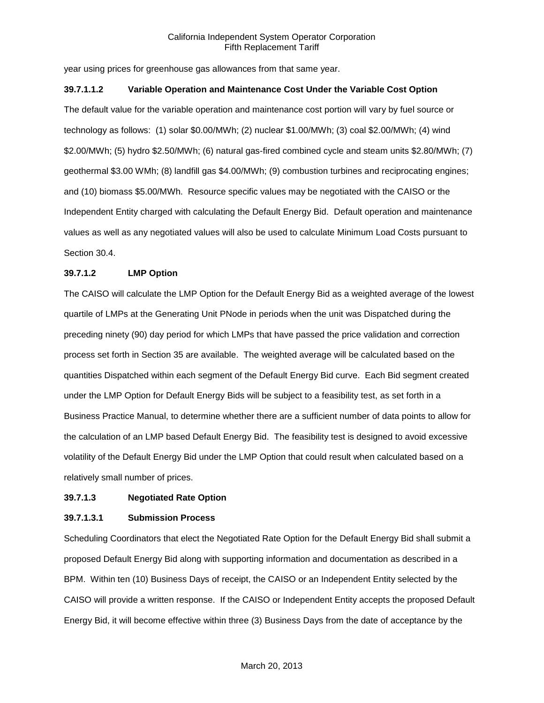year using prices for greenhouse gas allowances from that same year.

### **39.7.1.1.2 Variable Operation and Maintenance Cost Under the Variable Cost Option**

The default value for the variable operation and maintenance cost portion will vary by fuel source or technology as follows: (1) solar \$0.00/MWh; (2) nuclear \$1.00/MWh; (3) coal \$2.00/MWh; (4) wind \$2.00/MWh; (5) hydro \$2.50/MWh; (6) natural gas-fired combined cycle and steam units \$2.80/MWh; (7) geothermal \$3.00 WMh; (8) landfill gas \$4.00/MWh; (9) combustion turbines and reciprocating engines; and (10) biomass \$5.00/MWh. Resource specific values may be negotiated with the CAISO or the Independent Entity charged with calculating the Default Energy Bid. Default operation and maintenance values as well as any negotiated values will also be used to calculate Minimum Load Costs pursuant to Section 30.4.

## **39.7.1.2 LMP Option**

The CAISO will calculate the LMP Option for the Default Energy Bid as a weighted average of the lowest quartile of LMPs at the Generating Unit PNode in periods when the unit was Dispatched during the preceding ninety (90) day period for which LMPs that have passed the price validation and correction process set forth in Section 35 are available. The weighted average will be calculated based on the quantities Dispatched within each segment of the Default Energy Bid curve. Each Bid segment created under the LMP Option for Default Energy Bids will be subject to a feasibility test, as set forth in a Business Practice Manual, to determine whether there are a sufficient number of data points to allow for the calculation of an LMP based Default Energy Bid. The feasibility test is designed to avoid excessive volatility of the Default Energy Bid under the LMP Option that could result when calculated based on a relatively small number of prices.

### **39.7.1.3 Negotiated Rate Option**

### **39.7.1.3.1 Submission Process**

Scheduling Coordinators that elect the Negotiated Rate Option for the Default Energy Bid shall submit a proposed Default Energy Bid along with supporting information and documentation as described in a BPM. Within ten (10) Business Days of receipt, the CAISO or an Independent Entity selected by the CAISO will provide a written response. If the CAISO or Independent Entity accepts the proposed Default Energy Bid, it will become effective within three (3) Business Days from the date of acceptance by the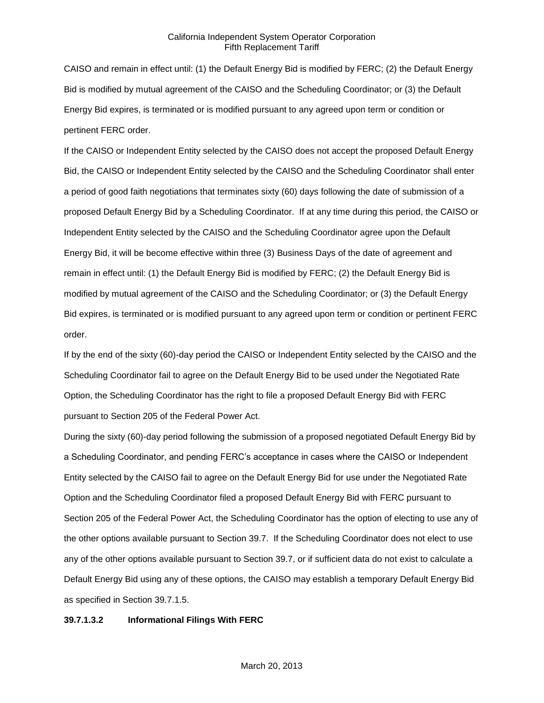CAISO and remain in effect until: (1) the Default Energy Bid is modified by FERC; (2) the Default Energy Bid is modified by mutual agreement of the CAISO and the Scheduling Coordinator; or (3) the Default Energy Bid expires, is terminated or is modified pursuant to any agreed upon term or condition or pertinent FERC order.

If the CAISO or Independent Entity selected by the CAISO does not accept the proposed Default Energy Bid, the CAISO or Independent Entity selected by the CAISO and the Scheduling Coordinator shall enter a period of good faith negotiations that terminates sixty (60) days following the date of submission of a proposed Default Energy Bid by a Scheduling Coordinator. If at any time during this period, the CAISO or Independent Entity selected by the CAISO and the Scheduling Coordinator agree upon the Default Energy Bid, it will be become effective within three (3) Business Days of the date of agreement and remain in effect until: (1) the Default Energy Bid is modified by FERC; (2) the Default Energy Bid is modified by mutual agreement of the CAISO and the Scheduling Coordinator; or (3) the Default Energy Bid expires, is terminated or is modified pursuant to any agreed upon term or condition or pertinent FERC order.

If by the end of the sixty (60)-day period the CAISO or Independent Entity selected by the CAISO and the Scheduling Coordinator fail to agree on the Default Energy Bid to be used under the Negotiated Rate Option, the Scheduling Coordinator has the right to file a proposed Default Energy Bid with FERC pursuant to Section 205 of the Federal Power Act.

During the sixty (60)-day period following the submission of a proposed negotiated Default Energy Bid by a Scheduling Coordinator, and pending FERC's acceptance in cases where the CAISO or Independent Entity selected by the CAISO fail to agree on the Default Energy Bid for use under the Negotiated Rate Option and the Scheduling Coordinator filed a proposed Default Energy Bid with FERC pursuant to Section 205 of the Federal Power Act, the Scheduling Coordinator has the option of electing to use any of the other options available pursuant to Section 39.7. If the Scheduling Coordinator does not elect to use any of the other options available pursuant to Section 39.7, or if sufficient data do not exist to calculate a Default Energy Bid using any of these options, the CAISO may establish a temporary Default Energy Bid as specified in Section 39.7.1.5.

#### **39.7.1.3.2 Informational Filings With FERC**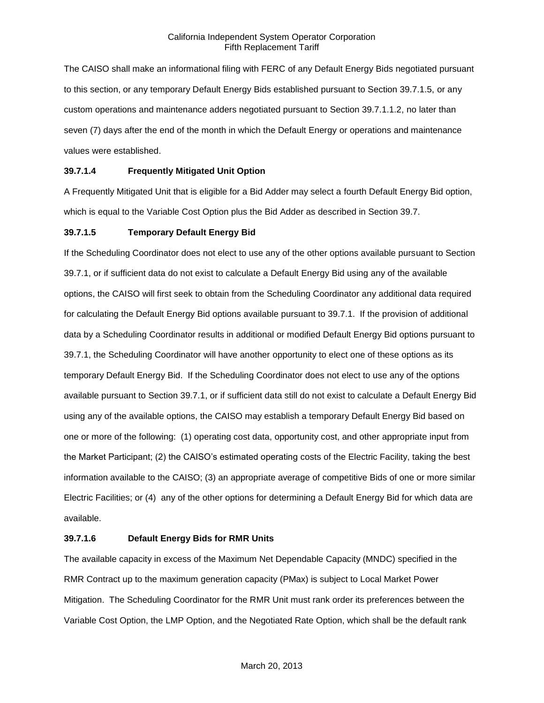The CAISO shall make an informational filing with FERC of any Default Energy Bids negotiated pursuant to this section, or any temporary Default Energy Bids established pursuant to Section 39.7.1.5, or any custom operations and maintenance adders negotiated pursuant to Section 39.7.1.1.2, no later than seven (7) days after the end of the month in which the Default Energy or operations and maintenance values were established.

## **39.7.1.4 Frequently Mitigated Unit Option**

A Frequently Mitigated Unit that is eligible for a Bid Adder may select a fourth Default Energy Bid option, which is equal to the Variable Cost Option plus the Bid Adder as described in Section 39.7.

## **39.7.1.5 Temporary Default Energy Bid**

If the Scheduling Coordinator does not elect to use any of the other options available pursuant to Section 39.7.1, or if sufficient data do not exist to calculate a Default Energy Bid using any of the available options, the CAISO will first seek to obtain from the Scheduling Coordinator any additional data required for calculating the Default Energy Bid options available pursuant to 39.7.1. If the provision of additional data by a Scheduling Coordinator results in additional or modified Default Energy Bid options pursuant to 39.7.1, the Scheduling Coordinator will have another opportunity to elect one of these options as its temporary Default Energy Bid. If the Scheduling Coordinator does not elect to use any of the options available pursuant to Section 39.7.1, or if sufficient data still do not exist to calculate a Default Energy Bid using any of the available options, the CAISO may establish a temporary Default Energy Bid based on one or more of the following: (1) operating cost data, opportunity cost, and other appropriate input from the Market Participant; (2) the CAISO's estimated operating costs of the Electric Facility, taking the best information available to the CAISO; (3) an appropriate average of competitive Bids of one or more similar Electric Facilities; or (4) any of the other options for determining a Default Energy Bid for which data are available.

### **39.7.1.6 Default Energy Bids for RMR Units**

The available capacity in excess of the Maximum Net Dependable Capacity (MNDC) specified in the RMR Contract up to the maximum generation capacity (PMax) is subject to Local Market Power Mitigation. The Scheduling Coordinator for the RMR Unit must rank order its preferences between the Variable Cost Option, the LMP Option, and the Negotiated Rate Option, which shall be the default rank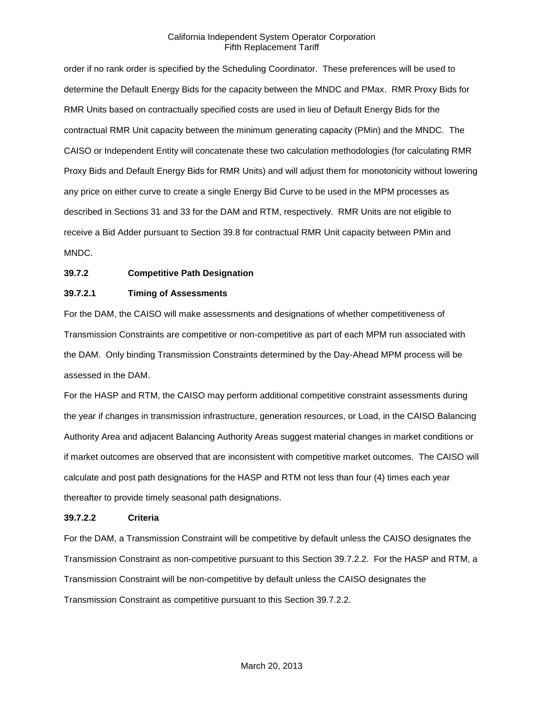order if no rank order is specified by the Scheduling Coordinator. These preferences will be used to determine the Default Energy Bids for the capacity between the MNDC and PMax. RMR Proxy Bids for RMR Units based on contractually specified costs are used in lieu of Default Energy Bids for the contractual RMR Unit capacity between the minimum generating capacity (PMin) and the MNDC. The CAISO or Independent Entity will concatenate these two calculation methodologies (for calculating RMR Proxy Bids and Default Energy Bids for RMR Units) and will adjust them for monotonicity without lowering any price on either curve to create a single Energy Bid Curve to be used in the MPM processes as described in Sections 31 and 33 for the DAM and RTM, respectively. RMR Units are not eligible to receive a Bid Adder pursuant to Section 39.8 for contractual RMR Unit capacity between PMin and MNDC.

## **39.7.2 Competitive Path Designation**

#### **39.7.2.1 Timing of Assessments**

For the DAM, the CAISO will make assessments and designations of whether competitiveness of Transmission Constraints are competitive or non-competitive as part of each MPM run associated with the DAM. Only binding Transmission Constraints determined by the Day-Ahead MPM process will be assessed in the DAM.

For the HASP and RTM, the CAISO may perform additional competitive constraint assessments during the year if changes in transmission infrastructure, generation resources, or Load, in the CAISO Balancing Authority Area and adjacent Balancing Authority Areas suggest material changes in market conditions or if market outcomes are observed that are inconsistent with competitive market outcomes. The CAISO will calculate and post path designations for the HASP and RTM not less than four (4) times each year thereafter to provide timely seasonal path designations.

### **39.7.2.2 Criteria**

For the DAM, a Transmission Constraint will be competitive by default unless the CAISO designates the Transmission Constraint as non-competitive pursuant to this Section 39.7.2.2. For the HASP and RTM, a Transmission Constraint will be non-competitive by default unless the CAISO designates the Transmission Constraint as competitive pursuant to this Section 39.7.2.2.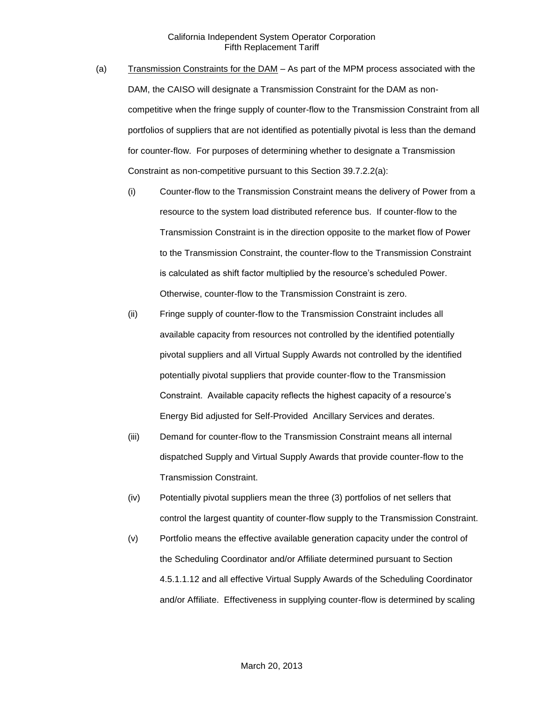- (a) Transmission Constraints for the DAM As part of the MPM process associated with the DAM, the CAISO will designate a Transmission Constraint for the DAM as noncompetitive when the fringe supply of counter-flow to the Transmission Constraint from all portfolios of suppliers that are not identified as potentially pivotal is less than the demand for counter-flow. For purposes of determining whether to designate a Transmission Constraint as non-competitive pursuant to this Section 39.7.2.2(a):
	- (i) Counter-flow to the Transmission Constraint means the delivery of Power from a resource to the system load distributed reference bus. If counter-flow to the Transmission Constraint is in the direction opposite to the market flow of Power to the Transmission Constraint, the counter-flow to the Transmission Constraint is calculated as shift factor multiplied by the resource's scheduled Power. Otherwise, counter-flow to the Transmission Constraint is zero.
	- (ii) Fringe supply of counter-flow to the Transmission Constraint includes all available capacity from resources not controlled by the identified potentially pivotal suppliers and all Virtual Supply Awards not controlled by the identified potentially pivotal suppliers that provide counter-flow to the Transmission Constraint. Available capacity reflects the highest capacity of a resource's Energy Bid adjusted for Self-Provided Ancillary Services and derates.
	- (iii) Demand for counter-flow to the Transmission Constraint means all internal dispatched Supply and Virtual Supply Awards that provide counter-flow to the Transmission Constraint.
	- (iv) Potentially pivotal suppliers mean the three (3) portfolios of net sellers that control the largest quantity of counter-flow supply to the Transmission Constraint.
	- (v) Portfolio means the effective available generation capacity under the control of the Scheduling Coordinator and/or Affiliate determined pursuant to Section 4.5.1.1.12 and all effective Virtual Supply Awards of the Scheduling Coordinator and/or Affiliate. Effectiveness in supplying counter-flow is determined by scaling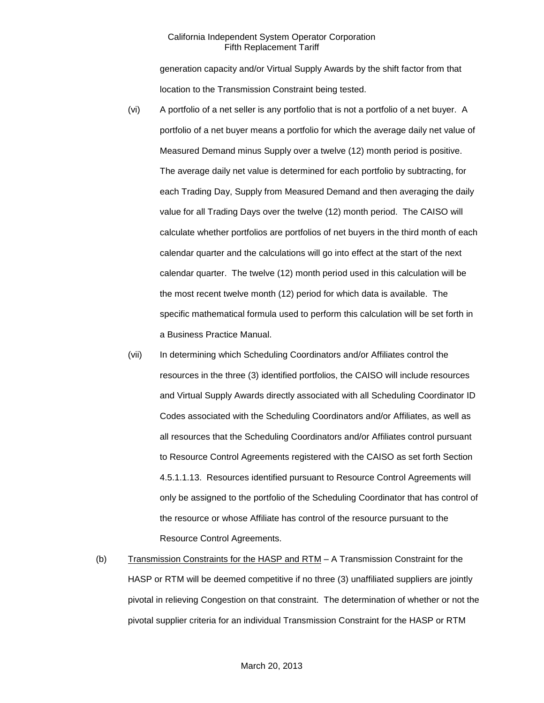generation capacity and/or Virtual Supply Awards by the shift factor from that location to the Transmission Constraint being tested.

- (vi) A portfolio of a net seller is any portfolio that is not a portfolio of a net buyer. A portfolio of a net buyer means a portfolio for which the average daily net value of Measured Demand minus Supply over a twelve (12) month period is positive. The average daily net value is determined for each portfolio by subtracting, for each Trading Day, Supply from Measured Demand and then averaging the daily value for all Trading Days over the twelve (12) month period. The CAISO will calculate whether portfolios are portfolios of net buyers in the third month of each calendar quarter and the calculations will go into effect at the start of the next calendar quarter. The twelve (12) month period used in this calculation will be the most recent twelve month (12) period for which data is available. The specific mathematical formula used to perform this calculation will be set forth in a Business Practice Manual.
- (vii) In determining which Scheduling Coordinators and/or Affiliates control the resources in the three (3) identified portfolios, the CAISO will include resources and Virtual Supply Awards directly associated with all Scheduling Coordinator ID Codes associated with the Scheduling Coordinators and/or Affiliates, as well as all resources that the Scheduling Coordinators and/or Affiliates control pursuant to Resource Control Agreements registered with the CAISO as set forth Section 4.5.1.1.13. Resources identified pursuant to Resource Control Agreements will only be assigned to the portfolio of the Scheduling Coordinator that has control of the resource or whose Affiliate has control of the resource pursuant to the Resource Control Agreements.
- (b) Transmission Constraints for the HASP and RTM A Transmission Constraint for the HASP or RTM will be deemed competitive if no three (3) unaffiliated suppliers are jointly pivotal in relieving Congestion on that constraint. The determination of whether or not the pivotal supplier criteria for an individual Transmission Constraint for the HASP or RTM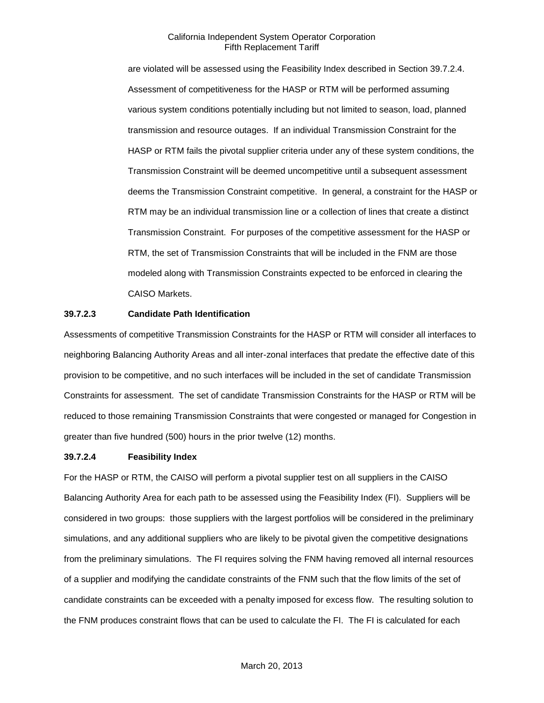are violated will be assessed using the Feasibility Index described in Section 39.7.2.4. Assessment of competitiveness for the HASP or RTM will be performed assuming various system conditions potentially including but not limited to season, load, planned transmission and resource outages. If an individual Transmission Constraint for the HASP or RTM fails the pivotal supplier criteria under any of these system conditions, the Transmission Constraint will be deemed uncompetitive until a subsequent assessment deems the Transmission Constraint competitive. In general, a constraint for the HASP or RTM may be an individual transmission line or a collection of lines that create a distinct Transmission Constraint. For purposes of the competitive assessment for the HASP or RTM, the set of Transmission Constraints that will be included in the FNM are those modeled along with Transmission Constraints expected to be enforced in clearing the CAISO Markets.

### **39.7.2.3 Candidate Path Identification**

Assessments of competitive Transmission Constraints for the HASP or RTM will consider all interfaces to neighboring Balancing Authority Areas and all inter-zonal interfaces that predate the effective date of this provision to be competitive, and no such interfaces will be included in the set of candidate Transmission Constraints for assessment. The set of candidate Transmission Constraints for the HASP or RTM will be reduced to those remaining Transmission Constraints that were congested or managed for Congestion in greater than five hundred (500) hours in the prior twelve (12) months.

#### **39.7.2.4 Feasibility Index**

For the HASP or RTM, the CAISO will perform a pivotal supplier test on all suppliers in the CAISO Balancing Authority Area for each path to be assessed using the Feasibility Index (FI). Suppliers will be considered in two groups: those suppliers with the largest portfolios will be considered in the preliminary simulations, and any additional suppliers who are likely to be pivotal given the competitive designations from the preliminary simulations. The FI requires solving the FNM having removed all internal resources of a supplier and modifying the candidate constraints of the FNM such that the flow limits of the set of candidate constraints can be exceeded with a penalty imposed for excess flow. The resulting solution to the FNM produces constraint flows that can be used to calculate the FI. The FI is calculated for each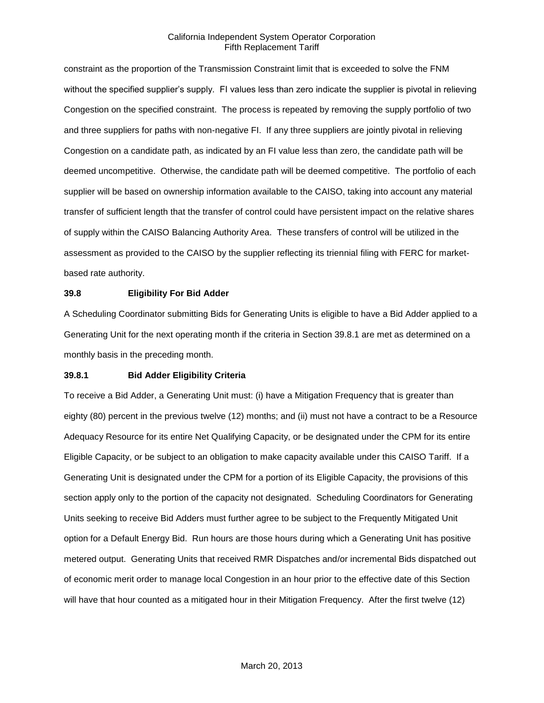constraint as the proportion of the Transmission Constraint limit that is exceeded to solve the FNM without the specified supplier's supply. FI values less than zero indicate the supplier is pivotal in relieving Congestion on the specified constraint. The process is repeated by removing the supply portfolio of two and three suppliers for paths with non-negative FI. If any three suppliers are jointly pivotal in relieving Congestion on a candidate path, as indicated by an FI value less than zero, the candidate path will be deemed uncompetitive. Otherwise, the candidate path will be deemed competitive. The portfolio of each supplier will be based on ownership information available to the CAISO, taking into account any material transfer of sufficient length that the transfer of control could have persistent impact on the relative shares of supply within the CAISO Balancing Authority Area. These transfers of control will be utilized in the assessment as provided to the CAISO by the supplier reflecting its triennial filing with FERC for marketbased rate authority.

#### **39.8 Eligibility For Bid Adder**

A Scheduling Coordinator submitting Bids for Generating Units is eligible to have a Bid Adder applied to a Generating Unit for the next operating month if the criteria in Section 39.8.1 are met as determined on a monthly basis in the preceding month.

#### **39.8.1 Bid Adder Eligibility Criteria**

To receive a Bid Adder, a Generating Unit must: (i) have a Mitigation Frequency that is greater than eighty (80) percent in the previous twelve (12) months; and (ii) must not have a contract to be a Resource Adequacy Resource for its entire Net Qualifying Capacity, or be designated under the CPM for its entire Eligible Capacity, or be subject to an obligation to make capacity available under this CAISO Tariff. If a Generating Unit is designated under the CPM for a portion of its Eligible Capacity, the provisions of this section apply only to the portion of the capacity not designated. Scheduling Coordinators for Generating Units seeking to receive Bid Adders must further agree to be subject to the Frequently Mitigated Unit option for a Default Energy Bid. Run hours are those hours during which a Generating Unit has positive metered output. Generating Units that received RMR Dispatches and/or incremental Bids dispatched out of economic merit order to manage local Congestion in an hour prior to the effective date of this Section will have that hour counted as a mitigated hour in their Mitigation Frequency. After the first twelve (12)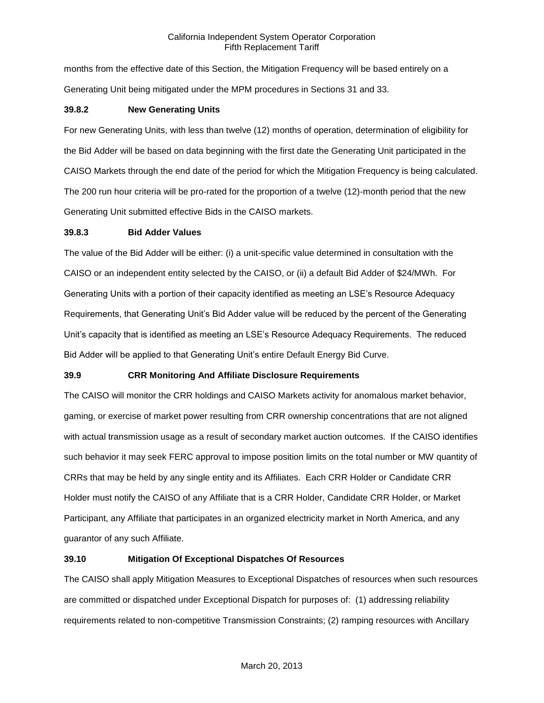months from the effective date of this Section, the Mitigation Frequency will be based entirely on a Generating Unit being mitigated under the MPM procedures in Sections 31 and 33.

### **39.8.2 New Generating Units**

For new Generating Units, with less than twelve (12) months of operation, determination of eligibility for the Bid Adder will be based on data beginning with the first date the Generating Unit participated in the CAISO Markets through the end date of the period for which the Mitigation Frequency is being calculated. The 200 run hour criteria will be pro-rated for the proportion of a twelve (12)-month period that the new Generating Unit submitted effective Bids in the CAISO markets.

# **39.8.3 Bid Adder Values**

The value of the Bid Adder will be either: (i) a unit-specific value determined in consultation with the CAISO or an independent entity selected by the CAISO, or (ii) a default Bid Adder of \$24/MWh. For Generating Units with a portion of their capacity identified as meeting an LSE's Resource Adequacy Requirements, that Generating Unit's Bid Adder value will be reduced by the percent of the Generating Unit's capacity that is identified as meeting an LSE's Resource Adequacy Requirements. The reduced Bid Adder will be applied to that Generating Unit's entire Default Energy Bid Curve.

# **39.9 CRR Monitoring And Affiliate Disclosure Requirements**

The CAISO will monitor the CRR holdings and CAISO Markets activity for anomalous market behavior, gaming, or exercise of market power resulting from CRR ownership concentrations that are not aligned with actual transmission usage as a result of secondary market auction outcomes. If the CAISO identifies such behavior it may seek FERC approval to impose position limits on the total number or MW quantity of CRRs that may be held by any single entity and its Affiliates. Each CRR Holder or Candidate CRR Holder must notify the CAISO of any Affiliate that is a CRR Holder, Candidate CRR Holder, or Market Participant, any Affiliate that participates in an organized electricity market in North America, and any guarantor of any such Affiliate.

# **39.10 Mitigation Of Exceptional Dispatches Of Resources**

The CAISO shall apply Mitigation Measures to Exceptional Dispatches of resources when such resources are committed or dispatched under Exceptional Dispatch for purposes of: (1) addressing reliability requirements related to non-competitive Transmission Constraints; (2) ramping resources with Ancillary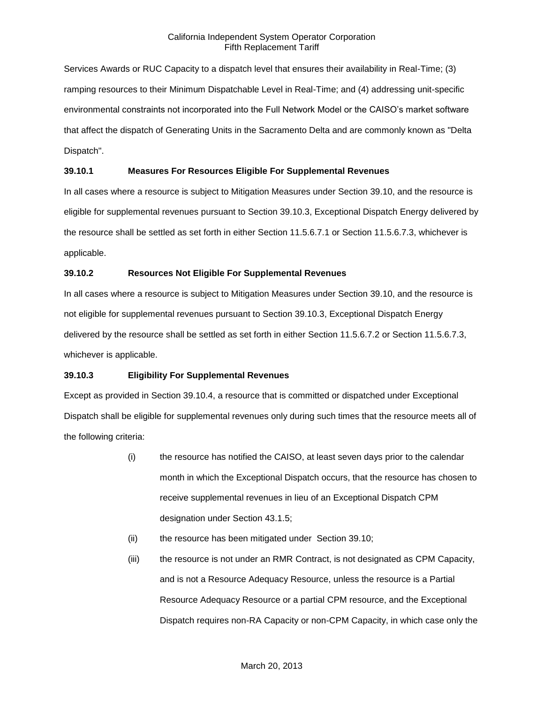Services Awards or RUC Capacity to a dispatch level that ensures their availability in Real-Time; (3) ramping resources to their Minimum Dispatchable Level in Real-Time; and (4) addressing unit-specific environmental constraints not incorporated into the Full Network Model or the CAISO's market software that affect the dispatch of Generating Units in the Sacramento Delta and are commonly known as "Delta Dispatch".

# **39.10.1 Measures For Resources Eligible For Supplemental Revenues**

In all cases where a resource is subject to Mitigation Measures under Section 39.10, and the resource is eligible for supplemental revenues pursuant to Section 39.10.3, Exceptional Dispatch Energy delivered by the resource shall be settled as set forth in either Section 11.5.6.7.1 or Section 11.5.6.7.3, whichever is applicable.

### **39.10.2 Resources Not Eligible For Supplemental Revenues**

In all cases where a resource is subject to Mitigation Measures under Section 39.10, and the resource is not eligible for supplemental revenues pursuant to Section 39.10.3, Exceptional Dispatch Energy delivered by the resource shall be settled as set forth in either Section 11.5.6.7.2 or Section 11.5.6.7.3, whichever is applicable.

### **39.10.3 Eligibility For Supplemental Revenues**

Except as provided in Section 39.10.4, a resource that is committed or dispatched under Exceptional Dispatch shall be eligible for supplemental revenues only during such times that the resource meets all of the following criteria:

- (i) the resource has notified the CAISO, at least seven days prior to the calendar month in which the Exceptional Dispatch occurs, that the resource has chosen to receive supplemental revenues in lieu of an Exceptional Dispatch CPM designation under Section 43.1.5;
- (ii) the resource has been mitigated under Section 39.10;
- (iii) the resource is not under an RMR Contract, is not designated as CPM Capacity, and is not a Resource Adequacy Resource, unless the resource is a Partial Resource Adequacy Resource or a partial CPM resource, and the Exceptional Dispatch requires non-RA Capacity or non-CPM Capacity, in which case only the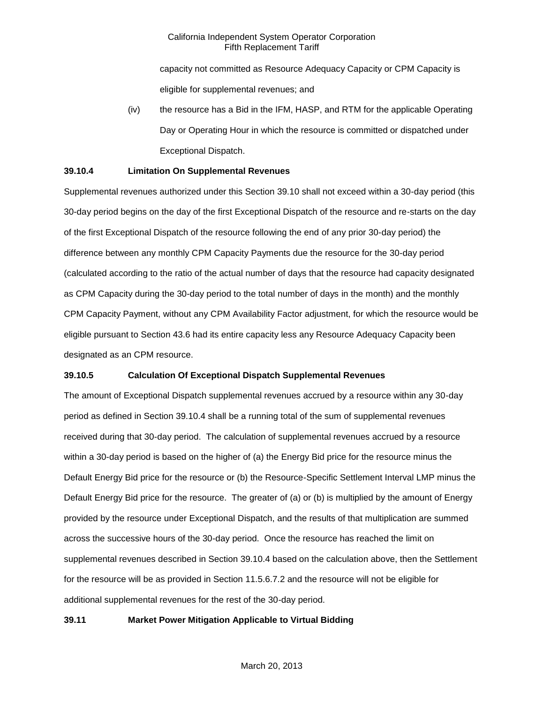capacity not committed as Resource Adequacy Capacity or CPM Capacity is eligible for supplemental revenues; and

(iv) the resource has a Bid in the IFM, HASP, and RTM for the applicable Operating Day or Operating Hour in which the resource is committed or dispatched under Exceptional Dispatch.

# **39.10.4 Limitation On Supplemental Revenues**

Supplemental revenues authorized under this Section 39.10 shall not exceed within a 30-day period (this 30-day period begins on the day of the first Exceptional Dispatch of the resource and re-starts on the day of the first Exceptional Dispatch of the resource following the end of any prior 30-day period) the difference between any monthly CPM Capacity Payments due the resource for the 30-day period (calculated according to the ratio of the actual number of days that the resource had capacity designated as CPM Capacity during the 30-day period to the total number of days in the month) and the monthly CPM Capacity Payment, without any CPM Availability Factor adjustment, for which the resource would be eligible pursuant to Section 43.6 had its entire capacity less any Resource Adequacy Capacity been designated as an CPM resource.

# **39.10.5 Calculation Of Exceptional Dispatch Supplemental Revenues**

The amount of Exceptional Dispatch supplemental revenues accrued by a resource within any 30-day period as defined in Section 39.10.4 shall be a running total of the sum of supplemental revenues received during that 30-day period. The calculation of supplemental revenues accrued by a resource within a 30-day period is based on the higher of (a) the Energy Bid price for the resource minus the Default Energy Bid price for the resource or (b) the Resource-Specific Settlement Interval LMP minus the Default Energy Bid price for the resource. The greater of (a) or (b) is multiplied by the amount of Energy provided by the resource under Exceptional Dispatch, and the results of that multiplication are summed across the successive hours of the 30-day period. Once the resource has reached the limit on supplemental revenues described in Section 39.10.4 based on the calculation above, then the Settlement for the resource will be as provided in Section 11.5.6.7.2 and the resource will not be eligible for additional supplemental revenues for the rest of the 30-day period.

### **39.11 Market Power Mitigation Applicable to Virtual Bidding**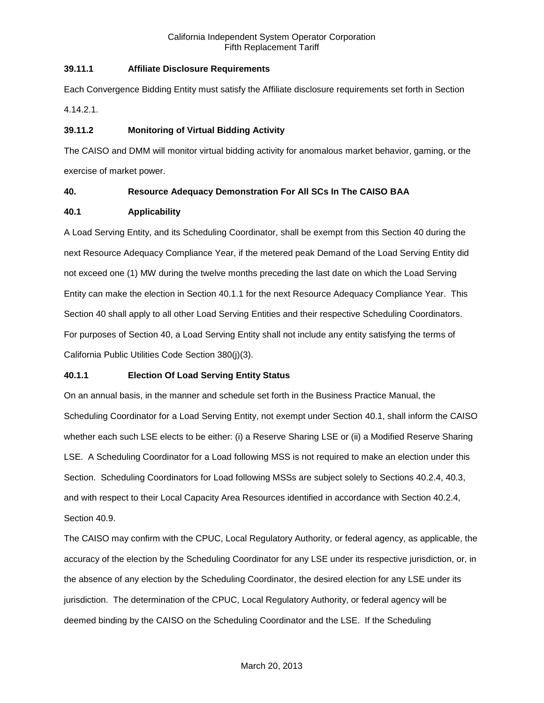# **39.11.1 Affiliate Disclosure Requirements**

Each Convergence Bidding Entity must satisfy the Affiliate disclosure requirements set forth in Section 4.14.2.1.

# **39.11.2 Monitoring of Virtual Bidding Activity**

The CAISO and DMM will monitor virtual bidding activity for anomalous market behavior, gaming, or the exercise of market power.

# **40. Resource Adequacy Demonstration For All SCs In The CAISO BAA**

# **40.1 Applicability**

A Load Serving Entity, and its Scheduling Coordinator, shall be exempt from this Section 40 during the next Resource Adequacy Compliance Year, if the metered peak Demand of the Load Serving Entity did not exceed one (1) MW during the twelve months preceding the last date on which the Load Serving Entity can make the election in Section 40.1.1 for the next Resource Adequacy Compliance Year. This Section 40 shall apply to all other Load Serving Entities and their respective Scheduling Coordinators. For purposes of Section 40, a Load Serving Entity shall not include any entity satisfying the terms of California Public Utilities Code Section 380(j)(3).

# **40.1.1 Election Of Load Serving Entity Status**

On an annual basis, in the manner and schedule set forth in the Business Practice Manual, the Scheduling Coordinator for a Load Serving Entity, not exempt under Section 40.1, shall inform the CAISO whether each such LSE elects to be either: (i) a Reserve Sharing LSE or (ii) a Modified Reserve Sharing LSE. A Scheduling Coordinator for a Load following MSS is not required to make an election under this Section. Scheduling Coordinators for Load following MSSs are subject solely to Sections 40.2.4, 40.3, and with respect to their Local Capacity Area Resources identified in accordance with Section 40.2.4, Section 40.9.

The CAISO may confirm with the CPUC, Local Regulatory Authority, or federal agency, as applicable, the accuracy of the election by the Scheduling Coordinator for any LSE under its respective jurisdiction, or, in the absence of any election by the Scheduling Coordinator, the desired election for any LSE under its jurisdiction. The determination of the CPUC, Local Regulatory Authority, or federal agency will be deemed binding by the CAISO on the Scheduling Coordinator and the LSE. If the Scheduling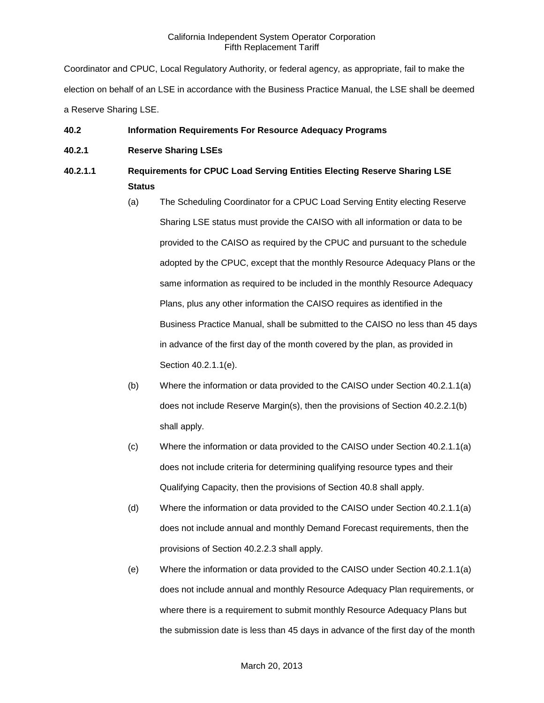Coordinator and CPUC, Local Regulatory Authority, or federal agency, as appropriate, fail to make the election on behalf of an LSE in accordance with the Business Practice Manual, the LSE shall be deemed a Reserve Sharing LSE.

# **40.2 Information Requirements For Resource Adequacy Programs**

**40.2.1 Reserve Sharing LSEs**

# **40.2.1.1 Requirements for CPUC Load Serving Entities Electing Reserve Sharing LSE Status**

- (a) The Scheduling Coordinator for a CPUC Load Serving Entity electing Reserve Sharing LSE status must provide the CAISO with all information or data to be provided to the CAISO as required by the CPUC and pursuant to the schedule adopted by the CPUC, except that the monthly Resource Adequacy Plans or the same information as required to be included in the monthly Resource Adequacy Plans, plus any other information the CAISO requires as identified in the Business Practice Manual, shall be submitted to the CAISO no less than 45 days in advance of the first day of the month covered by the plan, as provided in Section 40.2.1.1(e).
- (b) Where the information or data provided to the CAISO under Section 40.2.1.1(a) does not include Reserve Margin(s), then the provisions of Section 40.2.2.1(b) shall apply.
- (c) Where the information or data provided to the CAISO under Section 40.2.1.1(a) does not include criteria for determining qualifying resource types and their Qualifying Capacity, then the provisions of Section 40.8 shall apply.
- (d) Where the information or data provided to the CAISO under Section 40.2.1.1(a) does not include annual and monthly Demand Forecast requirements, then the provisions of Section 40.2.2.3 shall apply.
- (e) Where the information or data provided to the CAISO under Section 40.2.1.1(a) does not include annual and monthly Resource Adequacy Plan requirements, or where there is a requirement to submit monthly Resource Adequacy Plans but the submission date is less than 45 days in advance of the first day of the month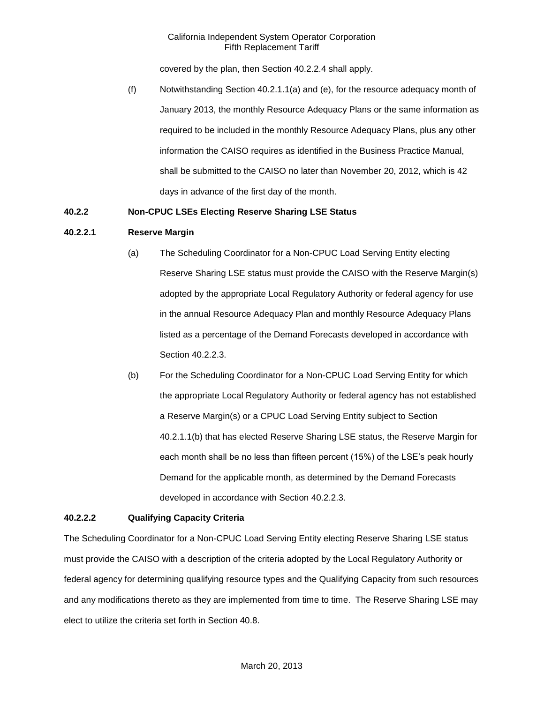covered by the plan, then Section 40.2.2.4 shall apply.

(f) Notwithstanding Section 40.2.1.1(a) and (e), for the resource adequacy month of January 2013, the monthly Resource Adequacy Plans or the same information as required to be included in the monthly Resource Adequacy Plans, plus any other information the CAISO requires as identified in the Business Practice Manual, shall be submitted to the CAISO no later than November 20, 2012, which is 42 days in advance of the first day of the month.

### **40.2.2 Non-CPUC LSEs Electing Reserve Sharing LSE Status**

#### **40.2.2.1 Reserve Margin**

- (a) The Scheduling Coordinator for a Non-CPUC Load Serving Entity electing Reserve Sharing LSE status must provide the CAISO with the Reserve Margin(s) adopted by the appropriate Local Regulatory Authority or federal agency for use in the annual Resource Adequacy Plan and monthly Resource Adequacy Plans listed as a percentage of the Demand Forecasts developed in accordance with Section 40.2.2.3.
- (b) For the Scheduling Coordinator for a Non-CPUC Load Serving Entity for which the appropriate Local Regulatory Authority or federal agency has not established a Reserve Margin(s) or a CPUC Load Serving Entity subject to Section 40.2.1.1(b) that has elected Reserve Sharing LSE status, the Reserve Margin for each month shall be no less than fifteen percent (15%) of the LSE's peak hourly Demand for the applicable month, as determined by the Demand Forecasts developed in accordance with Section 40.2.2.3.

### **40.2.2.2 Qualifying Capacity Criteria**

The Scheduling Coordinator for a Non-CPUC Load Serving Entity electing Reserve Sharing LSE status must provide the CAISO with a description of the criteria adopted by the Local Regulatory Authority or federal agency for determining qualifying resource types and the Qualifying Capacity from such resources and any modifications thereto as they are implemented from time to time. The Reserve Sharing LSE may elect to utilize the criteria set forth in Section 40.8.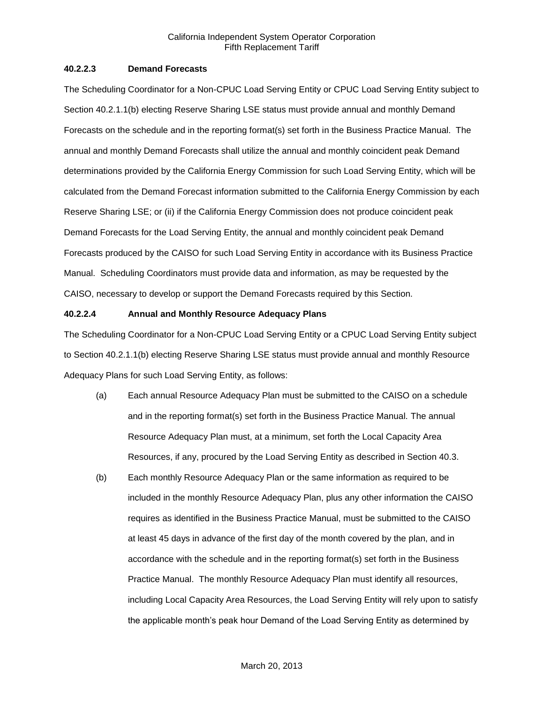### **40.2.2.3 Demand Forecasts**

The Scheduling Coordinator for a Non-CPUC Load Serving Entity or CPUC Load Serving Entity subject to Section 40.2.1.1(b) electing Reserve Sharing LSE status must provide annual and monthly Demand Forecasts on the schedule and in the reporting format(s) set forth in the Business Practice Manual. The annual and monthly Demand Forecasts shall utilize the annual and monthly coincident peak Demand determinations provided by the California Energy Commission for such Load Serving Entity, which will be calculated from the Demand Forecast information submitted to the California Energy Commission by each Reserve Sharing LSE; or (ii) if the California Energy Commission does not produce coincident peak Demand Forecasts for the Load Serving Entity, the annual and monthly coincident peak Demand Forecasts produced by the CAISO for such Load Serving Entity in accordance with its Business Practice Manual. Scheduling Coordinators must provide data and information, as may be requested by the CAISO, necessary to develop or support the Demand Forecasts required by this Section.

# **40.2.2.4 Annual and Monthly Resource Adequacy Plans**

The Scheduling Coordinator for a Non-CPUC Load Serving Entity or a CPUC Load Serving Entity subject to Section 40.2.1.1(b) electing Reserve Sharing LSE status must provide annual and monthly Resource Adequacy Plans for such Load Serving Entity, as follows:

- (a) Each annual Resource Adequacy Plan must be submitted to the CAISO on a schedule and in the reporting format(s) set forth in the Business Practice Manual. The annual Resource Adequacy Plan must, at a minimum, set forth the Local Capacity Area Resources, if any, procured by the Load Serving Entity as described in Section 40.3.
- (b) Each monthly Resource Adequacy Plan or the same information as required to be included in the monthly Resource Adequacy Plan, plus any other information the CAISO requires as identified in the Business Practice Manual, must be submitted to the CAISO at least 45 days in advance of the first day of the month covered by the plan, and in accordance with the schedule and in the reporting format(s) set forth in the Business Practice Manual. The monthly Resource Adequacy Plan must identify all resources, including Local Capacity Area Resources, the Load Serving Entity will rely upon to satisfy the applicable month's peak hour Demand of the Load Serving Entity as determined by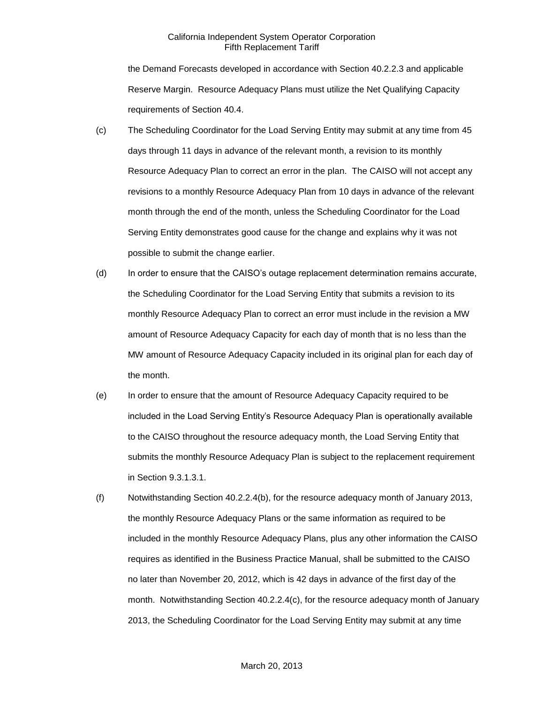the Demand Forecasts developed in accordance with Section 40.2.2.3 and applicable Reserve Margin. Resource Adequacy Plans must utilize the Net Qualifying Capacity requirements of Section 40.4.

- (c) The Scheduling Coordinator for the Load Serving Entity may submit at any time from 45 days through 11 days in advance of the relevant month, a revision to its monthly Resource Adequacy Plan to correct an error in the plan. The CAISO will not accept any revisions to a monthly Resource Adequacy Plan from 10 days in advance of the relevant month through the end of the month, unless the Scheduling Coordinator for the Load Serving Entity demonstrates good cause for the change and explains why it was not possible to submit the change earlier.
- (d) In order to ensure that the CAISO's outage replacement determination remains accurate, the Scheduling Coordinator for the Load Serving Entity that submits a revision to its monthly Resource Adequacy Plan to correct an error must include in the revision a MW amount of Resource Adequacy Capacity for each day of month that is no less than the MW amount of Resource Adequacy Capacity included in its original plan for each day of the month.
- (e) In order to ensure that the amount of Resource Adequacy Capacity required to be included in the Load Serving Entity's Resource Adequacy Plan is operationally available to the CAISO throughout the resource adequacy month, the Load Serving Entity that submits the monthly Resource Adequacy Plan is subject to the replacement requirement in Section 9.3.1.3.1.
- (f) Notwithstanding Section 40.2.2.4(b), for the resource adequacy month of January 2013, the monthly Resource Adequacy Plans or the same information as required to be included in the monthly Resource Adequacy Plans, plus any other information the CAISO requires as identified in the Business Practice Manual, shall be submitted to the CAISO no later than November 20, 2012, which is 42 days in advance of the first day of the month. Notwithstanding Section 40.2.2.4(c), for the resource adequacy month of January 2013, the Scheduling Coordinator for the Load Serving Entity may submit at any time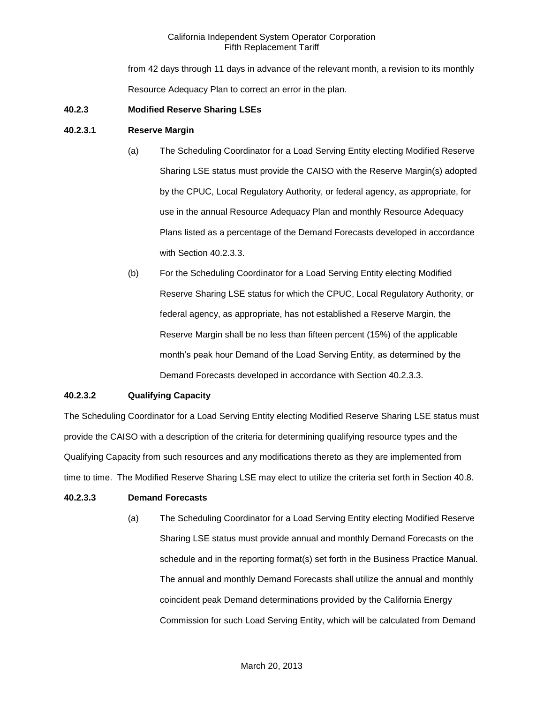from 42 days through 11 days in advance of the relevant month, a revision to its monthly Resource Adequacy Plan to correct an error in the plan.

### **40.2.3 Modified Reserve Sharing LSEs**

### **40.2.3.1 Reserve Margin**

- (a) The Scheduling Coordinator for a Load Serving Entity electing Modified Reserve Sharing LSE status must provide the CAISO with the Reserve Margin(s) adopted by the CPUC, Local Regulatory Authority, or federal agency, as appropriate, for use in the annual Resource Adequacy Plan and monthly Resource Adequacy Plans listed as a percentage of the Demand Forecasts developed in accordance with Section 40.2.3.3.
- (b) For the Scheduling Coordinator for a Load Serving Entity electing Modified Reserve Sharing LSE status for which the CPUC, Local Regulatory Authority, or federal agency, as appropriate, has not established a Reserve Margin, the Reserve Margin shall be no less than fifteen percent (15%) of the applicable month's peak hour Demand of the Load Serving Entity, as determined by the Demand Forecasts developed in accordance with Section 40.2.3.3.

# **40.2.3.2 Qualifying Capacity**

The Scheduling Coordinator for a Load Serving Entity electing Modified Reserve Sharing LSE status must provide the CAISO with a description of the criteria for determining qualifying resource types and the Qualifying Capacity from such resources and any modifications thereto as they are implemented from time to time. The Modified Reserve Sharing LSE may elect to utilize the criteria set forth in Section 40.8.

# **40.2.3.3 Demand Forecasts**

(a) The Scheduling Coordinator for a Load Serving Entity electing Modified Reserve Sharing LSE status must provide annual and monthly Demand Forecasts on the schedule and in the reporting format(s) set forth in the Business Practice Manual. The annual and monthly Demand Forecasts shall utilize the annual and monthly coincident peak Demand determinations provided by the California Energy Commission for such Load Serving Entity, which will be calculated from Demand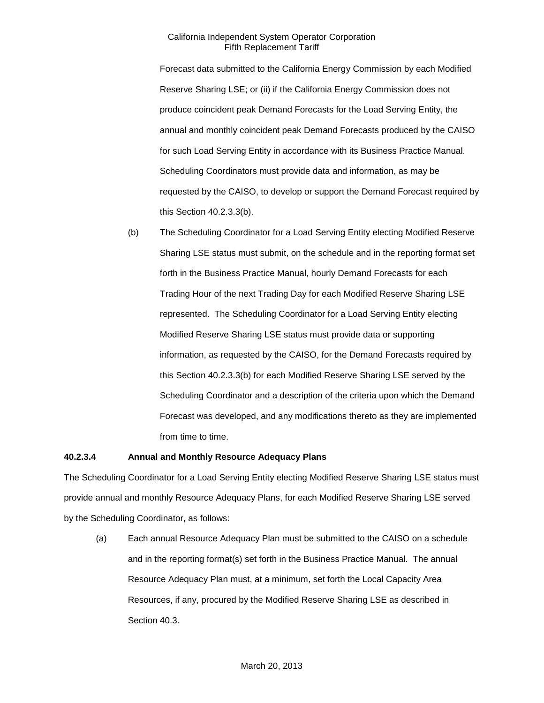Forecast data submitted to the California Energy Commission by each Modified Reserve Sharing LSE; or (ii) if the California Energy Commission does not produce coincident peak Demand Forecasts for the Load Serving Entity, the annual and monthly coincident peak Demand Forecasts produced by the CAISO for such Load Serving Entity in accordance with its Business Practice Manual. Scheduling Coordinators must provide data and information, as may be requested by the CAISO, to develop or support the Demand Forecast required by this Section 40.2.3.3(b).

(b) The Scheduling Coordinator for a Load Serving Entity electing Modified Reserve Sharing LSE status must submit, on the schedule and in the reporting format set forth in the Business Practice Manual, hourly Demand Forecasts for each Trading Hour of the next Trading Day for each Modified Reserve Sharing LSE represented. The Scheduling Coordinator for a Load Serving Entity electing Modified Reserve Sharing LSE status must provide data or supporting information, as requested by the CAISO, for the Demand Forecasts required by this Section 40.2.3.3(b) for each Modified Reserve Sharing LSE served by the Scheduling Coordinator and a description of the criteria upon which the Demand Forecast was developed, and any modifications thereto as they are implemented from time to time.

### **40.2.3.4 Annual and Monthly Resource Adequacy Plans**

The Scheduling Coordinator for a Load Serving Entity electing Modified Reserve Sharing LSE status must provide annual and monthly Resource Adequacy Plans, for each Modified Reserve Sharing LSE served by the Scheduling Coordinator, as follows:

(a) Each annual Resource Adequacy Plan must be submitted to the CAISO on a schedule and in the reporting format(s) set forth in the Business Practice Manual. The annual Resource Adequacy Plan must, at a minimum, set forth the Local Capacity Area Resources, if any, procured by the Modified Reserve Sharing LSE as described in Section 40.3.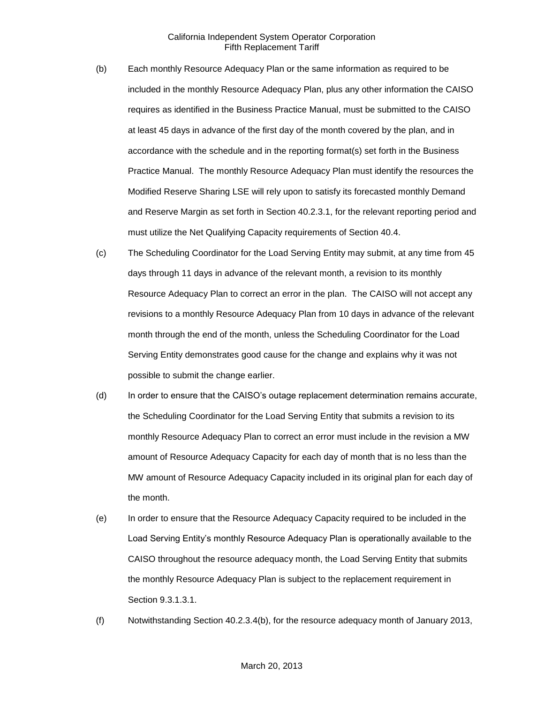- (b) Each monthly Resource Adequacy Plan or the same information as required to be included in the monthly Resource Adequacy Plan, plus any other information the CAISO requires as identified in the Business Practice Manual, must be submitted to the CAISO at least 45 days in advance of the first day of the month covered by the plan, and in accordance with the schedule and in the reporting format(s) set forth in the Business Practice Manual. The monthly Resource Adequacy Plan must identify the resources the Modified Reserve Sharing LSE will rely upon to satisfy its forecasted monthly Demand and Reserve Margin as set forth in Section 40.2.3.1, for the relevant reporting period and must utilize the Net Qualifying Capacity requirements of Section 40.4.
- (c) The Scheduling Coordinator for the Load Serving Entity may submit, at any time from 45 days through 11 days in advance of the relevant month, a revision to its monthly Resource Adequacy Plan to correct an error in the plan. The CAISO will not accept any revisions to a monthly Resource Adequacy Plan from 10 days in advance of the relevant month through the end of the month, unless the Scheduling Coordinator for the Load Serving Entity demonstrates good cause for the change and explains why it was not possible to submit the change earlier.
- (d) In order to ensure that the CAISO's outage replacement determination remains accurate, the Scheduling Coordinator for the Load Serving Entity that submits a revision to its monthly Resource Adequacy Plan to correct an error must include in the revision a MW amount of Resource Adequacy Capacity for each day of month that is no less than the MW amount of Resource Adequacy Capacity included in its original plan for each day of the month.
- (e) In order to ensure that the Resource Adequacy Capacity required to be included in the Load Serving Entity's monthly Resource Adequacy Plan is operationally available to the CAISO throughout the resource adequacy month, the Load Serving Entity that submits the monthly Resource Adequacy Plan is subject to the replacement requirement in Section 9.3.1.3.1.
- (f) Notwithstanding Section 40.2.3.4(b), for the resource adequacy month of January 2013,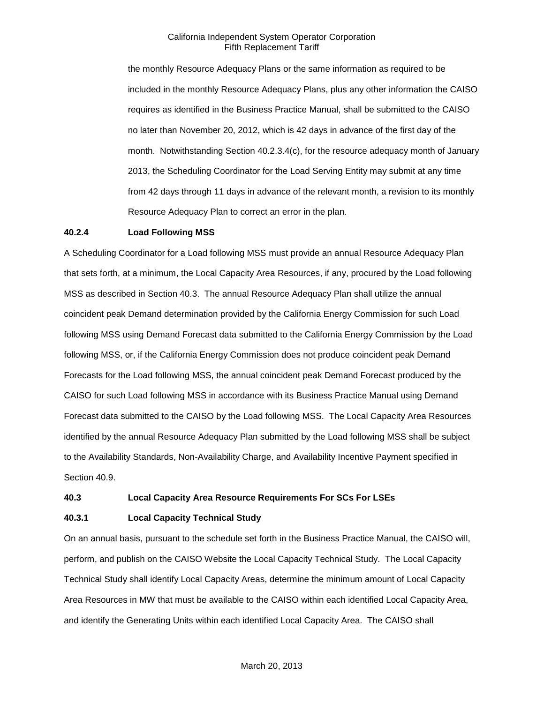the monthly Resource Adequacy Plans or the same information as required to be included in the monthly Resource Adequacy Plans, plus any other information the CAISO requires as identified in the Business Practice Manual, shall be submitted to the CAISO no later than November 20, 2012, which is 42 days in advance of the first day of the month. Notwithstanding Section 40.2.3.4(c), for the resource adequacy month of January 2013, the Scheduling Coordinator for the Load Serving Entity may submit at any time from 42 days through 11 days in advance of the relevant month, a revision to its monthly Resource Adequacy Plan to correct an error in the plan.

#### **40.2.4 Load Following MSS**

A Scheduling Coordinator for a Load following MSS must provide an annual Resource Adequacy Plan that sets forth, at a minimum, the Local Capacity Area Resources, if any, procured by the Load following MSS as described in Section 40.3. The annual Resource Adequacy Plan shall utilize the annual coincident peak Demand determination provided by the California Energy Commission for such Load following MSS using Demand Forecast data submitted to the California Energy Commission by the Load following MSS, or, if the California Energy Commission does not produce coincident peak Demand Forecasts for the Load following MSS, the annual coincident peak Demand Forecast produced by the CAISO for such Load following MSS in accordance with its Business Practice Manual using Demand Forecast data submitted to the CAISO by the Load following MSS. The Local Capacity Area Resources identified by the annual Resource Adequacy Plan submitted by the Load following MSS shall be subject to the Availability Standards, Non-Availability Charge, and Availability Incentive Payment specified in Section 40.9.

#### **40.3 Local Capacity Area Resource Requirements For SCs For LSEs**

### **40.3.1 Local Capacity Technical Study**

On an annual basis, pursuant to the schedule set forth in the Business Practice Manual, the CAISO will, perform, and publish on the CAISO Website the Local Capacity Technical Study. The Local Capacity Technical Study shall identify Local Capacity Areas, determine the minimum amount of Local Capacity Area Resources in MW that must be available to the CAISO within each identified Local Capacity Area, and identify the Generating Units within each identified Local Capacity Area. The CAISO shall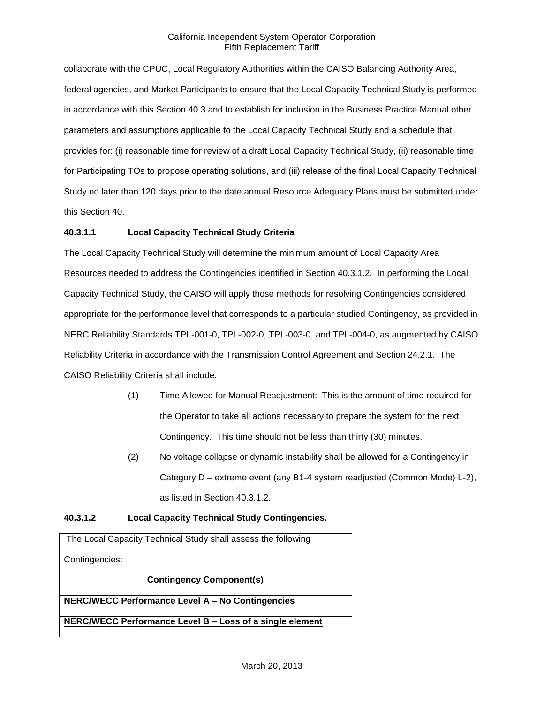collaborate with the CPUC, Local Regulatory Authorities within the CAISO Balancing Authority Area, federal agencies, and Market Participants to ensure that the Local Capacity Technical Study is performed in accordance with this Section 40.3 and to establish for inclusion in the Business Practice Manual other parameters and assumptions applicable to the Local Capacity Technical Study and a schedule that provides for: (i) reasonable time for review of a draft Local Capacity Technical Study, (ii) reasonable time for Participating TOs to propose operating solutions, and (iii) release of the final Local Capacity Technical Study no later than 120 days prior to the date annual Resource Adequacy Plans must be submitted under this Section 40.

# **40.3.1.1 Local Capacity Technical Study Criteria**

The Local Capacity Technical Study will determine the minimum amount of Local Capacity Area Resources needed to address the Contingencies identified in Section 40.3.1.2. In performing the Local Capacity Technical Study, the CAISO will apply those methods for resolving Contingencies considered appropriate for the performance level that corresponds to a particular studied Contingency, as provided in NERC Reliability Standards TPL-001-0, TPL-002-0, TPL-003-0, and TPL-004-0, as augmented by CAISO Reliability Criteria in accordance with the Transmission Control Agreement and Section 24.2.1. The CAISO Reliability Criteria shall include:

- (1) Time Allowed for Manual Readjustment: This is the amount of time required for the Operator to take all actions necessary to prepare the system for the next Contingency. This time should not be less than thirty (30) minutes.
- (2) No voltage collapse or dynamic instability shall be allowed for a Contingency in Category D – extreme event (any B1-4 system readjusted (Common Mode) L-2), as listed in Section 40.3.1.2.

# **40.3.1.2 Local Capacity Technical Study Contingencies.**

The Local Capacity Technical Study shall assess the following Contingencies: **Contingency Component(s) NERC/WECC Performance Level A – No Contingencies**

**NERC/WECC Performance Level B – Loss of a single element**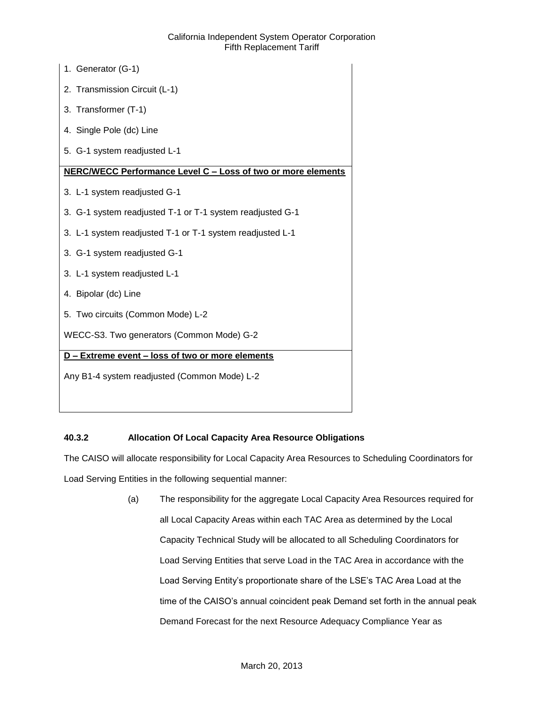| 1. Generator (G-1)                                           |
|--------------------------------------------------------------|
| 2. Transmission Circuit (L-1)                                |
| 3. Transformer (T-1)                                         |
| 4. Single Pole (dc) Line                                     |
| 5. G-1 system readjusted L-1                                 |
| NERC/WECC Performance Level C - Loss of two or more elements |
| 3. L-1 system readjusted G-1                                 |
| 3. G-1 system readjusted T-1 or T-1 system readjusted G-1    |
| 3. L-1 system readjusted T-1 or T-1 system readjusted L-1    |
| 3. G-1 system readjusted G-1                                 |
| 3. L-1 system readjusted L-1                                 |
| 4. Bipolar (dc) Line                                         |
| 5. Two circuits (Common Mode) L-2                            |
| WECC-S3. Two generators (Common Mode) G-2                    |
| D - Extreme event - loss of two or more elements             |
| Any B1-4 system readjusted (Common Mode) L-2                 |
|                                                              |

# **40.3.2 Allocation Of Local Capacity Area Resource Obligations**

The CAISO will allocate responsibility for Local Capacity Area Resources to Scheduling Coordinators for Load Serving Entities in the following sequential manner:

> (a) The responsibility for the aggregate Local Capacity Area Resources required for all Local Capacity Areas within each TAC Area as determined by the Local Capacity Technical Study will be allocated to all Scheduling Coordinators for Load Serving Entities that serve Load in the TAC Area in accordance with the Load Serving Entity's proportionate share of the LSE's TAC Area Load at the time of the CAISO's annual coincident peak Demand set forth in the annual peak Demand Forecast for the next Resource Adequacy Compliance Year as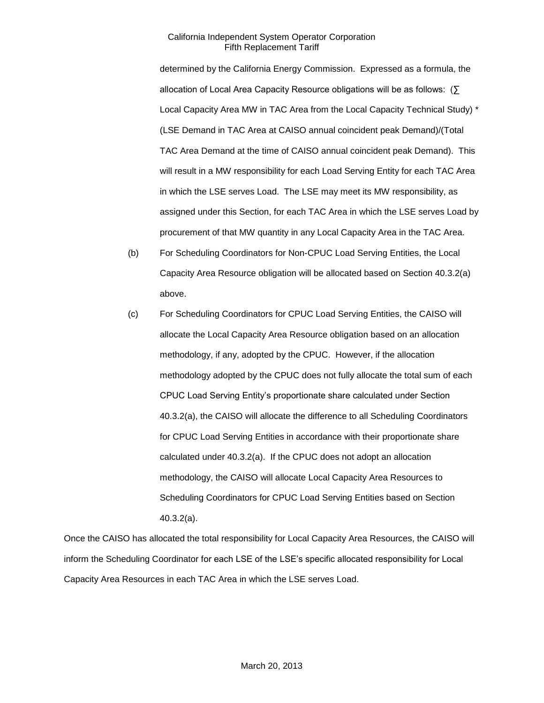determined by the California Energy Commission. Expressed as a formula, the allocation of Local Area Capacity Resource obligations will be as follows: (∑ Local Capacity Area MW in TAC Area from the Local Capacity Technical Study) \* (LSE Demand in TAC Area at CAISO annual coincident peak Demand)/(Total TAC Area Demand at the time of CAISO annual coincident peak Demand). This will result in a MW responsibility for each Load Serving Entity for each TAC Area in which the LSE serves Load. The LSE may meet its MW responsibility, as assigned under this Section, for each TAC Area in which the LSE serves Load by procurement of that MW quantity in any Local Capacity Area in the TAC Area.

- (b) For Scheduling Coordinators for Non-CPUC Load Serving Entities, the Local Capacity Area Resource obligation will be allocated based on Section 40.3.2(a) above.
- (c) For Scheduling Coordinators for CPUC Load Serving Entities, the CAISO will allocate the Local Capacity Area Resource obligation based on an allocation methodology, if any, adopted by the CPUC. However, if the allocation methodology adopted by the CPUC does not fully allocate the total sum of each CPUC Load Serving Entity's proportionate share calculated under Section 40.3.2(a), the CAISO will allocate the difference to all Scheduling Coordinators for CPUC Load Serving Entities in accordance with their proportionate share calculated under 40.3.2(a). If the CPUC does not adopt an allocation methodology, the CAISO will allocate Local Capacity Area Resources to Scheduling Coordinators for CPUC Load Serving Entities based on Section 40.3.2(a).

Once the CAISO has allocated the total responsibility for Local Capacity Area Resources, the CAISO will inform the Scheduling Coordinator for each LSE of the LSE's specific allocated responsibility for Local Capacity Area Resources in each TAC Area in which the LSE serves Load.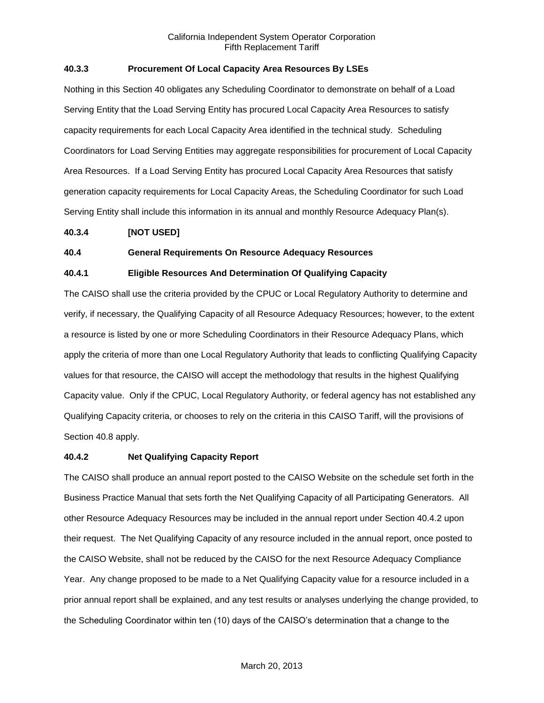# **40.3.3 Procurement Of Local Capacity Area Resources By LSEs**

Nothing in this Section 40 obligates any Scheduling Coordinator to demonstrate on behalf of a Load Serving Entity that the Load Serving Entity has procured Local Capacity Area Resources to satisfy capacity requirements for each Local Capacity Area identified in the technical study. Scheduling Coordinators for Load Serving Entities may aggregate responsibilities for procurement of Local Capacity Area Resources. If a Load Serving Entity has procured Local Capacity Area Resources that satisfy generation capacity requirements for Local Capacity Areas, the Scheduling Coordinator for such Load Serving Entity shall include this information in its annual and monthly Resource Adequacy Plan(s).

#### **40.3.4 [NOT USED]**

#### **40.4 General Requirements On Resource Adequacy Resources**

# **40.4.1 Eligible Resources And Determination Of Qualifying Capacity**

The CAISO shall use the criteria provided by the CPUC or Local Regulatory Authority to determine and verify, if necessary, the Qualifying Capacity of all Resource Adequacy Resources; however, to the extent a resource is listed by one or more Scheduling Coordinators in their Resource Adequacy Plans, which apply the criteria of more than one Local Regulatory Authority that leads to conflicting Qualifying Capacity values for that resource, the CAISO will accept the methodology that results in the highest Qualifying Capacity value. Only if the CPUC, Local Regulatory Authority, or federal agency has not established any Qualifying Capacity criteria, or chooses to rely on the criteria in this CAISO Tariff, will the provisions of Section 40.8 apply.

### **40.4.2 Net Qualifying Capacity Report**

The CAISO shall produce an annual report posted to the CAISO Website on the schedule set forth in the Business Practice Manual that sets forth the Net Qualifying Capacity of all Participating Generators. All other Resource Adequacy Resources may be included in the annual report under Section 40.4.2 upon their request. The Net Qualifying Capacity of any resource included in the annual report, once posted to the CAISO Website, shall not be reduced by the CAISO for the next Resource Adequacy Compliance Year. Any change proposed to be made to a Net Qualifying Capacity value for a resource included in a prior annual report shall be explained, and any test results or analyses underlying the change provided, to the Scheduling Coordinator within ten (10) days of the CAISO's determination that a change to the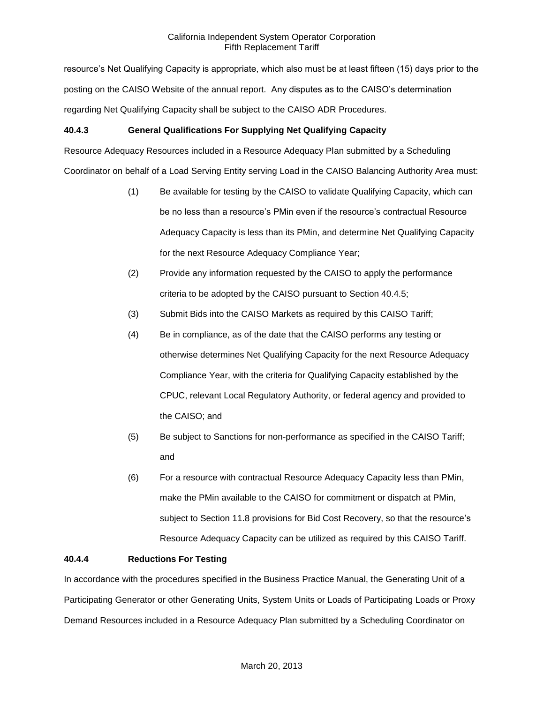resource's Net Qualifying Capacity is appropriate, which also must be at least fifteen (15) days prior to the posting on the CAISO Website of the annual report. Any disputes as to the CAISO's determination regarding Net Qualifying Capacity shall be subject to the CAISO ADR Procedures.

# **40.4.3 General Qualifications For Supplying Net Qualifying Capacity**

Resource Adequacy Resources included in a Resource Adequacy Plan submitted by a Scheduling Coordinator on behalf of a Load Serving Entity serving Load in the CAISO Balancing Authority Area must:

- (1) Be available for testing by the CAISO to validate Qualifying Capacity, which can be no less than a resource's PMin even if the resource's contractual Resource Adequacy Capacity is less than its PMin, and determine Net Qualifying Capacity for the next Resource Adequacy Compliance Year;
- (2) Provide any information requested by the CAISO to apply the performance criteria to be adopted by the CAISO pursuant to Section 40.4.5;
- (3) Submit Bids into the CAISO Markets as required by this CAISO Tariff;
- (4) Be in compliance, as of the date that the CAISO performs any testing or otherwise determines Net Qualifying Capacity for the next Resource Adequacy Compliance Year, with the criteria for Qualifying Capacity established by the CPUC, relevant Local Regulatory Authority, or federal agency and provided to the CAISO; and
- (5) Be subject to Sanctions for non-performance as specified in the CAISO Tariff; and
- (6) For a resource with contractual Resource Adequacy Capacity less than PMin, make the PMin available to the CAISO for commitment or dispatch at PMin, subject to Section 11.8 provisions for Bid Cost Recovery, so that the resource's Resource Adequacy Capacity can be utilized as required by this CAISO Tariff.

### **40.4.4 Reductions For Testing**

In accordance with the procedures specified in the Business Practice Manual, the Generating Unit of a Participating Generator or other Generating Units, System Units or Loads of Participating Loads or Proxy Demand Resources included in a Resource Adequacy Plan submitted by a Scheduling Coordinator on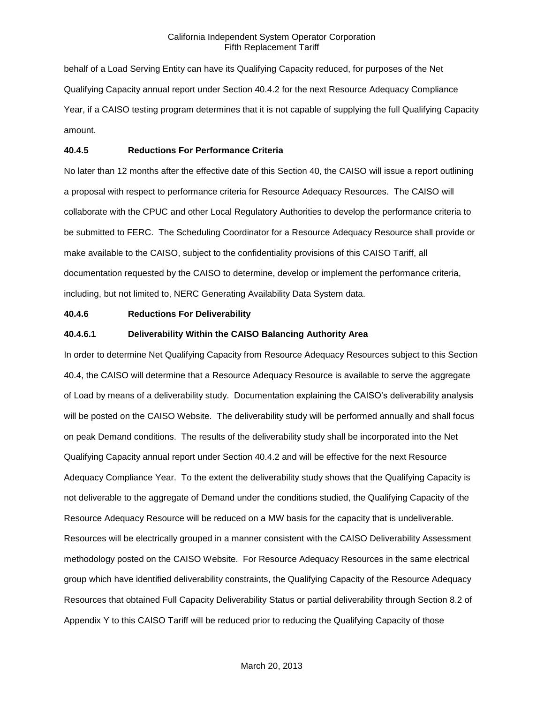behalf of a Load Serving Entity can have its Qualifying Capacity reduced, for purposes of the Net Qualifying Capacity annual report under Section 40.4.2 for the next Resource Adequacy Compliance Year, if a CAISO testing program determines that it is not capable of supplying the full Qualifying Capacity amount.

### **40.4.5 Reductions For Performance Criteria**

No later than 12 months after the effective date of this Section 40, the CAISO will issue a report outlining a proposal with respect to performance criteria for Resource Adequacy Resources. The CAISO will collaborate with the CPUC and other Local Regulatory Authorities to develop the performance criteria to be submitted to FERC. The Scheduling Coordinator for a Resource Adequacy Resource shall provide or make available to the CAISO, subject to the confidentiality provisions of this CAISO Tariff, all documentation requested by the CAISO to determine, develop or implement the performance criteria, including, but not limited to, NERC Generating Availability Data System data.

#### **40.4.6 Reductions For Deliverability**

#### **40.4.6.1 Deliverability Within the CAISO Balancing Authority Area**

In order to determine Net Qualifying Capacity from Resource Adequacy Resources subject to this Section 40.4, the CAISO will determine that a Resource Adequacy Resource is available to serve the aggregate of Load by means of a deliverability study. Documentation explaining the CAISO's deliverability analysis will be posted on the CAISO Website. The deliverability study will be performed annually and shall focus on peak Demand conditions. The results of the deliverability study shall be incorporated into the Net Qualifying Capacity annual report under Section 40.4.2 and will be effective for the next Resource Adequacy Compliance Year. To the extent the deliverability study shows that the Qualifying Capacity is not deliverable to the aggregate of Demand under the conditions studied, the Qualifying Capacity of the Resource Adequacy Resource will be reduced on a MW basis for the capacity that is undeliverable. Resources will be electrically grouped in a manner consistent with the CAISO Deliverability Assessment methodology posted on the CAISO Website. For Resource Adequacy Resources in the same electrical group which have identified deliverability constraints, the Qualifying Capacity of the Resource Adequacy Resources that obtained Full Capacity Deliverability Status or partial deliverability through Section 8.2 of Appendix Y to this CAISO Tariff will be reduced prior to reducing the Qualifying Capacity of those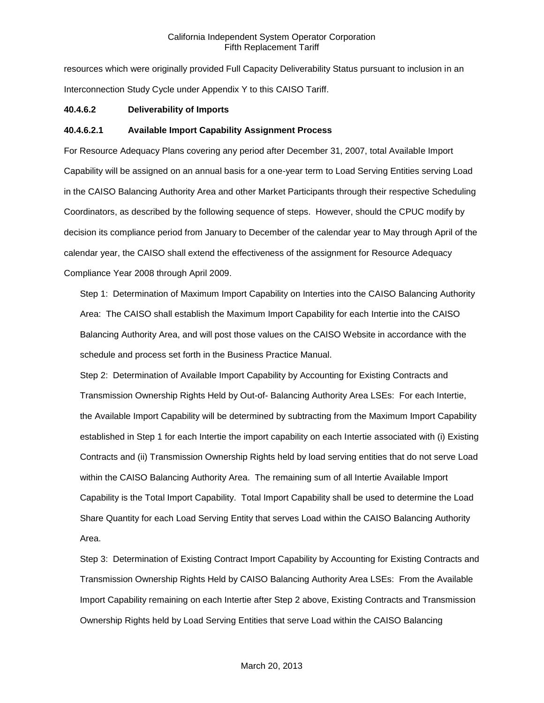resources which were originally provided Full Capacity Deliverability Status pursuant to inclusion in an Interconnection Study Cycle under Appendix Y to this CAISO Tariff.

#### **40.4.6.2 Deliverability of Imports**

# **40.4.6.2.1 Available Import Capability Assignment Process**

For Resource Adequacy Plans covering any period after December 31, 2007, total Available Import Capability will be assigned on an annual basis for a one-year term to Load Serving Entities serving Load in the CAISO Balancing Authority Area and other Market Participants through their respective Scheduling Coordinators, as described by the following sequence of steps. However, should the CPUC modify by decision its compliance period from January to December of the calendar year to May through April of the calendar year, the CAISO shall extend the effectiveness of the assignment for Resource Adequacy Compliance Year 2008 through April 2009.

Step 1: Determination of Maximum Import Capability on Interties into the CAISO Balancing Authority Area: The CAISO shall establish the Maximum Import Capability for each Intertie into the CAISO Balancing Authority Area, and will post those values on the CAISO Website in accordance with the schedule and process set forth in the Business Practice Manual.

Step 2: Determination of Available Import Capability by Accounting for Existing Contracts and Transmission Ownership Rights Held by Out-of- Balancing Authority Area LSEs: For each Intertie, the Available Import Capability will be determined by subtracting from the Maximum Import Capability established in Step 1 for each Intertie the import capability on each Intertie associated with (i) Existing Contracts and (ii) Transmission Ownership Rights held by load serving entities that do not serve Load within the CAISO Balancing Authority Area. The remaining sum of all Intertie Available Import Capability is the Total Import Capability. Total Import Capability shall be used to determine the Load Share Quantity for each Load Serving Entity that serves Load within the CAISO Balancing Authority Area.

Step 3: Determination of Existing Contract Import Capability by Accounting for Existing Contracts and Transmission Ownership Rights Held by CAISO Balancing Authority Area LSEs: From the Available Import Capability remaining on each Intertie after Step 2 above, Existing Contracts and Transmission Ownership Rights held by Load Serving Entities that serve Load within the CAISO Balancing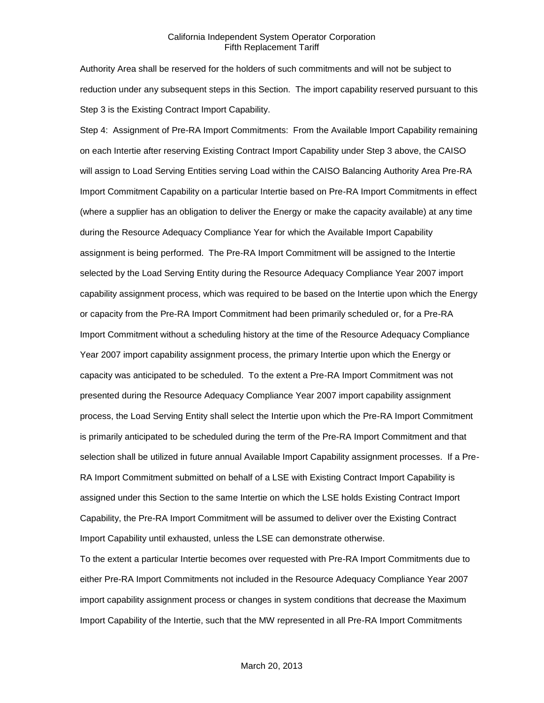Authority Area shall be reserved for the holders of such commitments and will not be subject to reduction under any subsequent steps in this Section. The import capability reserved pursuant to this Step 3 is the Existing Contract Import Capability.

Step 4: Assignment of Pre-RA Import Commitments: From the Available Import Capability remaining on each Intertie after reserving Existing Contract Import Capability under Step 3 above, the CAISO will assign to Load Serving Entities serving Load within the CAISO Balancing Authority Area Pre-RA Import Commitment Capability on a particular Intertie based on Pre-RA Import Commitments in effect (where a supplier has an obligation to deliver the Energy or make the capacity available) at any time during the Resource Adequacy Compliance Year for which the Available Import Capability assignment is being performed. The Pre-RA Import Commitment will be assigned to the Intertie selected by the Load Serving Entity during the Resource Adequacy Compliance Year 2007 import capability assignment process, which was required to be based on the Intertie upon which the Energy or capacity from the Pre-RA Import Commitment had been primarily scheduled or, for a Pre-RA Import Commitment without a scheduling history at the time of the Resource Adequacy Compliance Year 2007 import capability assignment process, the primary Intertie upon which the Energy or capacity was anticipated to be scheduled. To the extent a Pre-RA Import Commitment was not presented during the Resource Adequacy Compliance Year 2007 import capability assignment process, the Load Serving Entity shall select the Intertie upon which the Pre-RA Import Commitment is primarily anticipated to be scheduled during the term of the Pre-RA Import Commitment and that selection shall be utilized in future annual Available Import Capability assignment processes. If a Pre-RA Import Commitment submitted on behalf of a LSE with Existing Contract Import Capability is assigned under this Section to the same Intertie on which the LSE holds Existing Contract Import Capability, the Pre-RA Import Commitment will be assumed to deliver over the Existing Contract Import Capability until exhausted, unless the LSE can demonstrate otherwise.

To the extent a particular Intertie becomes over requested with Pre-RA Import Commitments due to either Pre-RA Import Commitments not included in the Resource Adequacy Compliance Year 2007 import capability assignment process or changes in system conditions that decrease the Maximum Import Capability of the Intertie, such that the MW represented in all Pre-RA Import Commitments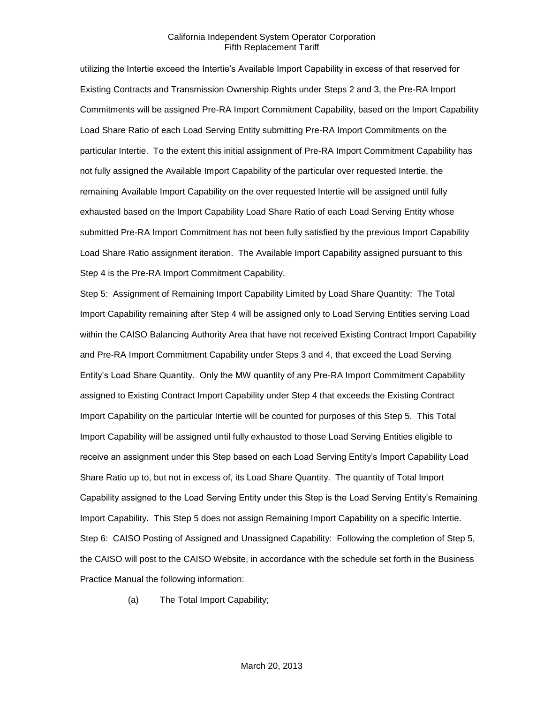utilizing the Intertie exceed the Intertie's Available Import Capability in excess of that reserved for Existing Contracts and Transmission Ownership Rights under Steps 2 and 3, the Pre-RA Import Commitments will be assigned Pre-RA Import Commitment Capability, based on the Import Capability Load Share Ratio of each Load Serving Entity submitting Pre-RA Import Commitments on the particular Intertie. To the extent this initial assignment of Pre-RA Import Commitment Capability has not fully assigned the Available Import Capability of the particular over requested Intertie, the remaining Available Import Capability on the over requested Intertie will be assigned until fully exhausted based on the Import Capability Load Share Ratio of each Load Serving Entity whose submitted Pre-RA Import Commitment has not been fully satisfied by the previous Import Capability Load Share Ratio assignment iteration. The Available Import Capability assigned pursuant to this Step 4 is the Pre-RA Import Commitment Capability.

Step 5: Assignment of Remaining Import Capability Limited by Load Share Quantity: The Total Import Capability remaining after Step 4 will be assigned only to Load Serving Entities serving Load within the CAISO Balancing Authority Area that have not received Existing Contract Import Capability and Pre-RA Import Commitment Capability under Steps 3 and 4, that exceed the Load Serving Entity's Load Share Quantity. Only the MW quantity of any Pre-RA Import Commitment Capability assigned to Existing Contract Import Capability under Step 4 that exceeds the Existing Contract Import Capability on the particular Intertie will be counted for purposes of this Step 5. This Total Import Capability will be assigned until fully exhausted to those Load Serving Entities eligible to receive an assignment under this Step based on each Load Serving Entity's Import Capability Load Share Ratio up to, but not in excess of, its Load Share Quantity. The quantity of Total Import Capability assigned to the Load Serving Entity under this Step is the Load Serving Entity's Remaining Import Capability. This Step 5 does not assign Remaining Import Capability on a specific Intertie. Step 6: CAISO Posting of Assigned and Unassigned Capability: Following the completion of Step 5, the CAISO will post to the CAISO Website, in accordance with the schedule set forth in the Business Practice Manual the following information:

(a) The Total Import Capability;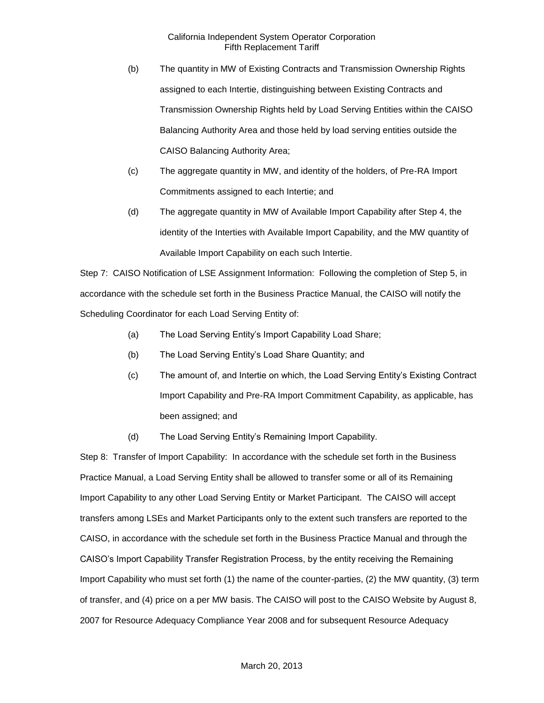- (b) The quantity in MW of Existing Contracts and Transmission Ownership Rights assigned to each Intertie, distinguishing between Existing Contracts and Transmission Ownership Rights held by Load Serving Entities within the CAISO Balancing Authority Area and those held by load serving entities outside the CAISO Balancing Authority Area;
- (c) The aggregate quantity in MW, and identity of the holders, of Pre-RA Import Commitments assigned to each Intertie; and
- (d) The aggregate quantity in MW of Available Import Capability after Step 4, the identity of the Interties with Available Import Capability, and the MW quantity of Available Import Capability on each such Intertie.

Step 7: CAISO Notification of LSE Assignment Information: Following the completion of Step 5, in accordance with the schedule set forth in the Business Practice Manual, the CAISO will notify the Scheduling Coordinator for each Load Serving Entity of:

- (a) The Load Serving Entity's Import Capability Load Share;
- (b) The Load Serving Entity's Load Share Quantity; and
- (c) The amount of, and Intertie on which, the Load Serving Entity's Existing Contract Import Capability and Pre-RA Import Commitment Capability, as applicable, has been assigned; and
- (d) The Load Serving Entity's Remaining Import Capability.

Step 8: Transfer of Import Capability: In accordance with the schedule set forth in the Business Practice Manual, a Load Serving Entity shall be allowed to transfer some or all of its Remaining Import Capability to any other Load Serving Entity or Market Participant. The CAISO will accept transfers among LSEs and Market Participants only to the extent such transfers are reported to the CAISO, in accordance with the schedule set forth in the Business Practice Manual and through the CAISO's Import Capability Transfer Registration Process, by the entity receiving the Remaining Import Capability who must set forth (1) the name of the counter-parties, (2) the MW quantity, (3) term of transfer, and (4) price on a per MW basis. The CAISO will post to the CAISO Website by August 8, 2007 for Resource Adequacy Compliance Year 2008 and for subsequent Resource Adequacy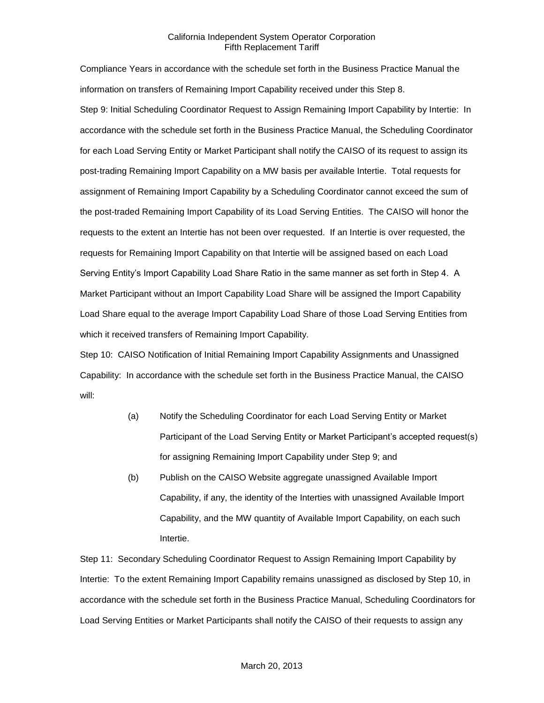Compliance Years in accordance with the schedule set forth in the Business Practice Manual the information on transfers of Remaining Import Capability received under this Step 8. Step 9: Initial Scheduling Coordinator Request to Assign Remaining Import Capability by Intertie: In accordance with the schedule set forth in the Business Practice Manual, the Scheduling Coordinator for each Load Serving Entity or Market Participant shall notify the CAISO of its request to assign its post-trading Remaining Import Capability on a MW basis per available Intertie. Total requests for assignment of Remaining Import Capability by a Scheduling Coordinator cannot exceed the sum of the post-traded Remaining Import Capability of its Load Serving Entities. The CAISO will honor the requests to the extent an Intertie has not been over requested. If an Intertie is over requested, the requests for Remaining Import Capability on that Intertie will be assigned based on each Load Serving Entity's Import Capability Load Share Ratio in the same manner as set forth in Step 4. A Market Participant without an Import Capability Load Share will be assigned the Import Capability Load Share equal to the average Import Capability Load Share of those Load Serving Entities from which it received transfers of Remaining Import Capability.

Step 10: CAISO Notification of Initial Remaining Import Capability Assignments and Unassigned Capability: In accordance with the schedule set forth in the Business Practice Manual, the CAISO will:

- (a) Notify the Scheduling Coordinator for each Load Serving Entity or Market Participant of the Load Serving Entity or Market Participant's accepted request(s) for assigning Remaining Import Capability under Step 9; and
- (b) Publish on the CAISO Website aggregate unassigned Available Import Capability, if any, the identity of the Interties with unassigned Available Import Capability, and the MW quantity of Available Import Capability, on each such Intertie.

Step 11: Secondary Scheduling Coordinator Request to Assign Remaining Import Capability by Intertie: To the extent Remaining Import Capability remains unassigned as disclosed by Step 10, in accordance with the schedule set forth in the Business Practice Manual, Scheduling Coordinators for Load Serving Entities or Market Participants shall notify the CAISO of their requests to assign any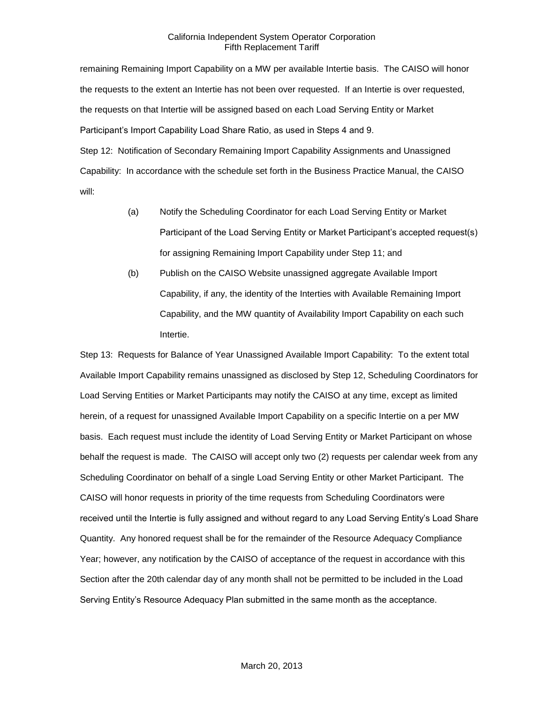remaining Remaining Import Capability on a MW per available Intertie basis. The CAISO will honor the requests to the extent an Intertie has not been over requested. If an Intertie is over requested, the requests on that Intertie will be assigned based on each Load Serving Entity or Market Participant's Import Capability Load Share Ratio, as used in Steps 4 and 9. Step 12: Notification of Secondary Remaining Import Capability Assignments and Unassigned

Capability: In accordance with the schedule set forth in the Business Practice Manual, the CAISO will:

- (a) Notify the Scheduling Coordinator for each Load Serving Entity or Market Participant of the Load Serving Entity or Market Participant's accepted request(s) for assigning Remaining Import Capability under Step 11; and
- (b) Publish on the CAISO Website unassigned aggregate Available Import Capability, if any, the identity of the Interties with Available Remaining Import Capability, and the MW quantity of Availability Import Capability on each such Intertie.

Step 13: Requests for Balance of Year Unassigned Available Import Capability: To the extent total Available Import Capability remains unassigned as disclosed by Step 12, Scheduling Coordinators for Load Serving Entities or Market Participants may notify the CAISO at any time, except as limited herein, of a request for unassigned Available Import Capability on a specific Intertie on a per MW basis. Each request must include the identity of Load Serving Entity or Market Participant on whose behalf the request is made. The CAISO will accept only two (2) requests per calendar week from any Scheduling Coordinator on behalf of a single Load Serving Entity or other Market Participant. The CAISO will honor requests in priority of the time requests from Scheduling Coordinators were received until the Intertie is fully assigned and without regard to any Load Serving Entity's Load Share Quantity. Any honored request shall be for the remainder of the Resource Adequacy Compliance Year; however, any notification by the CAISO of acceptance of the request in accordance with this Section after the 20th calendar day of any month shall not be permitted to be included in the Load Serving Entity's Resource Adequacy Plan submitted in the same month as the acceptance.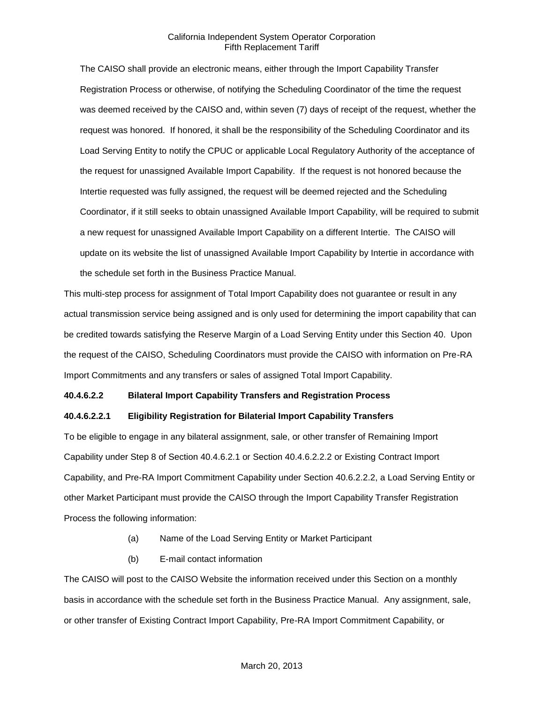The CAISO shall provide an electronic means, either through the Import Capability Transfer Registration Process or otherwise, of notifying the Scheduling Coordinator of the time the request was deemed received by the CAISO and, within seven (7) days of receipt of the request, whether the request was honored. If honored, it shall be the responsibility of the Scheduling Coordinator and its Load Serving Entity to notify the CPUC or applicable Local Regulatory Authority of the acceptance of the request for unassigned Available Import Capability. If the request is not honored because the Intertie requested was fully assigned, the request will be deemed rejected and the Scheduling Coordinator, if it still seeks to obtain unassigned Available Import Capability, will be required to submit a new request for unassigned Available Import Capability on a different Intertie. The CAISO will update on its website the list of unassigned Available Import Capability by Intertie in accordance with the schedule set forth in the Business Practice Manual.

This multi-step process for assignment of Total Import Capability does not guarantee or result in any actual transmission service being assigned and is only used for determining the import capability that can be credited towards satisfying the Reserve Margin of a Load Serving Entity under this Section 40. Upon the request of the CAISO, Scheduling Coordinators must provide the CAISO with information on Pre-RA Import Commitments and any transfers or sales of assigned Total Import Capability.

#### **40.4.6.2.2 Bilateral Import Capability Transfers and Registration Process**

#### **40.4.6.2.2.1 Eligibility Registration for Bilaterial Import Capability Transfers**

To be eligible to engage in any bilateral assignment, sale, or other transfer of Remaining Import Capability under Step 8 of Section 40.4.6.2.1 or Section 40.4.6.2.2.2 or Existing Contract Import Capability, and Pre-RA Import Commitment Capability under Section 40.6.2.2.2, a Load Serving Entity or other Market Participant must provide the CAISO through the Import Capability Transfer Registration Process the following information:

- (a) Name of the Load Serving Entity or Market Participant
- (b) E-mail contact information

The CAISO will post to the CAISO Website the information received under this Section on a monthly basis in accordance with the schedule set forth in the Business Practice Manual. Any assignment, sale, or other transfer of Existing Contract Import Capability, Pre-RA Import Commitment Capability, or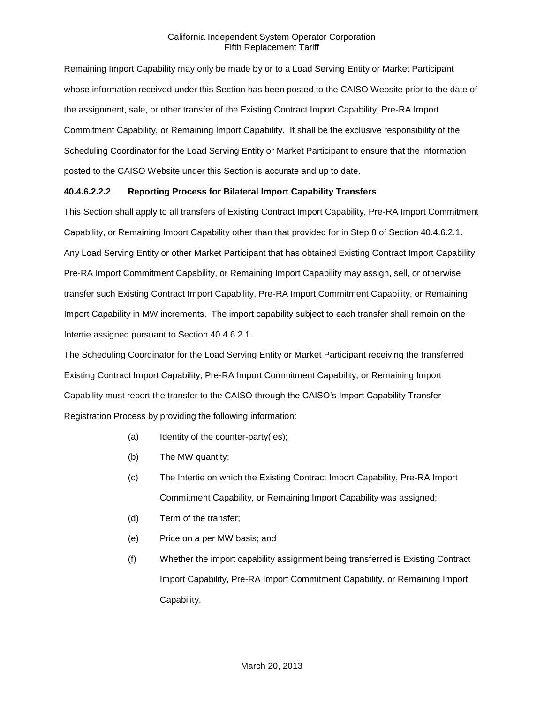Remaining Import Capability may only be made by or to a Load Serving Entity or Market Participant whose information received under this Section has been posted to the CAISO Website prior to the date of the assignment, sale, or other transfer of the Existing Contract Import Capability, Pre-RA Import Commitment Capability, or Remaining Import Capability. It shall be the exclusive responsibility of the Scheduling Coordinator for the Load Serving Entity or Market Participant to ensure that the information posted to the CAISO Website under this Section is accurate and up to date.

# **40.4.6.2.2.2 Reporting Process for Bilateral Import Capability Transfers**

This Section shall apply to all transfers of Existing Contract Import Capability, Pre-RA Import Commitment Capability, or Remaining Import Capability other than that provided for in Step 8 of Section 40.4.6.2.1. Any Load Serving Entity or other Market Participant that has obtained Existing Contract Import Capability, Pre-RA Import Commitment Capability, or Remaining Import Capability may assign, sell, or otherwise transfer such Existing Contract Import Capability, Pre-RA Import Commitment Capability, or Remaining Import Capability in MW increments. The import capability subject to each transfer shall remain on the Intertie assigned pursuant to Section 40.4.6.2.1.

The Scheduling Coordinator for the Load Serving Entity or Market Participant receiving the transferred Existing Contract Import Capability, Pre-RA Import Commitment Capability, or Remaining Import Capability must report the transfer to the CAISO through the CAISO's Import Capability Transfer Registration Process by providing the following information:

- (a) Identity of the counter-party(ies);
- (b) The MW quantity;
- (c) The Intertie on which the Existing Contract Import Capability, Pre-RA Import Commitment Capability, or Remaining Import Capability was assigned;
- (d) Term of the transfer;
- (e) Price on a per MW basis; and
- (f) Whether the import capability assignment being transferred is Existing Contract Import Capability, Pre-RA Import Commitment Capability, or Remaining Import Capability.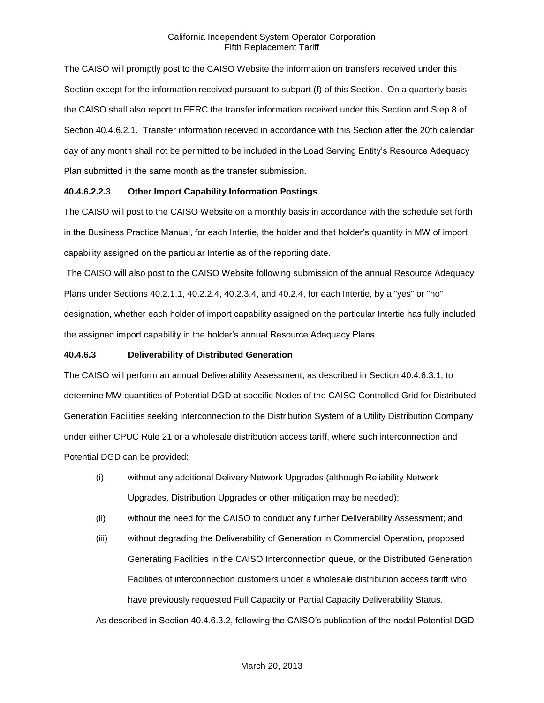The CAISO will promptly post to the CAISO Website the information on transfers received under this Section except for the information received pursuant to subpart (f) of this Section. On a quarterly basis, the CAISO shall also report to FERC the transfer information received under this Section and Step 8 of Section 40.4.6.2.1. Transfer information received in accordance with this Section after the 20th calendar day of any month shall not be permitted to be included in the Load Serving Entity's Resource Adequacy Plan submitted in the same month as the transfer submission.

### **40.4.6.2.2.3 Other Import Capability Information Postings**

The CAISO will post to the CAISO Website on a monthly basis in accordance with the schedule set forth in the Business Practice Manual, for each Intertie, the holder and that holder's quantity in MW of import capability assigned on the particular Intertie as of the reporting date.

The CAISO will also post to the CAISO Website following submission of the annual Resource Adequacy Plans under Sections 40.2.1.1, 40.2.2.4, 40.2.3.4, and 40.2.4, for each Intertie, by a "yes" or "no" designation, whether each holder of import capability assigned on the particular Intertie has fully included the assigned import capability in the holder's annual Resource Adequacy Plans.

# **40.4.6.3 Deliverability of Distributed Generation**

The CAISO will perform an annual Deliverability Assessment, as described in Section 40.4.6.3.1, to determine MW quantities of Potential DGD at specific Nodes of the CAISO Controlled Grid for Distributed Generation Facilities seeking interconnection to the Distribution System of a Utility Distribution Company under either CPUC Rule 21 or a wholesale distribution access tariff, where such interconnection and Potential DGD can be provided:

- (i) without any additional Delivery Network Upgrades (although Reliability Network Upgrades, Distribution Upgrades or other mitigation may be needed);
- (ii) without the need for the CAISO to conduct any further Deliverability Assessment; and
- (iii) without degrading the Deliverability of Generation in Commercial Operation, proposed Generating Facilities in the CAISO Interconnection queue, or the Distributed Generation Facilities of interconnection customers under a wholesale distribution access tariff who have previously requested Full Capacity or Partial Capacity Deliverability Status.

As described in Section 40.4.6.3.2, following the CAISO's publication of the nodal Potential DGD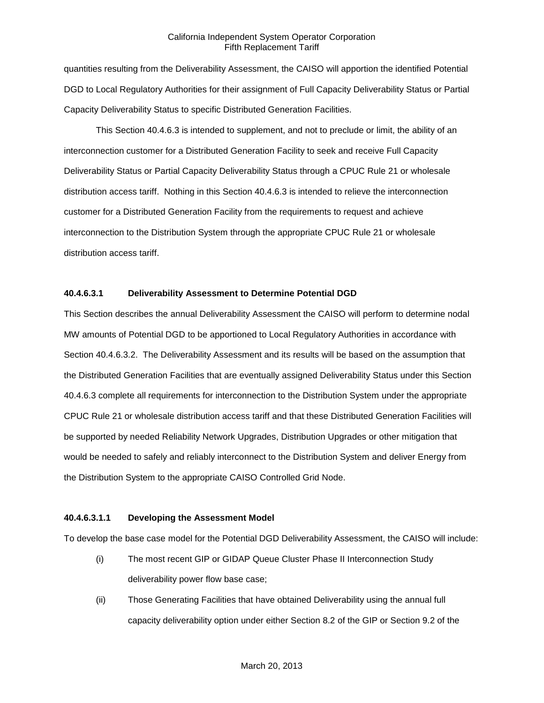quantities resulting from the Deliverability Assessment, the CAISO will apportion the identified Potential DGD to Local Regulatory Authorities for their assignment of Full Capacity Deliverability Status or Partial Capacity Deliverability Status to specific Distributed Generation Facilities.

This Section 40.4.6.3 is intended to supplement, and not to preclude or limit, the ability of an interconnection customer for a Distributed Generation Facility to seek and receive Full Capacity Deliverability Status or Partial Capacity Deliverability Status through a CPUC Rule 21 or wholesale distribution access tariff. Nothing in this Section 40.4.6.3 is intended to relieve the interconnection customer for a Distributed Generation Facility from the requirements to request and achieve interconnection to the Distribution System through the appropriate CPUC Rule 21 or wholesale distribution access tariff.

# **40.4.6.3.1 Deliverability Assessment to Determine Potential DGD**

This Section describes the annual Deliverability Assessment the CAISO will perform to determine nodal MW amounts of Potential DGD to be apportioned to Local Regulatory Authorities in accordance with Section 40.4.6.3.2. The Deliverability Assessment and its results will be based on the assumption that the Distributed Generation Facilities that are eventually assigned Deliverability Status under this Section 40.4.6.3 complete all requirements for interconnection to the Distribution System under the appropriate CPUC Rule 21 or wholesale distribution access tariff and that these Distributed Generation Facilities will be supported by needed Reliability Network Upgrades, Distribution Upgrades or other mitigation that would be needed to safely and reliably interconnect to the Distribution System and deliver Energy from the Distribution System to the appropriate CAISO Controlled Grid Node.

### **40.4.6.3.1.1 Developing the Assessment Model**

To develop the base case model for the Potential DGD Deliverability Assessment, the CAISO will include:

- (i) The most recent GIP or GIDAP Queue Cluster Phase II Interconnection Study deliverability power flow base case;
- (ii) Those Generating Facilities that have obtained Deliverability using the annual full capacity deliverability option under either Section 8.2 of the GIP or Section 9.2 of the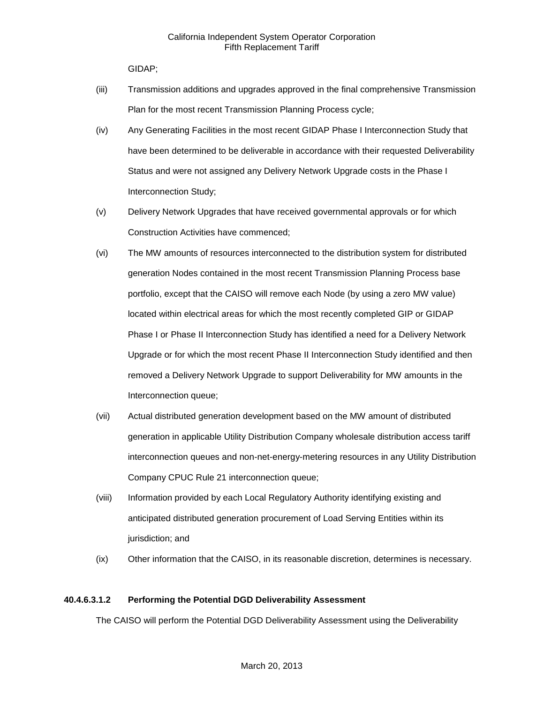GIDAP;

- (iii) Transmission additions and upgrades approved in the final comprehensive Transmission Plan for the most recent Transmission Planning Process cycle;
- (iv) Any Generating Facilities in the most recent GIDAP Phase I Interconnection Study that have been determined to be deliverable in accordance with their requested Deliverability Status and were not assigned any Delivery Network Upgrade costs in the Phase I Interconnection Study;
- (v) Delivery Network Upgrades that have received governmental approvals or for which Construction Activities have commenced;
- (vi) The MW amounts of resources interconnected to the distribution system for distributed generation Nodes contained in the most recent Transmission Planning Process base portfolio, except that the CAISO will remove each Node (by using a zero MW value) located within electrical areas for which the most recently completed GIP or GIDAP Phase I or Phase II Interconnection Study has identified a need for a Delivery Network Upgrade or for which the most recent Phase II Interconnection Study identified and then removed a Delivery Network Upgrade to support Deliverability for MW amounts in the Interconnection queue;
- (vii) Actual distributed generation development based on the MW amount of distributed generation in applicable Utility Distribution Company wholesale distribution access tariff interconnection queues and non-net-energy-metering resources in any Utility Distribution Company CPUC Rule 21 interconnection queue;
- (viii) Information provided by each Local Regulatory Authority identifying existing and anticipated distributed generation procurement of Load Serving Entities within its jurisdiction; and
- (ix) Other information that the CAISO, in its reasonable discretion, determines is necessary.

# **40.4.6.3.1.2 Performing the Potential DGD Deliverability Assessment**

The CAISO will perform the Potential DGD Deliverability Assessment using the Deliverability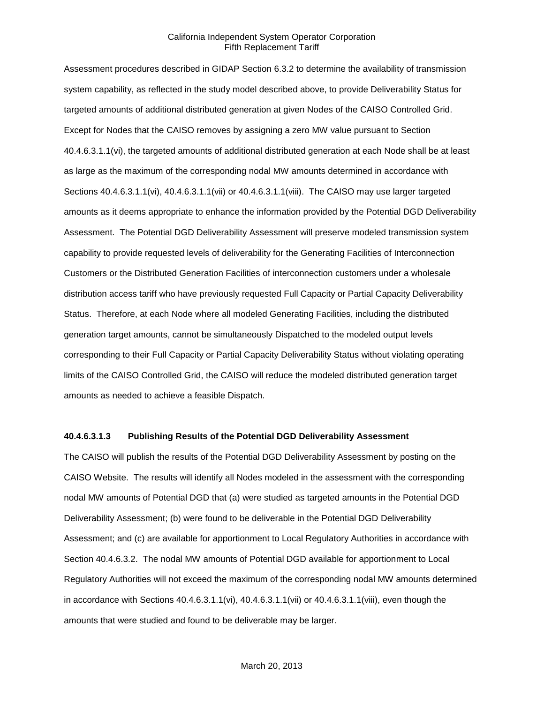Assessment procedures described in GIDAP Section 6.3.2 to determine the availability of transmission system capability, as reflected in the study model described above, to provide Deliverability Status for targeted amounts of additional distributed generation at given Nodes of the CAISO Controlled Grid. Except for Nodes that the CAISO removes by assigning a zero MW value pursuant to Section 40.4.6.3.1.1(vi), the targeted amounts of additional distributed generation at each Node shall be at least as large as the maximum of the corresponding nodal MW amounts determined in accordance with Sections 40.4.6.3.1.1(vi), 40.4.6.3.1.1(vii) or 40.4.6.3.1.1(viii). The CAISO may use larger targeted amounts as it deems appropriate to enhance the information provided by the Potential DGD Deliverability Assessment. The Potential DGD Deliverability Assessment will preserve modeled transmission system capability to provide requested levels of deliverability for the Generating Facilities of Interconnection Customers or the Distributed Generation Facilities of interconnection customers under a wholesale distribution access tariff who have previously requested Full Capacity or Partial Capacity Deliverability Status. Therefore, at each Node where all modeled Generating Facilities, including the distributed generation target amounts, cannot be simultaneously Dispatched to the modeled output levels corresponding to their Full Capacity or Partial Capacity Deliverability Status without violating operating limits of the CAISO Controlled Grid, the CAISO will reduce the modeled distributed generation target amounts as needed to achieve a feasible Dispatch.

#### **40.4.6.3.1.3 Publishing Results of the Potential DGD Deliverability Assessment**

The CAISO will publish the results of the Potential DGD Deliverability Assessment by posting on the CAISO Website. The results will identify all Nodes modeled in the assessment with the corresponding nodal MW amounts of Potential DGD that (a) were studied as targeted amounts in the Potential DGD Deliverability Assessment; (b) were found to be deliverable in the Potential DGD Deliverability Assessment; and (c) are available for apportionment to Local Regulatory Authorities in accordance with Section 40.4.6.3.2. The nodal MW amounts of Potential DGD available for apportionment to Local Regulatory Authorities will not exceed the maximum of the corresponding nodal MW amounts determined in accordance with Sections 40.4.6.3.1.1(vi), 40.4.6.3.1.1(vii) or 40.4.6.3.1.1(viii), even though the amounts that were studied and found to be deliverable may be larger.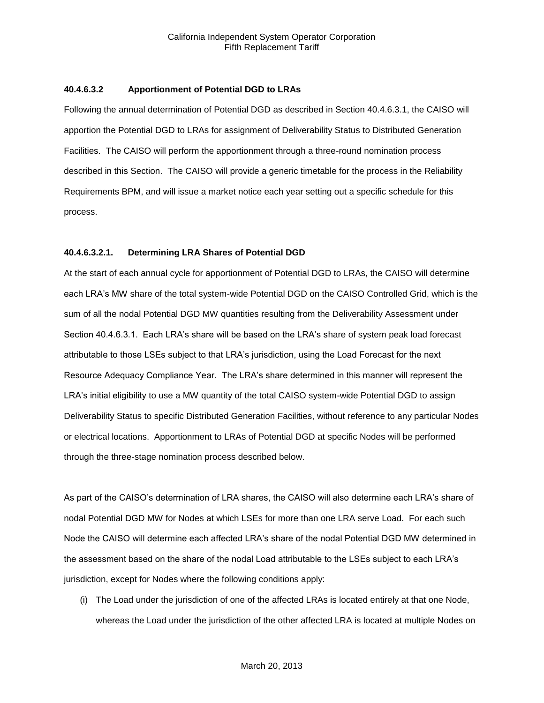#### **40.4.6.3.2 Apportionment of Potential DGD to LRAs**

Following the annual determination of Potential DGD as described in Section 40.4.6.3.1, the CAISO will apportion the Potential DGD to LRAs for assignment of Deliverability Status to Distributed Generation Facilities. The CAISO will perform the apportionment through a three-round nomination process described in this Section. The CAISO will provide a generic timetable for the process in the Reliability Requirements BPM, and will issue a market notice each year setting out a specific schedule for this process.

#### **40.4.6.3.2.1. Determining LRA Shares of Potential DGD**

At the start of each annual cycle for apportionment of Potential DGD to LRAs, the CAISO will determine each LRA's MW share of the total system-wide Potential DGD on the CAISO Controlled Grid, which is the sum of all the nodal Potential DGD MW quantities resulting from the Deliverability Assessment under Section 40.4.6.3.1. Each LRA's share will be based on the LRA's share of system peak load forecast attributable to those LSEs subject to that LRA's jurisdiction, using the Load Forecast for the next Resource Adequacy Compliance Year. The LRA's share determined in this manner will represent the LRA's initial eligibility to use a MW quantity of the total CAISO system-wide Potential DGD to assign Deliverability Status to specific Distributed Generation Facilities, without reference to any particular Nodes or electrical locations. Apportionment to LRAs of Potential DGD at specific Nodes will be performed through the three-stage nomination process described below.

As part of the CAISO's determination of LRA shares, the CAISO will also determine each LRA's share of nodal Potential DGD MW for Nodes at which LSEs for more than one LRA serve Load. For each such Node the CAISO will determine each affected LRA's share of the nodal Potential DGD MW determined in the assessment based on the share of the nodal Load attributable to the LSEs subject to each LRA's jurisdiction, except for Nodes where the following conditions apply:

(i) The Load under the jurisdiction of one of the affected LRAs is located entirely at that one Node, whereas the Load under the jurisdiction of the other affected LRA is located at multiple Nodes on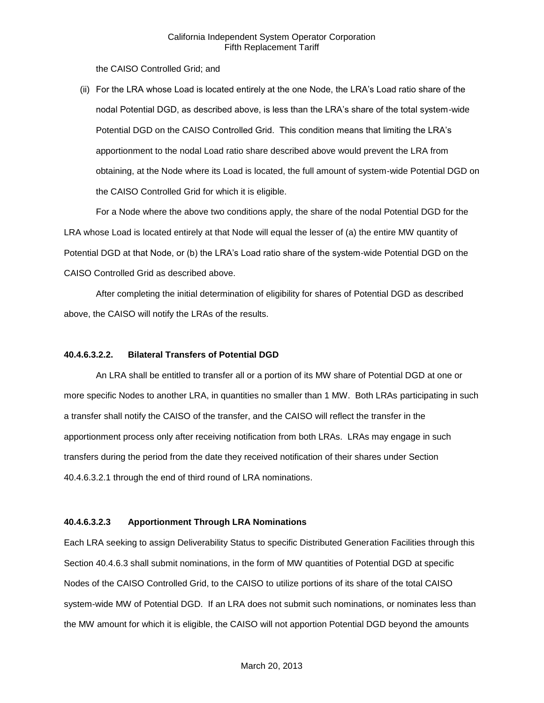the CAISO Controlled Grid; and

(ii) For the LRA whose Load is located entirely at the one Node, the LRA's Load ratio share of the nodal Potential DGD, as described above, is less than the LRA's share of the total system-wide Potential DGD on the CAISO Controlled Grid. This condition means that limiting the LRA's apportionment to the nodal Load ratio share described above would prevent the LRA from obtaining, at the Node where its Load is located, the full amount of system-wide Potential DGD on the CAISO Controlled Grid for which it is eligible.

For a Node where the above two conditions apply, the share of the nodal Potential DGD for the LRA whose Load is located entirely at that Node will equal the lesser of (a) the entire MW quantity of Potential DGD at that Node, or (b) the LRA's Load ratio share of the system-wide Potential DGD on the CAISO Controlled Grid as described above.

After completing the initial determination of eligibility for shares of Potential DGD as described above, the CAISO will notify the LRAs of the results.

### **40.4.6.3.2.2. Bilateral Transfers of Potential DGD**

An LRA shall be entitled to transfer all or a portion of its MW share of Potential DGD at one or more specific Nodes to another LRA, in quantities no smaller than 1 MW. Both LRAs participating in such a transfer shall notify the CAISO of the transfer, and the CAISO will reflect the transfer in the apportionment process only after receiving notification from both LRAs. LRAs may engage in such transfers during the period from the date they received notification of their shares under Section 40.4.6.3.2.1 through the end of third round of LRA nominations.

# **40.4.6.3.2.3 Apportionment Through LRA Nominations**

Each LRA seeking to assign Deliverability Status to specific Distributed Generation Facilities through this Section 40.4.6.3 shall submit nominations, in the form of MW quantities of Potential DGD at specific Nodes of the CAISO Controlled Grid, to the CAISO to utilize portions of its share of the total CAISO system-wide MW of Potential DGD. If an LRA does not submit such nominations, or nominates less than the MW amount for which it is eligible, the CAISO will not apportion Potential DGD beyond the amounts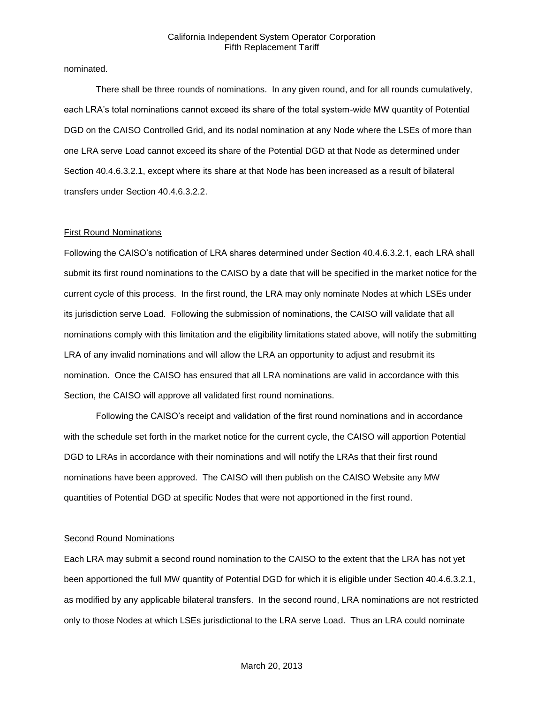nominated.

There shall be three rounds of nominations. In any given round, and for all rounds cumulatively, each LRA's total nominations cannot exceed its share of the total system-wide MW quantity of Potential DGD on the CAISO Controlled Grid, and its nodal nomination at any Node where the LSEs of more than one LRA serve Load cannot exceed its share of the Potential DGD at that Node as determined under Section 40.4.6.3.2.1, except where its share at that Node has been increased as a result of bilateral transfers under Section 40.4.6.3.2.2.

#### First Round Nominations

Following the CAISO's notification of LRA shares determined under Section 40.4.6.3.2.1, each LRA shall submit its first round nominations to the CAISO by a date that will be specified in the market notice for the current cycle of this process. In the first round, the LRA may only nominate Nodes at which LSEs under its jurisdiction serve Load. Following the submission of nominations, the CAISO will validate that all nominations comply with this limitation and the eligibility limitations stated above, will notify the submitting LRA of any invalid nominations and will allow the LRA an opportunity to adjust and resubmit its nomination. Once the CAISO has ensured that all LRA nominations are valid in accordance with this Section, the CAISO will approve all validated first round nominations.

Following the CAISO's receipt and validation of the first round nominations and in accordance with the schedule set forth in the market notice for the current cycle, the CAISO will apportion Potential DGD to LRAs in accordance with their nominations and will notify the LRAs that their first round nominations have been approved. The CAISO will then publish on the CAISO Website any MW quantities of Potential DGD at specific Nodes that were not apportioned in the first round.

### **Second Round Nominations**

Each LRA may submit a second round nomination to the CAISO to the extent that the LRA has not yet been apportioned the full MW quantity of Potential DGD for which it is eligible under Section 40.4.6.3.2.1, as modified by any applicable bilateral transfers. In the second round, LRA nominations are not restricted only to those Nodes at which LSEs jurisdictional to the LRA serve Load. Thus an LRA could nominate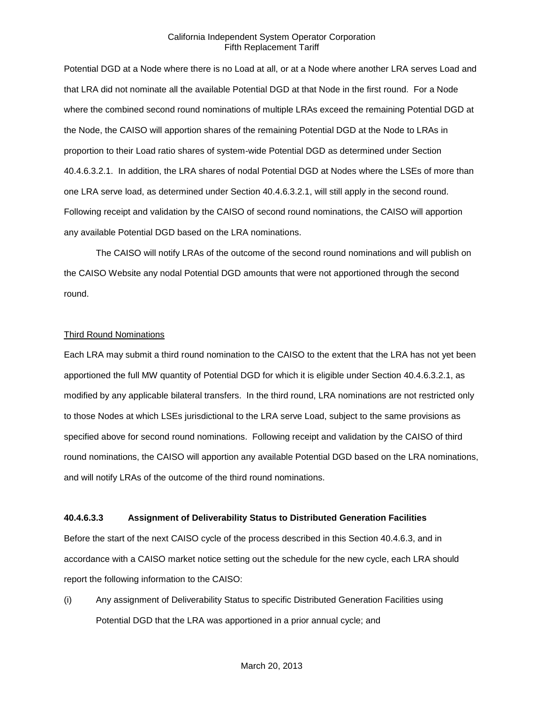Potential DGD at a Node where there is no Load at all, or at a Node where another LRA serves Load and that LRA did not nominate all the available Potential DGD at that Node in the first round. For a Node where the combined second round nominations of multiple LRAs exceed the remaining Potential DGD at the Node, the CAISO will apportion shares of the remaining Potential DGD at the Node to LRAs in proportion to their Load ratio shares of system-wide Potential DGD as determined under Section 40.4.6.3.2.1. In addition, the LRA shares of nodal Potential DGD at Nodes where the LSEs of more than one LRA serve load, as determined under Section 40.4.6.3.2.1, will still apply in the second round. Following receipt and validation by the CAISO of second round nominations, the CAISO will apportion any available Potential DGD based on the LRA nominations.

The CAISO will notify LRAs of the outcome of the second round nominations and will publish on the CAISO Website any nodal Potential DGD amounts that were not apportioned through the second round.

#### Third Round Nominations

Each LRA may submit a third round nomination to the CAISO to the extent that the LRA has not yet been apportioned the full MW quantity of Potential DGD for which it is eligible under Section 40.4.6.3.2.1, as modified by any applicable bilateral transfers. In the third round, LRA nominations are not restricted only to those Nodes at which LSEs jurisdictional to the LRA serve Load, subject to the same provisions as specified above for second round nominations. Following receipt and validation by the CAISO of third round nominations, the CAISO will apportion any available Potential DGD based on the LRA nominations, and will notify LRAs of the outcome of the third round nominations.

#### **40.4.6.3.3 Assignment of Deliverability Status to Distributed Generation Facilities**

Before the start of the next CAISO cycle of the process described in this Section 40.4.6.3, and in accordance with a CAISO market notice setting out the schedule for the new cycle, each LRA should report the following information to the CAISO:

(i) Any assignment of Deliverability Status to specific Distributed Generation Facilities using Potential DGD that the LRA was apportioned in a prior annual cycle; and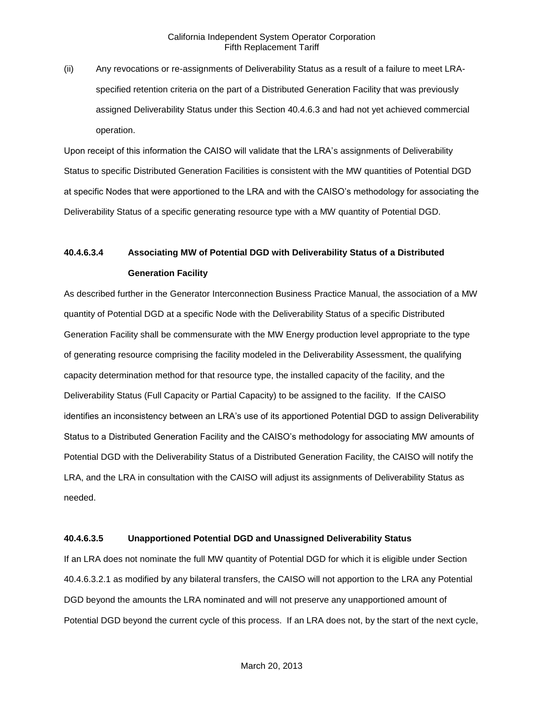(ii) Any revocations or re-assignments of Deliverability Status as a result of a failure to meet LRAspecified retention criteria on the part of a Distributed Generation Facility that was previously assigned Deliverability Status under this Section 40.4.6.3 and had not yet achieved commercial operation.

Upon receipt of this information the CAISO will validate that the LRA's assignments of Deliverability Status to specific Distributed Generation Facilities is consistent with the MW quantities of Potential DGD at specific Nodes that were apportioned to the LRA and with the CAISO's methodology for associating the Deliverability Status of a specific generating resource type with a MW quantity of Potential DGD.

# **40.4.6.3.4 Associating MW of Potential DGD with Deliverability Status of a Distributed Generation Facility**

As described further in the Generator Interconnection Business Practice Manual, the association of a MW quantity of Potential DGD at a specific Node with the Deliverability Status of a specific Distributed Generation Facility shall be commensurate with the MW Energy production level appropriate to the type of generating resource comprising the facility modeled in the Deliverability Assessment, the qualifying capacity determination method for that resource type, the installed capacity of the facility, and the Deliverability Status (Full Capacity or Partial Capacity) to be assigned to the facility. If the CAISO identifies an inconsistency between an LRA's use of its apportioned Potential DGD to assign Deliverability Status to a Distributed Generation Facility and the CAISO's methodology for associating MW amounts of Potential DGD with the Deliverability Status of a Distributed Generation Facility, the CAISO will notify the LRA, and the LRA in consultation with the CAISO will adjust its assignments of Deliverability Status as needed.

# **40.4.6.3.5 Unapportioned Potential DGD and Unassigned Deliverability Status**

If an LRA does not nominate the full MW quantity of Potential DGD for which it is eligible under Section 40.4.6.3.2.1 as modified by any bilateral transfers, the CAISO will not apportion to the LRA any Potential DGD beyond the amounts the LRA nominated and will not preserve any unapportioned amount of Potential DGD beyond the current cycle of this process. If an LRA does not, by the start of the next cycle,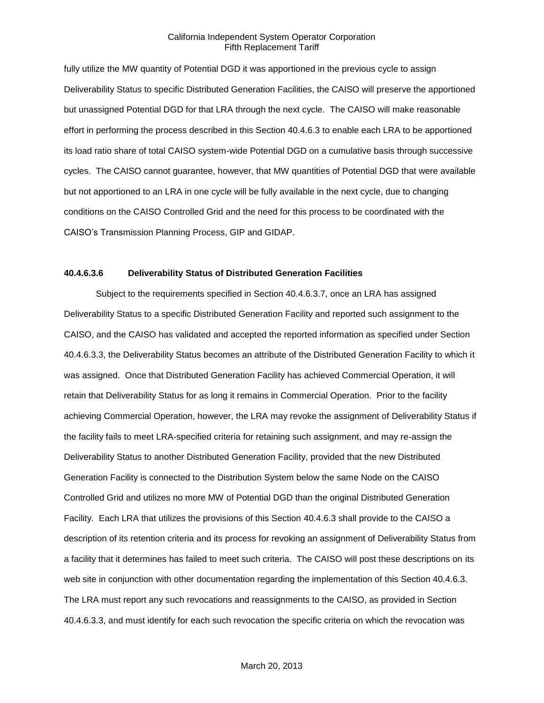fully utilize the MW quantity of Potential DGD it was apportioned in the previous cycle to assign Deliverability Status to specific Distributed Generation Facilities, the CAISO will preserve the apportioned but unassigned Potential DGD for that LRA through the next cycle. The CAISO will make reasonable effort in performing the process described in this Section 40.4.6.3 to enable each LRA to be apportioned its load ratio share of total CAISO system-wide Potential DGD on a cumulative basis through successive cycles. The CAISO cannot guarantee, however, that MW quantities of Potential DGD that were available but not apportioned to an LRA in one cycle will be fully available in the next cycle, due to changing conditions on the CAISO Controlled Grid and the need for this process to be coordinated with the CAISO's Transmission Planning Process, GIP and GIDAP.

### **40.4.6.3.6 Deliverability Status of Distributed Generation Facilities**

Subject to the requirements specified in Section 40.4.6.3.7, once an LRA has assigned Deliverability Status to a specific Distributed Generation Facility and reported such assignment to the CAISO, and the CAISO has validated and accepted the reported information as specified under Section 40.4.6.3.3, the Deliverability Status becomes an attribute of the Distributed Generation Facility to which it was assigned. Once that Distributed Generation Facility has achieved Commercial Operation, it will retain that Deliverability Status for as long it remains in Commercial Operation. Prior to the facility achieving Commercial Operation, however, the LRA may revoke the assignment of Deliverability Status if the facility fails to meet LRA-specified criteria for retaining such assignment, and may re-assign the Deliverability Status to another Distributed Generation Facility, provided that the new Distributed Generation Facility is connected to the Distribution System below the same Node on the CAISO Controlled Grid and utilizes no more MW of Potential DGD than the original Distributed Generation Facility. Each LRA that utilizes the provisions of this Section 40.4.6.3 shall provide to the CAISO a description of its retention criteria and its process for revoking an assignment of Deliverability Status from a facility that it determines has failed to meet such criteria. The CAISO will post these descriptions on its web site in conjunction with other documentation regarding the implementation of this Section 40.4.6.3. The LRA must report any such revocations and reassignments to the CAISO, as provided in Section 40.4.6.3.3, and must identify for each such revocation the specific criteria on which the revocation was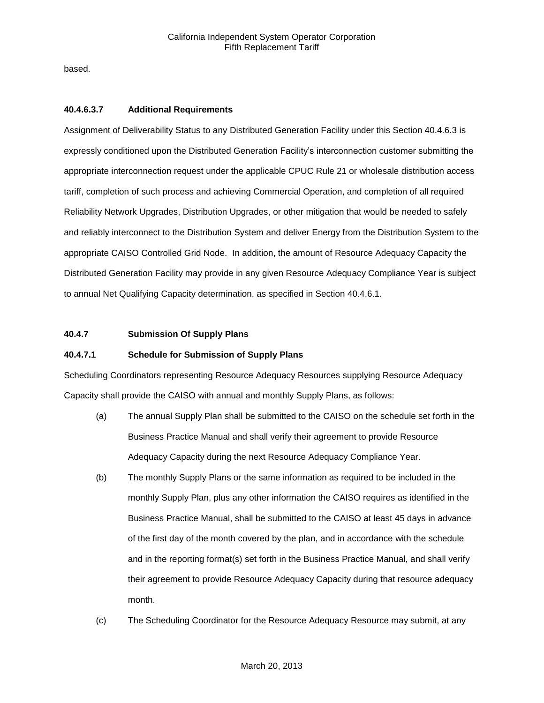based.

# **40.4.6.3.7 Additional Requirements**

Assignment of Deliverability Status to any Distributed Generation Facility under this Section 40.4.6.3 is expressly conditioned upon the Distributed Generation Facility's interconnection customer submitting the appropriate interconnection request under the applicable CPUC Rule 21 or wholesale distribution access tariff, completion of such process and achieving Commercial Operation, and completion of all required Reliability Network Upgrades, Distribution Upgrades, or other mitigation that would be needed to safely and reliably interconnect to the Distribution System and deliver Energy from the Distribution System to the appropriate CAISO Controlled Grid Node. In addition, the amount of Resource Adequacy Capacity the Distributed Generation Facility may provide in any given Resource Adequacy Compliance Year is subject to annual Net Qualifying Capacity determination, as specified in Section 40.4.6.1.

# **40.4.7 Submission Of Supply Plans**

# **40.4.7.1 Schedule for Submission of Supply Plans**

Scheduling Coordinators representing Resource Adequacy Resources supplying Resource Adequacy Capacity shall provide the CAISO with annual and monthly Supply Plans, as follows:

- (a) The annual Supply Plan shall be submitted to the CAISO on the schedule set forth in the Business Practice Manual and shall verify their agreement to provide Resource Adequacy Capacity during the next Resource Adequacy Compliance Year.
- (b) The monthly Supply Plans or the same information as required to be included in the monthly Supply Plan, plus any other information the CAISO requires as identified in the Business Practice Manual, shall be submitted to the CAISO at least 45 days in advance of the first day of the month covered by the plan, and in accordance with the schedule and in the reporting format(s) set forth in the Business Practice Manual, and shall verify their agreement to provide Resource Adequacy Capacity during that resource adequacy month.
- (c) The Scheduling Coordinator for the Resource Adequacy Resource may submit, at any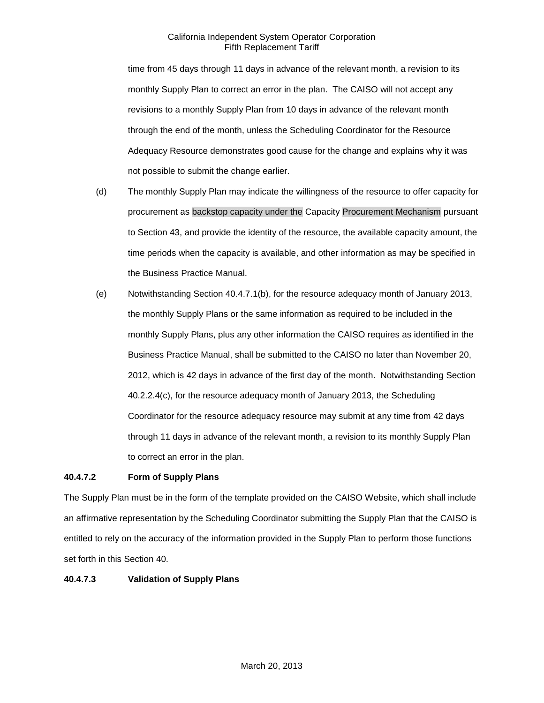time from 45 days through 11 days in advance of the relevant month, a revision to its monthly Supply Plan to correct an error in the plan. The CAISO will not accept any revisions to a monthly Supply Plan from 10 days in advance of the relevant month through the end of the month, unless the Scheduling Coordinator for the Resource Adequacy Resource demonstrates good cause for the change and explains why it was not possible to submit the change earlier.

- (d) The monthly Supply Plan may indicate the willingness of the resource to offer capacity for procurement as backstop capacity under the Capacity Procurement Mechanism pursuant to Section 43, and provide the identity of the resource, the available capacity amount, the time periods when the capacity is available, and other information as may be specified in the Business Practice Manual.
- (e) Notwithstanding Section 40.4.7.1(b), for the resource adequacy month of January 2013, the monthly Supply Plans or the same information as required to be included in the monthly Supply Plans, plus any other information the CAISO requires as identified in the Business Practice Manual, shall be submitted to the CAISO no later than November 20, 2012, which is 42 days in advance of the first day of the month. Notwithstanding Section 40.2.2.4(c), for the resource adequacy month of January 2013, the Scheduling Coordinator for the resource adequacy resource may submit at any time from 42 days through 11 days in advance of the relevant month, a revision to its monthly Supply Plan to correct an error in the plan.

# **40.4.7.2 Form of Supply Plans**

The Supply Plan must be in the form of the template provided on the CAISO Website, which shall include an affirmative representation by the Scheduling Coordinator submitting the Supply Plan that the CAISO is entitled to rely on the accuracy of the information provided in the Supply Plan to perform those functions set forth in this Section 40.

# **40.4.7.3 Validation of Supply Plans**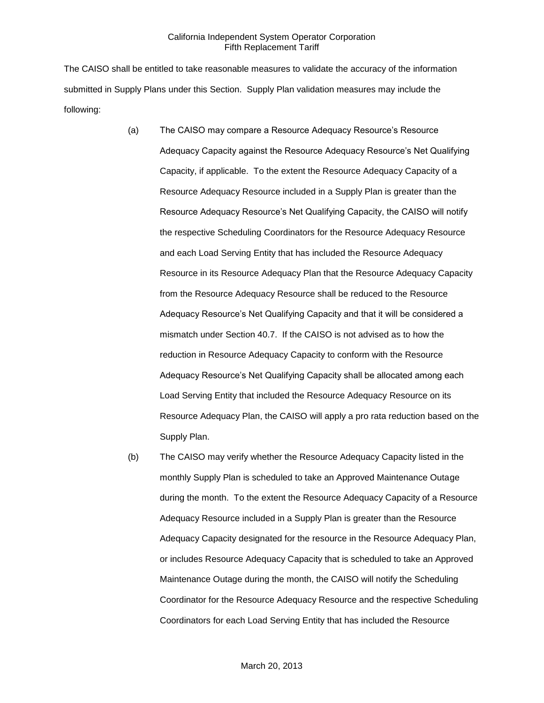The CAISO shall be entitled to take reasonable measures to validate the accuracy of the information submitted in Supply Plans under this Section. Supply Plan validation measures may include the following:

- (a) The CAISO may compare a Resource Adequacy Resource's Resource Adequacy Capacity against the Resource Adequacy Resource's Net Qualifying Capacity, if applicable. To the extent the Resource Adequacy Capacity of a Resource Adequacy Resource included in a Supply Plan is greater than the Resource Adequacy Resource's Net Qualifying Capacity, the CAISO will notify the respective Scheduling Coordinators for the Resource Adequacy Resource and each Load Serving Entity that has included the Resource Adequacy Resource in its Resource Adequacy Plan that the Resource Adequacy Capacity from the Resource Adequacy Resource shall be reduced to the Resource Adequacy Resource's Net Qualifying Capacity and that it will be considered a mismatch under Section 40.7. If the CAISO is not advised as to how the reduction in Resource Adequacy Capacity to conform with the Resource Adequacy Resource's Net Qualifying Capacity shall be allocated among each Load Serving Entity that included the Resource Adequacy Resource on its Resource Adequacy Plan, the CAISO will apply a pro rata reduction based on the Supply Plan.
- (b) The CAISO may verify whether the Resource Adequacy Capacity listed in the monthly Supply Plan is scheduled to take an Approved Maintenance Outage during the month. To the extent the Resource Adequacy Capacity of a Resource Adequacy Resource included in a Supply Plan is greater than the Resource Adequacy Capacity designated for the resource in the Resource Adequacy Plan, or includes Resource Adequacy Capacity that is scheduled to take an Approved Maintenance Outage during the month, the CAISO will notify the Scheduling Coordinator for the Resource Adequacy Resource and the respective Scheduling Coordinators for each Load Serving Entity that has included the Resource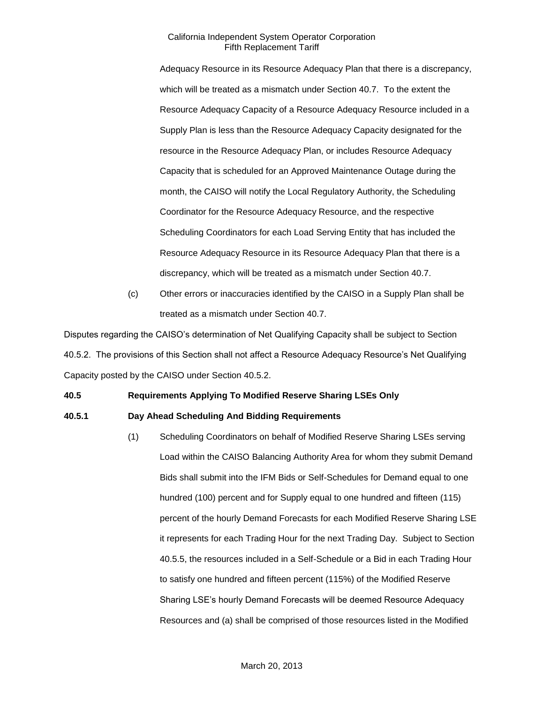Adequacy Resource in its Resource Adequacy Plan that there is a discrepancy, which will be treated as a mismatch under Section 40.7. To the extent the Resource Adequacy Capacity of a Resource Adequacy Resource included in a Supply Plan is less than the Resource Adequacy Capacity designated for the resource in the Resource Adequacy Plan, or includes Resource Adequacy Capacity that is scheduled for an Approved Maintenance Outage during the month, the CAISO will notify the Local Regulatory Authority, the Scheduling Coordinator for the Resource Adequacy Resource, and the respective Scheduling Coordinators for each Load Serving Entity that has included the Resource Adequacy Resource in its Resource Adequacy Plan that there is a discrepancy, which will be treated as a mismatch under Section 40.7.

(c) Other errors or inaccuracies identified by the CAISO in a Supply Plan shall be treated as a mismatch under Section 40.7.

Disputes regarding the CAISO's determination of Net Qualifying Capacity shall be subject to Section 40.5.2. The provisions of this Section shall not affect a Resource Adequacy Resource's Net Qualifying Capacity posted by the CAISO under Section 40.5.2.

# **40.5 Requirements Applying To Modified Reserve Sharing LSEs Only**

#### **40.5.1 Day Ahead Scheduling And Bidding Requirements**

(1) Scheduling Coordinators on behalf of Modified Reserve Sharing LSEs serving Load within the CAISO Balancing Authority Area for whom they submit Demand Bids shall submit into the IFM Bids or Self-Schedules for Demand equal to one hundred (100) percent and for Supply equal to one hundred and fifteen (115) percent of the hourly Demand Forecasts for each Modified Reserve Sharing LSE it represents for each Trading Hour for the next Trading Day. Subject to Section 40.5.5, the resources included in a Self-Schedule or a Bid in each Trading Hour to satisfy one hundred and fifteen percent (115%) of the Modified Reserve Sharing LSE's hourly Demand Forecasts will be deemed Resource Adequacy Resources and (a) shall be comprised of those resources listed in the Modified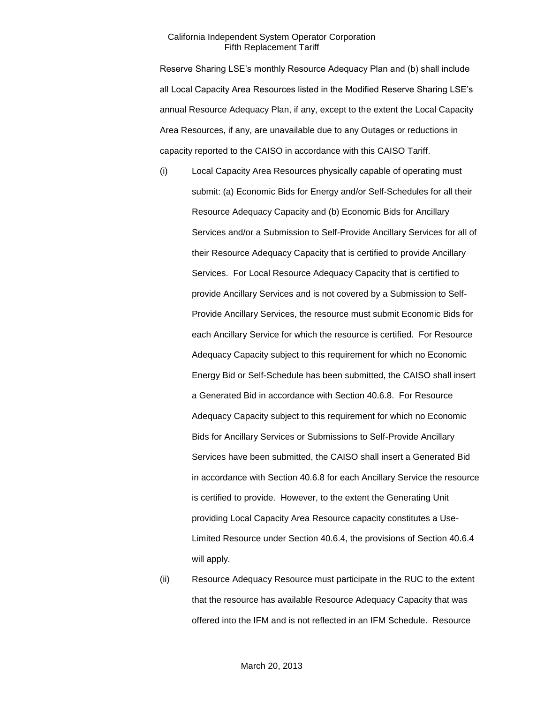Reserve Sharing LSE's monthly Resource Adequacy Plan and (b) shall include all Local Capacity Area Resources listed in the Modified Reserve Sharing LSE's annual Resource Adequacy Plan, if any, except to the extent the Local Capacity Area Resources, if any, are unavailable due to any Outages or reductions in capacity reported to the CAISO in accordance with this CAISO Tariff.

- (i) Local Capacity Area Resources physically capable of operating must submit: (a) Economic Bids for Energy and/or Self-Schedules for all their Resource Adequacy Capacity and (b) Economic Bids for Ancillary Services and/or a Submission to Self-Provide Ancillary Services for all of their Resource Adequacy Capacity that is certified to provide Ancillary Services. For Local Resource Adequacy Capacity that is certified to provide Ancillary Services and is not covered by a Submission to Self-Provide Ancillary Services, the resource must submit Economic Bids for each Ancillary Service for which the resource is certified. For Resource Adequacy Capacity subject to this requirement for which no Economic Energy Bid or Self-Schedule has been submitted, the CAISO shall insert a Generated Bid in accordance with Section 40.6.8. For Resource Adequacy Capacity subject to this requirement for which no Economic Bids for Ancillary Services or Submissions to Self-Provide Ancillary Services have been submitted, the CAISO shall insert a Generated Bid in accordance with Section 40.6.8 for each Ancillary Service the resource is certified to provide. However, to the extent the Generating Unit providing Local Capacity Area Resource capacity constitutes a Use-Limited Resource under Section 40.6.4, the provisions of Section 40.6.4 will apply.
- (ii) Resource Adequacy Resource must participate in the RUC to the extent that the resource has available Resource Adequacy Capacity that was offered into the IFM and is not reflected in an IFM Schedule. Resource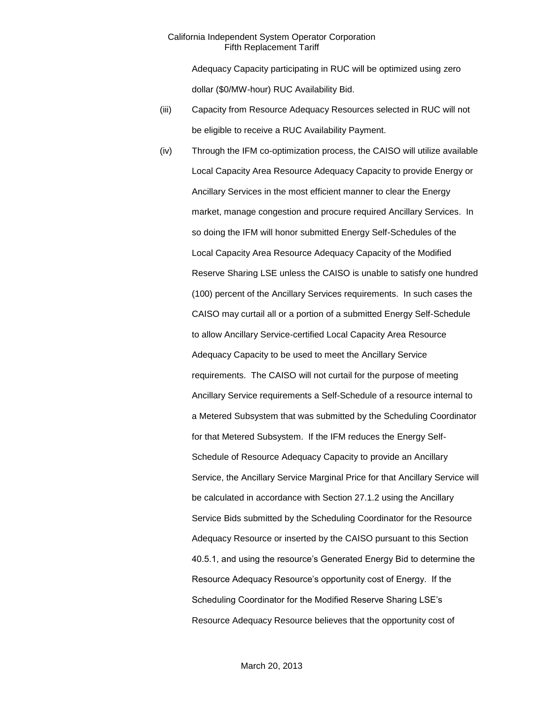Adequacy Capacity participating in RUC will be optimized using zero dollar (\$0/MW-hour) RUC Availability Bid.

- (iii) Capacity from Resource Adequacy Resources selected in RUC will not be eligible to receive a RUC Availability Payment.
- (iv) Through the IFM co-optimization process, the CAISO will utilize available Local Capacity Area Resource Adequacy Capacity to provide Energy or Ancillary Services in the most efficient manner to clear the Energy market, manage congestion and procure required Ancillary Services. In so doing the IFM will honor submitted Energy Self-Schedules of the Local Capacity Area Resource Adequacy Capacity of the Modified Reserve Sharing LSE unless the CAISO is unable to satisfy one hundred (100) percent of the Ancillary Services requirements. In such cases the CAISO may curtail all or a portion of a submitted Energy Self-Schedule to allow Ancillary Service-certified Local Capacity Area Resource Adequacy Capacity to be used to meet the Ancillary Service requirements. The CAISO will not curtail for the purpose of meeting Ancillary Service requirements a Self-Schedule of a resource internal to a Metered Subsystem that was submitted by the Scheduling Coordinator for that Metered Subsystem. If the IFM reduces the Energy Self-Schedule of Resource Adequacy Capacity to provide an Ancillary Service, the Ancillary Service Marginal Price for that Ancillary Service will be calculated in accordance with Section 27.1.2 using the Ancillary Service Bids submitted by the Scheduling Coordinator for the Resource Adequacy Resource or inserted by the CAISO pursuant to this Section 40.5.1, and using the resource's Generated Energy Bid to determine the Resource Adequacy Resource's opportunity cost of Energy. If the Scheduling Coordinator for the Modified Reserve Sharing LSE's Resource Adequacy Resource believes that the opportunity cost of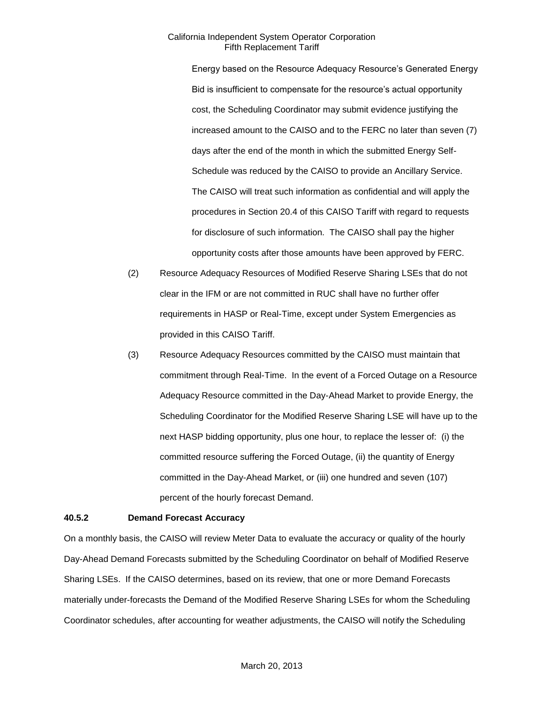Energy based on the Resource Adequacy Resource's Generated Energy Bid is insufficient to compensate for the resource's actual opportunity cost, the Scheduling Coordinator may submit evidence justifying the increased amount to the CAISO and to the FERC no later than seven (7) days after the end of the month in which the submitted Energy Self-Schedule was reduced by the CAISO to provide an Ancillary Service. The CAISO will treat such information as confidential and will apply the procedures in Section 20.4 of this CAISO Tariff with regard to requests for disclosure of such information. The CAISO shall pay the higher opportunity costs after those amounts have been approved by FERC.

- (2) Resource Adequacy Resources of Modified Reserve Sharing LSEs that do not clear in the IFM or are not committed in RUC shall have no further offer requirements in HASP or Real-Time, except under System Emergencies as provided in this CAISO Tariff.
- (3) Resource Adequacy Resources committed by the CAISO must maintain that commitment through Real-Time. In the event of a Forced Outage on a Resource Adequacy Resource committed in the Day-Ahead Market to provide Energy, the Scheduling Coordinator for the Modified Reserve Sharing LSE will have up to the next HASP bidding opportunity, plus one hour, to replace the lesser of: (i) the committed resource suffering the Forced Outage, (ii) the quantity of Energy committed in the Day-Ahead Market, or (iii) one hundred and seven (107) percent of the hourly forecast Demand.

#### **40.5.2 Demand Forecast Accuracy**

On a monthly basis, the CAISO will review Meter Data to evaluate the accuracy or quality of the hourly Day-Ahead Demand Forecasts submitted by the Scheduling Coordinator on behalf of Modified Reserve Sharing LSEs. If the CAISO determines, based on its review, that one or more Demand Forecasts materially under-forecasts the Demand of the Modified Reserve Sharing LSEs for whom the Scheduling Coordinator schedules, after accounting for weather adjustments, the CAISO will notify the Scheduling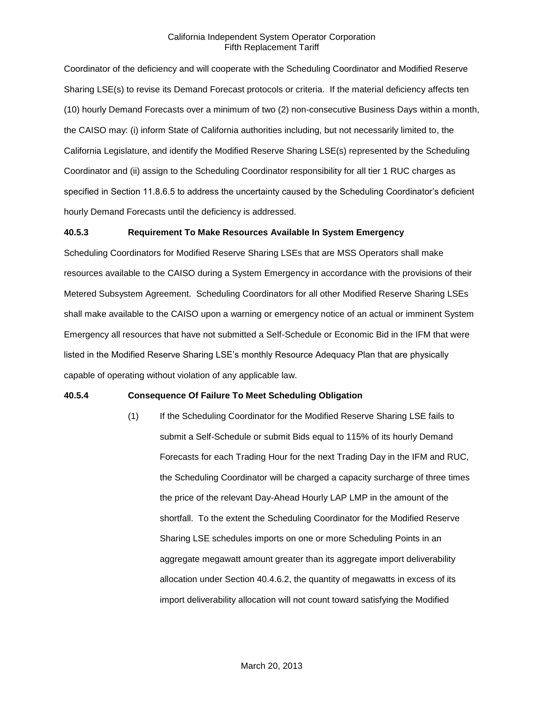Coordinator of the deficiency and will cooperate with the Scheduling Coordinator and Modified Reserve Sharing LSE(s) to revise its Demand Forecast protocols or criteria. If the material deficiency affects ten (10) hourly Demand Forecasts over a minimum of two (2) non-consecutive Business Days within a month, the CAISO may: (i) inform State of California authorities including, but not necessarily limited to, the California Legislature, and identify the Modified Reserve Sharing LSE(s) represented by the Scheduling Coordinator and (ii) assign to the Scheduling Coordinator responsibility for all tier 1 RUC charges as specified in Section 11.8.6.5 to address the uncertainty caused by the Scheduling Coordinator's deficient hourly Demand Forecasts until the deficiency is addressed.

#### **40.5.3 Requirement To Make Resources Available In System Emergency**

Scheduling Coordinators for Modified Reserve Sharing LSEs that are MSS Operators shall make resources available to the CAISO during a System Emergency in accordance with the provisions of their Metered Subsystem Agreement. Scheduling Coordinators for all other Modified Reserve Sharing LSEs shall make available to the CAISO upon a warning or emergency notice of an actual or imminent System Emergency all resources that have not submitted a Self-Schedule or Economic Bid in the IFM that were listed in the Modified Reserve Sharing LSE's monthly Resource Adequacy Plan that are physically capable of operating without violation of any applicable law.

# **40.5.4 Consequence Of Failure To Meet Scheduling Obligation**

(1) If the Scheduling Coordinator for the Modified Reserve Sharing LSE fails to submit a Self-Schedule or submit Bids equal to 115% of its hourly Demand Forecasts for each Trading Hour for the next Trading Day in the IFM and RUC, the Scheduling Coordinator will be charged a capacity surcharge of three times the price of the relevant Day-Ahead Hourly LAP LMP in the amount of the shortfall. To the extent the Scheduling Coordinator for the Modified Reserve Sharing LSE schedules imports on one or more Scheduling Points in an aggregate megawatt amount greater than its aggregate import deliverability allocation under Section 40.4.6.2, the quantity of megawatts in excess of its import deliverability allocation will not count toward satisfying the Modified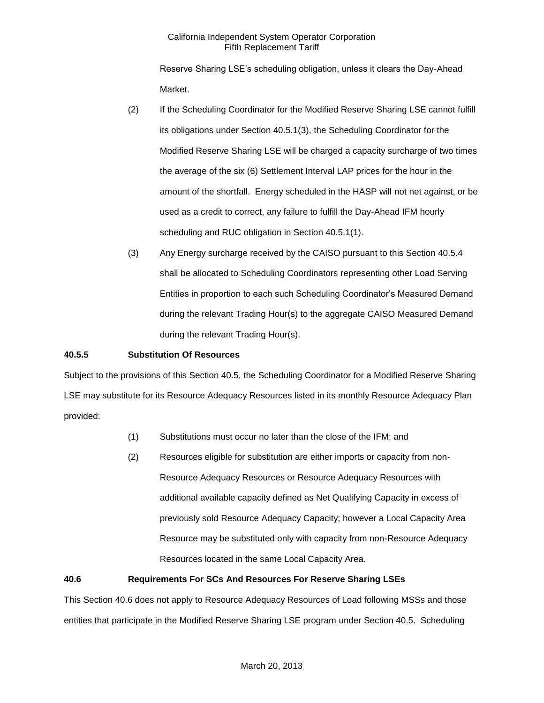Reserve Sharing LSE's scheduling obligation, unless it clears the Day-Ahead Market.

- (2) If the Scheduling Coordinator for the Modified Reserve Sharing LSE cannot fulfill its obligations under Section 40.5.1(3), the Scheduling Coordinator for the Modified Reserve Sharing LSE will be charged a capacity surcharge of two times the average of the six (6) Settlement Interval LAP prices for the hour in the amount of the shortfall. Energy scheduled in the HASP will not net against, or be used as a credit to correct, any failure to fulfill the Day-Ahead IFM hourly scheduling and RUC obligation in Section 40.5.1(1).
- (3) Any Energy surcharge received by the CAISO pursuant to this Section 40.5.4 shall be allocated to Scheduling Coordinators representing other Load Serving Entities in proportion to each such Scheduling Coordinator's Measured Demand during the relevant Trading Hour(s) to the aggregate CAISO Measured Demand during the relevant Trading Hour(s).

# **40.5.5 Substitution Of Resources**

Subject to the provisions of this Section 40.5, the Scheduling Coordinator for a Modified Reserve Sharing LSE may substitute for its Resource Adequacy Resources listed in its monthly Resource Adequacy Plan provided:

- (1) Substitutions must occur no later than the close of the IFM; and
- (2) Resources eligible for substitution are either imports or capacity from non-Resource Adequacy Resources or Resource Adequacy Resources with additional available capacity defined as Net Qualifying Capacity in excess of previously sold Resource Adequacy Capacity; however a Local Capacity Area Resource may be substituted only with capacity from non-Resource Adequacy Resources located in the same Local Capacity Area.

# **40.6 Requirements For SCs And Resources For Reserve Sharing LSEs**

This Section 40.6 does not apply to Resource Adequacy Resources of Load following MSSs and those entities that participate in the Modified Reserve Sharing LSE program under Section 40.5. Scheduling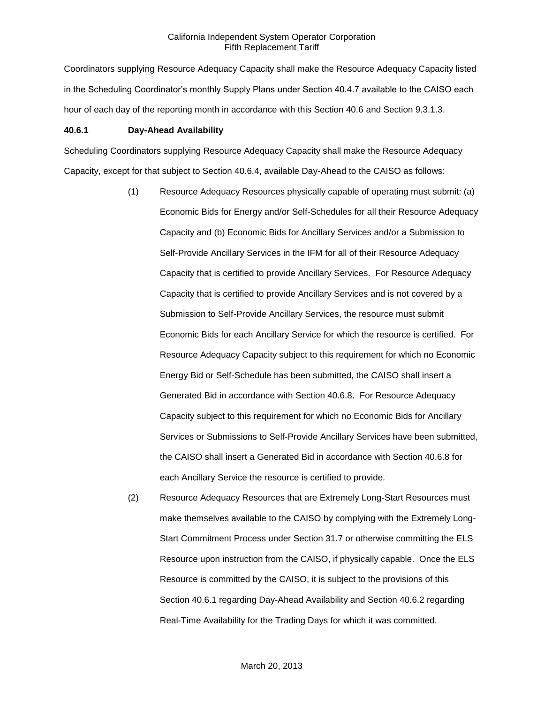Coordinators supplying Resource Adequacy Capacity shall make the Resource Adequacy Capacity listed in the Scheduling Coordinator's monthly Supply Plans under Section 40.4.7 available to the CAISO each hour of each day of the reporting month in accordance with this Section 40.6 and Section 9.3.1.3.

#### **40.6.1 Day-Ahead Availability**

Scheduling Coordinators supplying Resource Adequacy Capacity shall make the Resource Adequacy Capacity, except for that subject to Section 40.6.4, available Day-Ahead to the CAISO as follows:

- (1) Resource Adequacy Resources physically capable of operating must submit: (a) Economic Bids for Energy and/or Self-Schedules for all their Resource Adequacy Capacity and (b) Economic Bids for Ancillary Services and/or a Submission to Self-Provide Ancillary Services in the IFM for all of their Resource Adequacy Capacity that is certified to provide Ancillary Services. For Resource Adequacy Capacity that is certified to provide Ancillary Services and is not covered by a Submission to Self-Provide Ancillary Services, the resource must submit Economic Bids for each Ancillary Service for which the resource is certified. For Resource Adequacy Capacity subject to this requirement for which no Economic Energy Bid or Self-Schedule has been submitted, the CAISO shall insert a Generated Bid in accordance with Section 40.6.8. For Resource Adequacy Capacity subject to this requirement for which no Economic Bids for Ancillary Services or Submissions to Self-Provide Ancillary Services have been submitted, the CAISO shall insert a Generated Bid in accordance with Section 40.6.8 for each Ancillary Service the resource is certified to provide.
- (2) Resource Adequacy Resources that are Extremely Long-Start Resources must make themselves available to the CAISO by complying with the Extremely Long-Start Commitment Process under Section 31.7 or otherwise committing the ELS Resource upon instruction from the CAISO, if physically capable. Once the ELS Resource is committed by the CAISO, it is subject to the provisions of this Section 40.6.1 regarding Day-Ahead Availability and Section 40.6.2 regarding Real-Time Availability for the Trading Days for which it was committed.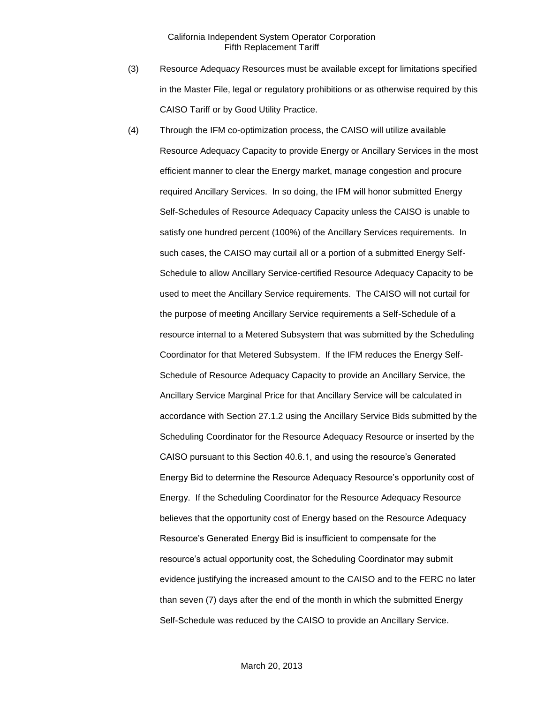- (3) Resource Adequacy Resources must be available except for limitations specified in the Master File, legal or regulatory prohibitions or as otherwise required by this CAISO Tariff or by Good Utility Practice.
- (4) Through the IFM co-optimization process, the CAISO will utilize available Resource Adequacy Capacity to provide Energy or Ancillary Services in the most efficient manner to clear the Energy market, manage congestion and procure required Ancillary Services. In so doing, the IFM will honor submitted Energy Self-Schedules of Resource Adequacy Capacity unless the CAISO is unable to satisfy one hundred percent (100%) of the Ancillary Services requirements. In such cases, the CAISO may curtail all or a portion of a submitted Energy Self-Schedule to allow Ancillary Service-certified Resource Adequacy Capacity to be used to meet the Ancillary Service requirements. The CAISO will not curtail for the purpose of meeting Ancillary Service requirements a Self-Schedule of a resource internal to a Metered Subsystem that was submitted by the Scheduling Coordinator for that Metered Subsystem. If the IFM reduces the Energy Self-Schedule of Resource Adequacy Capacity to provide an Ancillary Service, the Ancillary Service Marginal Price for that Ancillary Service will be calculated in accordance with Section 27.1.2 using the Ancillary Service Bids submitted by the Scheduling Coordinator for the Resource Adequacy Resource or inserted by the CAISO pursuant to this Section 40.6.1, and using the resource's Generated Energy Bid to determine the Resource Adequacy Resource's opportunity cost of Energy. If the Scheduling Coordinator for the Resource Adequacy Resource believes that the opportunity cost of Energy based on the Resource Adequacy Resource's Generated Energy Bid is insufficient to compensate for the resource's actual opportunity cost, the Scheduling Coordinator may submit evidence justifying the increased amount to the CAISO and to the FERC no later than seven (7) days after the end of the month in which the submitted Energy Self-Schedule was reduced by the CAISO to provide an Ancillary Service.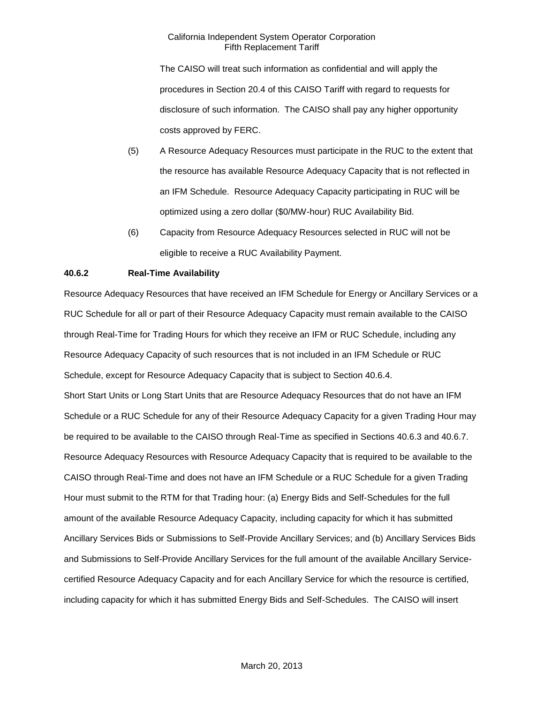The CAISO will treat such information as confidential and will apply the procedures in Section 20.4 of this CAISO Tariff with regard to requests for disclosure of such information. The CAISO shall pay any higher opportunity costs approved by FERC.

- (5) A Resource Adequacy Resources must participate in the RUC to the extent that the resource has available Resource Adequacy Capacity that is not reflected in an IFM Schedule. Resource Adequacy Capacity participating in RUC will be optimized using a zero dollar (\$0/MW-hour) RUC Availability Bid.
- (6) Capacity from Resource Adequacy Resources selected in RUC will not be eligible to receive a RUC Availability Payment.

# **40.6.2 Real-Time Availability**

Resource Adequacy Resources that have received an IFM Schedule for Energy or Ancillary Services or a RUC Schedule for all or part of their Resource Adequacy Capacity must remain available to the CAISO through Real-Time for Trading Hours for which they receive an IFM or RUC Schedule, including any Resource Adequacy Capacity of such resources that is not included in an IFM Schedule or RUC Schedule, except for Resource Adequacy Capacity that is subject to Section 40.6.4. Short Start Units or Long Start Units that are Resource Adequacy Resources that do not have an IFM Schedule or a RUC Schedule for any of their Resource Adequacy Capacity for a given Trading Hour may be required to be available to the CAISO through Real-Time as specified in Sections 40.6.3 and 40.6.7. Resource Adequacy Resources with Resource Adequacy Capacity that is required to be available to the CAISO through Real-Time and does not have an IFM Schedule or a RUC Schedule for a given Trading Hour must submit to the RTM for that Trading hour: (a) Energy Bids and Self-Schedules for the full amount of the available Resource Adequacy Capacity, including capacity for which it has submitted Ancillary Services Bids or Submissions to Self-Provide Ancillary Services; and (b) Ancillary Services Bids and Submissions to Self-Provide Ancillary Services for the full amount of the available Ancillary Servicecertified Resource Adequacy Capacity and for each Ancillary Service for which the resource is certified, including capacity for which it has submitted Energy Bids and Self-Schedules. The CAISO will insert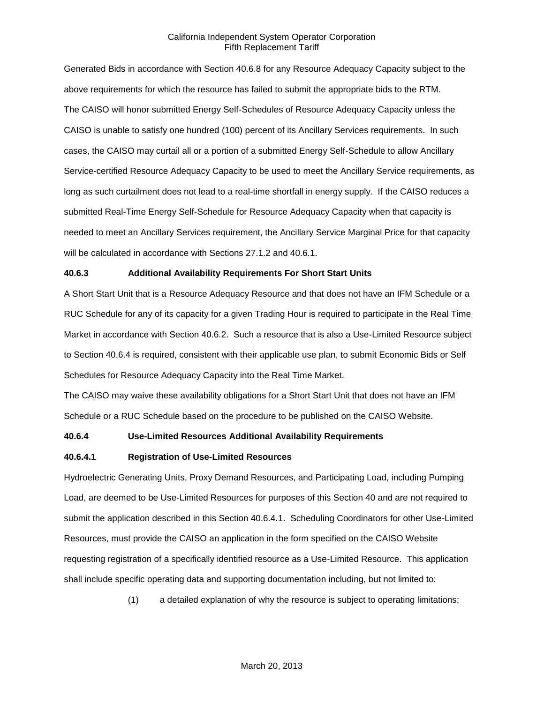Generated Bids in accordance with Section 40.6.8 for any Resource Adequacy Capacity subject to the above requirements for which the resource has failed to submit the appropriate bids to the RTM. The CAISO will honor submitted Energy Self-Schedules of Resource Adequacy Capacity unless the CAISO is unable to satisfy one hundred (100) percent of its Ancillary Services requirements. In such cases, the CAISO may curtail all or a portion of a submitted Energy Self-Schedule to allow Ancillary Service-certified Resource Adequacy Capacity to be used to meet the Ancillary Service requirements, as long as such curtailment does not lead to a real-time shortfall in energy supply. If the CAISO reduces a submitted Real-Time Energy Self-Schedule for Resource Adequacy Capacity when that capacity is needed to meet an Ancillary Services requirement, the Ancillary Service Marginal Price for that capacity will be calculated in accordance with Sections 27.1.2 and 40.6.1.

### **40.6.3 Additional Availability Requirements For Short Start Units**

A Short Start Unit that is a Resource Adequacy Resource and that does not have an IFM Schedule or a RUC Schedule for any of its capacity for a given Trading Hour is required to participate in the Real Time Market in accordance with Section 40.6.2. Such a resource that is also a Use-Limited Resource subject to Section 40.6.4 is required, consistent with their applicable use plan, to submit Economic Bids or Self Schedules for Resource Adequacy Capacity into the Real Time Market.

The CAISO may waive these availability obligations for a Short Start Unit that does not have an IFM Schedule or a RUC Schedule based on the procedure to be published on the CAISO Website.

### **40.6.4 Use-Limited Resources Additional Availability Requirements**

#### **40.6.4.1 Registration of Use-Limited Resources**

Hydroelectric Generating Units, Proxy Demand Resources, and Participating Load, including Pumping Load, are deemed to be Use-Limited Resources for purposes of this Section 40 and are not required to submit the application described in this Section 40.6.4.1. Scheduling Coordinators for other Use-Limited Resources, must provide the CAISO an application in the form specified on the CAISO Website requesting registration of a specifically identified resource as a Use-Limited Resource. This application shall include specific operating data and supporting documentation including, but not limited to:

(1) a detailed explanation of why the resource is subject to operating limitations;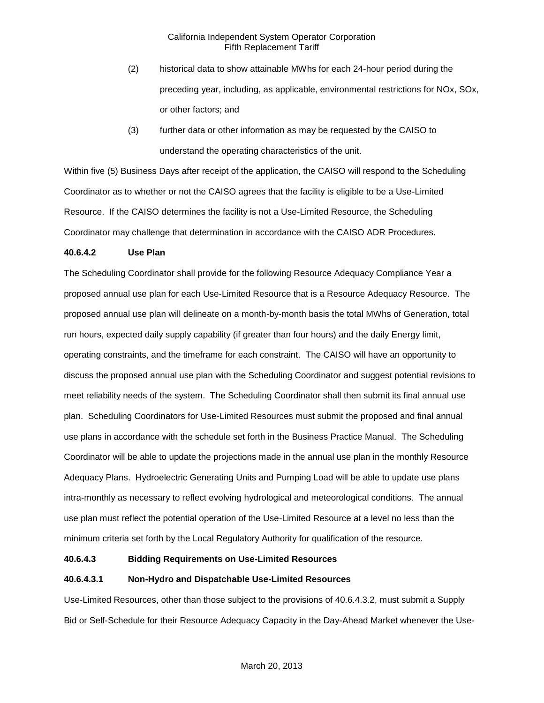- (2) historical data to show attainable MWhs for each 24-hour period during the preceding year, including, as applicable, environmental restrictions for NOx, SOx, or other factors; and
- (3) further data or other information as may be requested by the CAISO to understand the operating characteristics of the unit.

Within five (5) Business Days after receipt of the application, the CAISO will respond to the Scheduling Coordinator as to whether or not the CAISO agrees that the facility is eligible to be a Use-Limited Resource. If the CAISO determines the facility is not a Use-Limited Resource, the Scheduling Coordinator may challenge that determination in accordance with the CAISO ADR Procedures.

# **40.6.4.2 Use Plan**

The Scheduling Coordinator shall provide for the following Resource Adequacy Compliance Year a proposed annual use plan for each Use-Limited Resource that is a Resource Adequacy Resource. The proposed annual use plan will delineate on a month-by-month basis the total MWhs of Generation, total run hours, expected daily supply capability (if greater than four hours) and the daily Energy limit, operating constraints, and the timeframe for each constraint. The CAISO will have an opportunity to discuss the proposed annual use plan with the Scheduling Coordinator and suggest potential revisions to meet reliability needs of the system. The Scheduling Coordinator shall then submit its final annual use plan. Scheduling Coordinators for Use-Limited Resources must submit the proposed and final annual use plans in accordance with the schedule set forth in the Business Practice Manual. The Scheduling Coordinator will be able to update the projections made in the annual use plan in the monthly Resource Adequacy Plans. Hydroelectric Generating Units and Pumping Load will be able to update use plans intra-monthly as necessary to reflect evolving hydrological and meteorological conditions. The annual use plan must reflect the potential operation of the Use-Limited Resource at a level no less than the minimum criteria set forth by the Local Regulatory Authority for qualification of the resource.

# **40.6.4.3 Bidding Requirements on Use-Limited Resources**

# **40.6.4.3.1 Non-Hydro and Dispatchable Use-Limited Resources**

Use-Limited Resources, other than those subject to the provisions of 40.6.4.3.2, must submit a Supply Bid or Self-Schedule for their Resource Adequacy Capacity in the Day-Ahead Market whenever the Use-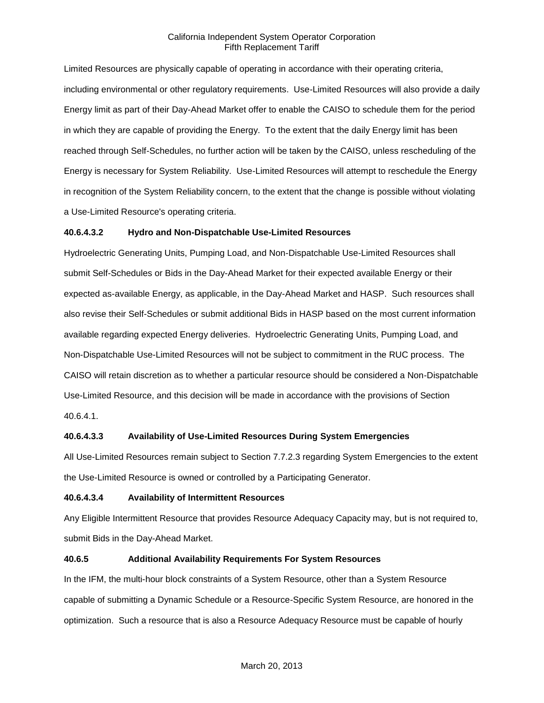Limited Resources are physically capable of operating in accordance with their operating criteria, including environmental or other regulatory requirements. Use-Limited Resources will also provide a daily Energy limit as part of their Day-Ahead Market offer to enable the CAISO to schedule them for the period in which they are capable of providing the Energy. To the extent that the daily Energy limit has been reached through Self-Schedules, no further action will be taken by the CAISO, unless rescheduling of the Energy is necessary for System Reliability. Use-Limited Resources will attempt to reschedule the Energy in recognition of the System Reliability concern, to the extent that the change is possible without violating a Use-Limited Resource's operating criteria.

# **40.6.4.3.2 Hydro and Non-Dispatchable Use-Limited Resources**

Hydroelectric Generating Units, Pumping Load, and Non-Dispatchable Use-Limited Resources shall submit Self-Schedules or Bids in the Day-Ahead Market for their expected available Energy or their expected as-available Energy, as applicable, in the Day-Ahead Market and HASP. Such resources shall also revise their Self-Schedules or submit additional Bids in HASP based on the most current information available regarding expected Energy deliveries. Hydroelectric Generating Units, Pumping Load, and Non-Dispatchable Use-Limited Resources will not be subject to commitment in the RUC process. The CAISO will retain discretion as to whether a particular resource should be considered a Non-Dispatchable Use-Limited Resource, and this decision will be made in accordance with the provisions of Section 40.6.4.1.

# **40.6.4.3.3 Availability of Use-Limited Resources During System Emergencies**

All Use-Limited Resources remain subject to Section 7.7.2.3 regarding System Emergencies to the extent the Use-Limited Resource is owned or controlled by a Participating Generator.

#### **40.6.4.3.4 Availability of Intermittent Resources**

Any Eligible Intermittent Resource that provides Resource Adequacy Capacity may, but is not required to, submit Bids in the Day-Ahead Market.

#### **40.6.5 Additional Availability Requirements For System Resources**

In the IFM, the multi-hour block constraints of a System Resource, other than a System Resource capable of submitting a Dynamic Schedule or a Resource-Specific System Resource, are honored in the optimization. Such a resource that is also a Resource Adequacy Resource must be capable of hourly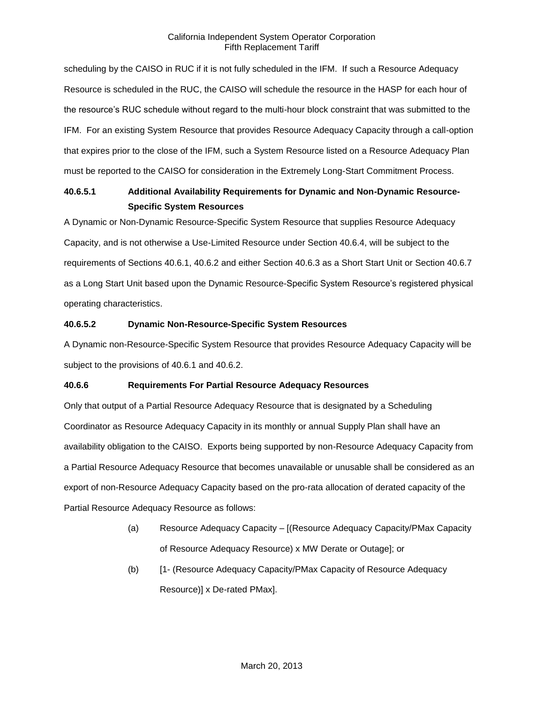scheduling by the CAISO in RUC if it is not fully scheduled in the IFM. If such a Resource Adequacy Resource is scheduled in the RUC, the CAISO will schedule the resource in the HASP for each hour of the resource's RUC schedule without regard to the multi-hour block constraint that was submitted to the IFM. For an existing System Resource that provides Resource Adequacy Capacity through a call-option that expires prior to the close of the IFM, such a System Resource listed on a Resource Adequacy Plan must be reported to the CAISO for consideration in the Extremely Long-Start Commitment Process.

# **40.6.5.1 Additional Availability Requirements for Dynamic and Non-Dynamic Resource-Specific System Resources**

A Dynamic or Non-Dynamic Resource-Specific System Resource that supplies Resource Adequacy Capacity, and is not otherwise a Use-Limited Resource under Section 40.6.4, will be subject to the requirements of Sections 40.6.1, 40.6.2 and either Section 40.6.3 as a Short Start Unit or Section 40.6.7 as a Long Start Unit based upon the Dynamic Resource-Specific System Resource's registered physical operating characteristics.

# **40.6.5.2 Dynamic Non-Resource-Specific System Resources**

A Dynamic non-Resource-Specific System Resource that provides Resource Adequacy Capacity will be subject to the provisions of 40.6.1 and 40.6.2.

# **40.6.6 Requirements For Partial Resource Adequacy Resources**

Only that output of a Partial Resource Adequacy Resource that is designated by a Scheduling Coordinator as Resource Adequacy Capacity in its monthly or annual Supply Plan shall have an availability obligation to the CAISO. Exports being supported by non-Resource Adequacy Capacity from a Partial Resource Adequacy Resource that becomes unavailable or unusable shall be considered as an export of non-Resource Adequacy Capacity based on the pro-rata allocation of derated capacity of the Partial Resource Adequacy Resource as follows:

- (a) Resource Adequacy Capacity [(Resource Adequacy Capacity/PMax Capacity of Resource Adequacy Resource) x MW Derate or Outage]; or
- (b) [1- (Resource Adequacy Capacity/PMax Capacity of Resource Adequacy Resource)] x De-rated PMax].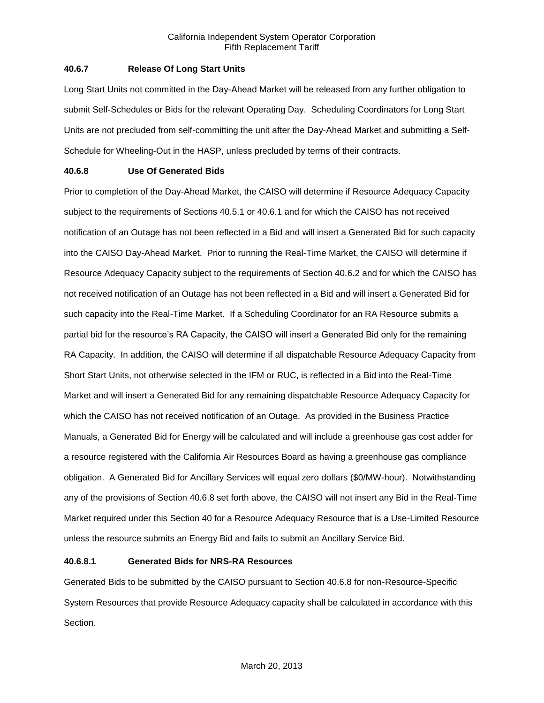# **40.6.7 Release Of Long Start Units**

Long Start Units not committed in the Day-Ahead Market will be released from any further obligation to submit Self-Schedules or Bids for the relevant Operating Day. Scheduling Coordinators for Long Start Units are not precluded from self-committing the unit after the Day-Ahead Market and submitting a Self-Schedule for Wheeling-Out in the HASP, unless precluded by terms of their contracts.

# **40.6.8 Use Of Generated Bids**

Prior to completion of the Day-Ahead Market, the CAISO will determine if Resource Adequacy Capacity subject to the requirements of Sections 40.5.1 or 40.6.1 and for which the CAISO has not received notification of an Outage has not been reflected in a Bid and will insert a Generated Bid for such capacity into the CAISO Day-Ahead Market. Prior to running the Real-Time Market, the CAISO will determine if Resource Adequacy Capacity subject to the requirements of Section 40.6.2 and for which the CAISO has not received notification of an Outage has not been reflected in a Bid and will insert a Generated Bid for such capacity into the Real-Time Market. If a Scheduling Coordinator for an RA Resource submits a partial bid for the resource's RA Capacity, the CAISO will insert a Generated Bid only for the remaining RA Capacity. In addition, the CAISO will determine if all dispatchable Resource Adequacy Capacity from Short Start Units, not otherwise selected in the IFM or RUC, is reflected in a Bid into the Real-Time Market and will insert a Generated Bid for any remaining dispatchable Resource Adequacy Capacity for which the CAISO has not received notification of an Outage. As provided in the Business Practice Manuals, a Generated Bid for Energy will be calculated and will include a greenhouse gas cost adder for a resource registered with the California Air Resources Board as having a greenhouse gas compliance obligation. A Generated Bid for Ancillary Services will equal zero dollars (\$0/MW-hour). Notwithstanding any of the provisions of Section 40.6.8 set forth above, the CAISO will not insert any Bid in the Real-Time Market required under this Section 40 for a Resource Adequacy Resource that is a Use-Limited Resource unless the resource submits an Energy Bid and fails to submit an Ancillary Service Bid.

# **40.6.8.1 Generated Bids for NRS-RA Resources**

Generated Bids to be submitted by the CAISO pursuant to Section 40.6.8 for non-Resource-Specific System Resources that provide Resource Adequacy capacity shall be calculated in accordance with this Section.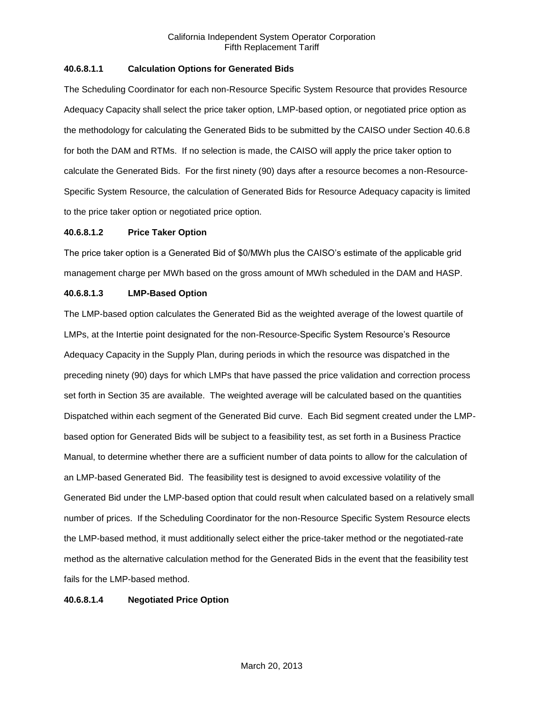# **40.6.8.1.1 Calculation Options for Generated Bids**

The Scheduling Coordinator for each non-Resource Specific System Resource that provides Resource Adequacy Capacity shall select the price taker option, LMP-based option, or negotiated price option as the methodology for calculating the Generated Bids to be submitted by the CAISO under Section 40.6.8 for both the DAM and RTMs. If no selection is made, the CAISO will apply the price taker option to calculate the Generated Bids. For the first ninety (90) days after a resource becomes a non-Resource-Specific System Resource, the calculation of Generated Bids for Resource Adequacy capacity is limited to the price taker option or negotiated price option.

# **40.6.8.1.2 Price Taker Option**

The price taker option is a Generated Bid of \$0/MWh plus the CAISO's estimate of the applicable grid management charge per MWh based on the gross amount of MWh scheduled in the DAM and HASP.

# **40.6.8.1.3 LMP-Based Option**

The LMP-based option calculates the Generated Bid as the weighted average of the lowest quartile of LMPs, at the Intertie point designated for the non-Resource-Specific System Resource's Resource Adequacy Capacity in the Supply Plan, during periods in which the resource was dispatched in the preceding ninety (90) days for which LMPs that have passed the price validation and correction process set forth in Section 35 are available. The weighted average will be calculated based on the quantities Dispatched within each segment of the Generated Bid curve. Each Bid segment created under the LMPbased option for Generated Bids will be subject to a feasibility test, as set forth in a Business Practice Manual, to determine whether there are a sufficient number of data points to allow for the calculation of an LMP-based Generated Bid. The feasibility test is designed to avoid excessive volatility of the Generated Bid under the LMP-based option that could result when calculated based on a relatively small number of prices. If the Scheduling Coordinator for the non-Resource Specific System Resource elects the LMP-based method, it must additionally select either the price-taker method or the negotiated-rate method as the alternative calculation method for the Generated Bids in the event that the feasibility test fails for the LMP-based method.

#### **40.6.8.1.4 Negotiated Price Option**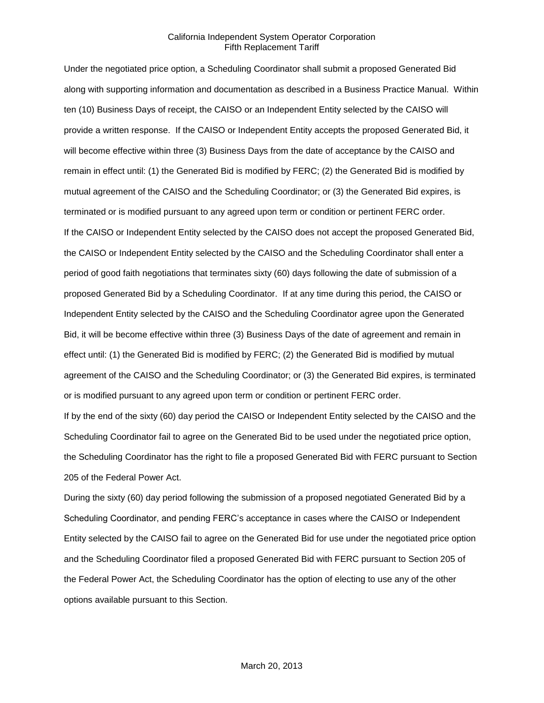Under the negotiated price option, a Scheduling Coordinator shall submit a proposed Generated Bid along with supporting information and documentation as described in a Business Practice Manual. Within ten (10) Business Days of receipt, the CAISO or an Independent Entity selected by the CAISO will provide a written response. If the CAISO or Independent Entity accepts the proposed Generated Bid, it will become effective within three (3) Business Days from the date of acceptance by the CAISO and remain in effect until: (1) the Generated Bid is modified by FERC; (2) the Generated Bid is modified by mutual agreement of the CAISO and the Scheduling Coordinator; or (3) the Generated Bid expires, is terminated or is modified pursuant to any agreed upon term or condition or pertinent FERC order. If the CAISO or Independent Entity selected by the CAISO does not accept the proposed Generated Bid, the CAISO or Independent Entity selected by the CAISO and the Scheduling Coordinator shall enter a period of good faith negotiations that terminates sixty (60) days following the date of submission of a proposed Generated Bid by a Scheduling Coordinator. If at any time during this period, the CAISO or Independent Entity selected by the CAISO and the Scheduling Coordinator agree upon the Generated Bid, it will be become effective within three (3) Business Days of the date of agreement and remain in effect until: (1) the Generated Bid is modified by FERC; (2) the Generated Bid is modified by mutual agreement of the CAISO and the Scheduling Coordinator; or (3) the Generated Bid expires, is terminated or is modified pursuant to any agreed upon term or condition or pertinent FERC order.

If by the end of the sixty (60) day period the CAISO or Independent Entity selected by the CAISO and the Scheduling Coordinator fail to agree on the Generated Bid to be used under the negotiated price option, the Scheduling Coordinator has the right to file a proposed Generated Bid with FERC pursuant to Section 205 of the Federal Power Act.

During the sixty (60) day period following the submission of a proposed negotiated Generated Bid by a Scheduling Coordinator, and pending FERC's acceptance in cases where the CAISO or Independent Entity selected by the CAISO fail to agree on the Generated Bid for use under the negotiated price option and the Scheduling Coordinator filed a proposed Generated Bid with FERC pursuant to Section 205 of the Federal Power Act, the Scheduling Coordinator has the option of electing to use any of the other options available pursuant to this Section.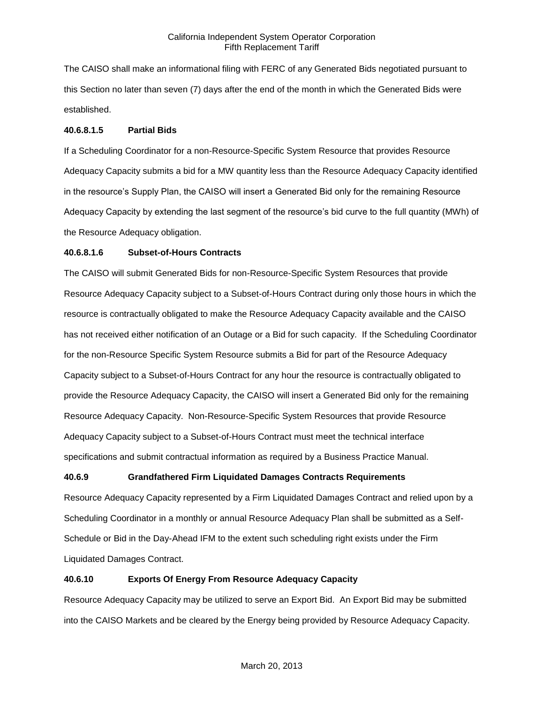The CAISO shall make an informational filing with FERC of any Generated Bids negotiated pursuant to this Section no later than seven (7) days after the end of the month in which the Generated Bids were established.

# **40.6.8.1.5 Partial Bids**

If a Scheduling Coordinator for a non-Resource-Specific System Resource that provides Resource Adequacy Capacity submits a bid for a MW quantity less than the Resource Adequacy Capacity identified in the resource's Supply Plan, the CAISO will insert a Generated Bid only for the remaining Resource Adequacy Capacity by extending the last segment of the resource's bid curve to the full quantity (MWh) of the Resource Adequacy obligation.

# **40.6.8.1.6 Subset-of-Hours Contracts**

The CAISO will submit Generated Bids for non-Resource-Specific System Resources that provide Resource Adequacy Capacity subject to a Subset-of-Hours Contract during only those hours in which the resource is contractually obligated to make the Resource Adequacy Capacity available and the CAISO has not received either notification of an Outage or a Bid for such capacity. If the Scheduling Coordinator for the non-Resource Specific System Resource submits a Bid for part of the Resource Adequacy Capacity subject to a Subset-of-Hours Contract for any hour the resource is contractually obligated to provide the Resource Adequacy Capacity, the CAISO will insert a Generated Bid only for the remaining Resource Adequacy Capacity. Non-Resource-Specific System Resources that provide Resource Adequacy Capacity subject to a Subset-of-Hours Contract must meet the technical interface specifications and submit contractual information as required by a Business Practice Manual.

# **40.6.9 Grandfathered Firm Liquidated Damages Contracts Requirements**

Resource Adequacy Capacity represented by a Firm Liquidated Damages Contract and relied upon by a Scheduling Coordinator in a monthly or annual Resource Adequacy Plan shall be submitted as a Self-Schedule or Bid in the Day-Ahead IFM to the extent such scheduling right exists under the Firm Liquidated Damages Contract.

# **40.6.10 Exports Of Energy From Resource Adequacy Capacity**

Resource Adequacy Capacity may be utilized to serve an Export Bid. An Export Bid may be submitted into the CAISO Markets and be cleared by the Energy being provided by Resource Adequacy Capacity.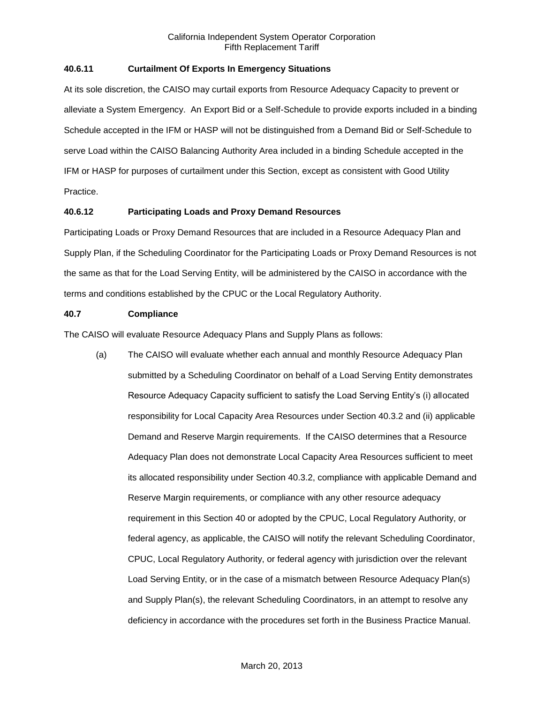# **40.6.11 Curtailment Of Exports In Emergency Situations**

At its sole discretion, the CAISO may curtail exports from Resource Adequacy Capacity to prevent or alleviate a System Emergency. An Export Bid or a Self-Schedule to provide exports included in a binding Schedule accepted in the IFM or HASP will not be distinguished from a Demand Bid or Self-Schedule to serve Load within the CAISO Balancing Authority Area included in a binding Schedule accepted in the IFM or HASP for purposes of curtailment under this Section, except as consistent with Good Utility Practice.

# **40.6.12 Participating Loads and Proxy Demand Resources**

Participating Loads or Proxy Demand Resources that are included in a Resource Adequacy Plan and Supply Plan, if the Scheduling Coordinator for the Participating Loads or Proxy Demand Resources is not the same as that for the Load Serving Entity, will be administered by the CAISO in accordance with the terms and conditions established by the CPUC or the Local Regulatory Authority.

# **40.7 Compliance**

The CAISO will evaluate Resource Adequacy Plans and Supply Plans as follows:

(a) The CAISO will evaluate whether each annual and monthly Resource Adequacy Plan submitted by a Scheduling Coordinator on behalf of a Load Serving Entity demonstrates Resource Adequacy Capacity sufficient to satisfy the Load Serving Entity's (i) allocated responsibility for Local Capacity Area Resources under Section 40.3.2 and (ii) applicable Demand and Reserve Margin requirements. If the CAISO determines that a Resource Adequacy Plan does not demonstrate Local Capacity Area Resources sufficient to meet its allocated responsibility under Section 40.3.2, compliance with applicable Demand and Reserve Margin requirements, or compliance with any other resource adequacy requirement in this Section 40 or adopted by the CPUC, Local Regulatory Authority, or federal agency, as applicable, the CAISO will notify the relevant Scheduling Coordinator, CPUC, Local Regulatory Authority, or federal agency with jurisdiction over the relevant Load Serving Entity, or in the case of a mismatch between Resource Adequacy Plan(s) and Supply Plan(s), the relevant Scheduling Coordinators, in an attempt to resolve any deficiency in accordance with the procedures set forth in the Business Practice Manual.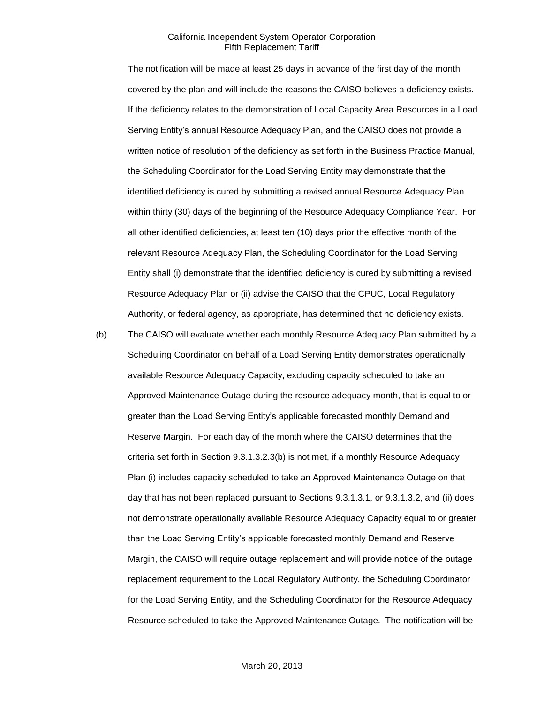The notification will be made at least 25 days in advance of the first day of the month covered by the plan and will include the reasons the CAISO believes a deficiency exists. If the deficiency relates to the demonstration of Local Capacity Area Resources in a Load Serving Entity's annual Resource Adequacy Plan, and the CAISO does not provide a written notice of resolution of the deficiency as set forth in the Business Practice Manual, the Scheduling Coordinator for the Load Serving Entity may demonstrate that the identified deficiency is cured by submitting a revised annual Resource Adequacy Plan within thirty (30) days of the beginning of the Resource Adequacy Compliance Year. For all other identified deficiencies, at least ten (10) days prior the effective month of the relevant Resource Adequacy Plan, the Scheduling Coordinator for the Load Serving Entity shall (i) demonstrate that the identified deficiency is cured by submitting a revised Resource Adequacy Plan or (ii) advise the CAISO that the CPUC, Local Regulatory Authority, or federal agency, as appropriate, has determined that no deficiency exists.

(b) The CAISO will evaluate whether each monthly Resource Adequacy Plan submitted by a Scheduling Coordinator on behalf of a Load Serving Entity demonstrates operationally available Resource Adequacy Capacity, excluding capacity scheduled to take an Approved Maintenance Outage during the resource adequacy month, that is equal to or greater than the Load Serving Entity's applicable forecasted monthly Demand and Reserve Margin. For each day of the month where the CAISO determines that the criteria set forth in Section 9.3.1.3.2.3(b) is not met, if a monthly Resource Adequacy Plan (i) includes capacity scheduled to take an Approved Maintenance Outage on that day that has not been replaced pursuant to Sections 9.3.1.3.1, or 9.3.1.3.2, and (ii) does not demonstrate operationally available Resource Adequacy Capacity equal to or greater than the Load Serving Entity's applicable forecasted monthly Demand and Reserve Margin, the CAISO will require outage replacement and will provide notice of the outage replacement requirement to the Local Regulatory Authority, the Scheduling Coordinator for the Load Serving Entity, and the Scheduling Coordinator for the Resource Adequacy Resource scheduled to take the Approved Maintenance Outage. The notification will be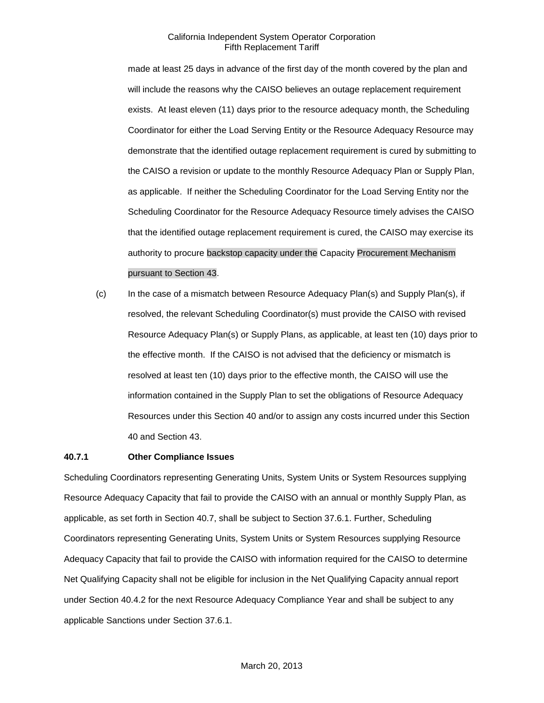made at least 25 days in advance of the first day of the month covered by the plan and will include the reasons why the CAISO believes an outage replacement requirement exists. At least eleven (11) days prior to the resource adequacy month, the Scheduling Coordinator for either the Load Serving Entity or the Resource Adequacy Resource may demonstrate that the identified outage replacement requirement is cured by submitting to the CAISO a revision or update to the monthly Resource Adequacy Plan or Supply Plan, as applicable. If neither the Scheduling Coordinator for the Load Serving Entity nor the Scheduling Coordinator for the Resource Adequacy Resource timely advises the CAISO that the identified outage replacement requirement is cured, the CAISO may exercise its authority to procure backstop capacity under the Capacity Procurement Mechanism pursuant to Section 43.

(c) In the case of a mismatch between Resource Adequacy Plan(s) and Supply Plan(s), if resolved, the relevant Scheduling Coordinator(s) must provide the CAISO with revised Resource Adequacy Plan(s) or Supply Plans, as applicable, at least ten (10) days prior to the effective month. If the CAISO is not advised that the deficiency or mismatch is resolved at least ten (10) days prior to the effective month, the CAISO will use the information contained in the Supply Plan to set the obligations of Resource Adequacy Resources under this Section 40 and/or to assign any costs incurred under this Section 40 and Section 43.

# **40.7.1 Other Compliance Issues**

Scheduling Coordinators representing Generating Units, System Units or System Resources supplying Resource Adequacy Capacity that fail to provide the CAISO with an annual or monthly Supply Plan, as applicable, as set forth in Section 40.7, shall be subject to Section 37.6.1. Further, Scheduling Coordinators representing Generating Units, System Units or System Resources supplying Resource Adequacy Capacity that fail to provide the CAISO with information required for the CAISO to determine Net Qualifying Capacity shall not be eligible for inclusion in the Net Qualifying Capacity annual report under Section 40.4.2 for the next Resource Adequacy Compliance Year and shall be subject to any applicable Sanctions under Section 37.6.1.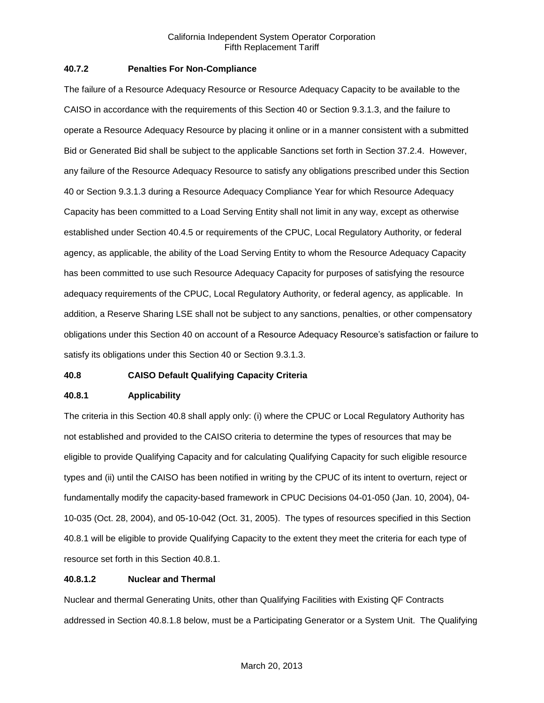### **40.7.2 Penalties For Non-Compliance**

The failure of a Resource Adequacy Resource or Resource Adequacy Capacity to be available to the CAISO in accordance with the requirements of this Section 40 or Section 9.3.1.3, and the failure to operate a Resource Adequacy Resource by placing it online or in a manner consistent with a submitted Bid or Generated Bid shall be subject to the applicable Sanctions set forth in Section 37.2.4. However, any failure of the Resource Adequacy Resource to satisfy any obligations prescribed under this Section 40 or Section 9.3.1.3 during a Resource Adequacy Compliance Year for which Resource Adequacy Capacity has been committed to a Load Serving Entity shall not limit in any way, except as otherwise established under Section 40.4.5 or requirements of the CPUC, Local Regulatory Authority, or federal agency, as applicable, the ability of the Load Serving Entity to whom the Resource Adequacy Capacity has been committed to use such Resource Adequacy Capacity for purposes of satisfying the resource adequacy requirements of the CPUC, Local Regulatory Authority, or federal agency, as applicable. In addition, a Reserve Sharing LSE shall not be subject to any sanctions, penalties, or other compensatory obligations under this Section 40 on account of a Resource Adequacy Resource's satisfaction or failure to satisfy its obligations under this Section 40 or Section 9.3.1.3.

# **40.8 CAISO Default Qualifying Capacity Criteria**

# **40.8.1 Applicability**

The criteria in this Section 40.8 shall apply only: (i) where the CPUC or Local Regulatory Authority has not established and provided to the CAISO criteria to determine the types of resources that may be eligible to provide Qualifying Capacity and for calculating Qualifying Capacity for such eligible resource types and (ii) until the CAISO has been notified in writing by the CPUC of its intent to overturn, reject or fundamentally modify the capacity-based framework in CPUC Decisions 04-01-050 (Jan. 10, 2004), 04- 10-035 (Oct. 28, 2004), and 05-10-042 (Oct. 31, 2005). The types of resources specified in this Section 40.8.1 will be eligible to provide Qualifying Capacity to the extent they meet the criteria for each type of resource set forth in this Section 40.8.1.

# **40.8.1.2 Nuclear and Thermal**

Nuclear and thermal Generating Units, other than Qualifying Facilities with Existing QF Contracts addressed in Section 40.8.1.8 below, must be a Participating Generator or a System Unit. The Qualifying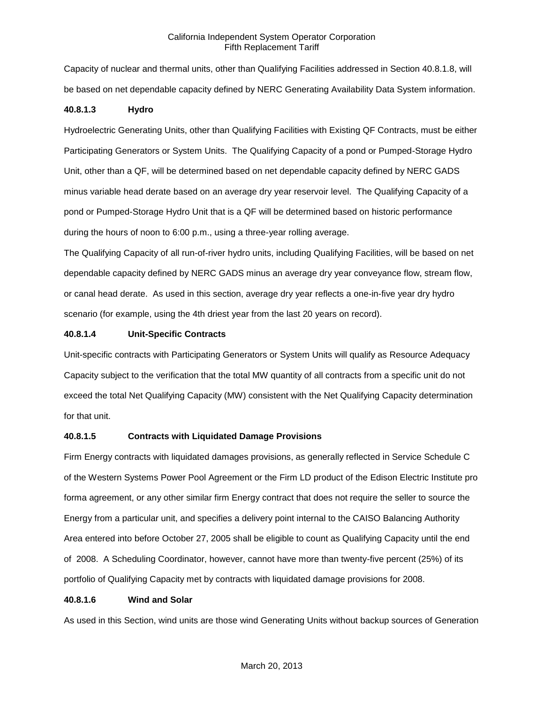Capacity of nuclear and thermal units, other than Qualifying Facilities addressed in Section 40.8.1.8, will be based on net dependable capacity defined by NERC Generating Availability Data System information.

### **40.8.1.3 Hydro**

Hydroelectric Generating Units, other than Qualifying Facilities with Existing QF Contracts, must be either Participating Generators or System Units. The Qualifying Capacity of a pond or Pumped-Storage Hydro Unit, other than a QF, will be determined based on net dependable capacity defined by NERC GADS minus variable head derate based on an average dry year reservoir level. The Qualifying Capacity of a pond or Pumped-Storage Hydro Unit that is a QF will be determined based on historic performance during the hours of noon to 6:00 p.m., using a three-year rolling average.

The Qualifying Capacity of all run-of-river hydro units, including Qualifying Facilities, will be based on net dependable capacity defined by NERC GADS minus an average dry year conveyance flow, stream flow, or canal head derate. As used in this section, average dry year reflects a one-in-five year dry hydro scenario (for example, using the 4th driest year from the last 20 years on record).

# **40.8.1.4 Unit-Specific Contracts**

Unit-specific contracts with Participating Generators or System Units will qualify as Resource Adequacy Capacity subject to the verification that the total MW quantity of all contracts from a specific unit do not exceed the total Net Qualifying Capacity (MW) consistent with the Net Qualifying Capacity determination for that unit.

# **40.8.1.5 Contracts with Liquidated Damage Provisions**

Firm Energy contracts with liquidated damages provisions, as generally reflected in Service Schedule C of the Western Systems Power Pool Agreement or the Firm LD product of the Edison Electric Institute pro forma agreement, or any other similar firm Energy contract that does not require the seller to source the Energy from a particular unit, and specifies a delivery point internal to the CAISO Balancing Authority Area entered into before October 27, 2005 shall be eligible to count as Qualifying Capacity until the end of 2008. A Scheduling Coordinator, however, cannot have more than twenty-five percent (25%) of its portfolio of Qualifying Capacity met by contracts with liquidated damage provisions for 2008.

#### **40.8.1.6 Wind and Solar**

As used in this Section, wind units are those wind Generating Units without backup sources of Generation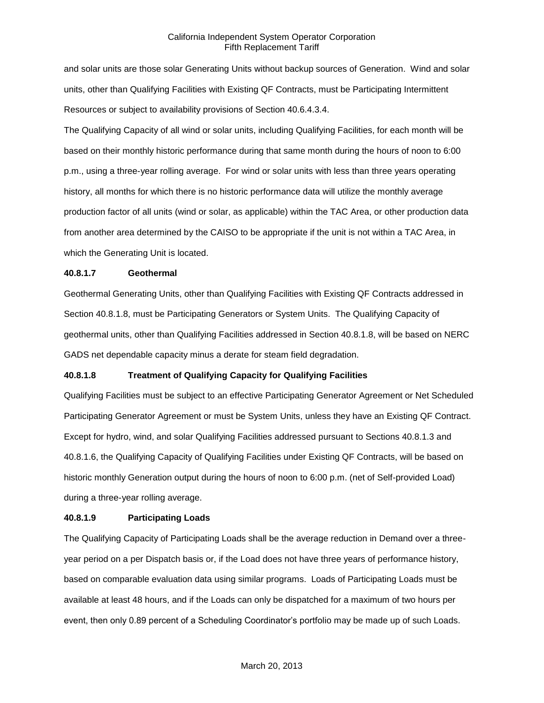and solar units are those solar Generating Units without backup sources of Generation. Wind and solar units, other than Qualifying Facilities with Existing QF Contracts, must be Participating Intermittent Resources or subject to availability provisions of Section 40.6.4.3.4.

The Qualifying Capacity of all wind or solar units, including Qualifying Facilities, for each month will be based on their monthly historic performance during that same month during the hours of noon to 6:00 p.m., using a three-year rolling average. For wind or solar units with less than three years operating history, all months for which there is no historic performance data will utilize the monthly average production factor of all units (wind or solar, as applicable) within the TAC Area, or other production data from another area determined by the CAISO to be appropriate if the unit is not within a TAC Area, in which the Generating Unit is located.

# **40.8.1.7 Geothermal**

Geothermal Generating Units, other than Qualifying Facilities with Existing QF Contracts addressed in Section 40.8.1.8, must be Participating Generators or System Units. The Qualifying Capacity of geothermal units, other than Qualifying Facilities addressed in Section 40.8.1.8, will be based on NERC GADS net dependable capacity minus a derate for steam field degradation.

# **40.8.1.8 Treatment of Qualifying Capacity for Qualifying Facilities**

Qualifying Facilities must be subject to an effective Participating Generator Agreement or Net Scheduled Participating Generator Agreement or must be System Units, unless they have an Existing QF Contract. Except for hydro, wind, and solar Qualifying Facilities addressed pursuant to Sections 40.8.1.3 and 40.8.1.6, the Qualifying Capacity of Qualifying Facilities under Existing QF Contracts, will be based on historic monthly Generation output during the hours of noon to 6:00 p.m. (net of Self-provided Load) during a three-year rolling average.

# **40.8.1.9 Participating Loads**

The Qualifying Capacity of Participating Loads shall be the average reduction in Demand over a threeyear period on a per Dispatch basis or, if the Load does not have three years of performance history, based on comparable evaluation data using similar programs. Loads of Participating Loads must be available at least 48 hours, and if the Loads can only be dispatched for a maximum of two hours per event, then only 0.89 percent of a Scheduling Coordinator's portfolio may be made up of such Loads.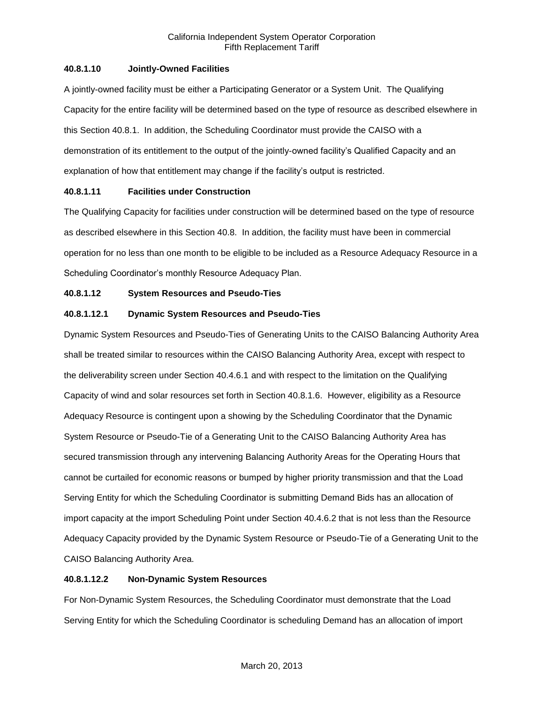# **40.8.1.10 Jointly-Owned Facilities**

A jointly-owned facility must be either a Participating Generator or a System Unit. The Qualifying Capacity for the entire facility will be determined based on the type of resource as described elsewhere in this Section 40.8.1. In addition, the Scheduling Coordinator must provide the CAISO with a demonstration of its entitlement to the output of the jointly-owned facility's Qualified Capacity and an explanation of how that entitlement may change if the facility's output is restricted.

# **40.8.1.11 Facilities under Construction**

The Qualifying Capacity for facilities under construction will be determined based on the type of resource as described elsewhere in this Section 40.8. In addition, the facility must have been in commercial operation for no less than one month to be eligible to be included as a Resource Adequacy Resource in a Scheduling Coordinator's monthly Resource Adequacy Plan.

# **40.8.1.12 System Resources and Pseudo-Ties**

# **40.8.1.12.1 Dynamic System Resources and Pseudo-Ties**

Dynamic System Resources and Pseudo-Ties of Generating Units to the CAISO Balancing Authority Area shall be treated similar to resources within the CAISO Balancing Authority Area, except with respect to the deliverability screen under Section 40.4.6.1 and with respect to the limitation on the Qualifying Capacity of wind and solar resources set forth in Section 40.8.1.6. However, eligibility as a Resource Adequacy Resource is contingent upon a showing by the Scheduling Coordinator that the Dynamic System Resource or Pseudo-Tie of a Generating Unit to the CAISO Balancing Authority Area has secured transmission through any intervening Balancing Authority Areas for the Operating Hours that cannot be curtailed for economic reasons or bumped by higher priority transmission and that the Load Serving Entity for which the Scheduling Coordinator is submitting Demand Bids has an allocation of import capacity at the import Scheduling Point under Section 40.4.6.2 that is not less than the Resource Adequacy Capacity provided by the Dynamic System Resource or Pseudo-Tie of a Generating Unit to the CAISO Balancing Authority Area.

# **40.8.1.12.2 Non-Dynamic System Resources**

For Non-Dynamic System Resources, the Scheduling Coordinator must demonstrate that the Load Serving Entity for which the Scheduling Coordinator is scheduling Demand has an allocation of import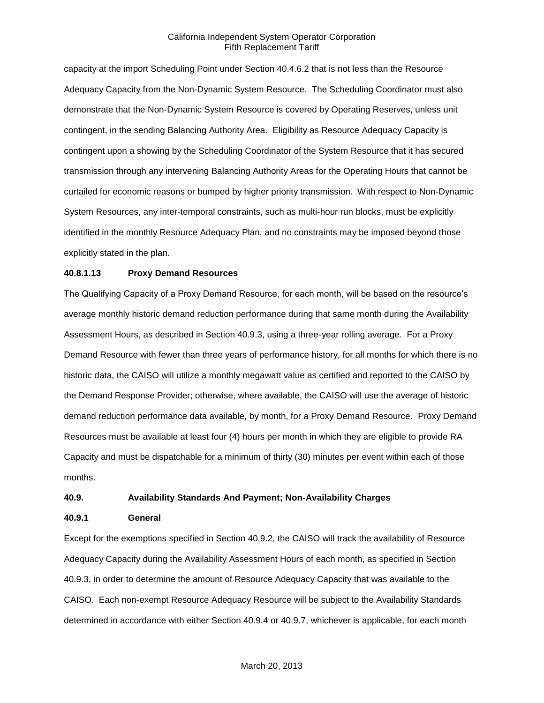capacity at the import Scheduling Point under Section 40.4.6.2 that is not less than the Resource Adequacy Capacity from the Non-Dynamic System Resource. The Scheduling Coordinator must also demonstrate that the Non-Dynamic System Resource is covered by Operating Reserves, unless unit contingent, in the sending Balancing Authority Area. Eligibility as Resource Adequacy Capacity is contingent upon a showing by the Scheduling Coordinator of the System Resource that it has secured transmission through any intervening Balancing Authority Areas for the Operating Hours that cannot be curtailed for economic reasons or bumped by higher priority transmission. With respect to Non-Dynamic System Resources, any inter-temporal constraints, such as multi-hour run blocks, must be explicitly identified in the monthly Resource Adequacy Plan, and no constraints may be imposed beyond those explicitly stated in the plan.

### **40.8.1.13 Proxy Demand Resources**

The Qualifying Capacity of a Proxy Demand Resource, for each month, will be based on the resource's average monthly historic demand reduction performance during that same month during the Availability Assessment Hours, as described in Section 40.9.3, using a three-year rolling average. For a Proxy Demand Resource with fewer than three years of performance history, for all months for which there is no historic data, the CAISO will utilize a monthly megawatt value as certified and reported to the CAISO by the Demand Response Provider; otherwise, where available, the CAISO will use the average of historic demand reduction performance data available, by month, for a Proxy Demand Resource. Proxy Demand Resources must be available at least four (4) hours per month in which they are eligible to provide RA Capacity and must be dispatchable for a minimum of thirty (30) minutes per event within each of those months.

# **40.9. Availability Standards And Payment; Non-Availability Charges**

#### **40.9.1 General**

Except for the exemptions specified in Section 40.9.2, the CAISO will track the availability of Resource Adequacy Capacity during the Availability Assessment Hours of each month, as specified in Section 40.9.3, in order to determine the amount of Resource Adequacy Capacity that was available to the CAISO. Each non-exempt Resource Adequacy Resource will be subject to the Availability Standards determined in accordance with either Section 40.9.4 or 40.9.7, whichever is applicable, for each month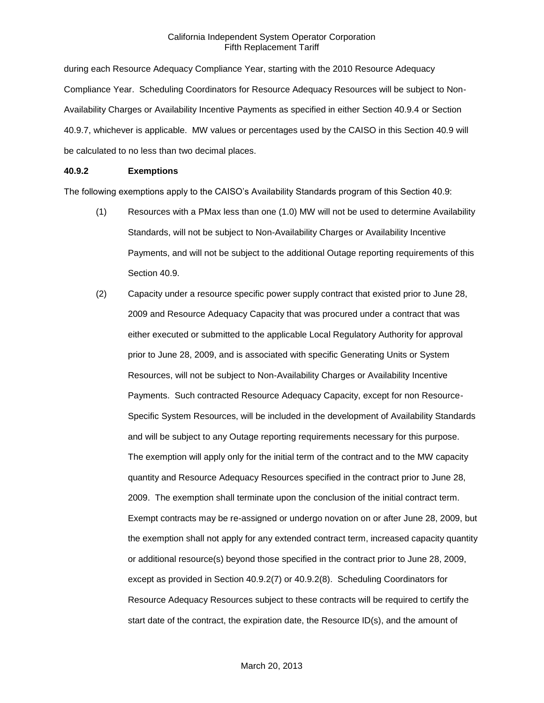during each Resource Adequacy Compliance Year, starting with the 2010 Resource Adequacy Compliance Year. Scheduling Coordinators for Resource Adequacy Resources will be subject to Non-Availability Charges or Availability Incentive Payments as specified in either Section 40.9.4 or Section 40.9.7, whichever is applicable. MW values or percentages used by the CAISO in this Section 40.9 will be calculated to no less than two decimal places.

### **40.9.2 Exemptions**

The following exemptions apply to the CAISO's Availability Standards program of this Section 40.9:

- (1) Resources with a PMax less than one (1.0) MW will not be used to determine Availability Standards, will not be subject to Non-Availability Charges or Availability Incentive Payments, and will not be subject to the additional Outage reporting requirements of this Section 40.9.
- (2) Capacity under a resource specific power supply contract that existed prior to June 28, 2009 and Resource Adequacy Capacity that was procured under a contract that was either executed or submitted to the applicable Local Regulatory Authority for approval prior to June 28, 2009, and is associated with specific Generating Units or System Resources, will not be subject to Non-Availability Charges or Availability Incentive Payments. Such contracted Resource Adequacy Capacity, except for non Resource-Specific System Resources, will be included in the development of Availability Standards and will be subject to any Outage reporting requirements necessary for this purpose. The exemption will apply only for the initial term of the contract and to the MW capacity quantity and Resource Adequacy Resources specified in the contract prior to June 28, 2009. The exemption shall terminate upon the conclusion of the initial contract term. Exempt contracts may be re-assigned or undergo novation on or after June 28, 2009, but the exemption shall not apply for any extended contract term, increased capacity quantity or additional resource(s) beyond those specified in the contract prior to June 28, 2009, except as provided in Section 40.9.2(7) or 40.9.2(8). Scheduling Coordinators for Resource Adequacy Resources subject to these contracts will be required to certify the start date of the contract, the expiration date, the Resource ID(s), and the amount of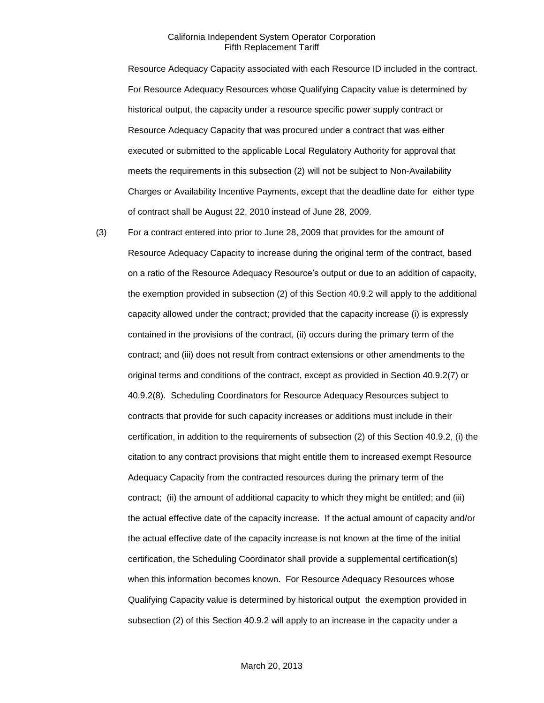Resource Adequacy Capacity associated with each Resource ID included in the contract. For Resource Adequacy Resources whose Qualifying Capacity value is determined by historical output, the capacity under a resource specific power supply contract or Resource Adequacy Capacity that was procured under a contract that was either executed or submitted to the applicable Local Regulatory Authority for approval that meets the requirements in this subsection (2) will not be subject to Non-Availability Charges or Availability Incentive Payments, except that the deadline date for either type of contract shall be August 22, 2010 instead of June 28, 2009.

(3) For a contract entered into prior to June 28, 2009 that provides for the amount of Resource Adequacy Capacity to increase during the original term of the contract, based on a ratio of the Resource Adequacy Resource's output or due to an addition of capacity, the exemption provided in subsection (2) of this Section 40.9.2 will apply to the additional capacity allowed under the contract; provided that the capacity increase (i) is expressly contained in the provisions of the contract, (ii) occurs during the primary term of the contract; and (iii) does not result from contract extensions or other amendments to the original terms and conditions of the contract, except as provided in Section 40.9.2(7) or 40.9.2(8). Scheduling Coordinators for Resource Adequacy Resources subject to contracts that provide for such capacity increases or additions must include in their certification, in addition to the requirements of subsection (2) of this Section 40.9.2, (i) the citation to any contract provisions that might entitle them to increased exempt Resource Adequacy Capacity from the contracted resources during the primary term of the contract; (ii) the amount of additional capacity to which they might be entitled; and (iii) the actual effective date of the capacity increase. If the actual amount of capacity and/or the actual effective date of the capacity increase is not known at the time of the initial certification, the Scheduling Coordinator shall provide a supplemental certification(s) when this information becomes known. For Resource Adequacy Resources whose Qualifying Capacity value is determined by historical output the exemption provided in subsection (2) of this Section 40.9.2 will apply to an increase in the capacity under a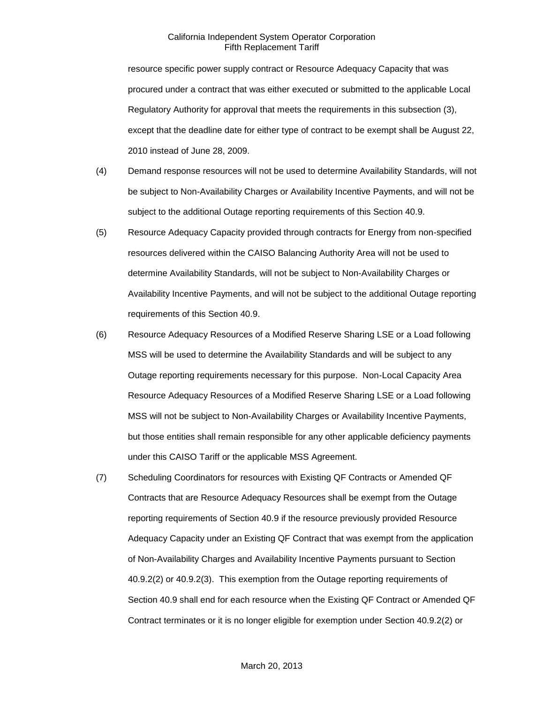resource specific power supply contract or Resource Adequacy Capacity that was procured under a contract that was either executed or submitted to the applicable Local Regulatory Authority for approval that meets the requirements in this subsection (3), except that the deadline date for either type of contract to be exempt shall be August 22, 2010 instead of June 28, 2009.

- (4) Demand response resources will not be used to determine Availability Standards, will not be subject to Non-Availability Charges or Availability Incentive Payments, and will not be subject to the additional Outage reporting requirements of this Section 40.9.
- (5) Resource Adequacy Capacity provided through contracts for Energy from non-specified resources delivered within the CAISO Balancing Authority Area will not be used to determine Availability Standards, will not be subject to Non-Availability Charges or Availability Incentive Payments, and will not be subject to the additional Outage reporting requirements of this Section 40.9.
- (6) Resource Adequacy Resources of a Modified Reserve Sharing LSE or a Load following MSS will be used to determine the Availability Standards and will be subject to any Outage reporting requirements necessary for this purpose. Non-Local Capacity Area Resource Adequacy Resources of a Modified Reserve Sharing LSE or a Load following MSS will not be subject to Non-Availability Charges or Availability Incentive Payments, but those entities shall remain responsible for any other applicable deficiency payments under this CAISO Tariff or the applicable MSS Agreement.
- (7) Scheduling Coordinators for resources with Existing QF Contracts or Amended QF Contracts that are Resource Adequacy Resources shall be exempt from the Outage reporting requirements of Section 40.9 if the resource previously provided Resource Adequacy Capacity under an Existing QF Contract that was exempt from the application of Non-Availability Charges and Availability Incentive Payments pursuant to Section 40.9.2(2) or 40.9.2(3). This exemption from the Outage reporting requirements of Section 40.9 shall end for each resource when the Existing QF Contract or Amended QF Contract terminates or it is no longer eligible for exemption under Section 40.9.2(2) or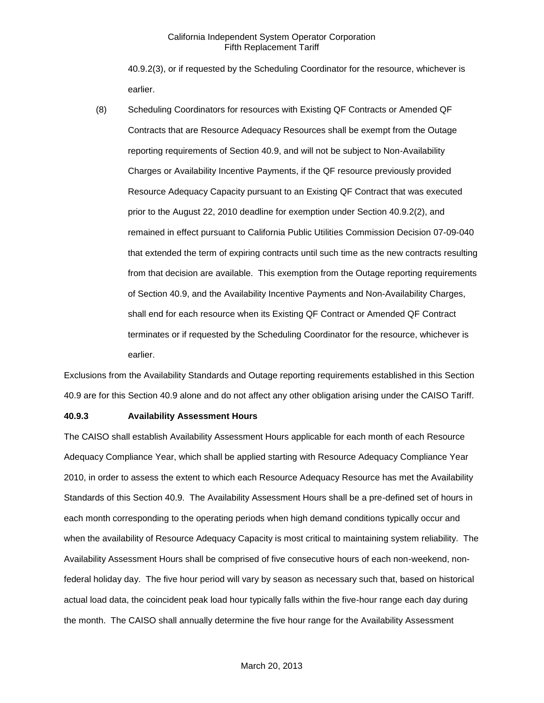40.9.2(3), or if requested by the Scheduling Coordinator for the resource, whichever is earlier.

(8) Scheduling Coordinators for resources with Existing QF Contracts or Amended QF Contracts that are Resource Adequacy Resources shall be exempt from the Outage reporting requirements of Section 40.9, and will not be subject to Non-Availability Charges or Availability Incentive Payments, if the QF resource previously provided Resource Adequacy Capacity pursuant to an Existing QF Contract that was executed prior to the August 22, 2010 deadline for exemption under Section 40.9.2(2), and remained in effect pursuant to California Public Utilities Commission Decision 07-09-040 that extended the term of expiring contracts until such time as the new contracts resulting from that decision are available. This exemption from the Outage reporting requirements of Section 40.9, and the Availability Incentive Payments and Non-Availability Charges, shall end for each resource when its Existing QF Contract or Amended QF Contract terminates or if requested by the Scheduling Coordinator for the resource, whichever is earlier.

Exclusions from the Availability Standards and Outage reporting requirements established in this Section 40.9 are for this Section 40.9 alone and do not affect any other obligation arising under the CAISO Tariff.

### **40.9.3 Availability Assessment Hours**

The CAISO shall establish Availability Assessment Hours applicable for each month of each Resource Adequacy Compliance Year, which shall be applied starting with Resource Adequacy Compliance Year 2010, in order to assess the extent to which each Resource Adequacy Resource has met the Availability Standards of this Section 40.9. The Availability Assessment Hours shall be a pre-defined set of hours in each month corresponding to the operating periods when high demand conditions typically occur and when the availability of Resource Adequacy Capacity is most critical to maintaining system reliability. The Availability Assessment Hours shall be comprised of five consecutive hours of each non-weekend, nonfederal holiday day. The five hour period will vary by season as necessary such that, based on historical actual load data, the coincident peak load hour typically falls within the five-hour range each day during the month. The CAISO shall annually determine the five hour range for the Availability Assessment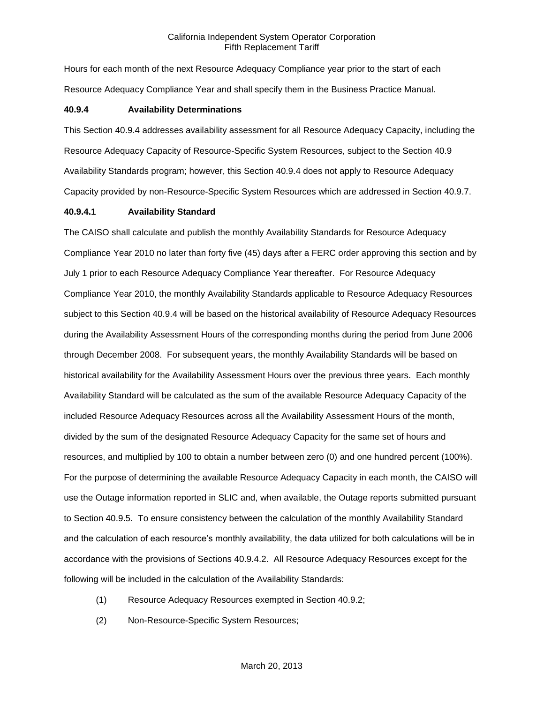Hours for each month of the next Resource Adequacy Compliance year prior to the start of each Resource Adequacy Compliance Year and shall specify them in the Business Practice Manual.

#### **40.9.4 Availability Determinations**

This Section 40.9.4 addresses availability assessment for all Resource Adequacy Capacity, including the Resource Adequacy Capacity of Resource-Specific System Resources, subject to the Section 40.9 Availability Standards program; however, this Section 40.9.4 does not apply to Resource Adequacy Capacity provided by non-Resource-Specific System Resources which are addressed in Section 40.9.7.

#### **40.9.4.1 Availability Standard**

The CAISO shall calculate and publish the monthly Availability Standards for Resource Adequacy Compliance Year 2010 no later than forty five (45) days after a FERC order approving this section and by July 1 prior to each Resource Adequacy Compliance Year thereafter. For Resource Adequacy Compliance Year 2010, the monthly Availability Standards applicable to Resource Adequacy Resources subject to this Section 40.9.4 will be based on the historical availability of Resource Adequacy Resources during the Availability Assessment Hours of the corresponding months during the period from June 2006 through December 2008. For subsequent years, the monthly Availability Standards will be based on historical availability for the Availability Assessment Hours over the previous three years. Each monthly Availability Standard will be calculated as the sum of the available Resource Adequacy Capacity of the included Resource Adequacy Resources across all the Availability Assessment Hours of the month, divided by the sum of the designated Resource Adequacy Capacity for the same set of hours and resources, and multiplied by 100 to obtain a number between zero (0) and one hundred percent (100%). For the purpose of determining the available Resource Adequacy Capacity in each month, the CAISO will use the Outage information reported in SLIC and, when available, the Outage reports submitted pursuant to Section 40.9.5. To ensure consistency between the calculation of the monthly Availability Standard and the calculation of each resource's monthly availability, the data utilized for both calculations will be in accordance with the provisions of Sections 40.9.4.2. All Resource Adequacy Resources except for the following will be included in the calculation of the Availability Standards:

- (1) Resource Adequacy Resources exempted in Section 40.9.2;
- (2) Non-Resource-Specific System Resources;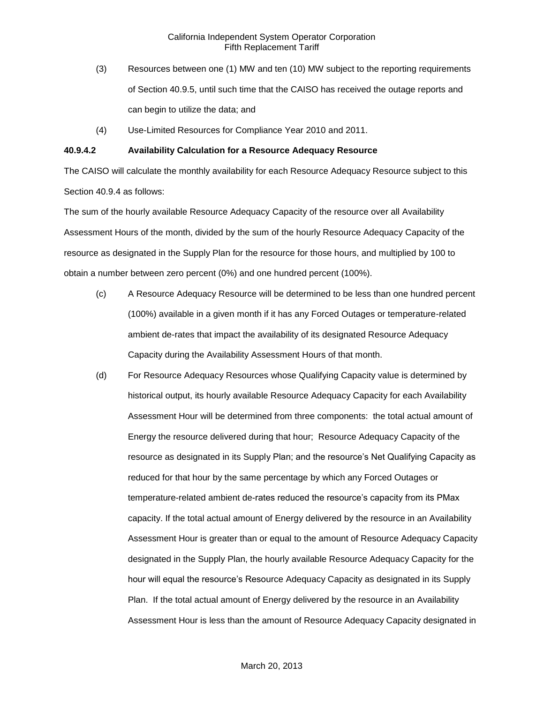- (3) Resources between one (1) MW and ten (10) MW subject to the reporting requirements of Section 40.9.5, until such time that the CAISO has received the outage reports and can begin to utilize the data; and
- (4) Use-Limited Resources for Compliance Year 2010 and 2011.

#### **40.9.4.2 Availability Calculation for a Resource Adequacy Resource**

The CAISO will calculate the monthly availability for each Resource Adequacy Resource subject to this Section 40.9.4 as follows:

The sum of the hourly available Resource Adequacy Capacity of the resource over all Availability Assessment Hours of the month, divided by the sum of the hourly Resource Adequacy Capacity of the resource as designated in the Supply Plan for the resource for those hours, and multiplied by 100 to obtain a number between zero percent (0%) and one hundred percent (100%).

- (c) A Resource Adequacy Resource will be determined to be less than one hundred percent (100%) available in a given month if it has any Forced Outages or temperature-related ambient de-rates that impact the availability of its designated Resource Adequacy Capacity during the Availability Assessment Hours of that month.
- (d) For Resource Adequacy Resources whose Qualifying Capacity value is determined by historical output, its hourly available Resource Adequacy Capacity for each Availability Assessment Hour will be determined from three components: the total actual amount of Energy the resource delivered during that hour; Resource Adequacy Capacity of the resource as designated in its Supply Plan; and the resource's Net Qualifying Capacity as reduced for that hour by the same percentage by which any Forced Outages or temperature-related ambient de-rates reduced the resource's capacity from its PMax capacity. If the total actual amount of Energy delivered by the resource in an Availability Assessment Hour is greater than or equal to the amount of Resource Adequacy Capacity designated in the Supply Plan, the hourly available Resource Adequacy Capacity for the hour will equal the resource's Resource Adequacy Capacity as designated in its Supply Plan. If the total actual amount of Energy delivered by the resource in an Availability Assessment Hour is less than the amount of Resource Adequacy Capacity designated in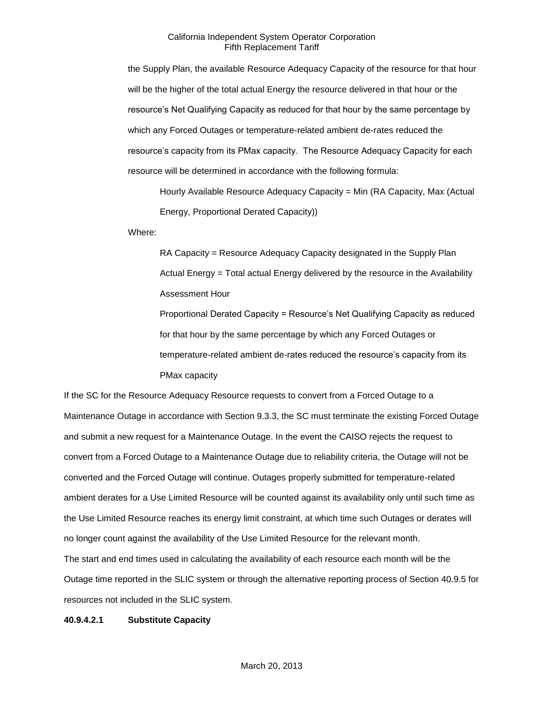the Supply Plan, the available Resource Adequacy Capacity of the resource for that hour will be the higher of the total actual Energy the resource delivered in that hour or the resource's Net Qualifying Capacity as reduced for that hour by the same percentage by which any Forced Outages or temperature-related ambient de-rates reduced the resource's capacity from its PMax capacity. The Resource Adequacy Capacity for each resource will be determined in accordance with the following formula:

Hourly Available Resource Adequacy Capacity = Min (RA Capacity, Max (Actual Energy, Proportional Derated Capacity))

Where:

RA Capacity = Resource Adequacy Capacity designated in the Supply Plan Actual Energy = Total actual Energy delivered by the resource in the Availability Assessment Hour Proportional Derated Capacity = Resource's Net Qualifying Capacity as reduced

for that hour by the same percentage by which any Forced Outages or temperature-related ambient de-rates reduced the resource's capacity from its PMax capacity

If the SC for the Resource Adequacy Resource requests to convert from a Forced Outage to a Maintenance Outage in accordance with Section 9.3.3, the SC must terminate the existing Forced Outage and submit a new request for a Maintenance Outage. In the event the CAISO rejects the request to convert from a Forced Outage to a Maintenance Outage due to reliability criteria, the Outage will not be converted and the Forced Outage will continue. Outages properly submitted for temperature-related ambient derates for a Use Limited Resource will be counted against its availability only until such time as the Use Limited Resource reaches its energy limit constraint, at which time such Outages or derates will no longer count against the availability of the Use Limited Resource for the relevant month. The start and end times used in calculating the availability of each resource each month will be the Outage time reported in the SLIC system or through the alternative reporting process of Section 40.9.5 for resources not included in the SLIC system.

### **40.9.4.2.1 Substitute Capacity**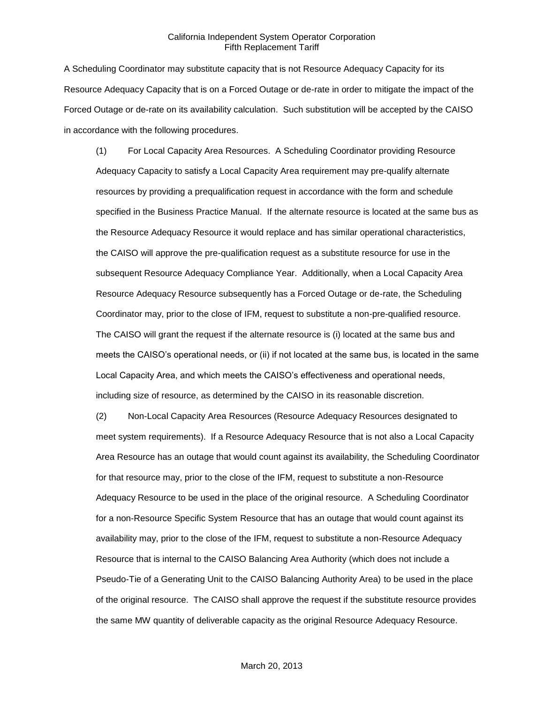A Scheduling Coordinator may substitute capacity that is not Resource Adequacy Capacity for its Resource Adequacy Capacity that is on a Forced Outage or de-rate in order to mitigate the impact of the Forced Outage or de-rate on its availability calculation. Such substitution will be accepted by the CAISO in accordance with the following procedures.

(1) For Local Capacity Area Resources. A Scheduling Coordinator providing Resource Adequacy Capacity to satisfy a Local Capacity Area requirement may pre-qualify alternate resources by providing a prequalification request in accordance with the form and schedule specified in the Business Practice Manual. If the alternate resource is located at the same bus as the Resource Adequacy Resource it would replace and has similar operational characteristics, the CAISO will approve the pre-qualification request as a substitute resource for use in the subsequent Resource Adequacy Compliance Year. Additionally, when a Local Capacity Area Resource Adequacy Resource subsequently has a Forced Outage or de-rate, the Scheduling Coordinator may, prior to the close of IFM, request to substitute a non-pre-qualified resource. The CAISO will grant the request if the alternate resource is (i) located at the same bus and meets the CAISO's operational needs, or (ii) if not located at the same bus, is located in the same Local Capacity Area, and which meets the CAISO's effectiveness and operational needs, including size of resource, as determined by the CAISO in its reasonable discretion.

(2) Non-Local Capacity Area Resources (Resource Adequacy Resources designated to meet system requirements). If a Resource Adequacy Resource that is not also a Local Capacity Area Resource has an outage that would count against its availability, the Scheduling Coordinator for that resource may, prior to the close of the IFM, request to substitute a non-Resource Adequacy Resource to be used in the place of the original resource. A Scheduling Coordinator for a non-Resource Specific System Resource that has an outage that would count against its availability may, prior to the close of the IFM, request to substitute a non-Resource Adequacy Resource that is internal to the CAISO Balancing Area Authority (which does not include a Pseudo-Tie of a Generating Unit to the CAISO Balancing Authority Area) to be used in the place of the original resource. The CAISO shall approve the request if the substitute resource provides the same MW quantity of deliverable capacity as the original Resource Adequacy Resource.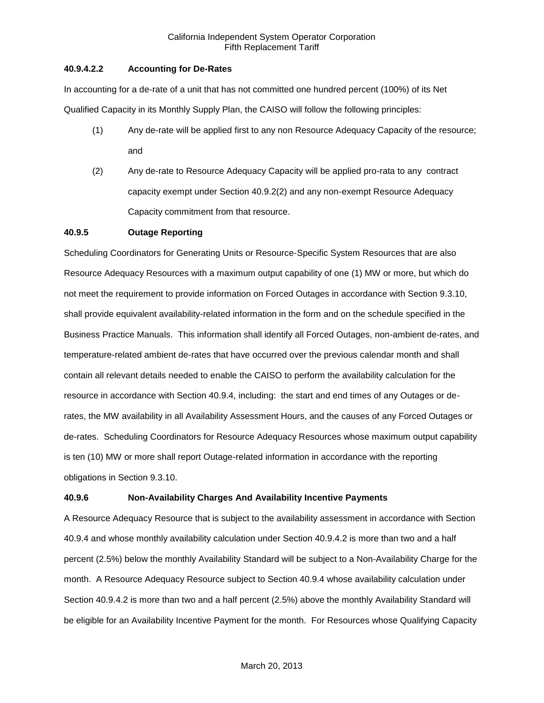## **40.9.4.2.2 Accounting for De-Rates**

In accounting for a de-rate of a unit that has not committed one hundred percent (100%) of its Net Qualified Capacity in its Monthly Supply Plan, the CAISO will follow the following principles:

- (1) Any de-rate will be applied first to any non Resource Adequacy Capacity of the resource; and
- (2) Any de-rate to Resource Adequacy Capacity will be applied pro-rata to any contract capacity exempt under Section 40.9.2(2) and any non-exempt Resource Adequacy Capacity commitment from that resource.

# **40.9.5 Outage Reporting**

Scheduling Coordinators for Generating Units or Resource-Specific System Resources that are also Resource Adequacy Resources with a maximum output capability of one (1) MW or more, but which do not meet the requirement to provide information on Forced Outages in accordance with Section 9.3.10, shall provide equivalent availability-related information in the form and on the schedule specified in the Business Practice Manuals. This information shall identify all Forced Outages, non-ambient de-rates, and temperature-related ambient de-rates that have occurred over the previous calendar month and shall contain all relevant details needed to enable the CAISO to perform the availability calculation for the resource in accordance with Section 40.9.4, including: the start and end times of any Outages or derates, the MW availability in all Availability Assessment Hours, and the causes of any Forced Outages or de-rates. Scheduling Coordinators for Resource Adequacy Resources whose maximum output capability is ten (10) MW or more shall report Outage-related information in accordance with the reporting obligations in Section 9.3.10.

# **40.9.6 Non-Availability Charges And Availability Incentive Payments**

A Resource Adequacy Resource that is subject to the availability assessment in accordance with Section 40.9.4 and whose monthly availability calculation under Section 40.9.4.2 is more than two and a half percent (2.5%) below the monthly Availability Standard will be subject to a Non-Availability Charge for the month. A Resource Adequacy Resource subject to Section 40.9.4 whose availability calculation under Section 40.9.4.2 is more than two and a half percent (2.5%) above the monthly Availability Standard will be eligible for an Availability Incentive Payment for the month. For Resources whose Qualifying Capacity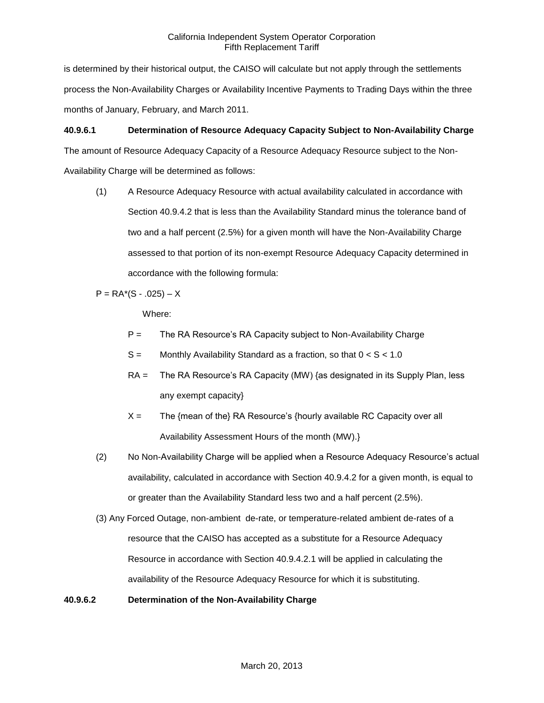is determined by their historical output, the CAISO will calculate but not apply through the settlements process the Non-Availability Charges or Availability Incentive Payments to Trading Days within the three months of January, February, and March 2011.

# **40.9.6.1 Determination of Resource Adequacy Capacity Subject to Non-Availability Charge**

The amount of Resource Adequacy Capacity of a Resource Adequacy Resource subject to the Non-Availability Charge will be determined as follows:

(1) A Resource Adequacy Resource with actual availability calculated in accordance with Section 40.9.4.2 that is less than the Availability Standard minus the tolerance band of two and a half percent (2.5%) for a given month will have the Non-Availability Charge assessed to that portion of its non-exempt Resource Adequacy Capacity determined in accordance with the following formula:

 $P = RA*(S - .025) - X$ 

Where:

- P = The RA Resource's RA Capacity subject to Non-Availability Charge
- $S =$  Monthly Availability Standard as a fraction, so that  $0 < S < 1.0$
- RA = The RA Resource's RA Capacity (MW) {as designated in its Supply Plan, less any exempt capacity}
- $X =$  The {mean of the} RA Resource's {hourly available RC Capacity over all Availability Assessment Hours of the month (MW).}
- (2) No Non-Availability Charge will be applied when a Resource Adequacy Resource's actual availability, calculated in accordance with Section 40.9.4.2 for a given month, is equal to or greater than the Availability Standard less two and a half percent (2.5%).
- (3) Any Forced Outage, non-ambient de-rate, or temperature-related ambient de-rates of a resource that the CAISO has accepted as a substitute for a Resource Adequacy Resource in accordance with Section 40.9.4.2.1 will be applied in calculating the availability of the Resource Adequacy Resource for which it is substituting.

### **40.9.6.2 Determination of the Non-Availability Charge**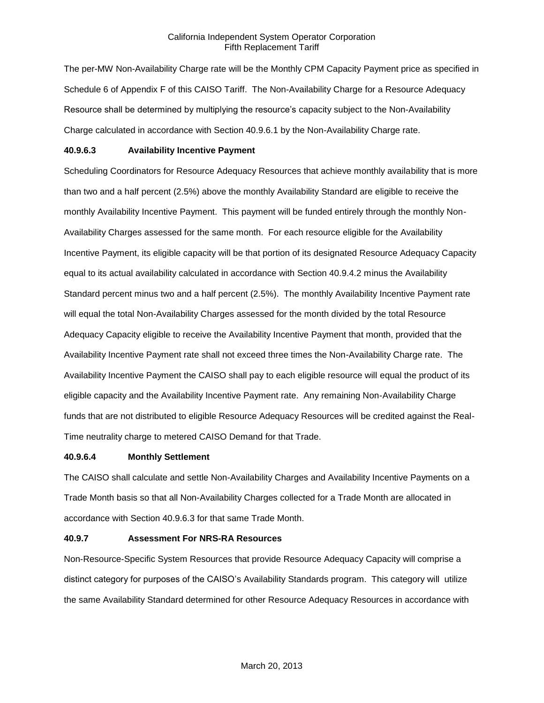The per-MW Non-Availability Charge rate will be the Monthly CPM Capacity Payment price as specified in Schedule 6 of Appendix F of this CAISO Tariff. The Non-Availability Charge for a Resource Adequacy Resource shall be determined by multiplying the resource's capacity subject to the Non-Availability Charge calculated in accordance with Section 40.9.6.1 by the Non-Availability Charge rate.

## **40.9.6.3 Availability Incentive Payment**

Scheduling Coordinators for Resource Adequacy Resources that achieve monthly availability that is more than two and a half percent (2.5%) above the monthly Availability Standard are eligible to receive the monthly Availability Incentive Payment. This payment will be funded entirely through the monthly Non-Availability Charges assessed for the same month. For each resource eligible for the Availability Incentive Payment, its eligible capacity will be that portion of its designated Resource Adequacy Capacity equal to its actual availability calculated in accordance with Section 40.9.4.2 minus the Availability Standard percent minus two and a half percent (2.5%). The monthly Availability Incentive Payment rate will equal the total Non-Availability Charges assessed for the month divided by the total Resource Adequacy Capacity eligible to receive the Availability Incentive Payment that month, provided that the Availability Incentive Payment rate shall not exceed three times the Non-Availability Charge rate. The Availability Incentive Payment the CAISO shall pay to each eligible resource will equal the product of its eligible capacity and the Availability Incentive Payment rate. Any remaining Non-Availability Charge funds that are not distributed to eligible Resource Adequacy Resources will be credited against the Real-Time neutrality charge to metered CAISO Demand for that Trade.

### **40.9.6.4 Monthly Settlement**

The CAISO shall calculate and settle Non-Availability Charges and Availability Incentive Payments on a Trade Month basis so that all Non-Availability Charges collected for a Trade Month are allocated in accordance with Section 40.9.6.3 for that same Trade Month.

### **40.9.7 Assessment For NRS-RA Resources**

Non-Resource-Specific System Resources that provide Resource Adequacy Capacity will comprise a distinct category for purposes of the CAISO's Availability Standards program. This category will utilize the same Availability Standard determined for other Resource Adequacy Resources in accordance with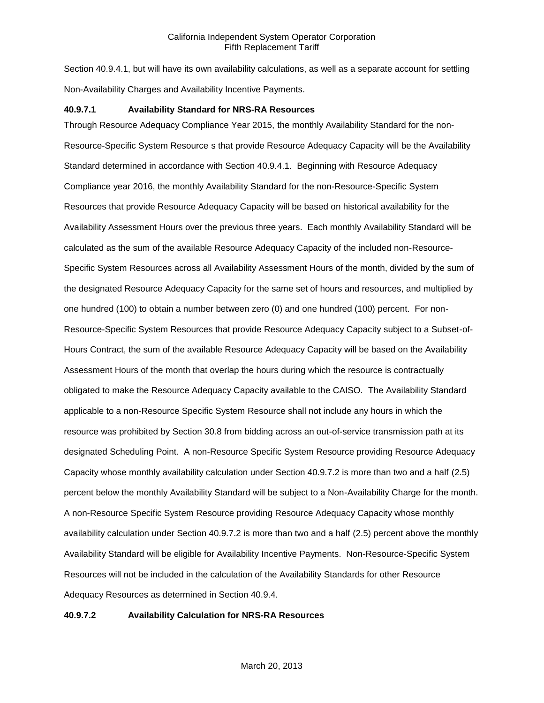Section 40.9.4.1, but will have its own availability calculations, as well as a separate account for settling Non-Availability Charges and Availability Incentive Payments.

## **40.9.7.1 Availability Standard for NRS-RA Resources**

Through Resource Adequacy Compliance Year 2015, the monthly Availability Standard for the non-Resource-Specific System Resource s that provide Resource Adequacy Capacity will be the Availability Standard determined in accordance with Section 40.9.4.1. Beginning with Resource Adequacy Compliance year 2016, the monthly Availability Standard for the non-Resource-Specific System Resources that provide Resource Adequacy Capacity will be based on historical availability for the Availability Assessment Hours over the previous three years. Each monthly Availability Standard will be calculated as the sum of the available Resource Adequacy Capacity of the included non-Resource-Specific System Resources across all Availability Assessment Hours of the month, divided by the sum of the designated Resource Adequacy Capacity for the same set of hours and resources, and multiplied by one hundred (100) to obtain a number between zero (0) and one hundred (100) percent. For non-Resource-Specific System Resources that provide Resource Adequacy Capacity subject to a Subset-of-Hours Contract, the sum of the available Resource Adequacy Capacity will be based on the Availability Assessment Hours of the month that overlap the hours during which the resource is contractually obligated to make the Resource Adequacy Capacity available to the CAISO. The Availability Standard applicable to a non-Resource Specific System Resource shall not include any hours in which the resource was prohibited by Section 30.8 from bidding across an out-of-service transmission path at its designated Scheduling Point. A non-Resource Specific System Resource providing Resource Adequacy Capacity whose monthly availability calculation under Section 40.9.7.2 is more than two and a half (2.5) percent below the monthly Availability Standard will be subject to a Non-Availability Charge for the month. A non-Resource Specific System Resource providing Resource Adequacy Capacity whose monthly availability calculation under Section 40.9.7.2 is more than two and a half (2.5) percent above the monthly Availability Standard will be eligible for Availability Incentive Payments. Non-Resource-Specific System Resources will not be included in the calculation of the Availability Standards for other Resource Adequacy Resources as determined in Section 40.9.4.

### **40.9.7.2 Availability Calculation for NRS-RA Resources**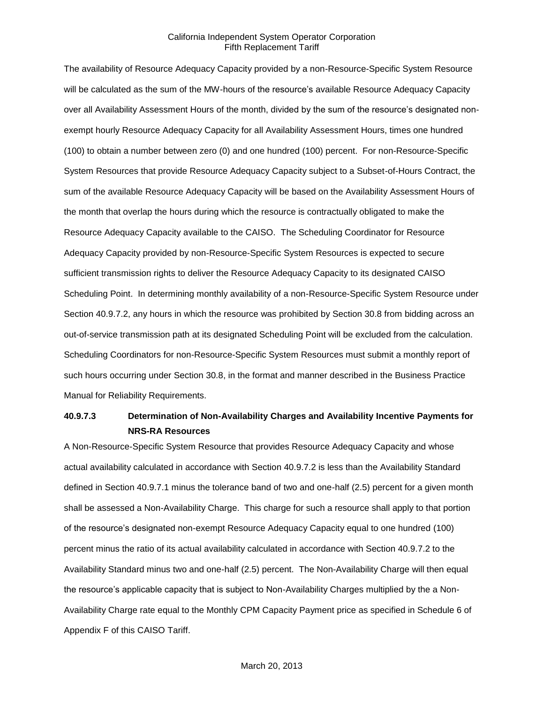The availability of Resource Adequacy Capacity provided by a non-Resource-Specific System Resource will be calculated as the sum of the MW-hours of the resource's available Resource Adequacy Capacity over all Availability Assessment Hours of the month, divided by the sum of the resource's designated nonexempt hourly Resource Adequacy Capacity for all Availability Assessment Hours, times one hundred (100) to obtain a number between zero (0) and one hundred (100) percent. For non-Resource-Specific System Resources that provide Resource Adequacy Capacity subject to a Subset-of-Hours Contract, the sum of the available Resource Adequacy Capacity will be based on the Availability Assessment Hours of the month that overlap the hours during which the resource is contractually obligated to make the Resource Adequacy Capacity available to the CAISO. The Scheduling Coordinator for Resource Adequacy Capacity provided by non-Resource-Specific System Resources is expected to secure sufficient transmission rights to deliver the Resource Adequacy Capacity to its designated CAISO Scheduling Point. In determining monthly availability of a non-Resource-Specific System Resource under Section 40.9.7.2, any hours in which the resource was prohibited by Section 30.8 from bidding across an out-of-service transmission path at its designated Scheduling Point will be excluded from the calculation. Scheduling Coordinators for non-Resource-Specific System Resources must submit a monthly report of such hours occurring under Section 30.8, in the format and manner described in the Business Practice Manual for Reliability Requirements.

# **40.9.7.3 Determination of Non-Availability Charges and Availability Incentive Payments for NRS-RA Resources**

A Non-Resource-Specific System Resource that provides Resource Adequacy Capacity and whose actual availability calculated in accordance with Section 40.9.7.2 is less than the Availability Standard defined in Section 40.9.7.1 minus the tolerance band of two and one-half (2.5) percent for a given month shall be assessed a Non-Availability Charge. This charge for such a resource shall apply to that portion of the resource's designated non-exempt Resource Adequacy Capacity equal to one hundred (100) percent minus the ratio of its actual availability calculated in accordance with Section 40.9.7.2 to the Availability Standard minus two and one-half (2.5) percent. The Non-Availability Charge will then equal the resource's applicable capacity that is subject to Non-Availability Charges multiplied by the a Non-Availability Charge rate equal to the Monthly CPM Capacity Payment price as specified in Schedule 6 of Appendix F of this CAISO Tariff.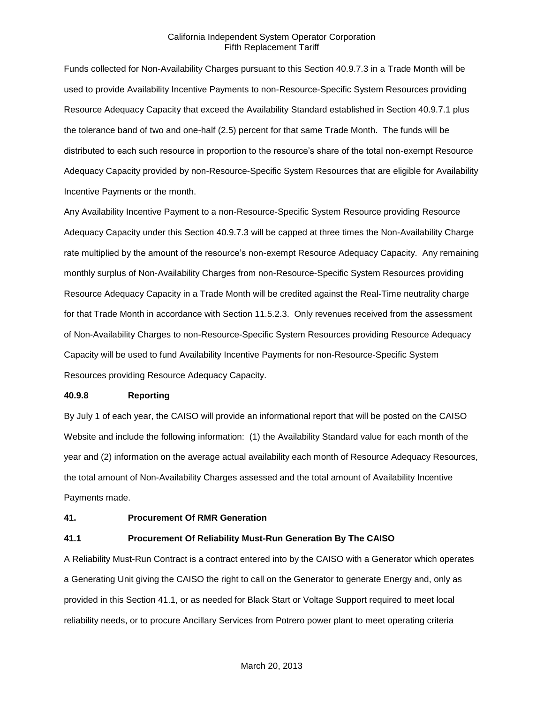Funds collected for Non-Availability Charges pursuant to this Section 40.9.7.3 in a Trade Month will be used to provide Availability Incentive Payments to non-Resource-Specific System Resources providing Resource Adequacy Capacity that exceed the Availability Standard established in Section 40.9.7.1 plus the tolerance band of two and one-half (2.5) percent for that same Trade Month. The funds will be distributed to each such resource in proportion to the resource's share of the total non-exempt Resource Adequacy Capacity provided by non-Resource-Specific System Resources that are eligible for Availability Incentive Payments or the month.

Any Availability Incentive Payment to a non-Resource-Specific System Resource providing Resource Adequacy Capacity under this Section 40.9.7.3 will be capped at three times the Non-Availability Charge rate multiplied by the amount of the resource's non-exempt Resource Adequacy Capacity. Any remaining monthly surplus of Non-Availability Charges from non-Resource-Specific System Resources providing Resource Adequacy Capacity in a Trade Month will be credited against the Real-Time neutrality charge for that Trade Month in accordance with Section 11.5.2.3. Only revenues received from the assessment of Non-Availability Charges to non-Resource-Specific System Resources providing Resource Adequacy Capacity will be used to fund Availability Incentive Payments for non-Resource-Specific System Resources providing Resource Adequacy Capacity.

#### **40.9.8 Reporting**

By July 1 of each year, the CAISO will provide an informational report that will be posted on the CAISO Website and include the following information: (1) the Availability Standard value for each month of the year and (2) information on the average actual availability each month of Resource Adequacy Resources, the total amount of Non-Availability Charges assessed and the total amount of Availability Incentive Payments made.

### **41. Procurement Of RMR Generation**

### **41.1 Procurement Of Reliability Must-Run Generation By The CAISO**

A Reliability Must-Run Contract is a contract entered into by the CAISO with a Generator which operates a Generating Unit giving the CAISO the right to call on the Generator to generate Energy and, only as provided in this Section 41.1, or as needed for Black Start or Voltage Support required to meet local reliability needs, or to procure Ancillary Services from Potrero power plant to meet operating criteria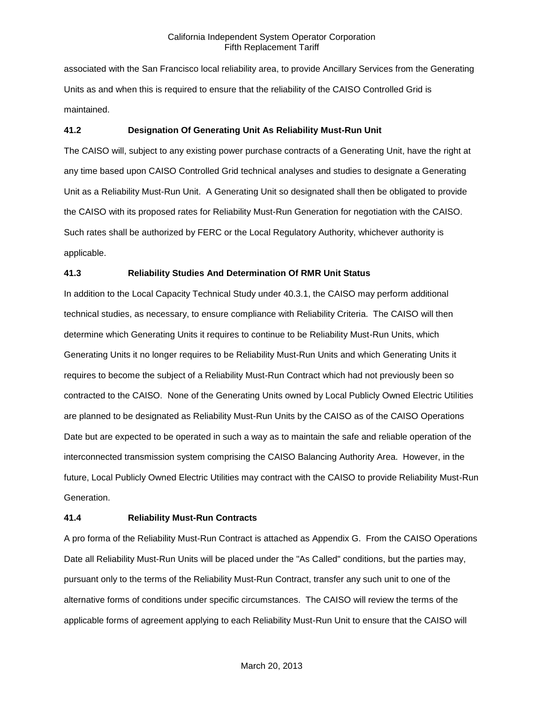associated with the San Francisco local reliability area, to provide Ancillary Services from the Generating Units as and when this is required to ensure that the reliability of the CAISO Controlled Grid is maintained.

### **41.2 Designation Of Generating Unit As Reliability Must-Run Unit**

The CAISO will, subject to any existing power purchase contracts of a Generating Unit, have the right at any time based upon CAISO Controlled Grid technical analyses and studies to designate a Generating Unit as a Reliability Must-Run Unit. A Generating Unit so designated shall then be obligated to provide the CAISO with its proposed rates for Reliability Must-Run Generation for negotiation with the CAISO. Such rates shall be authorized by FERC or the Local Regulatory Authority, whichever authority is applicable.

# **41.3 Reliability Studies And Determination Of RMR Unit Status**

In addition to the Local Capacity Technical Study under 40.3.1, the CAISO may perform additional technical studies, as necessary, to ensure compliance with Reliability Criteria. The CAISO will then determine which Generating Units it requires to continue to be Reliability Must-Run Units, which Generating Units it no longer requires to be Reliability Must-Run Units and which Generating Units it requires to become the subject of a Reliability Must-Run Contract which had not previously been so contracted to the CAISO. None of the Generating Units owned by Local Publicly Owned Electric Utilities are planned to be designated as Reliability Must-Run Units by the CAISO as of the CAISO Operations Date but are expected to be operated in such a way as to maintain the safe and reliable operation of the interconnected transmission system comprising the CAISO Balancing Authority Area. However, in the future, Local Publicly Owned Electric Utilities may contract with the CAISO to provide Reliability Must-Run Generation.

### **41.4 Reliability Must-Run Contracts**

A pro forma of the Reliability Must-Run Contract is attached as Appendix G. From the CAISO Operations Date all Reliability Must-Run Units will be placed under the "As Called" conditions, but the parties may, pursuant only to the terms of the Reliability Must-Run Contract, transfer any such unit to one of the alternative forms of conditions under specific circumstances. The CAISO will review the terms of the applicable forms of agreement applying to each Reliability Must-Run Unit to ensure that the CAISO will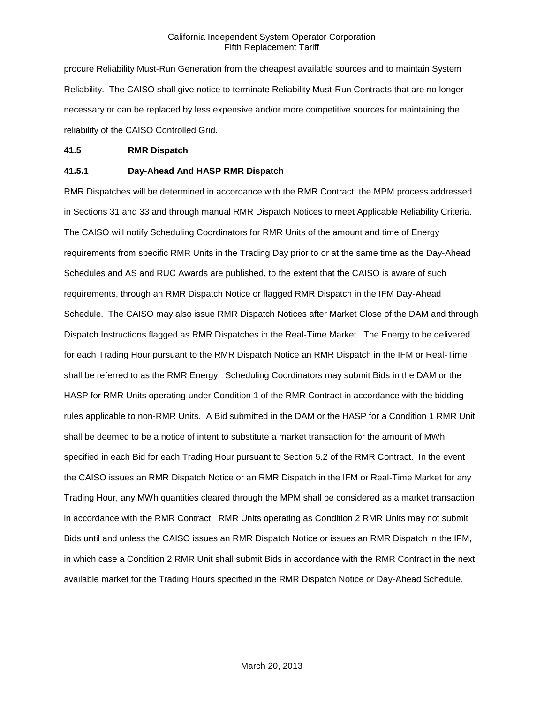procure Reliability Must-Run Generation from the cheapest available sources and to maintain System Reliability. The CAISO shall give notice to terminate Reliability Must-Run Contracts that are no longer necessary or can be replaced by less expensive and/or more competitive sources for maintaining the reliability of the CAISO Controlled Grid.

#### **41.5 RMR Dispatch**

# **41.5.1 Day-Ahead And HASP RMR Dispatch**

RMR Dispatches will be determined in accordance with the RMR Contract, the MPM process addressed in Sections 31 and 33 and through manual RMR Dispatch Notices to meet Applicable Reliability Criteria. The CAISO will notify Scheduling Coordinators for RMR Units of the amount and time of Energy requirements from specific RMR Units in the Trading Day prior to or at the same time as the Day-Ahead Schedules and AS and RUC Awards are published, to the extent that the CAISO is aware of such requirements, through an RMR Dispatch Notice or flagged RMR Dispatch in the IFM Day-Ahead Schedule. The CAISO may also issue RMR Dispatch Notices after Market Close of the DAM and through Dispatch Instructions flagged as RMR Dispatches in the Real-Time Market. The Energy to be delivered for each Trading Hour pursuant to the RMR Dispatch Notice an RMR Dispatch in the IFM or Real-Time shall be referred to as the RMR Energy. Scheduling Coordinators may submit Bids in the DAM or the HASP for RMR Units operating under Condition 1 of the RMR Contract in accordance with the bidding rules applicable to non-RMR Units. A Bid submitted in the DAM or the HASP for a Condition 1 RMR Unit shall be deemed to be a notice of intent to substitute a market transaction for the amount of MWh specified in each Bid for each Trading Hour pursuant to Section 5.2 of the RMR Contract. In the event the CAISO issues an RMR Dispatch Notice or an RMR Dispatch in the IFM or Real-Time Market for any Trading Hour, any MWh quantities cleared through the MPM shall be considered as a market transaction in accordance with the RMR Contract. RMR Units operating as Condition 2 RMR Units may not submit Bids until and unless the CAISO issues an RMR Dispatch Notice or issues an RMR Dispatch in the IFM, in which case a Condition 2 RMR Unit shall submit Bids in accordance with the RMR Contract in the next available market for the Trading Hours specified in the RMR Dispatch Notice or Day-Ahead Schedule.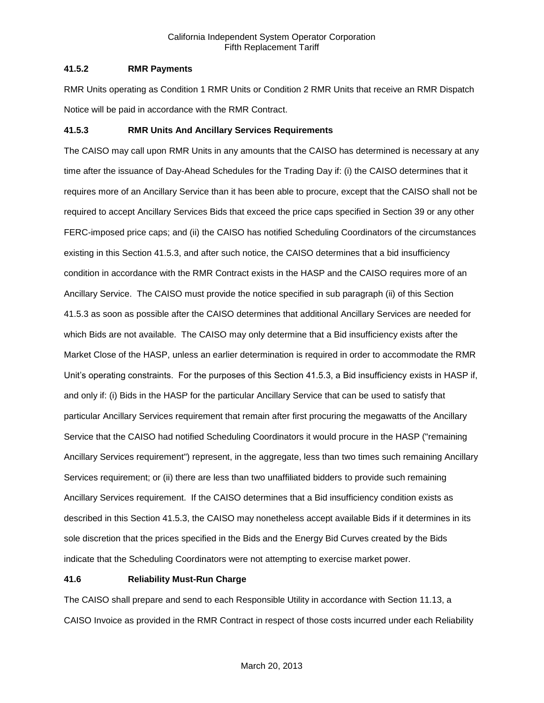# **41.5.2 RMR Payments**

RMR Units operating as Condition 1 RMR Units or Condition 2 RMR Units that receive an RMR Dispatch Notice will be paid in accordance with the RMR Contract.

# **41.5.3 RMR Units And Ancillary Services Requirements**

The CAISO may call upon RMR Units in any amounts that the CAISO has determined is necessary at any time after the issuance of Day-Ahead Schedules for the Trading Day if: (i) the CAISO determines that it requires more of an Ancillary Service than it has been able to procure, except that the CAISO shall not be required to accept Ancillary Services Bids that exceed the price caps specified in Section 39 or any other FERC-imposed price caps; and (ii) the CAISO has notified Scheduling Coordinators of the circumstances existing in this Section 41.5.3, and after such notice, the CAISO determines that a bid insufficiency condition in accordance with the RMR Contract exists in the HASP and the CAISO requires more of an Ancillary Service. The CAISO must provide the notice specified in sub paragraph (ii) of this Section 41.5.3 as soon as possible after the CAISO determines that additional Ancillary Services are needed for which Bids are not available. The CAISO may only determine that a Bid insufficiency exists after the Market Close of the HASP, unless an earlier determination is required in order to accommodate the RMR Unit's operating constraints. For the purposes of this Section 41.5.3, a Bid insufficiency exists in HASP if, and only if: (i) Bids in the HASP for the particular Ancillary Service that can be used to satisfy that particular Ancillary Services requirement that remain after first procuring the megawatts of the Ancillary Service that the CAISO had notified Scheduling Coordinators it would procure in the HASP ("remaining Ancillary Services requirement") represent, in the aggregate, less than two times such remaining Ancillary Services requirement; or (ii) there are less than two unaffiliated bidders to provide such remaining Ancillary Services requirement. If the CAISO determines that a Bid insufficiency condition exists as described in this Section 41.5.3, the CAISO may nonetheless accept available Bids if it determines in its sole discretion that the prices specified in the Bids and the Energy Bid Curves created by the Bids indicate that the Scheduling Coordinators were not attempting to exercise market power.

# **41.6 Reliability Must-Run Charge**

The CAISO shall prepare and send to each Responsible Utility in accordance with Section 11.13, a CAISO Invoice as provided in the RMR Contract in respect of those costs incurred under each Reliability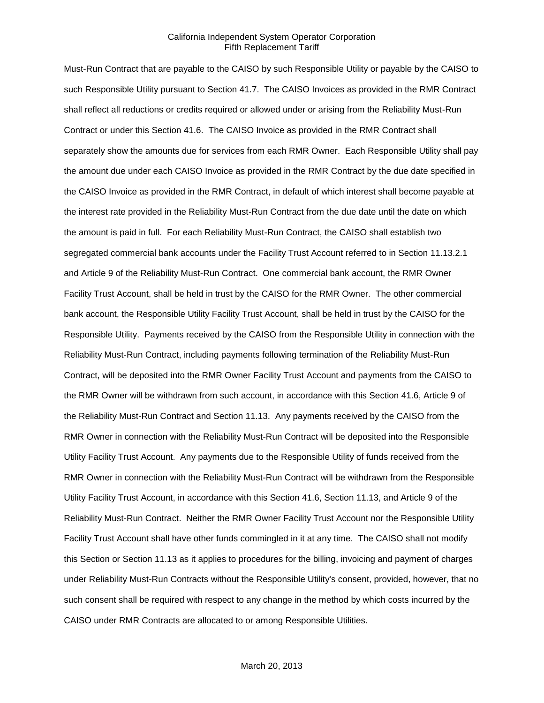Must-Run Contract that are payable to the CAISO by such Responsible Utility or payable by the CAISO to such Responsible Utility pursuant to Section 41.7. The CAISO Invoices as provided in the RMR Contract shall reflect all reductions or credits required or allowed under or arising from the Reliability Must-Run Contract or under this Section 41.6. The CAISO Invoice as provided in the RMR Contract shall separately show the amounts due for services from each RMR Owner. Each Responsible Utility shall pay the amount due under each CAISO Invoice as provided in the RMR Contract by the due date specified in the CAISO Invoice as provided in the RMR Contract, in default of which interest shall become payable at the interest rate provided in the Reliability Must-Run Contract from the due date until the date on which the amount is paid in full. For each Reliability Must-Run Contract, the CAISO shall establish two segregated commercial bank accounts under the Facility Trust Account referred to in Section 11.13.2.1 and Article 9 of the Reliability Must-Run Contract. One commercial bank account, the RMR Owner Facility Trust Account, shall be held in trust by the CAISO for the RMR Owner. The other commercial bank account, the Responsible Utility Facility Trust Account, shall be held in trust by the CAISO for the Responsible Utility. Payments received by the CAISO from the Responsible Utility in connection with the Reliability Must-Run Contract, including payments following termination of the Reliability Must-Run Contract, will be deposited into the RMR Owner Facility Trust Account and payments from the CAISO to the RMR Owner will be withdrawn from such account, in accordance with this Section 41.6, Article 9 of the Reliability Must-Run Contract and Section 11.13. Any payments received by the CAISO from the RMR Owner in connection with the Reliability Must-Run Contract will be deposited into the Responsible Utility Facility Trust Account. Any payments due to the Responsible Utility of funds received from the RMR Owner in connection with the Reliability Must-Run Contract will be withdrawn from the Responsible Utility Facility Trust Account, in accordance with this Section 41.6, Section 11.13, and Article 9 of the Reliability Must-Run Contract. Neither the RMR Owner Facility Trust Account nor the Responsible Utility Facility Trust Account shall have other funds commingled in it at any time. The CAISO shall not modify this Section or Section 11.13 as it applies to procedures for the billing, invoicing and payment of charges under Reliability Must-Run Contracts without the Responsible Utility's consent, provided, however, that no such consent shall be required with respect to any change in the method by which costs incurred by the CAISO under RMR Contracts are allocated to or among Responsible Utilities.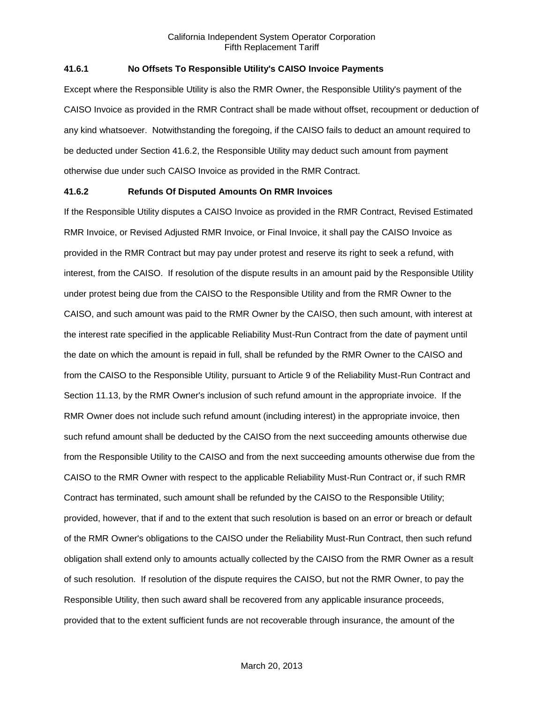## **41.6.1 No Offsets To Responsible Utility's CAISO Invoice Payments**

Except where the Responsible Utility is also the RMR Owner, the Responsible Utility's payment of the CAISO Invoice as provided in the RMR Contract shall be made without offset, recoupment or deduction of any kind whatsoever. Notwithstanding the foregoing, if the CAISO fails to deduct an amount required to be deducted under Section 41.6.2, the Responsible Utility may deduct such amount from payment otherwise due under such CAISO Invoice as provided in the RMR Contract.

### **41.6.2 Refunds Of Disputed Amounts On RMR Invoices**

If the Responsible Utility disputes a CAISO Invoice as provided in the RMR Contract, Revised Estimated RMR Invoice, or Revised Adjusted RMR Invoice, or Final Invoice, it shall pay the CAISO Invoice as provided in the RMR Contract but may pay under protest and reserve its right to seek a refund, with interest, from the CAISO. If resolution of the dispute results in an amount paid by the Responsible Utility under protest being due from the CAISO to the Responsible Utility and from the RMR Owner to the CAISO, and such amount was paid to the RMR Owner by the CAISO, then such amount, with interest at the interest rate specified in the applicable Reliability Must-Run Contract from the date of payment until the date on which the amount is repaid in full, shall be refunded by the RMR Owner to the CAISO and from the CAISO to the Responsible Utility, pursuant to Article 9 of the Reliability Must-Run Contract and Section 11.13, by the RMR Owner's inclusion of such refund amount in the appropriate invoice. If the RMR Owner does not include such refund amount (including interest) in the appropriate invoice, then such refund amount shall be deducted by the CAISO from the next succeeding amounts otherwise due from the Responsible Utility to the CAISO and from the next succeeding amounts otherwise due from the CAISO to the RMR Owner with respect to the applicable Reliability Must-Run Contract or, if such RMR Contract has terminated, such amount shall be refunded by the CAISO to the Responsible Utility; provided, however, that if and to the extent that such resolution is based on an error or breach or default of the RMR Owner's obligations to the CAISO under the Reliability Must-Run Contract, then such refund obligation shall extend only to amounts actually collected by the CAISO from the RMR Owner as a result of such resolution. If resolution of the dispute requires the CAISO, but not the RMR Owner, to pay the Responsible Utility, then such award shall be recovered from any applicable insurance proceeds, provided that to the extent sufficient funds are not recoverable through insurance, the amount of the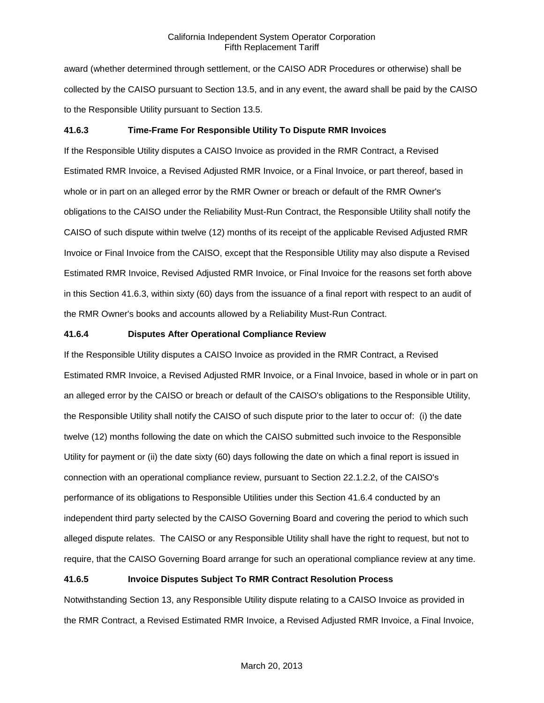award (whether determined through settlement, or the CAISO ADR Procedures or otherwise) shall be collected by the CAISO pursuant to Section 13.5, and in any event, the award shall be paid by the CAISO to the Responsible Utility pursuant to Section 13.5.

# **41.6.3 Time-Frame For Responsible Utility To Dispute RMR Invoices**

If the Responsible Utility disputes a CAISO Invoice as provided in the RMR Contract, a Revised Estimated RMR Invoice, a Revised Adjusted RMR Invoice, or a Final Invoice, or part thereof, based in whole or in part on an alleged error by the RMR Owner or breach or default of the RMR Owner's obligations to the CAISO under the Reliability Must-Run Contract, the Responsible Utility shall notify the CAISO of such dispute within twelve (12) months of its receipt of the applicable Revised Adjusted RMR Invoice or Final Invoice from the CAISO, except that the Responsible Utility may also dispute a Revised Estimated RMR Invoice, Revised Adjusted RMR Invoice, or Final Invoice for the reasons set forth above in this Section 41.6.3, within sixty (60) days from the issuance of a final report with respect to an audit of the RMR Owner's books and accounts allowed by a Reliability Must-Run Contract.

#### **41.6.4 Disputes After Operational Compliance Review**

If the Responsible Utility disputes a CAISO Invoice as provided in the RMR Contract, a Revised Estimated RMR Invoice, a Revised Adjusted RMR Invoice, or a Final Invoice, based in whole or in part on an alleged error by the CAISO or breach or default of the CAISO's obligations to the Responsible Utility, the Responsible Utility shall notify the CAISO of such dispute prior to the later to occur of: (i) the date twelve (12) months following the date on which the CAISO submitted such invoice to the Responsible Utility for payment or (ii) the date sixty (60) days following the date on which a final report is issued in connection with an operational compliance review, pursuant to Section 22.1.2.2, of the CAISO's performance of its obligations to Responsible Utilities under this Section 41.6.4 conducted by an independent third party selected by the CAISO Governing Board and covering the period to which such alleged dispute relates. The CAISO or any Responsible Utility shall have the right to request, but not to require, that the CAISO Governing Board arrange for such an operational compliance review at any time.

#### **41.6.5 Invoice Disputes Subject To RMR Contract Resolution Process**

Notwithstanding Section 13, any Responsible Utility dispute relating to a CAISO Invoice as provided in the RMR Contract, a Revised Estimated RMR Invoice, a Revised Adjusted RMR Invoice, a Final Invoice,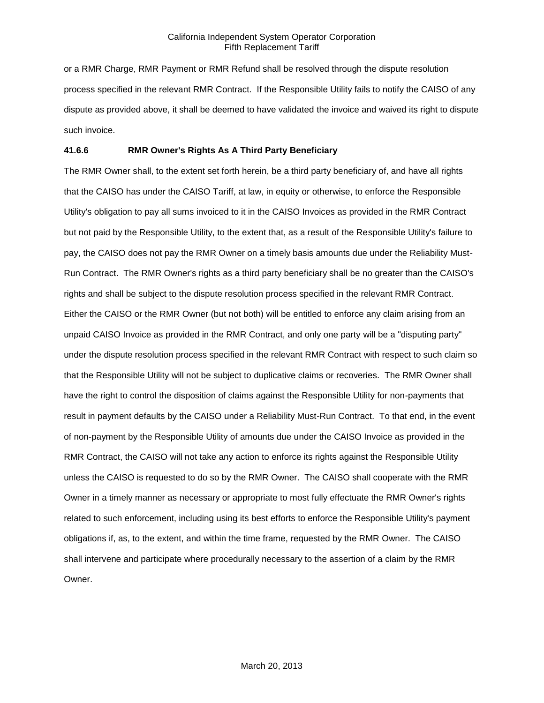or a RMR Charge, RMR Payment or RMR Refund shall be resolved through the dispute resolution process specified in the relevant RMR Contract. If the Responsible Utility fails to notify the CAISO of any dispute as provided above, it shall be deemed to have validated the invoice and waived its right to dispute such invoice.

### **41.6.6 RMR Owner's Rights As A Third Party Beneficiary**

The RMR Owner shall, to the extent set forth herein, be a third party beneficiary of, and have all rights that the CAISO has under the CAISO Tariff, at law, in equity or otherwise, to enforce the Responsible Utility's obligation to pay all sums invoiced to it in the CAISO Invoices as provided in the RMR Contract but not paid by the Responsible Utility, to the extent that, as a result of the Responsible Utility's failure to pay, the CAISO does not pay the RMR Owner on a timely basis amounts due under the Reliability Must-Run Contract. The RMR Owner's rights as a third party beneficiary shall be no greater than the CAISO's rights and shall be subject to the dispute resolution process specified in the relevant RMR Contract. Either the CAISO or the RMR Owner (but not both) will be entitled to enforce any claim arising from an unpaid CAISO Invoice as provided in the RMR Contract, and only one party will be a "disputing party" under the dispute resolution process specified in the relevant RMR Contract with respect to such claim so that the Responsible Utility will not be subject to duplicative claims or recoveries. The RMR Owner shall have the right to control the disposition of claims against the Responsible Utility for non-payments that result in payment defaults by the CAISO under a Reliability Must-Run Contract. To that end, in the event of non-payment by the Responsible Utility of amounts due under the CAISO Invoice as provided in the RMR Contract, the CAISO will not take any action to enforce its rights against the Responsible Utility unless the CAISO is requested to do so by the RMR Owner. The CAISO shall cooperate with the RMR Owner in a timely manner as necessary or appropriate to most fully effectuate the RMR Owner's rights related to such enforcement, including using its best efforts to enforce the Responsible Utility's payment obligations if, as, to the extent, and within the time frame, requested by the RMR Owner. The CAISO shall intervene and participate where procedurally necessary to the assertion of a claim by the RMR Owner.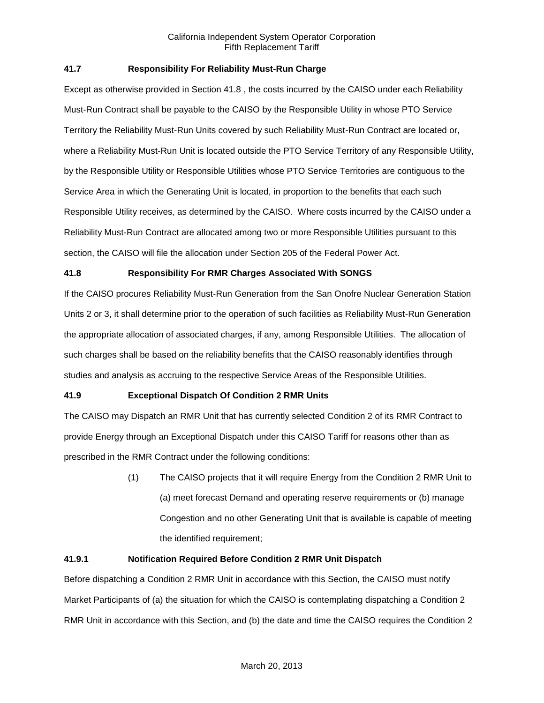# **41.7 Responsibility For Reliability Must-Run Charge**

Except as otherwise provided in Section 41.8 , the costs incurred by the CAISO under each Reliability Must-Run Contract shall be payable to the CAISO by the Responsible Utility in whose PTO Service Territory the Reliability Must-Run Units covered by such Reliability Must-Run Contract are located or, where a Reliability Must-Run Unit is located outside the PTO Service Territory of any Responsible Utility, by the Responsible Utility or Responsible Utilities whose PTO Service Territories are contiguous to the Service Area in which the Generating Unit is located, in proportion to the benefits that each such Responsible Utility receives, as determined by the CAISO. Where costs incurred by the CAISO under a Reliability Must-Run Contract are allocated among two or more Responsible Utilities pursuant to this section, the CAISO will file the allocation under Section 205 of the Federal Power Act.

# **41.8 Responsibility For RMR Charges Associated With SONGS**

If the CAISO procures Reliability Must-Run Generation from the San Onofre Nuclear Generation Station Units 2 or 3, it shall determine prior to the operation of such facilities as Reliability Must-Run Generation the appropriate allocation of associated charges, if any, among Responsible Utilities. The allocation of such charges shall be based on the reliability benefits that the CAISO reasonably identifies through studies and analysis as accruing to the respective Service Areas of the Responsible Utilities.

# **41.9 Exceptional Dispatch Of Condition 2 RMR Units**

The CAISO may Dispatch an RMR Unit that has currently selected Condition 2 of its RMR Contract to provide Energy through an Exceptional Dispatch under this CAISO Tariff for reasons other than as prescribed in the RMR Contract under the following conditions:

> (1) The CAISO projects that it will require Energy from the Condition 2 RMR Unit to (a) meet forecast Demand and operating reserve requirements or (b) manage Congestion and no other Generating Unit that is available is capable of meeting the identified requirement;

### **41.9.1 Notification Required Before Condition 2 RMR Unit Dispatch**

Before dispatching a Condition 2 RMR Unit in accordance with this Section, the CAISO must notify Market Participants of (a) the situation for which the CAISO is contemplating dispatching a Condition 2 RMR Unit in accordance with this Section, and (b) the date and time the CAISO requires the Condition 2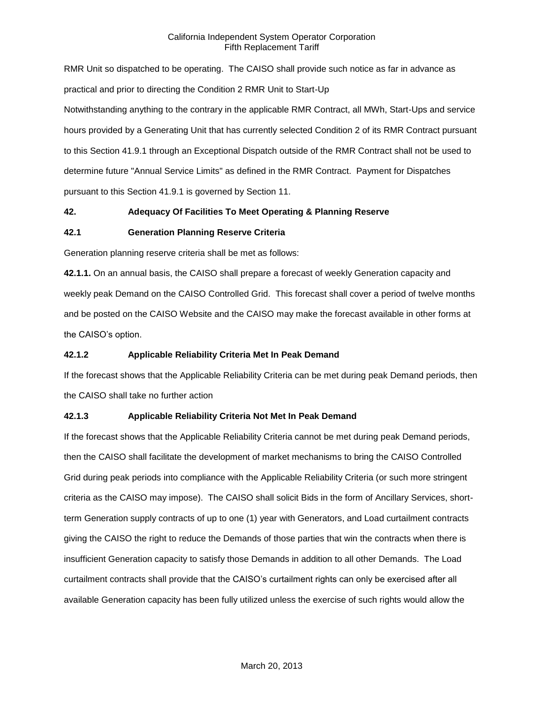RMR Unit so dispatched to be operating. The CAISO shall provide such notice as far in advance as practical and prior to directing the Condition 2 RMR Unit to Start-Up Notwithstanding anything to the contrary in the applicable RMR Contract, all MWh, Start-Ups and service hours provided by a Generating Unit that has currently selected Condition 2 of its RMR Contract pursuant to this Section 41.9.1 through an Exceptional Dispatch outside of the RMR Contract shall not be used to determine future "Annual Service Limits" as defined in the RMR Contract. Payment for Dispatches pursuant to this Section 41.9.1 is governed by Section 11.

# **42. Adequacy Of Facilities To Meet Operating & Planning Reserve**

### **42.1 Generation Planning Reserve Criteria**

Generation planning reserve criteria shall be met as follows:

**42.1.1.** On an annual basis, the CAISO shall prepare a forecast of weekly Generation capacity and weekly peak Demand on the CAISO Controlled Grid. This forecast shall cover a period of twelve months and be posted on the CAISO Website and the CAISO may make the forecast available in other forms at the CAISO's option.

## **42.1.2 Applicable Reliability Criteria Met In Peak Demand**

If the forecast shows that the Applicable Reliability Criteria can be met during peak Demand periods, then the CAISO shall take no further action

### **42.1.3 Applicable Reliability Criteria Not Met In Peak Demand**

If the forecast shows that the Applicable Reliability Criteria cannot be met during peak Demand periods, then the CAISO shall facilitate the development of market mechanisms to bring the CAISO Controlled Grid during peak periods into compliance with the Applicable Reliability Criteria (or such more stringent criteria as the CAISO may impose). The CAISO shall solicit Bids in the form of Ancillary Services, shortterm Generation supply contracts of up to one (1) year with Generators, and Load curtailment contracts giving the CAISO the right to reduce the Demands of those parties that win the contracts when there is insufficient Generation capacity to satisfy those Demands in addition to all other Demands. The Load curtailment contracts shall provide that the CAISO's curtailment rights can only be exercised after all available Generation capacity has been fully utilized unless the exercise of such rights would allow the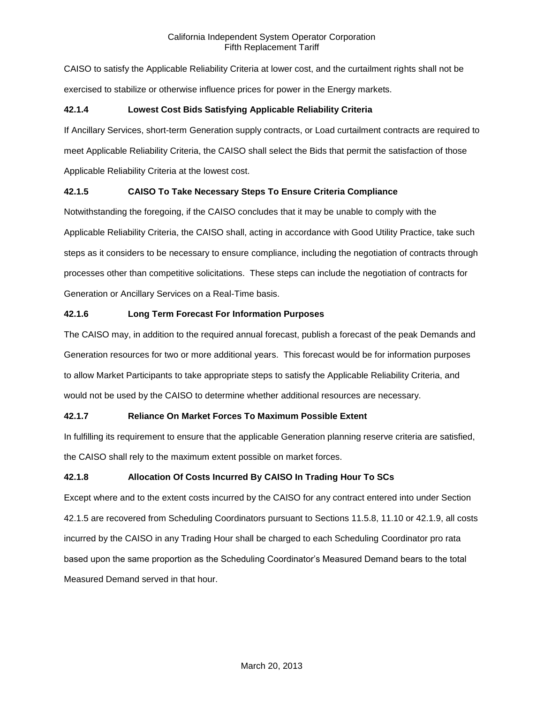CAISO to satisfy the Applicable Reliability Criteria at lower cost, and the curtailment rights shall not be exercised to stabilize or otherwise influence prices for power in the Energy markets.

# **42.1.4 Lowest Cost Bids Satisfying Applicable Reliability Criteria**

If Ancillary Services, short-term Generation supply contracts, or Load curtailment contracts are required to meet Applicable Reliability Criteria, the CAISO shall select the Bids that permit the satisfaction of those Applicable Reliability Criteria at the lowest cost.

# **42.1.5 CAISO To Take Necessary Steps To Ensure Criteria Compliance**

Notwithstanding the foregoing, if the CAISO concludes that it may be unable to comply with the Applicable Reliability Criteria, the CAISO shall, acting in accordance with Good Utility Practice, take such steps as it considers to be necessary to ensure compliance, including the negotiation of contracts through processes other than competitive solicitations. These steps can include the negotiation of contracts for Generation or Ancillary Services on a Real-Time basis.

# **42.1.6 Long Term Forecast For Information Purposes**

The CAISO may, in addition to the required annual forecast, publish a forecast of the peak Demands and Generation resources for two or more additional years. This forecast would be for information purposes to allow Market Participants to take appropriate steps to satisfy the Applicable Reliability Criteria, and would not be used by the CAISO to determine whether additional resources are necessary.

# **42.1.7 Reliance On Market Forces To Maximum Possible Extent**

In fulfilling its requirement to ensure that the applicable Generation planning reserve criteria are satisfied, the CAISO shall rely to the maximum extent possible on market forces.

# **42.1.8 Allocation Of Costs Incurred By CAISO In Trading Hour To SCs**

Except where and to the extent costs incurred by the CAISO for any contract entered into under Section 42.1.5 are recovered from Scheduling Coordinators pursuant to Sections 11.5.8, 11.10 or 42.1.9, all costs incurred by the CAISO in any Trading Hour shall be charged to each Scheduling Coordinator pro rata based upon the same proportion as the Scheduling Coordinator's Measured Demand bears to the total Measured Demand served in that hour.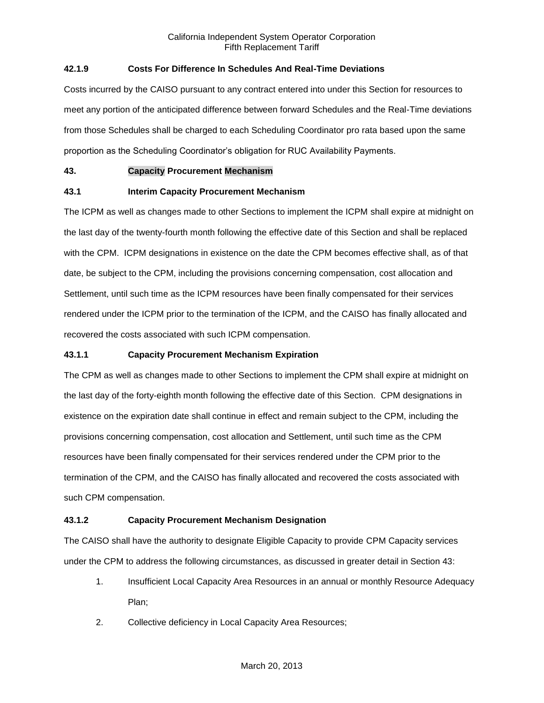# **42.1.9 Costs For Difference In Schedules And Real-Time Deviations**

Costs incurred by the CAISO pursuant to any contract entered into under this Section for resources to meet any portion of the anticipated difference between forward Schedules and the Real-Time deviations from those Schedules shall be charged to each Scheduling Coordinator pro rata based upon the same proportion as the Scheduling Coordinator's obligation for RUC Availability Payments.

# **43. Capacity Procurement Mechanism**

# **43.1 Interim Capacity Procurement Mechanism**

The ICPM as well as changes made to other Sections to implement the ICPM shall expire at midnight on the last day of the twenty-fourth month following the effective date of this Section and shall be replaced with the CPM. ICPM designations in existence on the date the CPM becomes effective shall, as of that date, be subject to the CPM, including the provisions concerning compensation, cost allocation and Settlement, until such time as the ICPM resources have been finally compensated for their services rendered under the ICPM prior to the termination of the ICPM, and the CAISO has finally allocated and recovered the costs associated with such ICPM compensation.

## **43.1.1 Capacity Procurement Mechanism Expiration**

The CPM as well as changes made to other Sections to implement the CPM shall expire at midnight on the last day of the forty-eighth month following the effective date of this Section. CPM designations in existence on the expiration date shall continue in effect and remain subject to the CPM, including the provisions concerning compensation, cost allocation and Settlement, until such time as the CPM resources have been finally compensated for their services rendered under the CPM prior to the termination of the CPM, and the CAISO has finally allocated and recovered the costs associated with such CPM compensation.

### **43.1.2 Capacity Procurement Mechanism Designation**

The CAISO shall have the authority to designate Eligible Capacity to provide CPM Capacity services under the CPM to address the following circumstances, as discussed in greater detail in Section 43:

- 1. Insufficient Local Capacity Area Resources in an annual or monthly Resource Adequacy Plan;
- 2. Collective deficiency in Local Capacity Area Resources;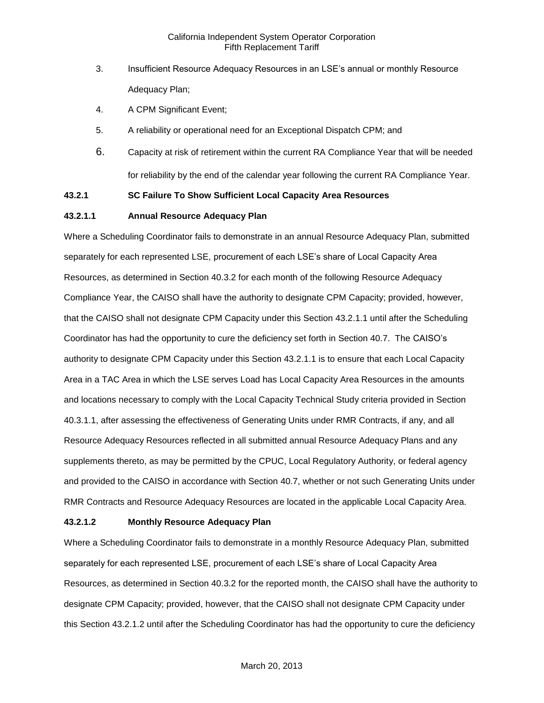- 3. Insufficient Resource Adequacy Resources in an LSE's annual or monthly Resource Adequacy Plan;
- 4. A CPM Significant Event;
- 5. A reliability or operational need for an Exceptional Dispatch CPM; and
- 6. Capacity at risk of retirement within the current RA Compliance Year that will be needed for reliability by the end of the calendar year following the current RA Compliance Year.

# **43.2.1 SC Failure To Show Sufficient Local Capacity Area Resources**

#### **43.2.1.1 Annual Resource Adequacy Plan**

Where a Scheduling Coordinator fails to demonstrate in an annual Resource Adequacy Plan, submitted separately for each represented LSE, procurement of each LSE's share of Local Capacity Area Resources, as determined in Section 40.3.2 for each month of the following Resource Adequacy Compliance Year, the CAISO shall have the authority to designate CPM Capacity; provided, however, that the CAISO shall not designate CPM Capacity under this Section 43.2.1.1 until after the Scheduling Coordinator has had the opportunity to cure the deficiency set forth in Section 40.7. The CAISO's authority to designate CPM Capacity under this Section 43.2.1.1 is to ensure that each Local Capacity Area in a TAC Area in which the LSE serves Load has Local Capacity Area Resources in the amounts and locations necessary to comply with the Local Capacity Technical Study criteria provided in Section 40.3.1.1, after assessing the effectiveness of Generating Units under RMR Contracts, if any, and all Resource Adequacy Resources reflected in all submitted annual Resource Adequacy Plans and any supplements thereto, as may be permitted by the CPUC, Local Regulatory Authority, or federal agency and provided to the CAISO in accordance with Section 40.7, whether or not such Generating Units under RMR Contracts and Resource Adequacy Resources are located in the applicable Local Capacity Area.

### **43.2.1.2 Monthly Resource Adequacy Plan**

Where a Scheduling Coordinator fails to demonstrate in a monthly Resource Adequacy Plan, submitted separately for each represented LSE, procurement of each LSE's share of Local Capacity Area Resources, as determined in Section 40.3.2 for the reported month, the CAISO shall have the authority to designate CPM Capacity; provided, however, that the CAISO shall not designate CPM Capacity under this Section 43.2.1.2 until after the Scheduling Coordinator has had the opportunity to cure the deficiency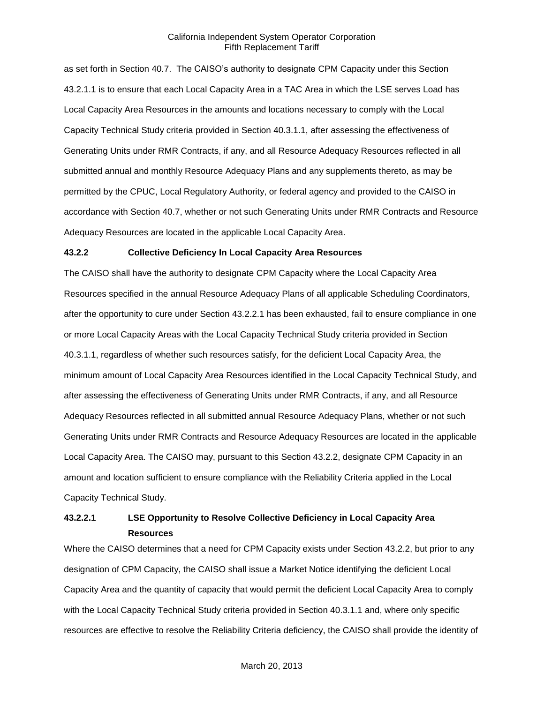as set forth in Section 40.7. The CAISO's authority to designate CPM Capacity under this Section 43.2.1.1 is to ensure that each Local Capacity Area in a TAC Area in which the LSE serves Load has Local Capacity Area Resources in the amounts and locations necessary to comply with the Local Capacity Technical Study criteria provided in Section 40.3.1.1, after assessing the effectiveness of Generating Units under RMR Contracts, if any, and all Resource Adequacy Resources reflected in all submitted annual and monthly Resource Adequacy Plans and any supplements thereto, as may be permitted by the CPUC, Local Regulatory Authority, or federal agency and provided to the CAISO in accordance with Section 40.7, whether or not such Generating Units under RMR Contracts and Resource Adequacy Resources are located in the applicable Local Capacity Area.

#### **43.2.2 Collective Deficiency In Local Capacity Area Resources**

The CAISO shall have the authority to designate CPM Capacity where the Local Capacity Area Resources specified in the annual Resource Adequacy Plans of all applicable Scheduling Coordinators, after the opportunity to cure under Section 43.2.2.1 has been exhausted, fail to ensure compliance in one or more Local Capacity Areas with the Local Capacity Technical Study criteria provided in Section 40.3.1.1, regardless of whether such resources satisfy, for the deficient Local Capacity Area, the minimum amount of Local Capacity Area Resources identified in the Local Capacity Technical Study, and after assessing the effectiveness of Generating Units under RMR Contracts, if any, and all Resource Adequacy Resources reflected in all submitted annual Resource Adequacy Plans, whether or not such Generating Units under RMR Contracts and Resource Adequacy Resources are located in the applicable Local Capacity Area. The CAISO may, pursuant to this Section 43.2.2, designate CPM Capacity in an amount and location sufficient to ensure compliance with the Reliability Criteria applied in the Local Capacity Technical Study.

# **43.2.2.1 LSE Opportunity to Resolve Collective Deficiency in Local Capacity Area Resources**

Where the CAISO determines that a need for CPM Capacity exists under Section 43.2.2, but prior to any designation of CPM Capacity, the CAISO shall issue a Market Notice identifying the deficient Local Capacity Area and the quantity of capacity that would permit the deficient Local Capacity Area to comply with the Local Capacity Technical Study criteria provided in Section 40.3.1.1 and, where only specific resources are effective to resolve the Reliability Criteria deficiency, the CAISO shall provide the identity of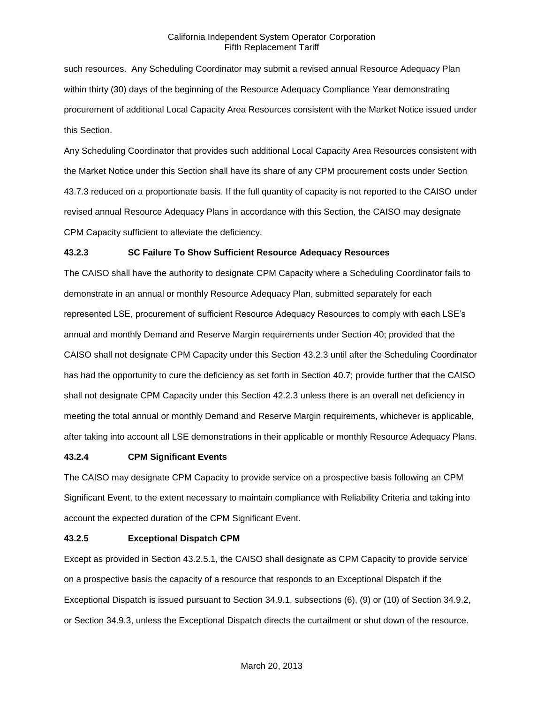such resources. Any Scheduling Coordinator may submit a revised annual Resource Adequacy Plan within thirty (30) days of the beginning of the Resource Adequacy Compliance Year demonstrating procurement of additional Local Capacity Area Resources consistent with the Market Notice issued under this Section.

Any Scheduling Coordinator that provides such additional Local Capacity Area Resources consistent with the Market Notice under this Section shall have its share of any CPM procurement costs under Section 43.7.3 reduced on a proportionate basis. If the full quantity of capacity is not reported to the CAISO under revised annual Resource Adequacy Plans in accordance with this Section, the CAISO may designate CPM Capacity sufficient to alleviate the deficiency.

### **43.2.3 SC Failure To Show Sufficient Resource Adequacy Resources**

The CAISO shall have the authority to designate CPM Capacity where a Scheduling Coordinator fails to demonstrate in an annual or monthly Resource Adequacy Plan, submitted separately for each represented LSE, procurement of sufficient Resource Adequacy Resources to comply with each LSE's annual and monthly Demand and Reserve Margin requirements under Section 40; provided that the CAISO shall not designate CPM Capacity under this Section 43.2.3 until after the Scheduling Coordinator has had the opportunity to cure the deficiency as set forth in Section 40.7; provide further that the CAISO shall not designate CPM Capacity under this Section 42.2.3 unless there is an overall net deficiency in meeting the total annual or monthly Demand and Reserve Margin requirements, whichever is applicable, after taking into account all LSE demonstrations in their applicable or monthly Resource Adequacy Plans.

#### **43.2.4 CPM Significant Events**

The CAISO may designate CPM Capacity to provide service on a prospective basis following an CPM Significant Event, to the extent necessary to maintain compliance with Reliability Criteria and taking into account the expected duration of the CPM Significant Event.

#### **43.2.5 Exceptional Dispatch CPM**

Except as provided in Section 43.2.5.1, the CAISO shall designate as CPM Capacity to provide service on a prospective basis the capacity of a resource that responds to an Exceptional Dispatch if the Exceptional Dispatch is issued pursuant to Section 34.9.1, subsections (6), (9) or (10) of Section 34.9.2, or Section 34.9.3, unless the Exceptional Dispatch directs the curtailment or shut down of the resource.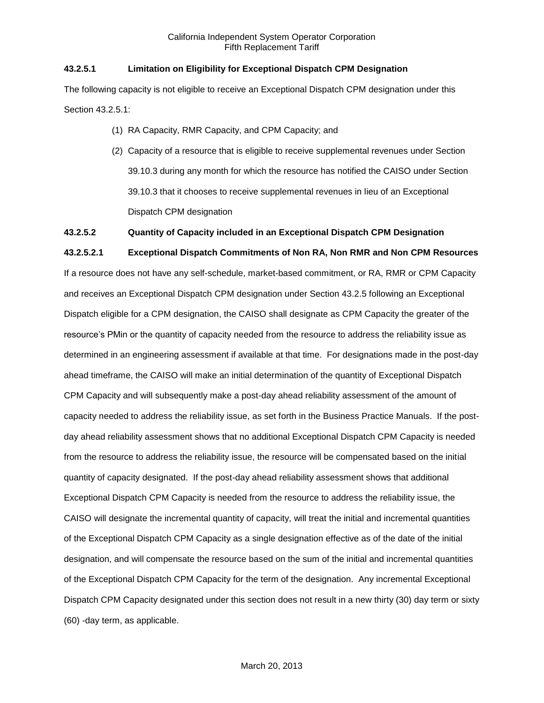# **43.2.5.1 Limitation on Eligibility for Exceptional Dispatch CPM Designation**

The following capacity is not eligible to receive an Exceptional Dispatch CPM designation under this Section 43.2.5.1:

- (1) RA Capacity, RMR Capacity, and CPM Capacity; and
- (2) Capacity of a resource that is eligible to receive supplemental revenues under Section 39.10.3 during any month for which the resource has notified the CAISO under Section 39.10.3 that it chooses to receive supplemental revenues in lieu of an Exceptional Dispatch CPM designation

# **43.2.5.2 Quantity of Capacity included in an Exceptional Dispatch CPM Designation**

### **43.2.5.2.1 Exceptional Dispatch Commitments of Non RA, Non RMR and Non CPM Resources**

If a resource does not have any self-schedule, market-based commitment, or RA, RMR or CPM Capacity and receives an Exceptional Dispatch CPM designation under Section 43.2.5 following an Exceptional Dispatch eligible for a CPM designation, the CAISO shall designate as CPM Capacity the greater of the resource's PMin or the quantity of capacity needed from the resource to address the reliability issue as determined in an engineering assessment if available at that time. For designations made in the post-day ahead timeframe, the CAISO will make an initial determination of the quantity of Exceptional Dispatch CPM Capacity and will subsequently make a post-day ahead reliability assessment of the amount of capacity needed to address the reliability issue, as set forth in the Business Practice Manuals. If the postday ahead reliability assessment shows that no additional Exceptional Dispatch CPM Capacity is needed from the resource to address the reliability issue, the resource will be compensated based on the initial quantity of capacity designated. If the post-day ahead reliability assessment shows that additional Exceptional Dispatch CPM Capacity is needed from the resource to address the reliability issue, the CAISO will designate the incremental quantity of capacity, will treat the initial and incremental quantities of the Exceptional Dispatch CPM Capacity as a single designation effective as of the date of the initial designation, and will compensate the resource based on the sum of the initial and incremental quantities of the Exceptional Dispatch CPM Capacity for the term of the designation. Any incremental Exceptional Dispatch CPM Capacity designated under this section does not result in a new thirty (30) day term or sixty (60) -day term, as applicable.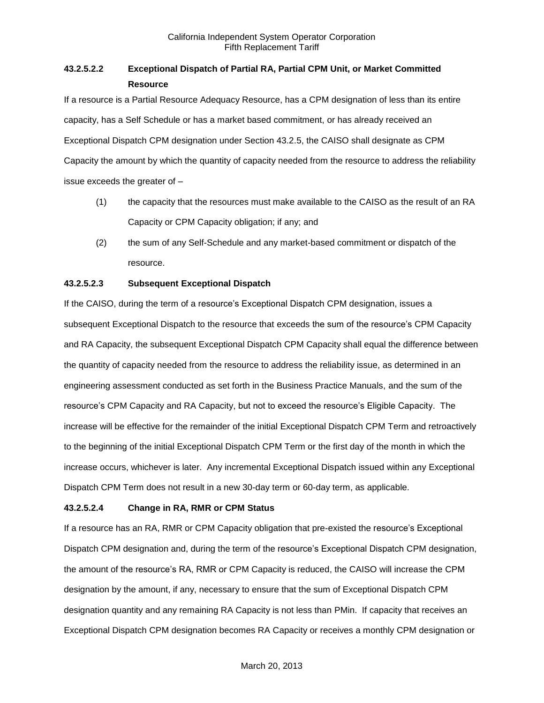# **43.2.5.2.2 Exceptional Dispatch of Partial RA, Partial CPM Unit, or Market Committed Resource**

If a resource is a Partial Resource Adequacy Resource, has a CPM designation of less than its entire capacity, has a Self Schedule or has a market based commitment, or has already received an Exceptional Dispatch CPM designation under Section 43.2.5, the CAISO shall designate as CPM Capacity the amount by which the quantity of capacity needed from the resource to address the reliability issue exceeds the greater of –

- (1) the capacity that the resources must make available to the CAISO as the result of an RA Capacity or CPM Capacity obligation; if any; and
- (2) the sum of any Self-Schedule and any market-based commitment or dispatch of the resource.

# **43.2.5.2.3 Subsequent Exceptional Dispatch**

If the CAISO, during the term of a resource's Exceptional Dispatch CPM designation, issues a subsequent Exceptional Dispatch to the resource that exceeds the sum of the resource's CPM Capacity and RA Capacity, the subsequent Exceptional Dispatch CPM Capacity shall equal the difference between the quantity of capacity needed from the resource to address the reliability issue, as determined in an engineering assessment conducted as set forth in the Business Practice Manuals, and the sum of the resource's CPM Capacity and RA Capacity, but not to exceed the resource's Eligible Capacity. The increase will be effective for the remainder of the initial Exceptional Dispatch CPM Term and retroactively to the beginning of the initial Exceptional Dispatch CPM Term or the first day of the month in which the increase occurs, whichever is later. Any incremental Exceptional Dispatch issued within any Exceptional Dispatch CPM Term does not result in a new 30-day term or 60-day term, as applicable.

# **43.2.5.2.4 Change in RA, RMR or CPM Status**

If a resource has an RA, RMR or CPM Capacity obligation that pre-existed the resource's Exceptional Dispatch CPM designation and, during the term of the resource's Exceptional Dispatch CPM designation, the amount of the resource's RA, RMR or CPM Capacity is reduced, the CAISO will increase the CPM designation by the amount, if any, necessary to ensure that the sum of Exceptional Dispatch CPM designation quantity and any remaining RA Capacity is not less than PMin. If capacity that receives an Exceptional Dispatch CPM designation becomes RA Capacity or receives a monthly CPM designation or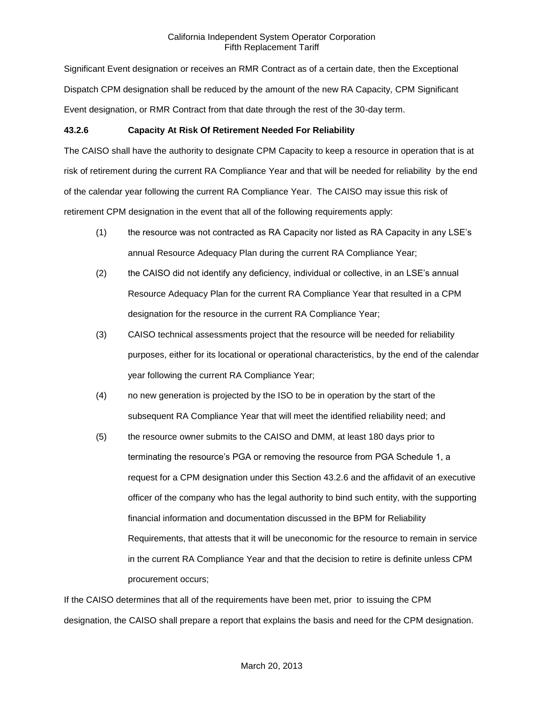Significant Event designation or receives an RMR Contract as of a certain date, then the Exceptional Dispatch CPM designation shall be reduced by the amount of the new RA Capacity, CPM Significant Event designation, or RMR Contract from that date through the rest of the 30-day term.

# **43.2.6 Capacity At Risk Of Retirement Needed For Reliability**

The CAISO shall have the authority to designate CPM Capacity to keep a resource in operation that is at risk of retirement during the current RA Compliance Year and that will be needed for reliability by the end of the calendar year following the current RA Compliance Year. The CAISO may issue this risk of retirement CPM designation in the event that all of the following requirements apply:

- (1) the resource was not contracted as RA Capacity nor listed as RA Capacity in any LSE's annual Resource Adequacy Plan during the current RA Compliance Year;
- (2) the CAISO did not identify any deficiency, individual or collective, in an LSE's annual Resource Adequacy Plan for the current RA Compliance Year that resulted in a CPM designation for the resource in the current RA Compliance Year;
- (3) CAISO technical assessments project that the resource will be needed for reliability purposes, either for its locational or operational characteristics, by the end of the calendar year following the current RA Compliance Year;
- (4) no new generation is projected by the ISO to be in operation by the start of the subsequent RA Compliance Year that will meet the identified reliability need; and
- (5) the resource owner submits to the CAISO and DMM, at least 180 days prior to terminating the resource's PGA or removing the resource from PGA Schedule 1, a request for a CPM designation under this Section 43.2.6 and the affidavit of an executive officer of the company who has the legal authority to bind such entity, with the supporting financial information and documentation discussed in the BPM for Reliability Requirements, that attests that it will be uneconomic for the resource to remain in service in the current RA Compliance Year and that the decision to retire is definite unless CPM procurement occurs;

If the CAISO determines that all of the requirements have been met, prior to issuing the CPM designation, the CAISO shall prepare a report that explains the basis and need for the CPM designation.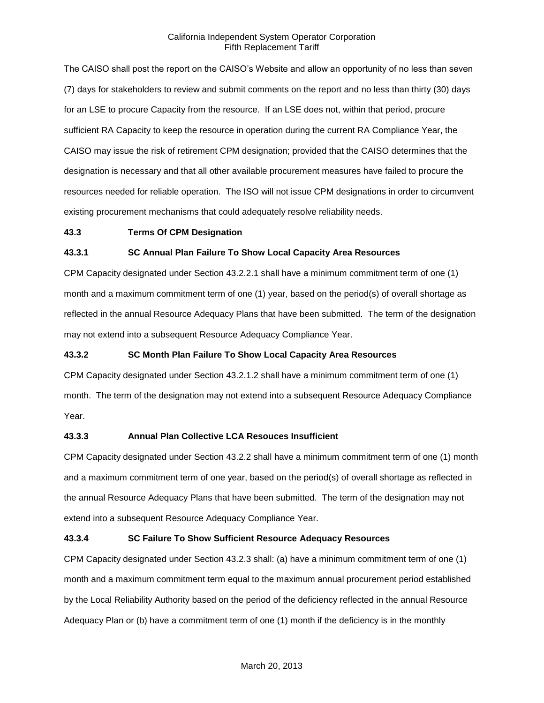The CAISO shall post the report on the CAISO's Website and allow an opportunity of no less than seven (7) days for stakeholders to review and submit comments on the report and no less than thirty (30) days for an LSE to procure Capacity from the resource. If an LSE does not, within that period, procure sufficient RA Capacity to keep the resource in operation during the current RA Compliance Year, the CAISO may issue the risk of retirement CPM designation; provided that the CAISO determines that the designation is necessary and that all other available procurement measures have failed to procure the resources needed for reliable operation. The ISO will not issue CPM designations in order to circumvent existing procurement mechanisms that could adequately resolve reliability needs.

#### **43.3 Terms Of CPM Designation**

#### **43.3.1 SC Annual Plan Failure To Show Local Capacity Area Resources**

CPM Capacity designated under Section 43.2.2.1 shall have a minimum commitment term of one (1) month and a maximum commitment term of one (1) year, based on the period(s) of overall shortage as reflected in the annual Resource Adequacy Plans that have been submitted. The term of the designation may not extend into a subsequent Resource Adequacy Compliance Year.

#### **43.3.2 SC Month Plan Failure To Show Local Capacity Area Resources**

CPM Capacity designated under Section 43.2.1.2 shall have a minimum commitment term of one (1) month. The term of the designation may not extend into a subsequent Resource Adequacy Compliance Year.

### **43.3.3 Annual Plan Collective LCA Resouces Insufficient**

CPM Capacity designated under Section 43.2.2 shall have a minimum commitment term of one (1) month and a maximum commitment term of one year, based on the period(s) of overall shortage as reflected in the annual Resource Adequacy Plans that have been submitted. The term of the designation may not extend into a subsequent Resource Adequacy Compliance Year.

#### **43.3.4 SC Failure To Show Sufficient Resource Adequacy Resources**

CPM Capacity designated under Section 43.2.3 shall: (a) have a minimum commitment term of one (1) month and a maximum commitment term equal to the maximum annual procurement period established by the Local Reliability Authority based on the period of the deficiency reflected in the annual Resource Adequacy Plan or (b) have a commitment term of one (1) month if the deficiency is in the monthly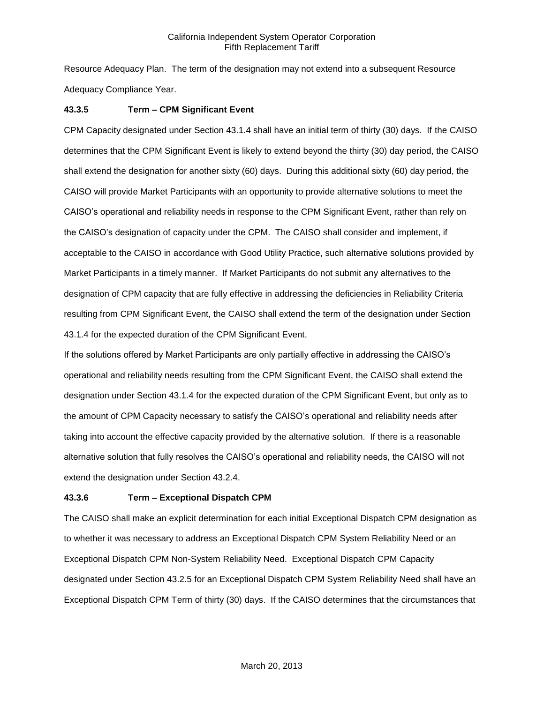Resource Adequacy Plan. The term of the designation may not extend into a subsequent Resource Adequacy Compliance Year.

## **43.3.5 Term – CPM Significant Event**

CPM Capacity designated under Section 43.1.4 shall have an initial term of thirty (30) days. If the CAISO determines that the CPM Significant Event is likely to extend beyond the thirty (30) day period, the CAISO shall extend the designation for another sixty (60) days. During this additional sixty (60) day period, the CAISO will provide Market Participants with an opportunity to provide alternative solutions to meet the CAISO's operational and reliability needs in response to the CPM Significant Event, rather than rely on the CAISO's designation of capacity under the CPM. The CAISO shall consider and implement, if acceptable to the CAISO in accordance with Good Utility Practice, such alternative solutions provided by Market Participants in a timely manner. If Market Participants do not submit any alternatives to the designation of CPM capacity that are fully effective in addressing the deficiencies in Reliability Criteria resulting from CPM Significant Event, the CAISO shall extend the term of the designation under Section 43.1.4 for the expected duration of the CPM Significant Event.

If the solutions offered by Market Participants are only partially effective in addressing the CAISO's operational and reliability needs resulting from the CPM Significant Event, the CAISO shall extend the designation under Section 43.1.4 for the expected duration of the CPM Significant Event, but only as to the amount of CPM Capacity necessary to satisfy the CAISO's operational and reliability needs after taking into account the effective capacity provided by the alternative solution. If there is a reasonable alternative solution that fully resolves the CAISO's operational and reliability needs, the CAISO will not extend the designation under Section 43.2.4.

### **43.3.6 Term – Exceptional Dispatch CPM**

The CAISO shall make an explicit determination for each initial Exceptional Dispatch CPM designation as to whether it was necessary to address an Exceptional Dispatch CPM System Reliability Need or an Exceptional Dispatch CPM Non-System Reliability Need. Exceptional Dispatch CPM Capacity designated under Section 43.2.5 for an Exceptional Dispatch CPM System Reliability Need shall have an Exceptional Dispatch CPM Term of thirty (30) days. If the CAISO determines that the circumstances that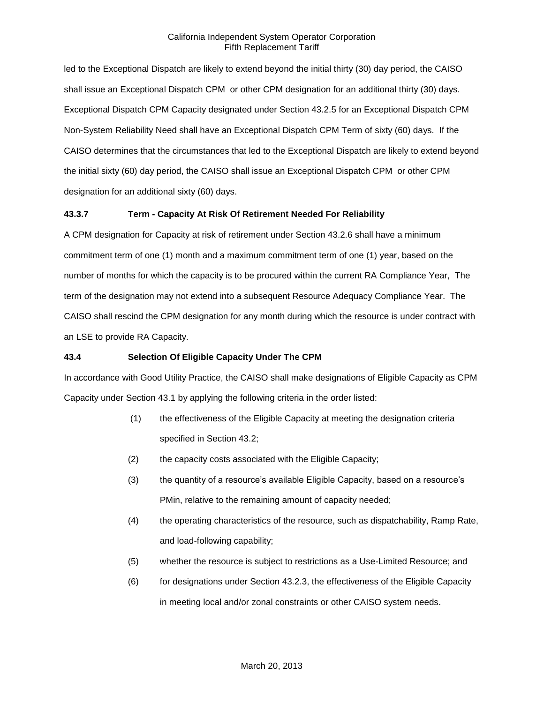led to the Exceptional Dispatch are likely to extend beyond the initial thirty (30) day period, the CAISO shall issue an Exceptional Dispatch CPM or other CPM designation for an additional thirty (30) days. Exceptional Dispatch CPM Capacity designated under Section 43.2.5 for an Exceptional Dispatch CPM Non-System Reliability Need shall have an Exceptional Dispatch CPM Term of sixty (60) days. If the CAISO determines that the circumstances that led to the Exceptional Dispatch are likely to extend beyond the initial sixty (60) day period, the CAISO shall issue an Exceptional Dispatch CPM or other CPM designation for an additional sixty (60) days.

# **43.3.7 Term - Capacity At Risk Of Retirement Needed For Reliability**

A CPM designation for Capacity at risk of retirement under Section 43.2.6 shall have a minimum commitment term of one (1) month and a maximum commitment term of one (1) year, based on the number of months for which the capacity is to be procured within the current RA Compliance Year, The term of the designation may not extend into a subsequent Resource Adequacy Compliance Year. The CAISO shall rescind the CPM designation for any month during which the resource is under contract with an LSE to provide RA Capacity.

# **43.4 Selection Of Eligible Capacity Under The CPM**

In accordance with Good Utility Practice, the CAISO shall make designations of Eligible Capacity as CPM Capacity under Section 43.1 by applying the following criteria in the order listed:

- (1) the effectiveness of the Eligible Capacity at meeting the designation criteria specified in Section 43.2;
- (2) the capacity costs associated with the Eligible Capacity;
- (3) the quantity of a resource's available Eligible Capacity, based on a resource's PMin, relative to the remaining amount of capacity needed;
- (4) the operating characteristics of the resource, such as dispatchability, Ramp Rate, and load-following capability;
- (5) whether the resource is subject to restrictions as a Use-Limited Resource; and
- (6) for designations under Section 43.2.3, the effectiveness of the Eligible Capacity in meeting local and/or zonal constraints or other CAISO system needs.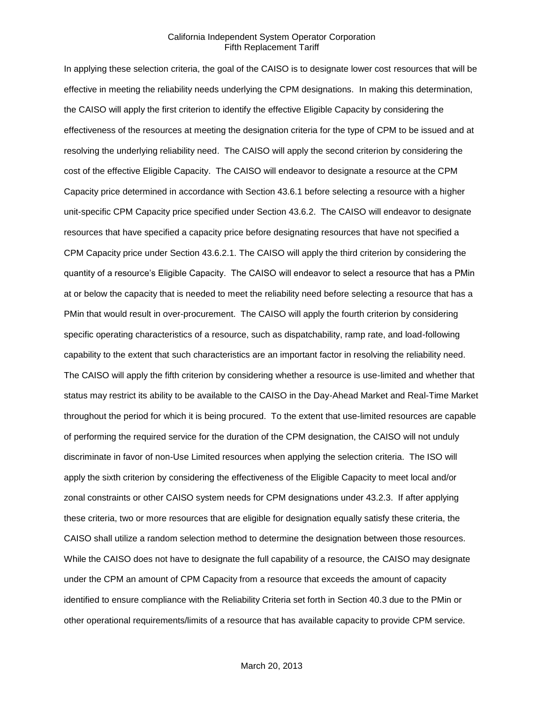In applying these selection criteria, the goal of the CAISO is to designate lower cost resources that will be effective in meeting the reliability needs underlying the CPM designations. In making this determination, the CAISO will apply the first criterion to identify the effective Eligible Capacity by considering the effectiveness of the resources at meeting the designation criteria for the type of CPM to be issued and at resolving the underlying reliability need. The CAISO will apply the second criterion by considering the cost of the effective Eligible Capacity. The CAISO will endeavor to designate a resource at the CPM Capacity price determined in accordance with Section 43.6.1 before selecting a resource with a higher unit-specific CPM Capacity price specified under Section 43.6.2. The CAISO will endeavor to designate resources that have specified a capacity price before designating resources that have not specified a CPM Capacity price under Section 43.6.2.1. The CAISO will apply the third criterion by considering the quantity of a resource's Eligible Capacity. The CAISO will endeavor to select a resource that has a PMin at or below the capacity that is needed to meet the reliability need before selecting a resource that has a PMin that would result in over-procurement. The CAISO will apply the fourth criterion by considering specific operating characteristics of a resource, such as dispatchability, ramp rate, and load-following capability to the extent that such characteristics are an important factor in resolving the reliability need. The CAISO will apply the fifth criterion by considering whether a resource is use-limited and whether that status may restrict its ability to be available to the CAISO in the Day-Ahead Market and Real-Time Market throughout the period for which it is being procured. To the extent that use-limited resources are capable of performing the required service for the duration of the CPM designation, the CAISO will not unduly discriminate in favor of non-Use Limited resources when applying the selection criteria. The ISO will apply the sixth criterion by considering the effectiveness of the Eligible Capacity to meet local and/or zonal constraints or other CAISO system needs for CPM designations under 43.2.3. If after applying these criteria, two or more resources that are eligible for designation equally satisfy these criteria, the CAISO shall utilize a random selection method to determine the designation between those resources. While the CAISO does not have to designate the full capability of a resource, the CAISO may designate under the CPM an amount of CPM Capacity from a resource that exceeds the amount of capacity identified to ensure compliance with the Reliability Criteria set forth in Section 40.3 due to the PMin or other operational requirements/limits of a resource that has available capacity to provide CPM service.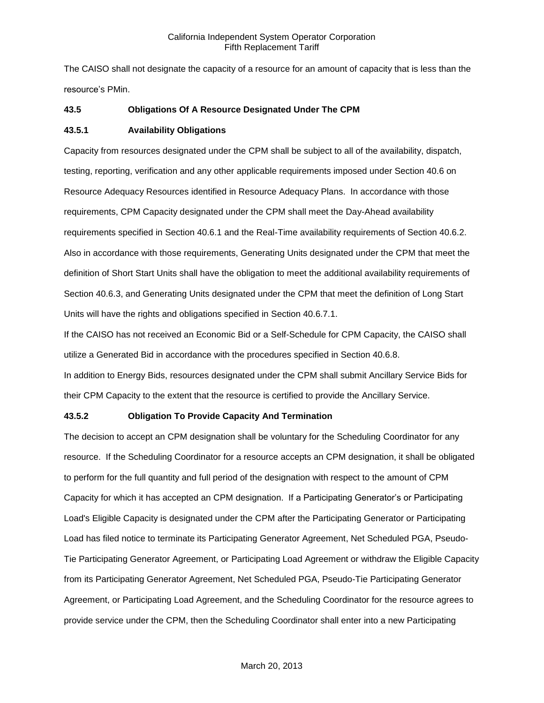The CAISO shall not designate the capacity of a resource for an amount of capacity that is less than the resource's PMin.

# **43.5 Obligations Of A Resource Designated Under The CPM**

### **43.5.1 Availability Obligations**

Capacity from resources designated under the CPM shall be subject to all of the availability, dispatch, testing, reporting, verification and any other applicable requirements imposed under Section 40.6 on Resource Adequacy Resources identified in Resource Adequacy Plans. In accordance with those requirements, CPM Capacity designated under the CPM shall meet the Day-Ahead availability requirements specified in Section 40.6.1 and the Real-Time availability requirements of Section 40.6.2. Also in accordance with those requirements, Generating Units designated under the CPM that meet the definition of Short Start Units shall have the obligation to meet the additional availability requirements of Section 40.6.3, and Generating Units designated under the CPM that meet the definition of Long Start Units will have the rights and obligations specified in Section 40.6.7.1.

If the CAISO has not received an Economic Bid or a Self-Schedule for CPM Capacity, the CAISO shall utilize a Generated Bid in accordance with the procedures specified in Section 40.6.8.

In addition to Energy Bids, resources designated under the CPM shall submit Ancillary Service Bids for their CPM Capacity to the extent that the resource is certified to provide the Ancillary Service.

# **43.5.2 Obligation To Provide Capacity And Termination**

The decision to accept an CPM designation shall be voluntary for the Scheduling Coordinator for any resource. If the Scheduling Coordinator for a resource accepts an CPM designation, it shall be obligated to perform for the full quantity and full period of the designation with respect to the amount of CPM Capacity for which it has accepted an CPM designation. If a Participating Generator's or Participating Load's Eligible Capacity is designated under the CPM after the Participating Generator or Participating Load has filed notice to terminate its Participating Generator Agreement, Net Scheduled PGA, Pseudo-Tie Participating Generator Agreement, or Participating Load Agreement or withdraw the Eligible Capacity from its Participating Generator Agreement, Net Scheduled PGA, Pseudo-Tie Participating Generator Agreement, or Participating Load Agreement, and the Scheduling Coordinator for the resource agrees to provide service under the CPM, then the Scheduling Coordinator shall enter into a new Participating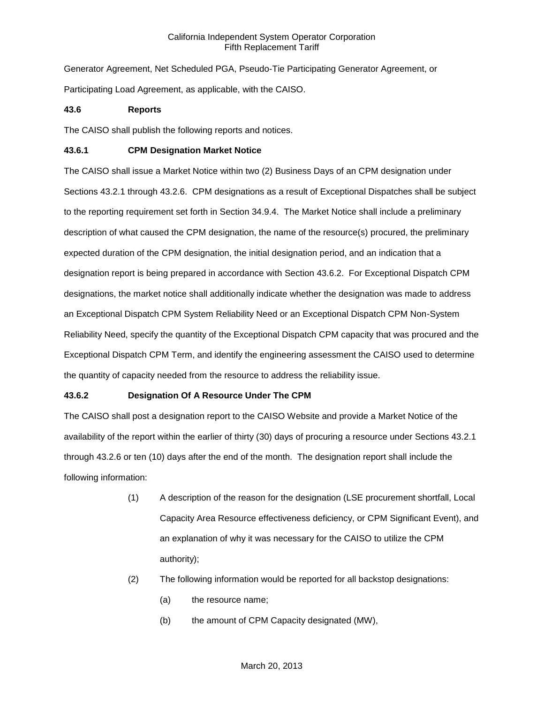Generator Agreement, Net Scheduled PGA, Pseudo-Tie Participating Generator Agreement, or Participating Load Agreement, as applicable, with the CAISO.

## **43.6 Reports**

The CAISO shall publish the following reports and notices.

# **43.6.1 CPM Designation Market Notice**

The CAISO shall issue a Market Notice within two (2) Business Days of an CPM designation under Sections 43.2.1 through 43.2.6. CPM designations as a result of Exceptional Dispatches shall be subject to the reporting requirement set forth in Section 34.9.4. The Market Notice shall include a preliminary description of what caused the CPM designation, the name of the resource(s) procured, the preliminary expected duration of the CPM designation, the initial designation period, and an indication that a designation report is being prepared in accordance with Section 43.6.2. For Exceptional Dispatch CPM designations, the market notice shall additionally indicate whether the designation was made to address an Exceptional Dispatch CPM System Reliability Need or an Exceptional Dispatch CPM Non-System Reliability Need, specify the quantity of the Exceptional Dispatch CPM capacity that was procured and the Exceptional Dispatch CPM Term, and identify the engineering assessment the CAISO used to determine the quantity of capacity needed from the resource to address the reliability issue.

# **43.6.2 Designation Of A Resource Under The CPM**

The CAISO shall post a designation report to the CAISO Website and provide a Market Notice of the availability of the report within the earlier of thirty (30) days of procuring a resource under Sections 43.2.1 through 43.2.6 or ten (10) days after the end of the month. The designation report shall include the following information:

- (1) A description of the reason for the designation (LSE procurement shortfall, Local Capacity Area Resource effectiveness deficiency, or CPM Significant Event), and an explanation of why it was necessary for the CAISO to utilize the CPM authority);
- (2) The following information would be reported for all backstop designations:
	- (a) the resource name;
	- (b) the amount of CPM Capacity designated (MW),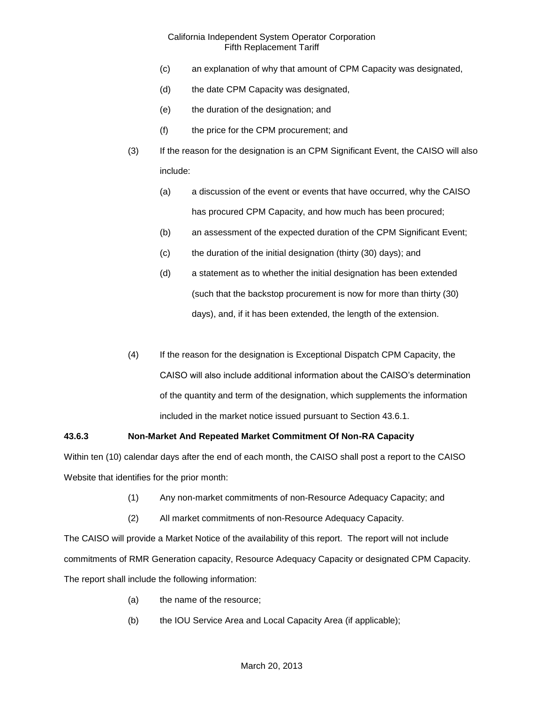- (c) an explanation of why that amount of CPM Capacity was designated,
- (d) the date CPM Capacity was designated,
- (e) the duration of the designation; and
- (f) the price for the CPM procurement; and
- (3) If the reason for the designation is an CPM Significant Event, the CAISO will also include:
	- (a) a discussion of the event or events that have occurred, why the CAISO has procured CPM Capacity, and how much has been procured;
	- (b) an assessment of the expected duration of the CPM Significant Event;
	- (c) the duration of the initial designation (thirty (30) days); and
	- (d) a statement as to whether the initial designation has been extended (such that the backstop procurement is now for more than thirty (30) days), and, if it has been extended, the length of the extension.
- (4) If the reason for the designation is Exceptional Dispatch CPM Capacity, the CAISO will also include additional information about the CAISO's determination of the quantity and term of the designation, which supplements the information included in the market notice issued pursuant to Section 43.6.1.

# **43.6.3 Non-Market And Repeated Market Commitment Of Non-RA Capacity**

Within ten (10) calendar days after the end of each month, the CAISO shall post a report to the CAISO Website that identifies for the prior month:

- (1) Any non-market commitments of non-Resource Adequacy Capacity; and
- (2) All market commitments of non-Resource Adequacy Capacity.

The CAISO will provide a Market Notice of the availability of this report. The report will not include commitments of RMR Generation capacity, Resource Adequacy Capacity or designated CPM Capacity. The report shall include the following information:

- (a) the name of the resource;
- (b) the IOU Service Area and Local Capacity Area (if applicable);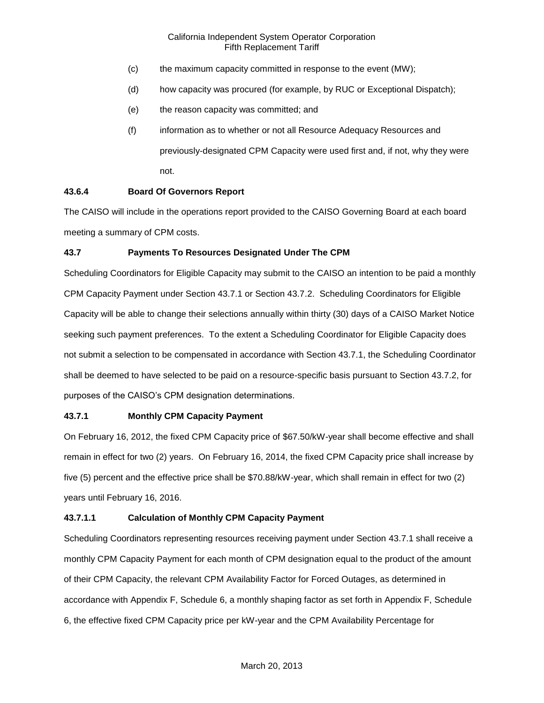- (c) the maximum capacity committed in response to the event (MW);
- (d) how capacity was procured (for example, by RUC or Exceptional Dispatch);
- (e) the reason capacity was committed; and
- (f) information as to whether or not all Resource Adequacy Resources and previously-designated CPM Capacity were used first and, if not, why they were not.

# **43.6.4 Board Of Governors Report**

The CAISO will include in the operations report provided to the CAISO Governing Board at each board meeting a summary of CPM costs.

# **43.7 Payments To Resources Designated Under The CPM**

Scheduling Coordinators for Eligible Capacity may submit to the CAISO an intention to be paid a monthly CPM Capacity Payment under Section 43.7.1 or Section 43.7.2. Scheduling Coordinators for Eligible Capacity will be able to change their selections annually within thirty (30) days of a CAISO Market Notice seeking such payment preferences. To the extent a Scheduling Coordinator for Eligible Capacity does not submit a selection to be compensated in accordance with Section 43.7.1, the Scheduling Coordinator shall be deemed to have selected to be paid on a resource-specific basis pursuant to Section 43.7.2, for purposes of the CAISO's CPM designation determinations.

### **43.7.1 Monthly CPM Capacity Payment**

On February 16, 2012, the fixed CPM Capacity price of \$67.50/kW-year shall become effective and shall remain in effect for two (2) years. On February 16, 2014, the fixed CPM Capacity price shall increase by five (5) percent and the effective price shall be \$70.88/kW-year, which shall remain in effect for two (2) years until February 16, 2016.

### **43.7.1.1 Calculation of Monthly CPM Capacity Payment**

Scheduling Coordinators representing resources receiving payment under Section 43.7.1 shall receive a monthly CPM Capacity Payment for each month of CPM designation equal to the product of the amount of their CPM Capacity, the relevant CPM Availability Factor for Forced Outages, as determined in accordance with Appendix F, Schedule 6, a monthly shaping factor as set forth in Appendix F, Schedule 6, the effective fixed CPM Capacity price per kW-year and the CPM Availability Percentage for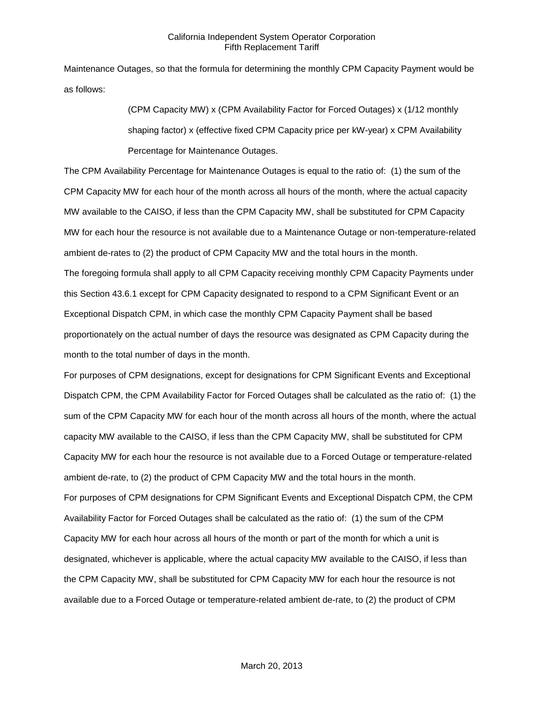Maintenance Outages, so that the formula for determining the monthly CPM Capacity Payment would be as follows:

> (CPM Capacity MW) x (CPM Availability Factor for Forced Outages) x (1/12 monthly shaping factor) x (effective fixed CPM Capacity price per kW-year) x CPM Availability Percentage for Maintenance Outages.

The CPM Availability Percentage for Maintenance Outages is equal to the ratio of: (1) the sum of the CPM Capacity MW for each hour of the month across all hours of the month, where the actual capacity MW available to the CAISO, if less than the CPM Capacity MW, shall be substituted for CPM Capacity MW for each hour the resource is not available due to a Maintenance Outage or non-temperature-related ambient de-rates to (2) the product of CPM Capacity MW and the total hours in the month. The foregoing formula shall apply to all CPM Capacity receiving monthly CPM Capacity Payments under this Section 43.6.1 except for CPM Capacity designated to respond to a CPM Significant Event or an Exceptional Dispatch CPM, in which case the monthly CPM Capacity Payment shall be based proportionately on the actual number of days the resource was designated as CPM Capacity during the month to the total number of days in the month.

For purposes of CPM designations, except for designations for CPM Significant Events and Exceptional Dispatch CPM, the CPM Availability Factor for Forced Outages shall be calculated as the ratio of: (1) the sum of the CPM Capacity MW for each hour of the month across all hours of the month, where the actual capacity MW available to the CAISO, if less than the CPM Capacity MW, shall be substituted for CPM Capacity MW for each hour the resource is not available due to a Forced Outage or temperature-related ambient de-rate, to (2) the product of CPM Capacity MW and the total hours in the month. For purposes of CPM designations for CPM Significant Events and Exceptional Dispatch CPM, the CPM Availability Factor for Forced Outages shall be calculated as the ratio of: (1) the sum of the CPM Capacity MW for each hour across all hours of the month or part of the month for which a unit is designated, whichever is applicable, where the actual capacity MW available to the CAISO, if less than the CPM Capacity MW, shall be substituted for CPM Capacity MW for each hour the resource is not available due to a Forced Outage or temperature-related ambient de-rate, to (2) the product of CPM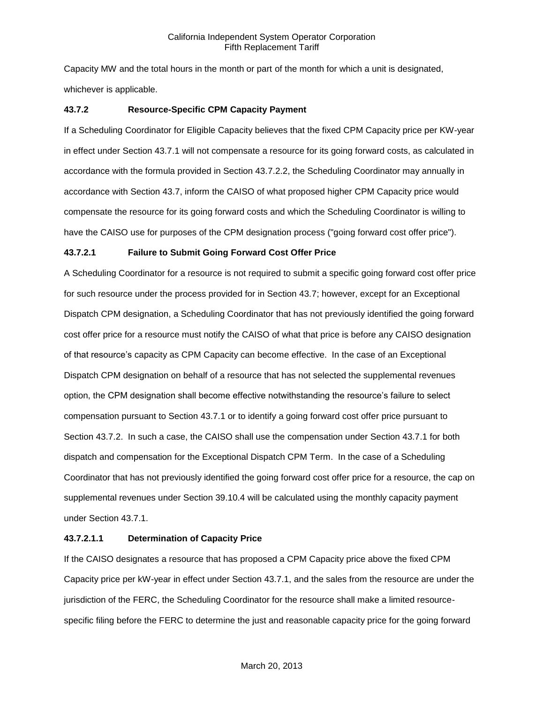Capacity MW and the total hours in the month or part of the month for which a unit is designated, whichever is applicable.

# **43.7.2 Resource-Specific CPM Capacity Payment**

If a Scheduling Coordinator for Eligible Capacity believes that the fixed CPM Capacity price per KW-year in effect under Section 43.7.1 will not compensate a resource for its going forward costs, as calculated in accordance with the formula provided in Section 43.7.2.2, the Scheduling Coordinator may annually in accordance with Section 43.7, inform the CAISO of what proposed higher CPM Capacity price would compensate the resource for its going forward costs and which the Scheduling Coordinator is willing to have the CAISO use for purposes of the CPM designation process ("going forward cost offer price").

# **43.7.2.1 Failure to Submit Going Forward Cost Offer Price**

A Scheduling Coordinator for a resource is not required to submit a specific going forward cost offer price for such resource under the process provided for in Section 43.7; however, except for an Exceptional Dispatch CPM designation, a Scheduling Coordinator that has not previously identified the going forward cost offer price for a resource must notify the CAISO of what that price is before any CAISO designation of that resource's capacity as CPM Capacity can become effective. In the case of an Exceptional Dispatch CPM designation on behalf of a resource that has not selected the supplemental revenues option, the CPM designation shall become effective notwithstanding the resource's failure to select compensation pursuant to Section 43.7.1 or to identify a going forward cost offer price pursuant to Section 43.7.2. In such a case, the CAISO shall use the compensation under Section 43.7.1 for both dispatch and compensation for the Exceptional Dispatch CPM Term. In the case of a Scheduling Coordinator that has not previously identified the going forward cost offer price for a resource, the cap on supplemental revenues under Section 39.10.4 will be calculated using the monthly capacity payment under Section 43.7.1.

# **43.7.2.1.1 Determination of Capacity Price**

If the CAISO designates a resource that has proposed a CPM Capacity price above the fixed CPM Capacity price per kW-year in effect under Section 43.7.1, and the sales from the resource are under the jurisdiction of the FERC, the Scheduling Coordinator for the resource shall make a limited resourcespecific filing before the FERC to determine the just and reasonable capacity price for the going forward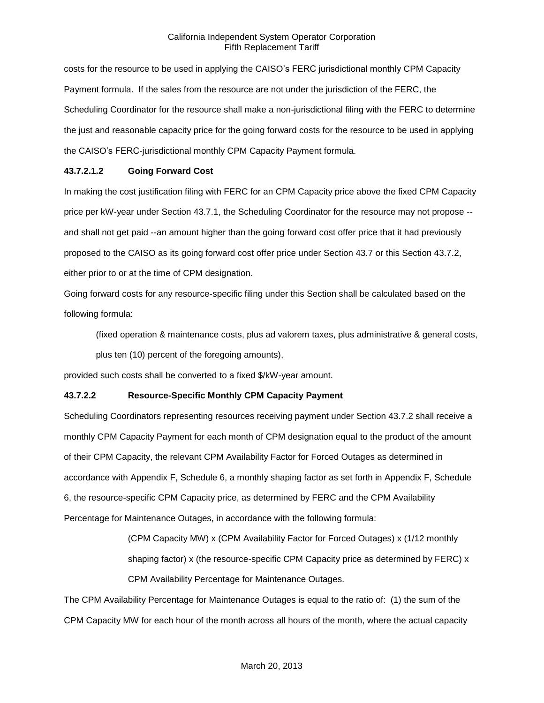costs for the resource to be used in applying the CAISO's FERC jurisdictional monthly CPM Capacity Payment formula. If the sales from the resource are not under the jurisdiction of the FERC, the Scheduling Coordinator for the resource shall make a non-jurisdictional filing with the FERC to determine the just and reasonable capacity price for the going forward costs for the resource to be used in applying the CAISO's FERC-jurisdictional monthly CPM Capacity Payment formula.

### **43.7.2.1.2 Going Forward Cost**

In making the cost justification filing with FERC for an CPM Capacity price above the fixed CPM Capacity price per kW-year under Section 43.7.1, the Scheduling Coordinator for the resource may not propose - and shall not get paid --an amount higher than the going forward cost offer price that it had previously proposed to the CAISO as its going forward cost offer price under Section 43.7 or this Section 43.7.2, either prior to or at the time of CPM designation.

Going forward costs for any resource-specific filing under this Section shall be calculated based on the following formula:

(fixed operation & maintenance costs, plus ad valorem taxes, plus administrative & general costs,

plus ten (10) percent of the foregoing amounts),

provided such costs shall be converted to a fixed \$/kW-year amount.

# **43.7.2.2 Resource-Specific Monthly CPM Capacity Payment**

Scheduling Coordinators representing resources receiving payment under Section 43.7.2 shall receive a monthly CPM Capacity Payment for each month of CPM designation equal to the product of the amount of their CPM Capacity, the relevant CPM Availability Factor for Forced Outages as determined in accordance with Appendix F, Schedule 6, a monthly shaping factor as set forth in Appendix F, Schedule 6, the resource-specific CPM Capacity price, as determined by FERC and the CPM Availability Percentage for Maintenance Outages, in accordance with the following formula:

> (CPM Capacity MW) x (CPM Availability Factor for Forced Outages) x (1/12 monthly shaping factor) x (the resource-specific CPM Capacity price as determined by FERC) x CPM Availability Percentage for Maintenance Outages.

The CPM Availability Percentage for Maintenance Outages is equal to the ratio of: (1) the sum of the CPM Capacity MW for each hour of the month across all hours of the month, where the actual capacity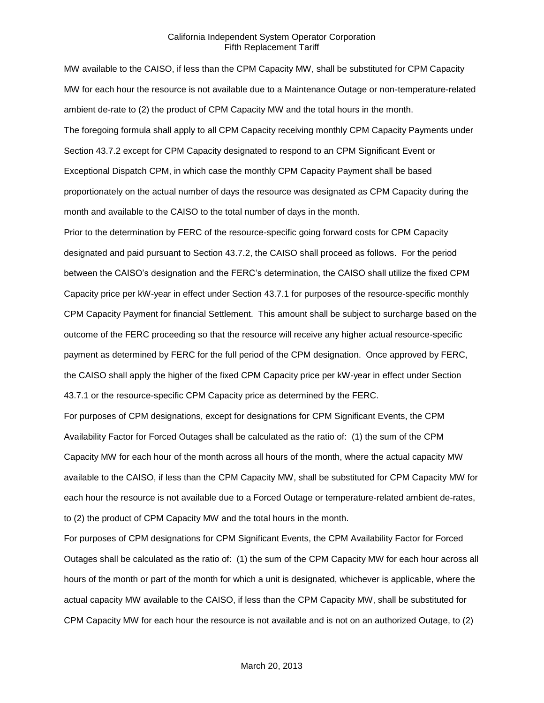MW available to the CAISO, if less than the CPM Capacity MW, shall be substituted for CPM Capacity MW for each hour the resource is not available due to a Maintenance Outage or non-temperature-related ambient de-rate to (2) the product of CPM Capacity MW and the total hours in the month. The foregoing formula shall apply to all CPM Capacity receiving monthly CPM Capacity Payments under Section 43.7.2 except for CPM Capacity designated to respond to an CPM Significant Event or Exceptional Dispatch CPM, in which case the monthly CPM Capacity Payment shall be based proportionately on the actual number of days the resource was designated as CPM Capacity during the month and available to the CAISO to the total number of days in the month.

Prior to the determination by FERC of the resource-specific going forward costs for CPM Capacity designated and paid pursuant to Section 43.7.2, the CAISO shall proceed as follows. For the period between the CAISO's designation and the FERC's determination, the CAISO shall utilize the fixed CPM Capacity price per kW-year in effect under Section 43.7.1 for purposes of the resource-specific monthly CPM Capacity Payment for financial Settlement. This amount shall be subject to surcharge based on the outcome of the FERC proceeding so that the resource will receive any higher actual resource-specific payment as determined by FERC for the full period of the CPM designation. Once approved by FERC, the CAISO shall apply the higher of the fixed CPM Capacity price per kW-year in effect under Section 43.7.1 or the resource-specific CPM Capacity price as determined by the FERC.

For purposes of CPM designations, except for designations for CPM Significant Events, the CPM Availability Factor for Forced Outages shall be calculated as the ratio of: (1) the sum of the CPM Capacity MW for each hour of the month across all hours of the month, where the actual capacity MW available to the CAISO, if less than the CPM Capacity MW, shall be substituted for CPM Capacity MW for each hour the resource is not available due to a Forced Outage or temperature-related ambient de-rates, to (2) the product of CPM Capacity MW and the total hours in the month.

For purposes of CPM designations for CPM Significant Events, the CPM Availability Factor for Forced Outages shall be calculated as the ratio of: (1) the sum of the CPM Capacity MW for each hour across all hours of the month or part of the month for which a unit is designated, whichever is applicable, where the actual capacity MW available to the CAISO, if less than the CPM Capacity MW, shall be substituted for CPM Capacity MW for each hour the resource is not available and is not on an authorized Outage, to (2)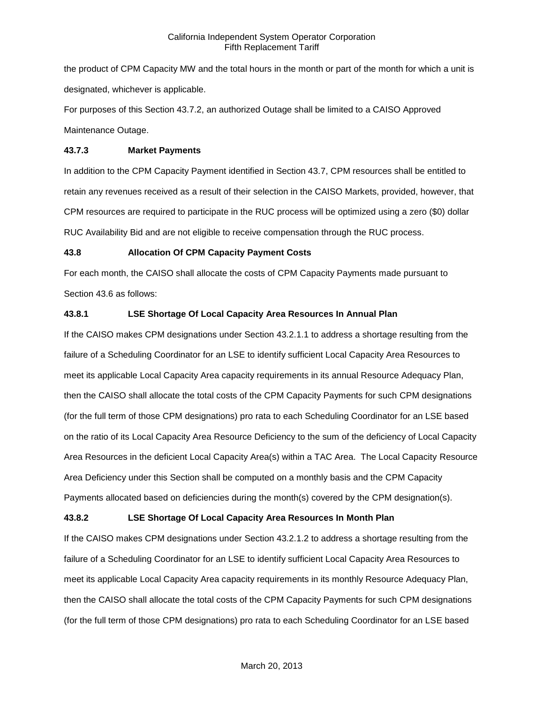the product of CPM Capacity MW and the total hours in the month or part of the month for which a unit is designated, whichever is applicable.

For purposes of this Section 43.7.2, an authorized Outage shall be limited to a CAISO Approved Maintenance Outage.

### **43.7.3 Market Payments**

In addition to the CPM Capacity Payment identified in Section 43.7, CPM resources shall be entitled to retain any revenues received as a result of their selection in the CAISO Markets, provided, however, that CPM resources are required to participate in the RUC process will be optimized using a zero (\$0) dollar RUC Availability Bid and are not eligible to receive compensation through the RUC process.

### **43.8 Allocation Of CPM Capacity Payment Costs**

For each month, the CAISO shall allocate the costs of CPM Capacity Payments made pursuant to Section 43.6 as follows:

# **43.8.1 LSE Shortage Of Local Capacity Area Resources In Annual Plan**

If the CAISO makes CPM designations under Section 43.2.1.1 to address a shortage resulting from the failure of a Scheduling Coordinator for an LSE to identify sufficient Local Capacity Area Resources to meet its applicable Local Capacity Area capacity requirements in its annual Resource Adequacy Plan, then the CAISO shall allocate the total costs of the CPM Capacity Payments for such CPM designations (for the full term of those CPM designations) pro rata to each Scheduling Coordinator for an LSE based on the ratio of its Local Capacity Area Resource Deficiency to the sum of the deficiency of Local Capacity Area Resources in the deficient Local Capacity Area(s) within a TAC Area. The Local Capacity Resource Area Deficiency under this Section shall be computed on a monthly basis and the CPM Capacity Payments allocated based on deficiencies during the month(s) covered by the CPM designation(s).

# **43.8.2 LSE Shortage Of Local Capacity Area Resources In Month Plan**

If the CAISO makes CPM designations under Section 43.2.1.2 to address a shortage resulting from the failure of a Scheduling Coordinator for an LSE to identify sufficient Local Capacity Area Resources to meet its applicable Local Capacity Area capacity requirements in its monthly Resource Adequacy Plan, then the CAISO shall allocate the total costs of the CPM Capacity Payments for such CPM designations (for the full term of those CPM designations) pro rata to each Scheduling Coordinator for an LSE based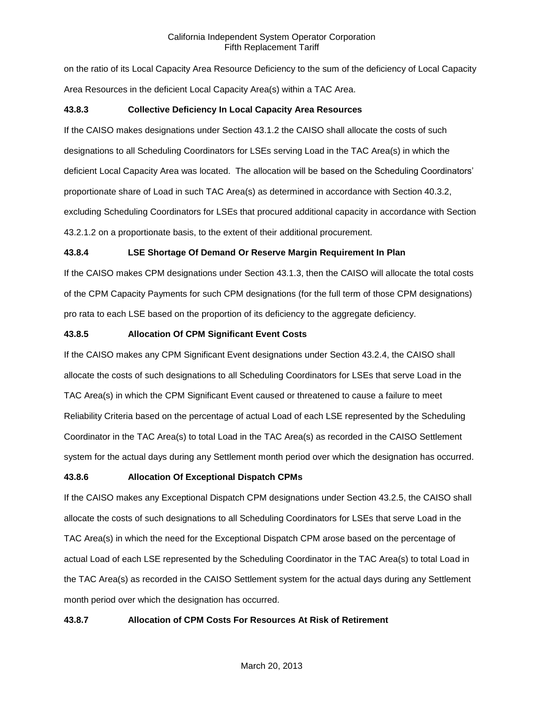on the ratio of its Local Capacity Area Resource Deficiency to the sum of the deficiency of Local Capacity Area Resources in the deficient Local Capacity Area(s) within a TAC Area.

# **43.8.3 Collective Deficiency In Local Capacity Area Resources**

If the CAISO makes designations under Section 43.1.2 the CAISO shall allocate the costs of such designations to all Scheduling Coordinators for LSEs serving Load in the TAC Area(s) in which the deficient Local Capacity Area was located. The allocation will be based on the Scheduling Coordinators' proportionate share of Load in such TAC Area(s) as determined in accordance with Section 40.3.2, excluding Scheduling Coordinators for LSEs that procured additional capacity in accordance with Section 43.2.1.2 on a proportionate basis, to the extent of their additional procurement.

### **43.8.4 LSE Shortage Of Demand Or Reserve Margin Requirement In Plan**

If the CAISO makes CPM designations under Section 43.1.3, then the CAISO will allocate the total costs of the CPM Capacity Payments for such CPM designations (for the full term of those CPM designations) pro rata to each LSE based on the proportion of its deficiency to the aggregate deficiency.

### **43.8.5 Allocation Of CPM Significant Event Costs**

If the CAISO makes any CPM Significant Event designations under Section 43.2.4, the CAISO shall allocate the costs of such designations to all Scheduling Coordinators for LSEs that serve Load in the TAC Area(s) in which the CPM Significant Event caused or threatened to cause a failure to meet Reliability Criteria based on the percentage of actual Load of each LSE represented by the Scheduling Coordinator in the TAC Area(s) to total Load in the TAC Area(s) as recorded in the CAISO Settlement system for the actual days during any Settlement month period over which the designation has occurred.

# **43.8.6 Allocation Of Exceptional Dispatch CPMs**

If the CAISO makes any Exceptional Dispatch CPM designations under Section 43.2.5, the CAISO shall allocate the costs of such designations to all Scheduling Coordinators for LSEs that serve Load in the TAC Area(s) in which the need for the Exceptional Dispatch CPM arose based on the percentage of actual Load of each LSE represented by the Scheduling Coordinator in the TAC Area(s) to total Load in the TAC Area(s) as recorded in the CAISO Settlement system for the actual days during any Settlement month period over which the designation has occurred.

# **43.8.7 Allocation of CPM Costs For Resources At Risk of Retirement**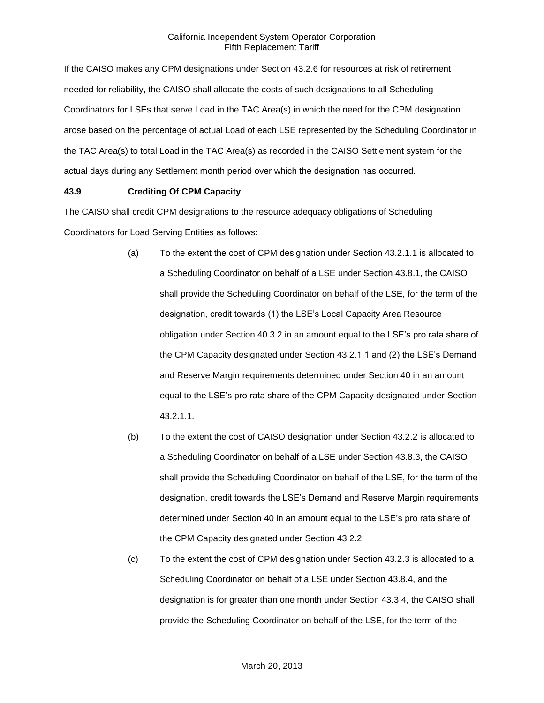If the CAISO makes any CPM designations under Section 43.2.6 for resources at risk of retirement needed for reliability, the CAISO shall allocate the costs of such designations to all Scheduling Coordinators for LSEs that serve Load in the TAC Area(s) in which the need for the CPM designation arose based on the percentage of actual Load of each LSE represented by the Scheduling Coordinator in the TAC Area(s) to total Load in the TAC Area(s) as recorded in the CAISO Settlement system for the actual days during any Settlement month period over which the designation has occurred.

# **43.9 Crediting Of CPM Capacity**

The CAISO shall credit CPM designations to the resource adequacy obligations of Scheduling Coordinators for Load Serving Entities as follows:

- (a) To the extent the cost of CPM designation under Section 43.2.1.1 is allocated to a Scheduling Coordinator on behalf of a LSE under Section 43.8.1, the CAISO shall provide the Scheduling Coordinator on behalf of the LSE, for the term of the designation, credit towards (1) the LSE's Local Capacity Area Resource obligation under Section 40.3.2 in an amount equal to the LSE's pro rata share of the CPM Capacity designated under Section 43.2.1.1 and (2) the LSE's Demand and Reserve Margin requirements determined under Section 40 in an amount equal to the LSE's pro rata share of the CPM Capacity designated under Section 43.2.1.1.
- (b) To the extent the cost of CAISO designation under Section 43.2.2 is allocated to a Scheduling Coordinator on behalf of a LSE under Section 43.8.3, the CAISO shall provide the Scheduling Coordinator on behalf of the LSE, for the term of the designation, credit towards the LSE's Demand and Reserve Margin requirements determined under Section 40 in an amount equal to the LSE's pro rata share of the CPM Capacity designated under Section 43.2.2.
- (c) To the extent the cost of CPM designation under Section 43.2.3 is allocated to a Scheduling Coordinator on behalf of a LSE under Section 43.8.4, and the designation is for greater than one month under Section 43.3.4, the CAISO shall provide the Scheduling Coordinator on behalf of the LSE, for the term of the